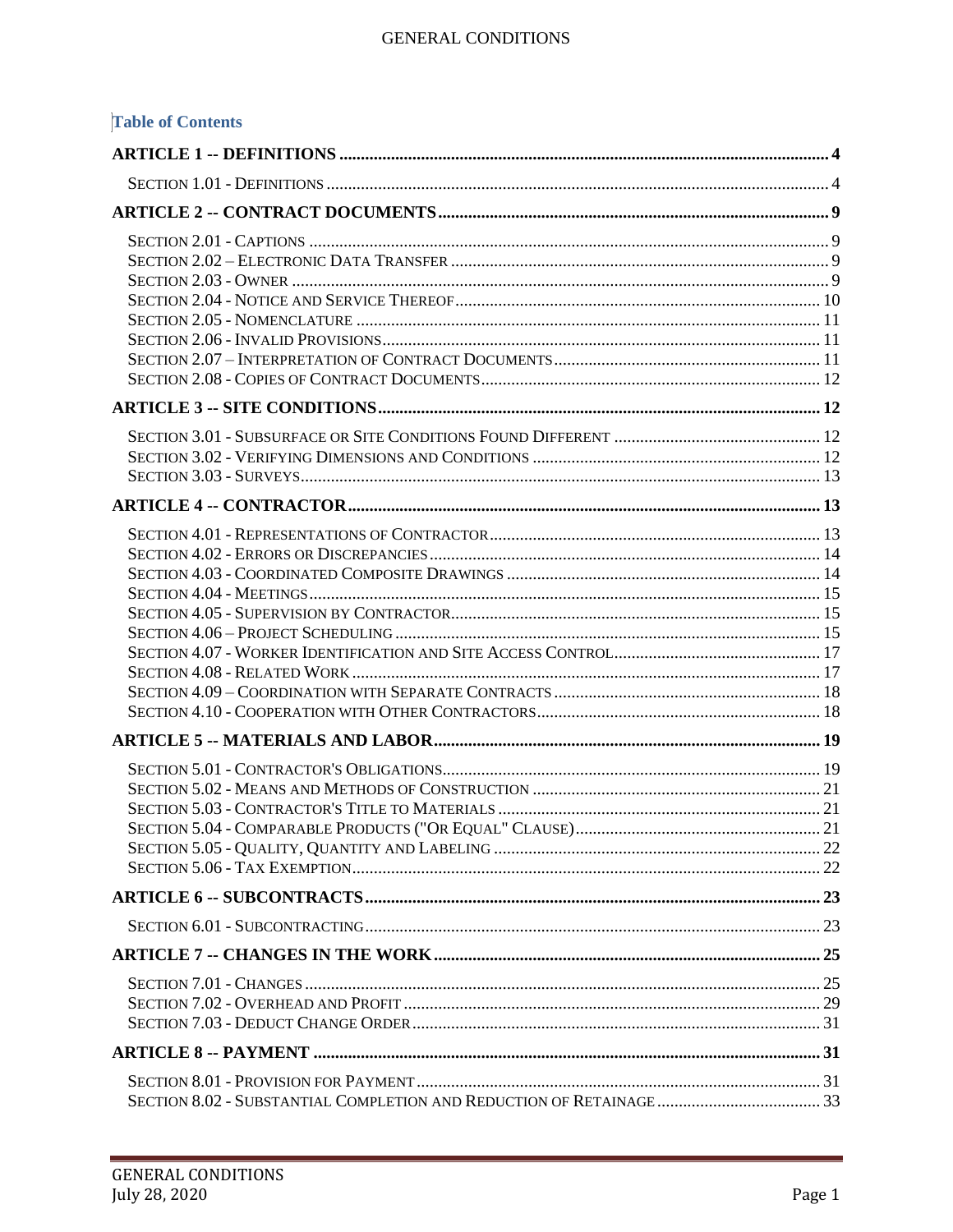| <b>Table of Contents</b> |  |
|--------------------------|--|
|                          |  |
|                          |  |
|                          |  |
|                          |  |
|                          |  |
|                          |  |
|                          |  |
|                          |  |
|                          |  |
|                          |  |
|                          |  |
|                          |  |
|                          |  |
|                          |  |
|                          |  |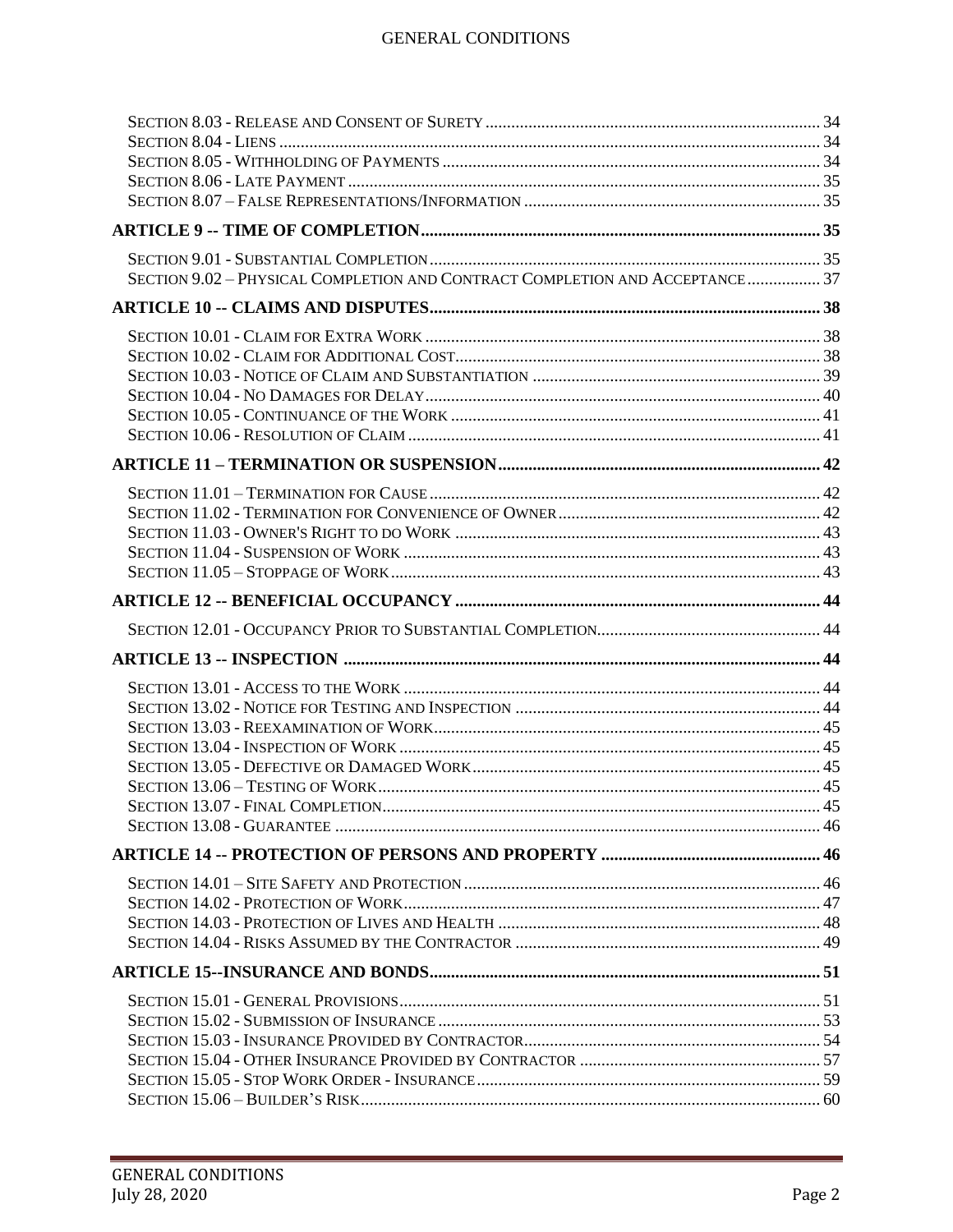| SECTION 9.02 - PHYSICAL COMPLETION AND CONTRACT COMPLETION AND ACCEPTANCE 37 |  |
|------------------------------------------------------------------------------|--|
|                                                                              |  |
|                                                                              |  |
|                                                                              |  |
|                                                                              |  |
|                                                                              |  |
|                                                                              |  |
|                                                                              |  |
|                                                                              |  |
|                                                                              |  |
|                                                                              |  |
|                                                                              |  |
|                                                                              |  |
|                                                                              |  |
|                                                                              |  |
|                                                                              |  |
|                                                                              |  |
|                                                                              |  |
|                                                                              |  |
|                                                                              |  |
|                                                                              |  |
|                                                                              |  |
|                                                                              |  |
|                                                                              |  |
|                                                                              |  |
|                                                                              |  |
|                                                                              |  |
|                                                                              |  |
|                                                                              |  |
|                                                                              |  |
|                                                                              |  |
|                                                                              |  |
|                                                                              |  |
|                                                                              |  |
|                                                                              |  |
|                                                                              |  |
|                                                                              |  |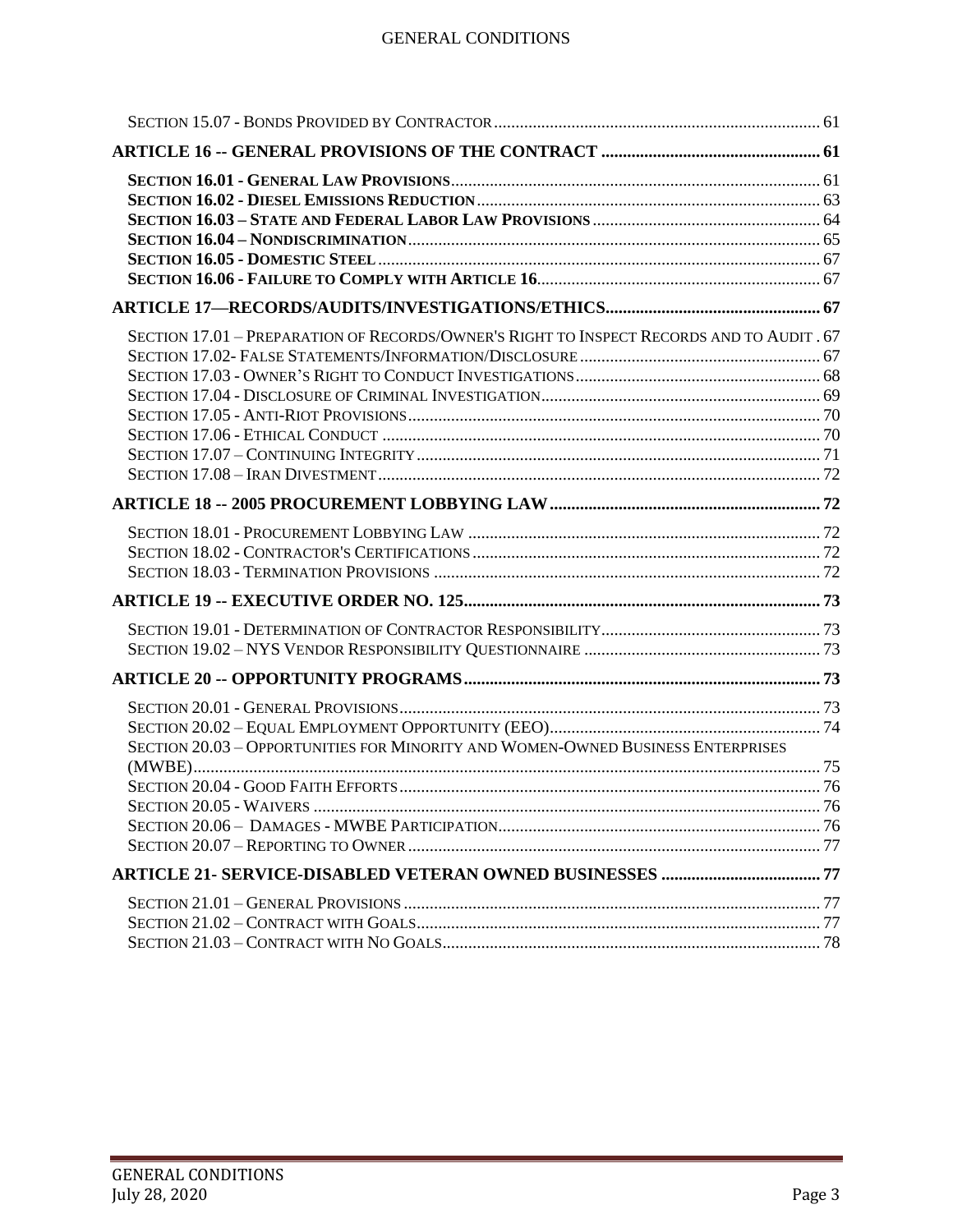| SECTION 17.01 - PREPARATION OF RECORDS/OWNER'S RIGHT TO INSPECT RECORDS AND TO AUDIT . 67 |  |
|-------------------------------------------------------------------------------------------|--|
|                                                                                           |  |
|                                                                                           |  |
|                                                                                           |  |
|                                                                                           |  |
|                                                                                           |  |
| SECTION 20.03 - OPPORTUNITIES FOR MINORITY AND WOMEN-OWNED BUSINESS ENTERPRISES           |  |
|                                                                                           |  |
|                                                                                           |  |
|                                                                                           |  |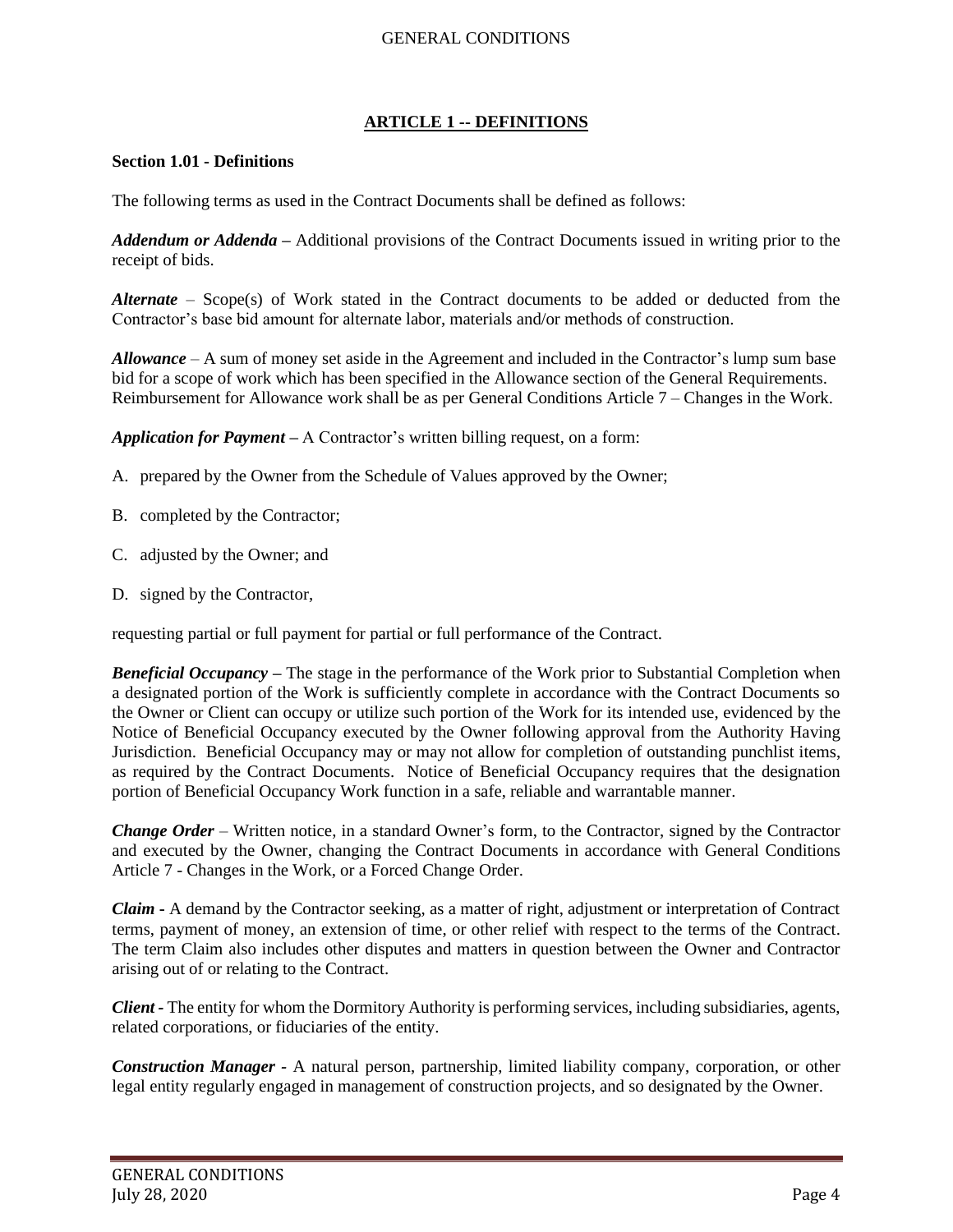## **ARTICLE 1 -- DEFINITIONS**

#### <span id="page-3-1"></span><span id="page-3-0"></span>**Section 1.01 - Definitions**

The following terms as used in the Contract Documents shall be defined as follows:

*Addendum or Addenda* **–** Additional provisions of the Contract Documents issued in writing prior to the receipt of bids.

*Alternate* – Scope(s) of Work stated in the Contract documents to be added or deducted from the Contractor's base bid amount for alternate labor, materials and/or methods of construction.

*Allowance* – A sum of money set aside in the Agreement and included in the Contractor's lump sum base bid for a scope of work which has been specified in the Allowance section of the General Requirements. Reimbursement for Allowance work shall be as per General Conditions Article 7 – Changes in the Work.

*Application for Payment –* A Contractor's written billing request, on a form:

- A. prepared by the Owner from the Schedule of Values approved by the Owner;
- B. completed by the Contractor;
- C. adjusted by the Owner; and
- D. signed by the Contractor,

requesting partial or full payment for partial or full performance of the Contract.

*Beneficial Occupancy* – The stage in the performance of the Work prior to Substantial Completion when a designated portion of the Work is sufficiently complete in accordance with the Contract Documents so the Owner or Client can occupy or utilize such portion of the Work for its intended use, evidenced by the Notice of Beneficial Occupancy executed by the Owner following approval from the Authority Having Jurisdiction. Beneficial Occupancy may or may not allow for completion of outstanding punchlist items, as required by the Contract Documents. Notice of Beneficial Occupancy requires that the designation portion of Beneficial Occupancy Work function in a safe, reliable and warrantable manner.

*Change Order* – Written notice, in a standard Owner's form, to the Contractor, signed by the Contractor and executed by the Owner, changing the Contract Documents in accordance with General Conditions Article 7 - Changes in the Work, or a Forced Change Order.

*Claim* **-** A demand by the Contractor seeking, as a matter of right, adjustment or interpretation of Contract terms, payment of money, an extension of time, or other relief with respect to the terms of the Contract. The term Claim also includes other disputes and matters in question between the Owner and Contractor arising out of or relating to the Contract.

*Client -* The entity for whom the Dormitory Authority is performing services, including subsidiaries, agents, related corporations, or fiduciaries of the entity.

*Construction Manager -* A natural person, partnership, limited liability company, corporation, or other legal entity regularly engaged in management of construction projects, and so designated by the Owner.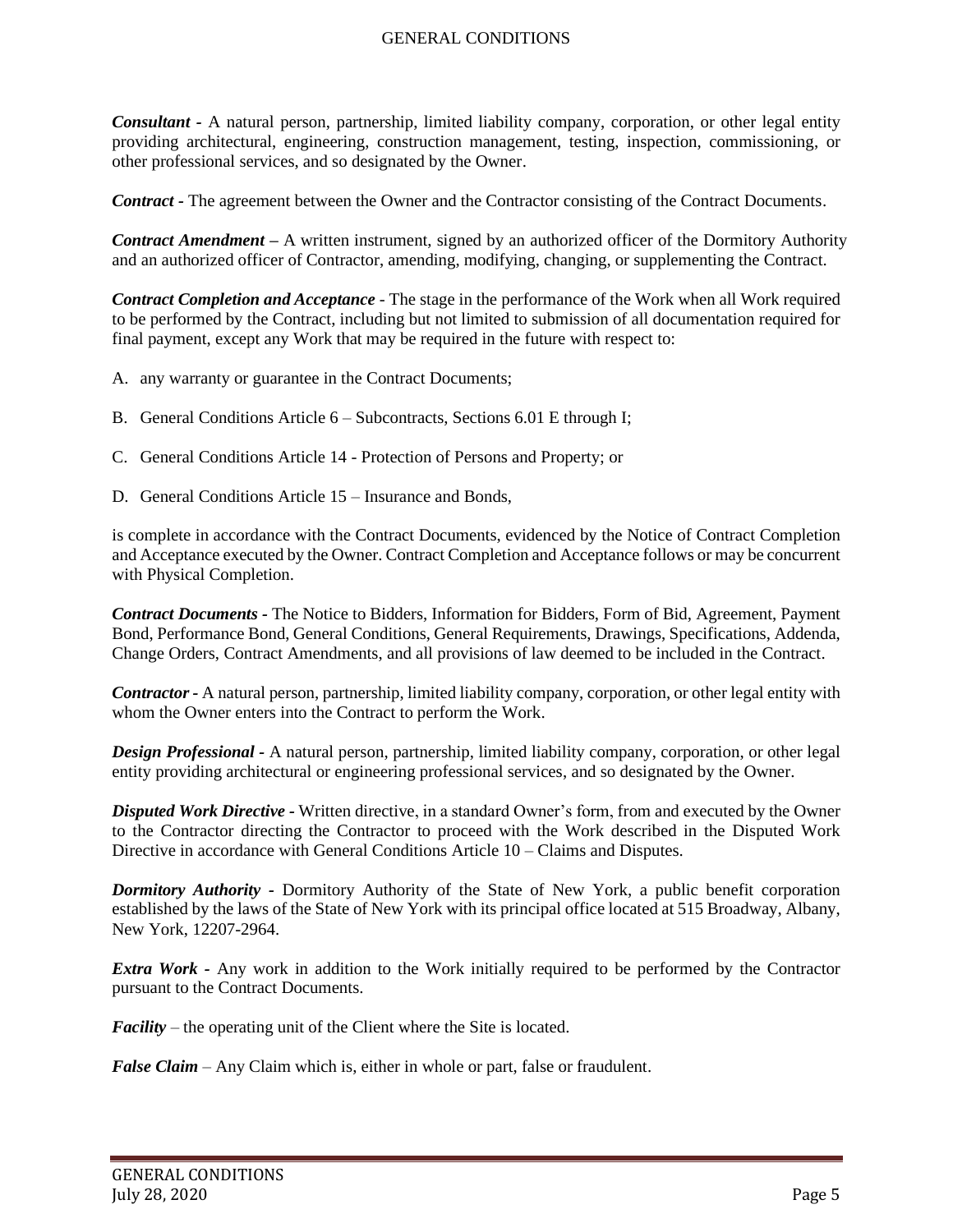*Consultant -* A natural person, partnership, limited liability company, corporation, or other legal entity providing architectural, engineering, construction management, testing, inspection, commissioning, or other professional services, and so designated by the Owner.

*Contract -* The agreement between the Owner and the Contractor consisting of the Contract Documents.

*Contract Amendment –* A written instrument, signed by an authorized officer of the Dormitory Authority and an authorized officer of Contractor, amending, modifying, changing, or supplementing the Contract.

*Contract Completion and Acceptance* - The stage in the performance of the Work when all Work required to be performed by the Contract, including but not limited to submission of all documentation required for final payment, except any Work that may be required in the future with respect to:

- A. any warranty or guarantee in the Contract Documents;
- B. General Conditions Article 6 Subcontracts, Sections 6.01 E through I;
- C. General Conditions Article 14 Protection of Persons and Property; or
- D. General Conditions Article 15 Insurance and Bonds,

is complete in accordance with the Contract Documents, evidenced by the Notice of Contract Completion and Acceptance executed by the Owner. Contract Completion and Acceptance follows or may be concurrent with Physical Completion.

*Contract Documents -* The Notice to Bidders, Information for Bidders, Form of Bid, Agreement, Payment Bond, Performance Bond, General Conditions, General Requirements, Drawings, Specifications, Addenda, Change Orders, Contract Amendments, and all provisions of law deemed to be included in the Contract.

*Contractor -* A natural person, partnership, limited liability company, corporation, or other legal entity with whom the Owner enters into the Contract to perform the Work.

*Design Professional -* A natural person, partnership, limited liability company, corporation, or other legal entity providing architectural or engineering professional services, and so designated by the Owner.

*Disputed Work Directive -* Written directive, in a standard Owner's form, from and executed by the Owner to the Contractor directing the Contractor to proceed with the Work described in the Disputed Work Directive in accordance with General Conditions Article 10 – Claims and Disputes.

*Dormitory Authority -* Dormitory Authority of the State of New York, a public benefit corporation established by the laws of the State of New York with its principal office located at 515 Broadway, Albany, New York, 12207-2964.

*Extra Work -* Any work in addition to the Work initially required to be performed by the Contractor pursuant to the Contract Documents.

*Facility* – the operating unit of the Client where the Site is located.

*False Claim* – Any Claim which is, either in whole or part, false or fraudulent.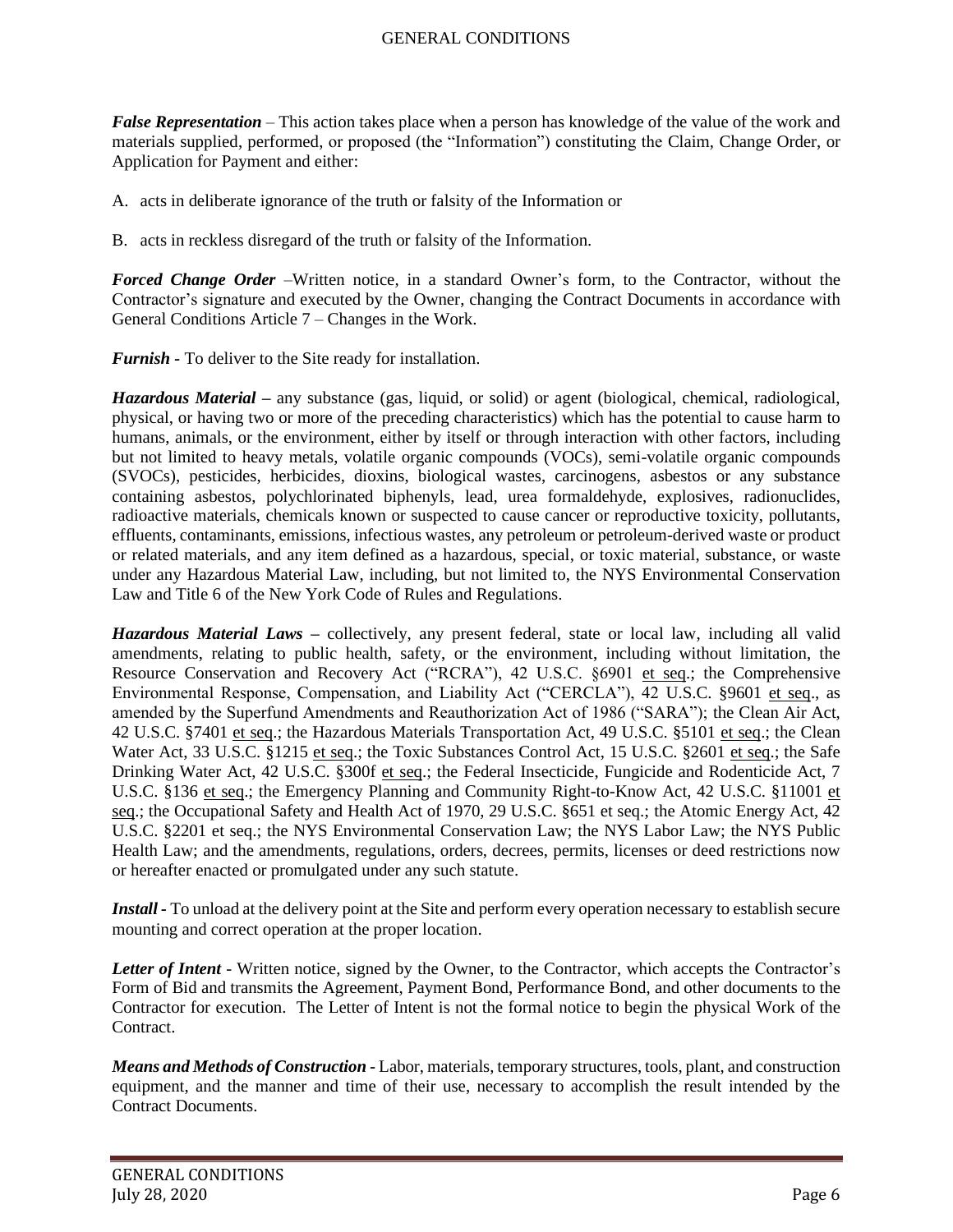*False Representation* – This action takes place when a person has knowledge of the value of the work and materials supplied, performed, or proposed (the "Information") constituting the Claim, Change Order, or Application for Payment and either:

A. acts in deliberate ignorance of the truth or falsity of the Information or

B. acts in reckless disregard of the truth or falsity of the Information.

*Forced Change Order* –Written notice, in a standard Owner's form, to the Contractor, without the Contractor's signature and executed by the Owner, changing the Contract Documents in accordance with General Conditions Article 7 – Changes in the Work.

*Furnish -* To deliver to the Site ready for installation.

*Hazardous Material –* any substance (gas, liquid, or solid) or agent (biological, chemical, radiological, physical, or having two or more of the preceding characteristics) which has the potential to cause harm to humans, animals, or the environment, either by itself or through interaction with other factors, including but not limited to heavy metals, volatile organic compounds (VOCs), semi-volatile organic compounds (SVOCs), pesticides, herbicides, dioxins, biological wastes, carcinogens, asbestos or any substance containing asbestos, polychlorinated biphenyls, lead, urea formaldehyde, explosives, radionuclides, radioactive materials, chemicals known or suspected to cause cancer or reproductive toxicity, pollutants, effluents, contaminants, emissions, infectious wastes, any petroleum or petroleum-derived waste or product or related materials, and any item defined as a hazardous, special, or toxic material, substance, or waste under any Hazardous Material Law, including, but not limited to, the NYS Environmental Conservation Law and Title 6 of the New York Code of Rules and Regulations.

*Hazardous Material Laws –* collectively, any present federal, state or local law, including all valid amendments, relating to public health, safety, or the environment, including without limitation, the Resource Conservation and Recovery Act ("RCRA"), 42 U.S.C. §6901 et seq.; the Comprehensive Environmental Response, Compensation, and Liability Act ("CERCLA"), 42 U.S.C. §9601 et seq., as amended by the Superfund Amendments and Reauthorization Act of 1986 ("SARA"); the Clean Air Act, 42 U.S.C. §7401 et seq.; the Hazardous Materials Transportation Act, 49 U.S.C. §5101 et seq.; the Clean Water Act, 33 U.S.C. §1215 et seq.; the Toxic Substances Control Act, 15 U.S.C. §2601 et seq.; the Safe Drinking Water Act, 42 U.S.C. §300f et seq.; the Federal Insecticide, Fungicide and Rodenticide Act, 7 U.S.C. §136 et seq.; the Emergency Planning and Community Right-to-Know Act, 42 U.S.C. §11001 et seq.; the Occupational Safety and Health Act of 1970, 29 U.S.C. §651 et seq.; the Atomic Energy Act, 42 U.S.C. §2201 et seq.; the NYS Environmental Conservation Law; the NYS Labor Law; the NYS Public Health Law; and the amendments, regulations, orders, decrees, permits, licenses or deed restrictions now or hereafter enacted or promulgated under any such statute.

*Install -* To unload at the delivery point at the Site and perform every operation necessary to establish secure mounting and correct operation at the proper location.

Letter of Intent - Written notice, signed by the Owner, to the Contractor, which accepts the Contractor's Form of Bid and transmits the Agreement, Payment Bond, Performance Bond, and other documents to the Contractor for execution. The Letter of Intent is not the formal notice to begin the physical Work of the Contract.

*Means and Methods of Construction -* Labor, materials, temporary structures, tools, plant, and construction equipment, and the manner and time of their use, necessary to accomplish the result intended by the Contract Documents.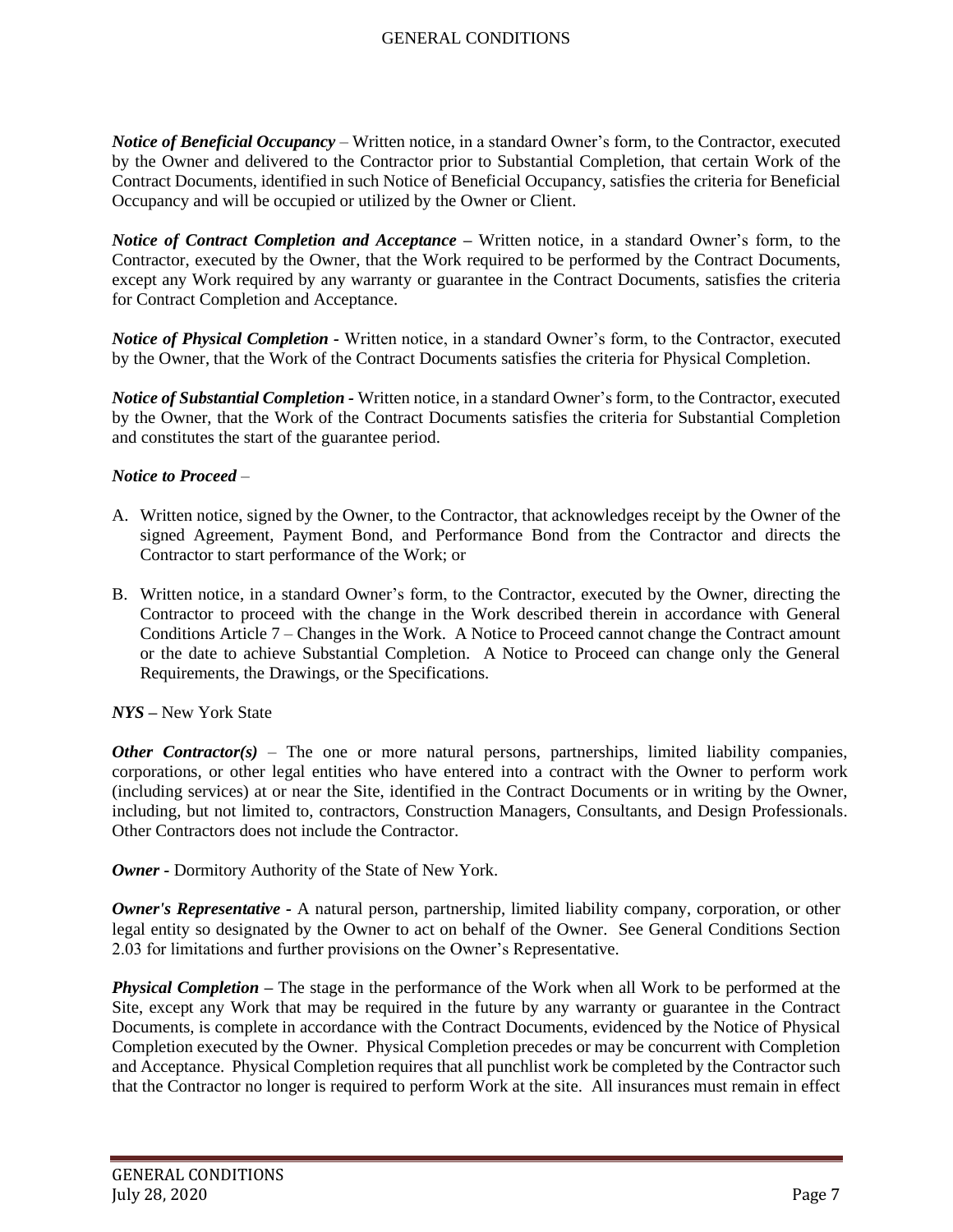*Notice of Beneficial Occupancy* – Written notice, in a standard Owner's form, to the Contractor, executed by the Owner and delivered to the Contractor prior to Substantial Completion, that certain Work of the Contract Documents, identified in such Notice of Beneficial Occupancy, satisfies the criteria for Beneficial Occupancy and will be occupied or utilized by the Owner or Client.

*Notice of Contract Completion and Acceptance –* Written notice, in a standard Owner's form, to the Contractor, executed by the Owner, that the Work required to be performed by the Contract Documents, except any Work required by any warranty or guarantee in the Contract Documents, satisfies the criteria for Contract Completion and Acceptance.

*Notice of Physical Completion -* Written notice, in a standard Owner's form, to the Contractor, executed by the Owner, that the Work of the Contract Documents satisfies the criteria for Physical Completion.

*Notice of Substantial Completion -* Written notice, in a standard Owner's form, to the Contractor, executed by the Owner, that the Work of the Contract Documents satisfies the criteria for Substantial Completion and constitutes the start of the guarantee period.

## *Notice to Proceed* –

- A. Written notice, signed by the Owner, to the Contractor, that acknowledges receipt by the Owner of the signed Agreement, Payment Bond, and Performance Bond from the Contractor and directs the Contractor to start performance of the Work; or
- B. Written notice, in a standard Owner's form, to the Contractor, executed by the Owner, directing the Contractor to proceed with the change in the Work described therein in accordance with General Conditions Article 7 – Changes in the Work. A Notice to Proceed cannot change the Contract amount or the date to achieve Substantial Completion. A Notice to Proceed can change only the General Requirements, the Drawings, or the Specifications.

### *NYS –* New York State

*Other Contractor(s)* – The one or more natural persons, partnerships, limited liability companies, corporations, or other legal entities who have entered into a contract with the Owner to perform work (including services) at or near the Site, identified in the Contract Documents or in writing by the Owner, including, but not limited to, contractors, Construction Managers, Consultants, and Design Professionals. Other Contractors does not include the Contractor.

*Owner -* Dormitory Authority of the State of New York.

*Owner's Representative -* A natural person, partnership, limited liability company, corporation, or other legal entity so designated by the Owner to act on behalf of the Owner. See General Conditions Section 2.03 for limitations and further provisions on the Owner's Representative.

*Physical Completion –* The stage in the performance of the Work when all Work to be performed at the Site, except any Work that may be required in the future by any warranty or guarantee in the Contract Documents, is complete in accordance with the Contract Documents, evidenced by the Notice of Physical Completion executed by the Owner. Physical Completion precedes or may be concurrent with Completion and Acceptance. Physical Completion requires that all punchlist work be completed by the Contractor such that the Contractor no longer is required to perform Work at the site. All insurances must remain in effect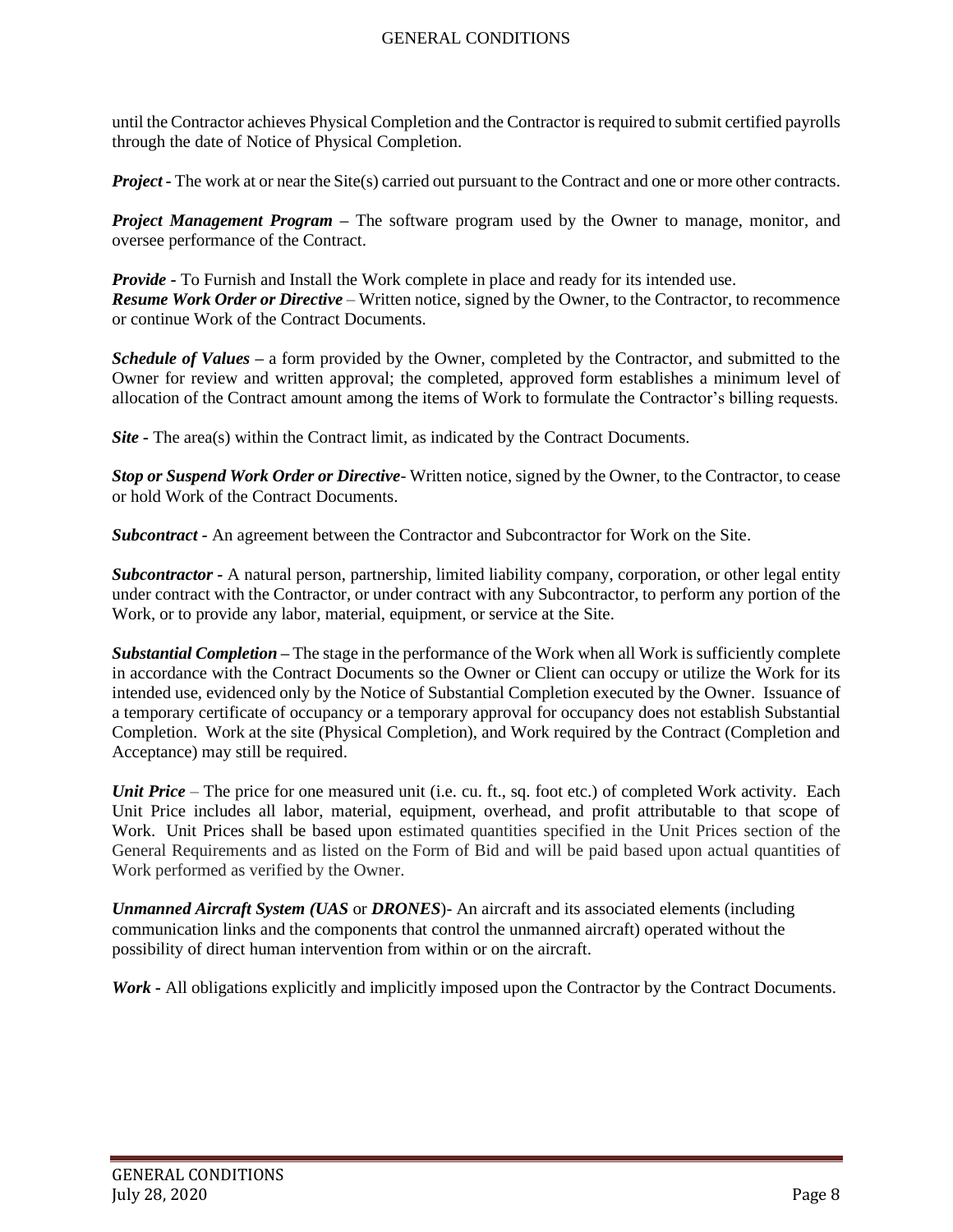until the Contractor achieves Physical Completion and the Contractor is required to submit certified payrolls through the date of Notice of Physical Completion.

*Project* - The work at or near the Site(s) carried out pursuant to the Contract and one or more other contracts.

*Project Management Program –* The software program used by the Owner to manage, monitor, and oversee performance of the Contract.

*Provide -* To Furnish and Install the Work complete in place and ready for its intended use. *Resume Work Order or Directive* – Written notice, signed by the Owner, to the Contractor, to recommence or continue Work of the Contract Documents.

*Schedule of Values –* a form provided by the Owner, completed by the Contractor, and submitted to the Owner for review and written approval; the completed, approved form establishes a minimum level of allocation of the Contract amount among the items of Work to formulate the Contractor's billing requests.

*Site -* The area(s) within the Contract limit, as indicated by the Contract Documents.

*Stop or Suspend Work Order or Directive*- Written notice, signed by the Owner, to the Contractor, to cease or hold Work of the Contract Documents.

*Subcontract -* An agreement between the Contractor and Subcontractor for Work on the Site.

*Subcontractor -* A natural person, partnership, limited liability company, corporation, or other legal entity under contract with the Contractor, or under contract with any Subcontractor, to perform any portion of the Work, or to provide any labor, material, equipment, or service at the Site.

*Substantial Completion –* The stage in the performance of the Work when all Work is sufficiently complete in accordance with the Contract Documents so the Owner or Client can occupy or utilize the Work for its intended use, evidenced only by the Notice of Substantial Completion executed by the Owner. Issuance of a temporary certificate of occupancy or a temporary approval for occupancy does not establish Substantial Completion. Work at the site (Physical Completion), and Work required by the Contract (Completion and Acceptance) may still be required.

*Unit Price* – The price for one measured unit (i.e. cu. ft., sq. foot etc.) of completed Work activity. Each Unit Price includes all labor, material, equipment, overhead, and profit attributable to that scope of Work. Unit Prices shall be based upon estimated quantities specified in the Unit Prices section of the General Requirements and as listed on the Form of Bid and will be paid based upon actual quantities of Work performed as verified by the Owner.

*Unmanned Aircraft System (UAS* or *DRONES*)- An aircraft and its associated elements (including communication links and the components that control the unmanned aircraft) operated without the possibility of direct human intervention from within or on the aircraft.

*Work -* All obligations explicitly and implicitly imposed upon the Contractor by the Contract Documents.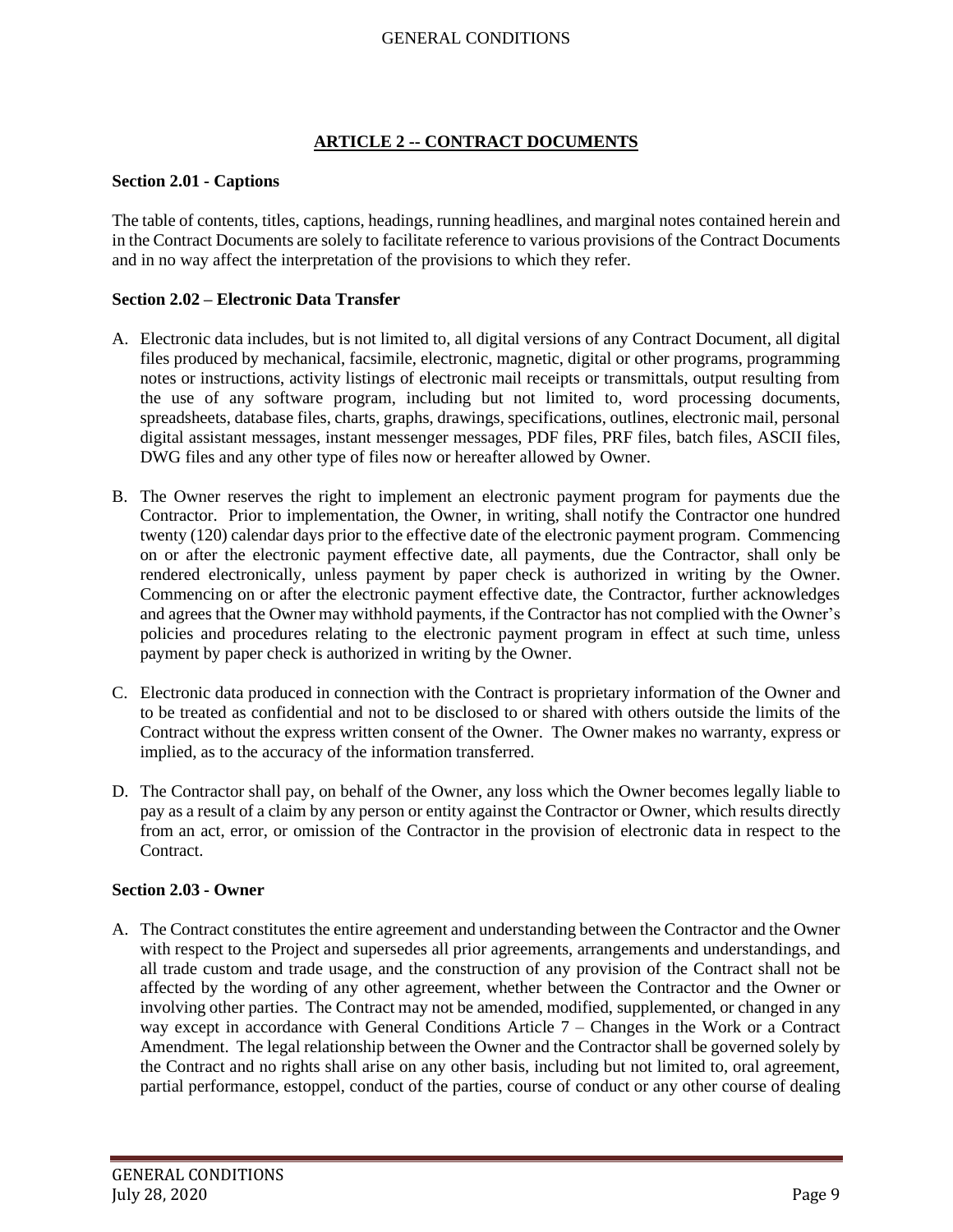# **ARTICLE 2 -- CONTRACT DOCUMENTS**

## <span id="page-8-1"></span><span id="page-8-0"></span>**Section 2.01 - Captions**

The table of contents, titles, captions, headings, running headlines, and marginal notes contained herein and in the Contract Documents are solely to facilitate reference to various provisions of the Contract Documents and in no way affect the interpretation of the provisions to which they refer.

## <span id="page-8-2"></span>**Section 2.02 – Electronic Data Transfer**

- A. Electronic data includes, but is not limited to, all digital versions of any Contract Document, all digital files produced by mechanical, facsimile, electronic, magnetic, digital or other programs, programming notes or instructions, activity listings of electronic mail receipts or transmittals, output resulting from the use of any software program, including but not limited to, word processing documents, spreadsheets, database files, charts, graphs, drawings, specifications, outlines, electronic mail, personal digital assistant messages, instant messenger messages, PDF files, PRF files, batch files, ASCII files, DWG files and any other type of files now or hereafter allowed by Owner.
- B. The Owner reserves the right to implement an electronic payment program for payments due the Contractor. Prior to implementation, the Owner, in writing, shall notify the Contractor one hundred twenty (120) calendar days prior to the effective date of the electronic payment program. Commencing on or after the electronic payment effective date, all payments, due the Contractor, shall only be rendered electronically, unless payment by paper check is authorized in writing by the Owner. Commencing on or after the electronic payment effective date, the Contractor, further acknowledges and agrees that the Owner may withhold payments, if the Contractor has not complied with the Owner's policies and procedures relating to the electronic payment program in effect at such time, unless payment by paper check is authorized in writing by the Owner.
- C. Electronic data produced in connection with the Contract is proprietary information of the Owner and to be treated as confidential and not to be disclosed to or shared with others outside the limits of the Contract without the express written consent of the Owner. The Owner makes no warranty, express or implied, as to the accuracy of the information transferred.
- D. The Contractor shall pay, on behalf of the Owner, any loss which the Owner becomes legally liable to pay as a result of a claim by any person or entity against the Contractor or Owner, which results directly from an act, error, or omission of the Contractor in the provision of electronic data in respect to the Contract.

### <span id="page-8-3"></span>**Section 2.03 - Owner**

A. The Contract constitutes the entire agreement and understanding between the Contractor and the Owner with respect to the Project and supersedes all prior agreements, arrangements and understandings, and all trade custom and trade usage, and the construction of any provision of the Contract shall not be affected by the wording of any other agreement, whether between the Contractor and the Owner or involving other parties. The Contract may not be amended, modified, supplemented, or changed in any way except in accordance with General Conditions Article 7 – Changes in the Work or a Contract Amendment. The legal relationship between the Owner and the Contractor shall be governed solely by the Contract and no rights shall arise on any other basis, including but not limited to, oral agreement, partial performance, estoppel, conduct of the parties, course of conduct or any other course of dealing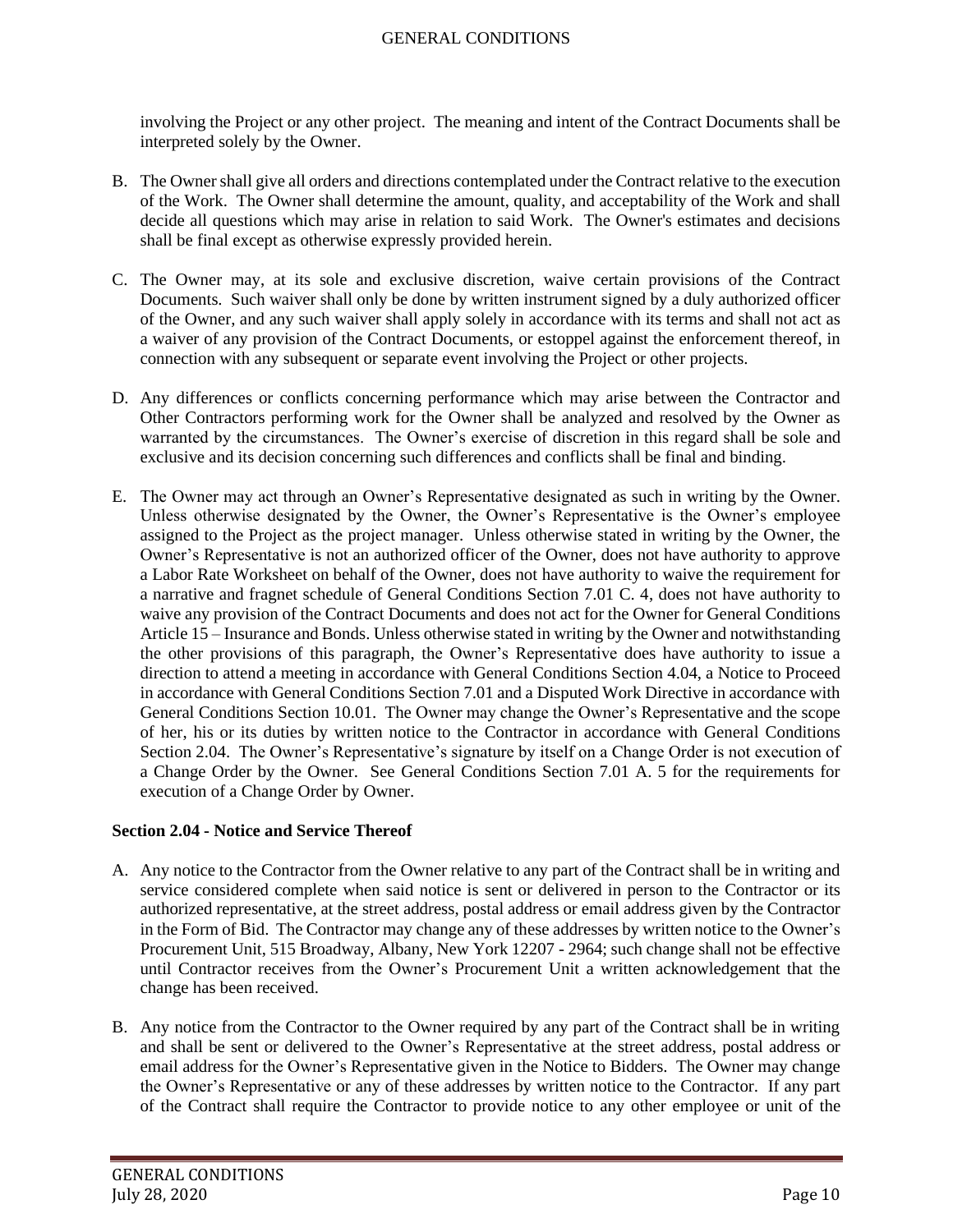involving the Project or any other project. The meaning and intent of the Contract Documents shall be interpreted solely by the Owner.

- B. The Owner shall give all orders and directions contemplated under the Contract relative to the execution of the Work. The Owner shall determine the amount, quality, and acceptability of the Work and shall decide all questions which may arise in relation to said Work. The Owner's estimates and decisions shall be final except as otherwise expressly provided herein.
- C. The Owner may, at its sole and exclusive discretion, waive certain provisions of the Contract Documents. Such waiver shall only be done by written instrument signed by a duly authorized officer of the Owner, and any such waiver shall apply solely in accordance with its terms and shall not act as a waiver of any provision of the Contract Documents, or estoppel against the enforcement thereof, in connection with any subsequent or separate event involving the Project or other projects.
- D. Any differences or conflicts concerning performance which may arise between the Contractor and Other Contractors performing work for the Owner shall be analyzed and resolved by the Owner as warranted by the circumstances. The Owner's exercise of discretion in this regard shall be sole and exclusive and its decision concerning such differences and conflicts shall be final and binding.
- E. The Owner may act through an Owner's Representative designated as such in writing by the Owner. Unless otherwise designated by the Owner, the Owner's Representative is the Owner's employee assigned to the Project as the project manager. Unless otherwise stated in writing by the Owner, the Owner's Representative is not an authorized officer of the Owner, does not have authority to approve a Labor Rate Worksheet on behalf of the Owner, does not have authority to waive the requirement for a narrative and fragnet schedule of General Conditions Section 7.01 C. 4, does not have authority to waive any provision of the Contract Documents and does not act for the Owner for General Conditions Article 15 – Insurance and Bonds. Unless otherwise stated in writing by the Owner and notwithstanding the other provisions of this paragraph, the Owner's Representative does have authority to issue a direction to attend a meeting in accordance with General Conditions Section 4.04, a Notice to Proceed in accordance with General Conditions Section 7.01 and a Disputed Work Directive in accordance with General Conditions Section 10.01. The Owner may change the Owner's Representative and the scope of her, his or its duties by written notice to the Contractor in accordance with General Conditions Section 2.04. The Owner's Representative's signature by itself on a Change Order is not execution of a Change Order by the Owner. See General Conditions Section 7.01 A. 5 for the requirements for execution of a Change Order by Owner.

# <span id="page-9-0"></span>**Section 2.04 - Notice and Service Thereof**

- A. Any notice to the Contractor from the Owner relative to any part of the Contract shall be in writing and service considered complete when said notice is sent or delivered in person to the Contractor or its authorized representative, at the street address, postal address or email address given by the Contractor in the Form of Bid. The Contractor may change any of these addresses by written notice to the Owner's Procurement Unit, 515 Broadway, Albany, New York 12207 - 2964; such change shall not be effective until Contractor receives from the Owner's Procurement Unit a written acknowledgement that the change has been received.
- B. Any notice from the Contractor to the Owner required by any part of the Contract shall be in writing and shall be sent or delivered to the Owner's Representative at the street address, postal address or email address for the Owner's Representative given in the Notice to Bidders. The Owner may change the Owner's Representative or any of these addresses by written notice to the Contractor. If any part of the Contract shall require the Contractor to provide notice to any other employee or unit of the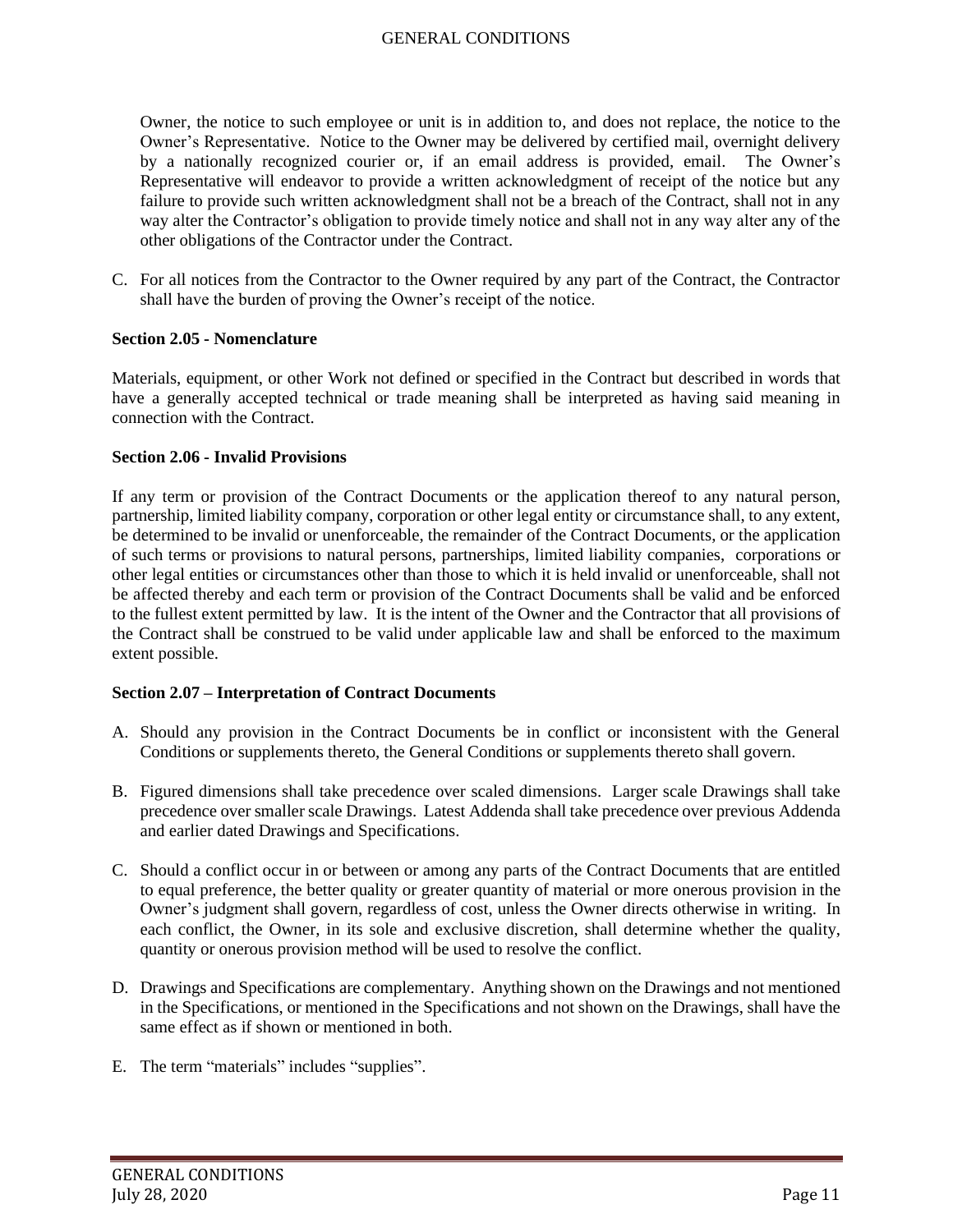Owner, the notice to such employee or unit is in addition to, and does not replace, the notice to the Owner's Representative. Notice to the Owner may be delivered by certified mail, overnight delivery by a nationally recognized courier or, if an email address is provided, email. The Owner's Representative will endeavor to provide a written acknowledgment of receipt of the notice but any failure to provide such written acknowledgment shall not be a breach of the Contract, shall not in any way alter the Contractor's obligation to provide timely notice and shall not in any way alter any of the other obligations of the Contractor under the Contract.

C. For all notices from the Contractor to the Owner required by any part of the Contract, the Contractor shall have the burden of proving the Owner's receipt of the notice.

#### <span id="page-10-0"></span>**Section 2.05 - Nomenclature**

Materials, equipment, or other Work not defined or specified in the Contract but described in words that have a generally accepted technical or trade meaning shall be interpreted as having said meaning in connection with the Contract.

#### <span id="page-10-1"></span>**Section 2.06 - Invalid Provisions**

If any term or provision of the Contract Documents or the application thereof to any natural person, partnership, limited liability company, corporation or other legal entity or circumstance shall, to any extent, be determined to be invalid or unenforceable, the remainder of the Contract Documents, or the application of such terms or provisions to natural persons, partnerships, limited liability companies, corporations or other legal entities or circumstances other than those to which it is held invalid or unenforceable, shall not be affected thereby and each term or provision of the Contract Documents shall be valid and be enforced to the fullest extent permitted by law. It is the intent of the Owner and the Contractor that all provisions of the Contract shall be construed to be valid under applicable law and shall be enforced to the maximum extent possible.

### <span id="page-10-2"></span>**Section 2.07 – Interpretation of Contract Documents**

- A. Should any provision in the Contract Documents be in conflict or inconsistent with the General Conditions or supplements thereto, the General Conditions or supplements thereto shall govern.
- B. Figured dimensions shall take precedence over scaled dimensions. Larger scale Drawings shall take precedence over smaller scale Drawings. Latest Addenda shall take precedence over previous Addenda and earlier dated Drawings and Specifications.
- C. Should a conflict occur in or between or among any parts of the Contract Documents that are entitled to equal preference, the better quality or greater quantity of material or more onerous provision in the Owner's judgment shall govern, regardless of cost, unless the Owner directs otherwise in writing. In each conflict, the Owner, in its sole and exclusive discretion, shall determine whether the quality, quantity or onerous provision method will be used to resolve the conflict.
- D. Drawings and Specifications are complementary. Anything shown on the Drawings and not mentioned in the Specifications, or mentioned in the Specifications and not shown on the Drawings, shall have the same effect as if shown or mentioned in both.
- E. The term "materials" includes "supplies".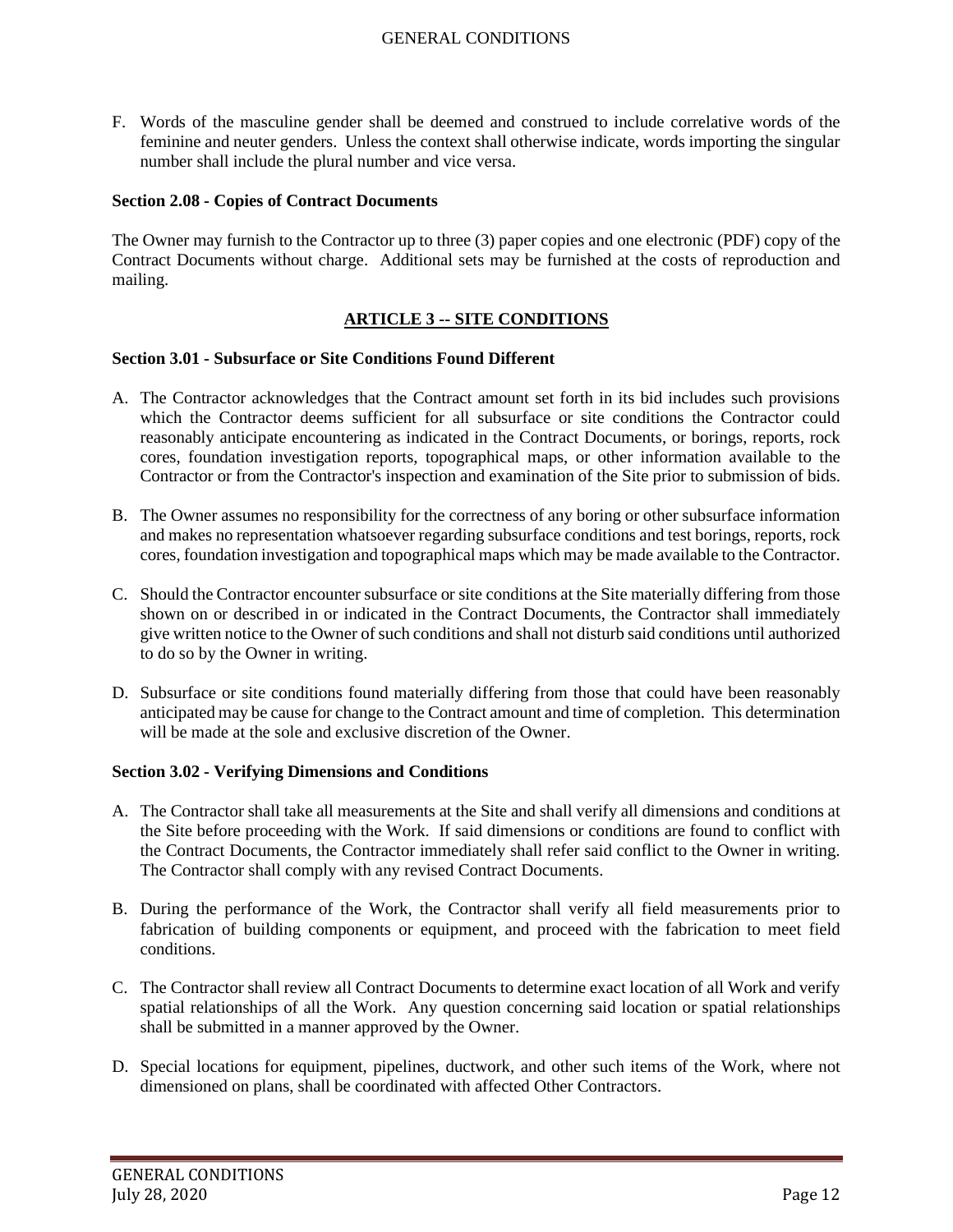F. Words of the masculine gender shall be deemed and construed to include correlative words of the feminine and neuter genders. Unless the context shall otherwise indicate, words importing the singular number shall include the plural number and vice versa.

### <span id="page-11-0"></span>**Section 2.08 - Copies of Contract Documents**

The Owner may furnish to the Contractor up to three (3) paper copies and one electronic (PDF) copy of the Contract Documents without charge. Additional sets may be furnished at the costs of reproduction and mailing.

## **ARTICLE 3 -- SITE CONDITIONS**

#### <span id="page-11-2"></span><span id="page-11-1"></span>**Section 3.01 - Subsurface or Site Conditions Found Different**

- A. The Contractor acknowledges that the Contract amount set forth in its bid includes such provisions which the Contractor deems sufficient for all subsurface or site conditions the Contractor could reasonably anticipate encountering as indicated in the Contract Documents, or borings, reports, rock cores, foundation investigation reports, topographical maps, or other information available to the Contractor or from the Contractor's inspection and examination of the Site prior to submission of bids.
- B. The Owner assumes no responsibility for the correctness of any boring or other subsurface information and makes no representation whatsoever regarding subsurface conditions and test borings, reports, rock cores, foundation investigation and topographical maps which may be made available to the Contractor.
- C. Should the Contractor encounter subsurface or site conditions at the Site materially differing from those shown on or described in or indicated in the Contract Documents, the Contractor shall immediately give written notice to the Owner of such conditions and shall not disturb said conditions until authorized to do so by the Owner in writing.
- D. Subsurface or site conditions found materially differing from those that could have been reasonably anticipated may be cause for change to the Contract amount and time of completion. This determination will be made at the sole and exclusive discretion of the Owner.

### <span id="page-11-3"></span>**Section 3.02 - Verifying Dimensions and Conditions**

- A. The Contractor shall take all measurements at the Site and shall verify all dimensions and conditions at the Site before proceeding with the Work. If said dimensions or conditions are found to conflict with the Contract Documents, the Contractor immediately shall refer said conflict to the Owner in writing. The Contractor shall comply with any revised Contract Documents.
- B. During the performance of the Work, the Contractor shall verify all field measurements prior to fabrication of building components or equipment, and proceed with the fabrication to meet field conditions.
- C. The Contractor shall review all Contract Documents to determine exact location of all Work and verify spatial relationships of all the Work. Any question concerning said location or spatial relationships shall be submitted in a manner approved by the Owner.
- D. Special locations for equipment, pipelines, ductwork, and other such items of the Work, where not dimensioned on plans, shall be coordinated with affected Other Contractors.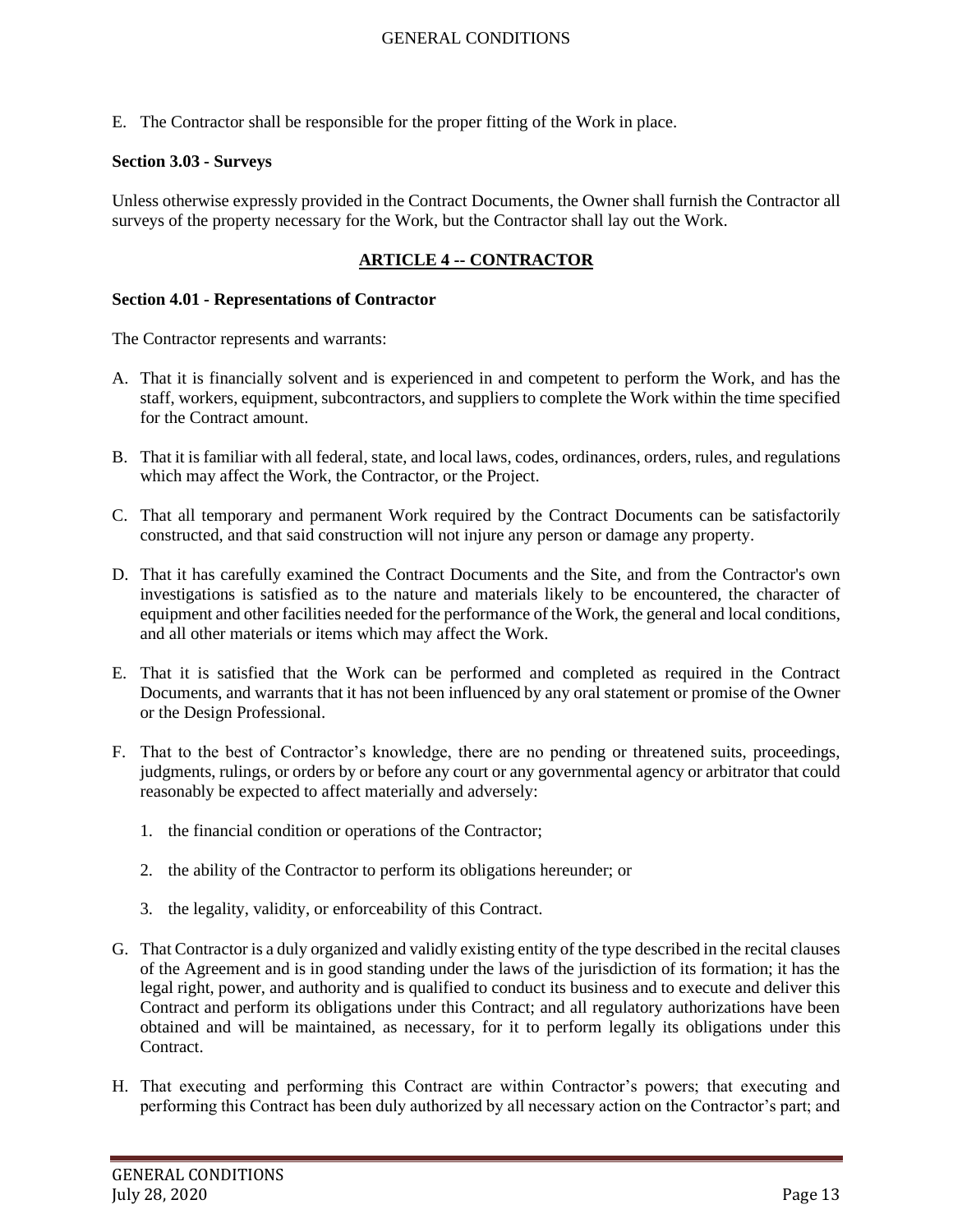E. The Contractor shall be responsible for the proper fitting of the Work in place.

### <span id="page-12-0"></span>**Section 3.03 - Surveys**

Unless otherwise expressly provided in the Contract Documents, the Owner shall furnish the Contractor all surveys of the property necessary for the Work, but the Contractor shall lay out the Work.

# **ARTICLE 4 -- CONTRACTOR**

#### <span id="page-12-2"></span><span id="page-12-1"></span>**Section 4.01 - Representations of Contractor**

The Contractor represents and warrants:

- A. That it is financially solvent and is experienced in and competent to perform the Work, and has the staff, workers, equipment, subcontractors, and suppliers to complete the Work within the time specified for the Contract amount.
- B. That it is familiar with all federal, state, and local laws, codes, ordinances, orders, rules, and regulations which may affect the Work, the Contractor, or the Project.
- C. That all temporary and permanent Work required by the Contract Documents can be satisfactorily constructed, and that said construction will not injure any person or damage any property.
- D. That it has carefully examined the Contract Documents and the Site, and from the Contractor's own investigations is satisfied as to the nature and materials likely to be encountered, the character of equipment and other facilities needed for the performance of the Work, the general and local conditions, and all other materials or items which may affect the Work.
- E. That it is satisfied that the Work can be performed and completed as required in the Contract Documents, and warrants that it has not been influenced by any oral statement or promise of the Owner or the Design Professional.
- F. That to the best of Contractor's knowledge, there are no pending or threatened suits, proceedings, judgments, rulings, or orders by or before any court or any governmental agency or arbitrator that could reasonably be expected to affect materially and adversely:
	- 1. the financial condition or operations of the Contractor;
	- 2. the ability of the Contractor to perform its obligations hereunder; or
	- 3. the legality, validity, or enforceability of this Contract.
- G. That Contractor is a duly organized and validly existing entity of the type described in the recital clauses of the Agreement and is in good standing under the laws of the jurisdiction of its formation; it has the legal right, power, and authority and is qualified to conduct its business and to execute and deliver this Contract and perform its obligations under this Contract; and all regulatory authorizations have been obtained and will be maintained, as necessary, for it to perform legally its obligations under this Contract.
- H. That executing and performing this Contract are within Contractor's powers; that executing and performing this Contract has been duly authorized by all necessary action on the Contractor's part; and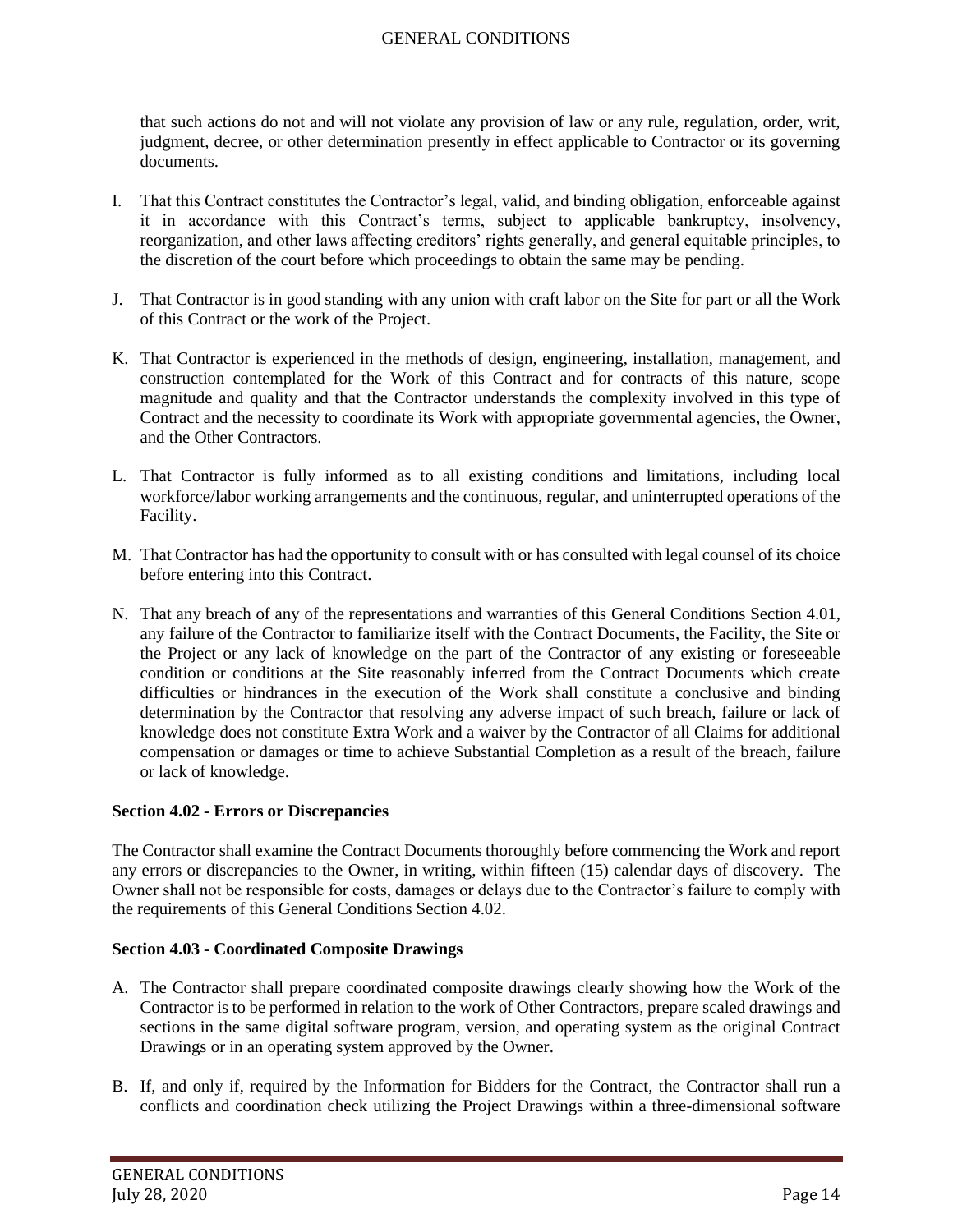that such actions do not and will not violate any provision of law or any rule, regulation, order, writ, judgment, decree, or other determination presently in effect applicable to Contractor or its governing documents.

- I. That this Contract constitutes the Contractor's legal, valid, and binding obligation, enforceable against it in accordance with this Contract's terms, subject to applicable bankruptcy, insolvency, reorganization, and other laws affecting creditors' rights generally, and general equitable principles, to the discretion of the court before which proceedings to obtain the same may be pending.
- J. That Contractor is in good standing with any union with craft labor on the Site for part or all the Work of this Contract or the work of the Project.
- K. That Contractor is experienced in the methods of design, engineering, installation, management, and construction contemplated for the Work of this Contract and for contracts of this nature, scope magnitude and quality and that the Contractor understands the complexity involved in this type of Contract and the necessity to coordinate its Work with appropriate governmental agencies, the Owner, and the Other Contractors.
- L. That Contractor is fully informed as to all existing conditions and limitations, including local workforce/labor working arrangements and the continuous, regular, and uninterrupted operations of the Facility.
- M. That Contractor has had the opportunity to consult with or has consulted with legal counsel of its choice before entering into this Contract.
- N. That any breach of any of the representations and warranties of this General Conditions Section 4.01, any failure of the Contractor to familiarize itself with the Contract Documents, the Facility, the Site or the Project or any lack of knowledge on the part of the Contractor of any existing or foreseeable condition or conditions at the Site reasonably inferred from the Contract Documents which create difficulties or hindrances in the execution of the Work shall constitute a conclusive and binding determination by the Contractor that resolving any adverse impact of such breach, failure or lack of knowledge does not constitute Extra Work and a waiver by the Contractor of all Claims for additional compensation or damages or time to achieve Substantial Completion as a result of the breach, failure or lack of knowledge.

### <span id="page-13-0"></span>**Section 4.02 - Errors or Discrepancies**

The Contractor shall examine the Contract Documents thoroughly before commencing the Work and report any errors or discrepancies to the Owner, in writing, within fifteen (15) calendar days of discovery. The Owner shall not be responsible for costs, damages or delays due to the Contractor's failure to comply with the requirements of this General Conditions Section 4.02.

### <span id="page-13-1"></span>**Section 4.03 - Coordinated Composite Drawings**

- A. The Contractor shall prepare coordinated composite drawings clearly showing how the Work of the Contractor is to be performed in relation to the work of Other Contractors, prepare scaled drawings and sections in the same digital software program, version, and operating system as the original Contract Drawings or in an operating system approved by the Owner.
- B. If, and only if, required by the Information for Bidders for the Contract, the Contractor shall run a conflicts and coordination check utilizing the Project Drawings within a three-dimensional software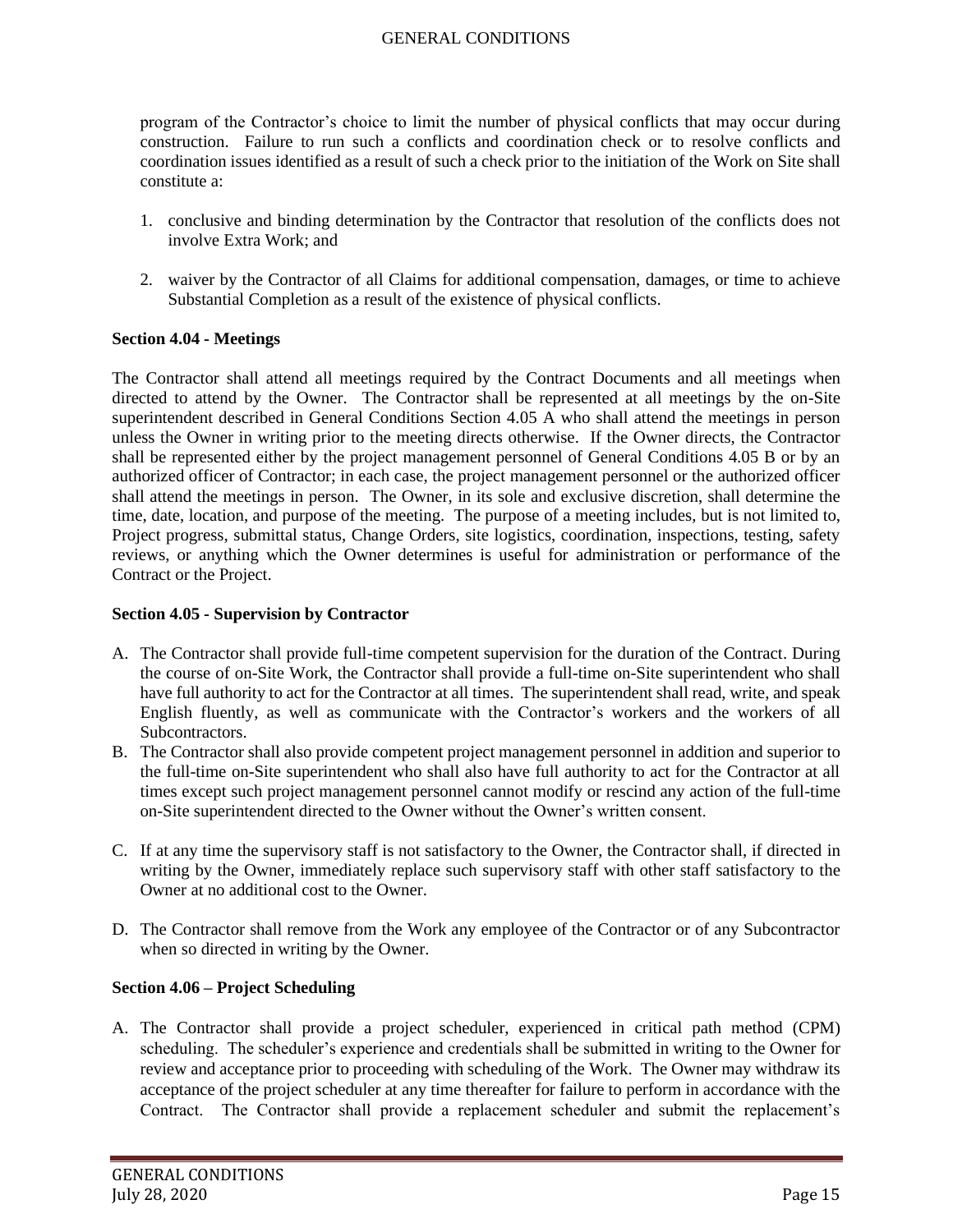program of the Contractor's choice to limit the number of physical conflicts that may occur during construction. Failure to run such a conflicts and coordination check or to resolve conflicts and coordination issues identified as a result of such a check prior to the initiation of the Work on Site shall constitute a:

- 1. conclusive and binding determination by the Contractor that resolution of the conflicts does not involve Extra Work; and
- 2. waiver by the Contractor of all Claims for additional compensation, damages, or time to achieve Substantial Completion as a result of the existence of physical conflicts.

## <span id="page-14-0"></span>**Section 4.04 - Meetings**

The Contractor shall attend all meetings required by the Contract Documents and all meetings when directed to attend by the Owner. The Contractor shall be represented at all meetings by the on-Site superintendent described in General Conditions Section 4.05 A who shall attend the meetings in person unless the Owner in writing prior to the meeting directs otherwise. If the Owner directs, the Contractor shall be represented either by the project management personnel of General Conditions 4.05 B or by an authorized officer of Contractor; in each case, the project management personnel or the authorized officer shall attend the meetings in person. The Owner, in its sole and exclusive discretion, shall determine the time, date, location, and purpose of the meeting. The purpose of a meeting includes, but is not limited to, Project progress, submittal status, Change Orders, site logistics, coordination, inspections, testing, safety reviews, or anything which the Owner determines is useful for administration or performance of the Contract or the Project.

## <span id="page-14-1"></span>**Section 4.05 - Supervision by Contractor**

- A. The Contractor shall provide full-time competent supervision for the duration of the Contract. During the course of on-Site Work, the Contractor shall provide a full-time on-Site superintendent who shall have full authority to act for the Contractor at all times. The superintendent shall read, write, and speak English fluently, as well as communicate with the Contractor's workers and the workers of all Subcontractors.
- B. The Contractor shall also provide competent project management personnel in addition and superior to the full-time on-Site superintendent who shall also have full authority to act for the Contractor at all times except such project management personnel cannot modify or rescind any action of the full-time on-Site superintendent directed to the Owner without the Owner's written consent.
- C. If at any time the supervisory staff is not satisfactory to the Owner, the Contractor shall, if directed in writing by the Owner, immediately replace such supervisory staff with other staff satisfactory to the Owner at no additional cost to the Owner.
- D. The Contractor shall remove from the Work any employee of the Contractor or of any Subcontractor when so directed in writing by the Owner.

# <span id="page-14-2"></span>**Section 4.06 – Project Scheduling**

A. The Contractor shall provide a project scheduler, experienced in critical path method (CPM) scheduling. The scheduler's experience and credentials shall be submitted in writing to the Owner for review and acceptance prior to proceeding with scheduling of the Work. The Owner may withdraw its acceptance of the project scheduler at any time thereafter for failure to perform in accordance with the Contract. The Contractor shall provide a replacement scheduler and submit the replacement's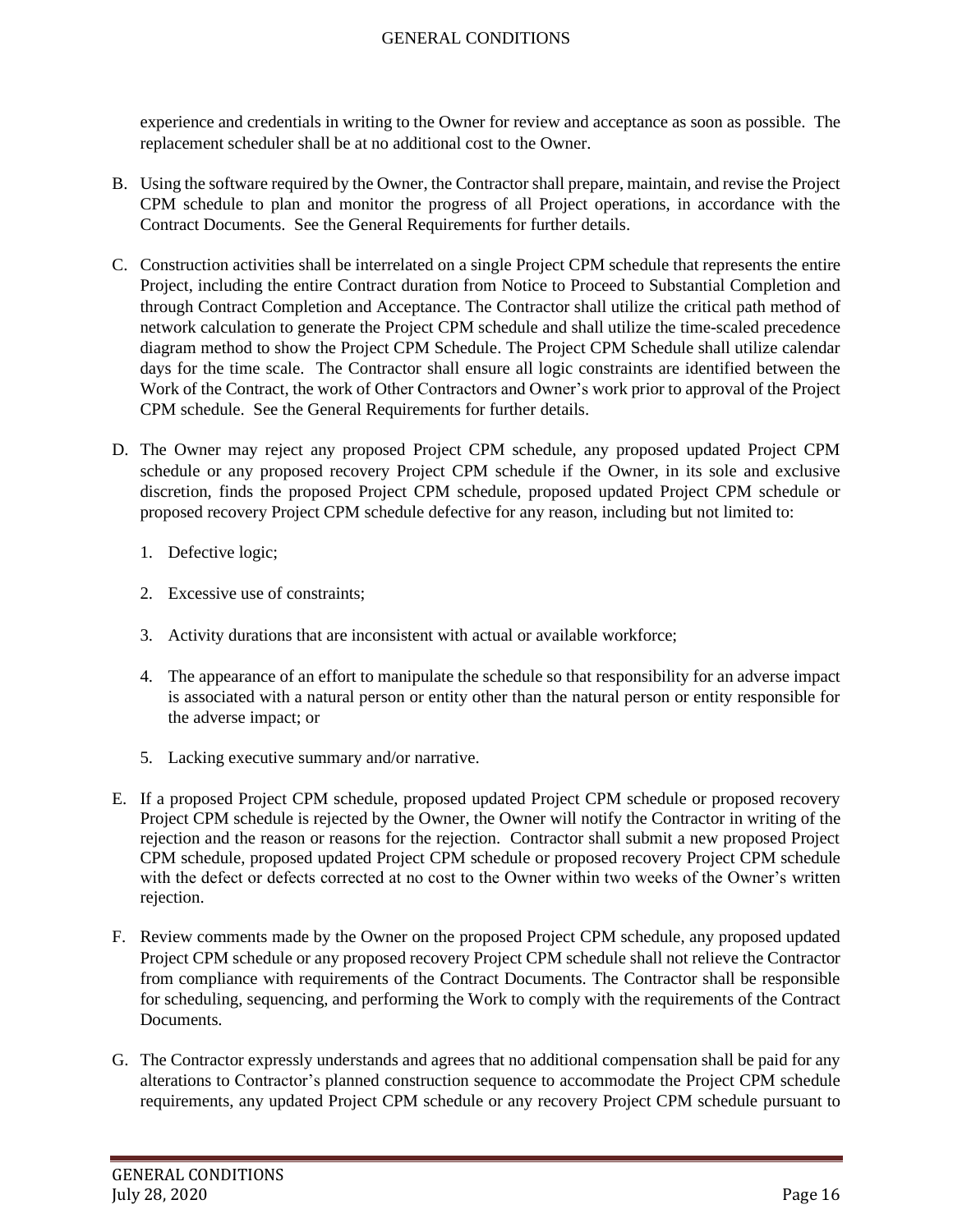experience and credentials in writing to the Owner for review and acceptance as soon as possible. The replacement scheduler shall be at no additional cost to the Owner.

- B. Using the software required by the Owner, the Contractor shall prepare, maintain, and revise the Project CPM schedule to plan and monitor the progress of all Project operations, in accordance with the Contract Documents. See the General Requirements for further details.
- C. Construction activities shall be interrelated on a single Project CPM schedule that represents the entire Project, including the entire Contract duration from Notice to Proceed to Substantial Completion and through Contract Completion and Acceptance. The Contractor shall utilize the critical path method of network calculation to generate the Project CPM schedule and shall utilize the time-scaled precedence diagram method to show the Project CPM Schedule. The Project CPM Schedule shall utilize calendar days for the time scale. The Contractor shall ensure all logic constraints are identified between the Work of the Contract, the work of Other Contractors and Owner's work prior to approval of the Project CPM schedule. See the General Requirements for further details.
- D. The Owner may reject any proposed Project CPM schedule, any proposed updated Project CPM schedule or any proposed recovery Project CPM schedule if the Owner, in its sole and exclusive discretion, finds the proposed Project CPM schedule, proposed updated Project CPM schedule or proposed recovery Project CPM schedule defective for any reason, including but not limited to:
	- 1. Defective logic;
	- 2. Excessive use of constraints;
	- 3. Activity durations that are inconsistent with actual or available workforce;
	- 4. The appearance of an effort to manipulate the schedule so that responsibility for an adverse impact is associated with a natural person or entity other than the natural person or entity responsible for the adverse impact; or
	- 5. Lacking executive summary and/or narrative.
- E. If a proposed Project CPM schedule, proposed updated Project CPM schedule or proposed recovery Project CPM schedule is rejected by the Owner, the Owner will notify the Contractor in writing of the rejection and the reason or reasons for the rejection. Contractor shall submit a new proposed Project CPM schedule, proposed updated Project CPM schedule or proposed recovery Project CPM schedule with the defect or defects corrected at no cost to the Owner within two weeks of the Owner's written rejection.
- F. Review comments made by the Owner on the proposed Project CPM schedule, any proposed updated Project CPM schedule or any proposed recovery Project CPM schedule shall not relieve the Contractor from compliance with requirements of the Contract Documents. The Contractor shall be responsible for scheduling, sequencing, and performing the Work to comply with the requirements of the Contract Documents.
- G. The Contractor expressly understands and agrees that no additional compensation shall be paid for any alterations to Contractor's planned construction sequence to accommodate the Project CPM schedule requirements, any updated Project CPM schedule or any recovery Project CPM schedule pursuant to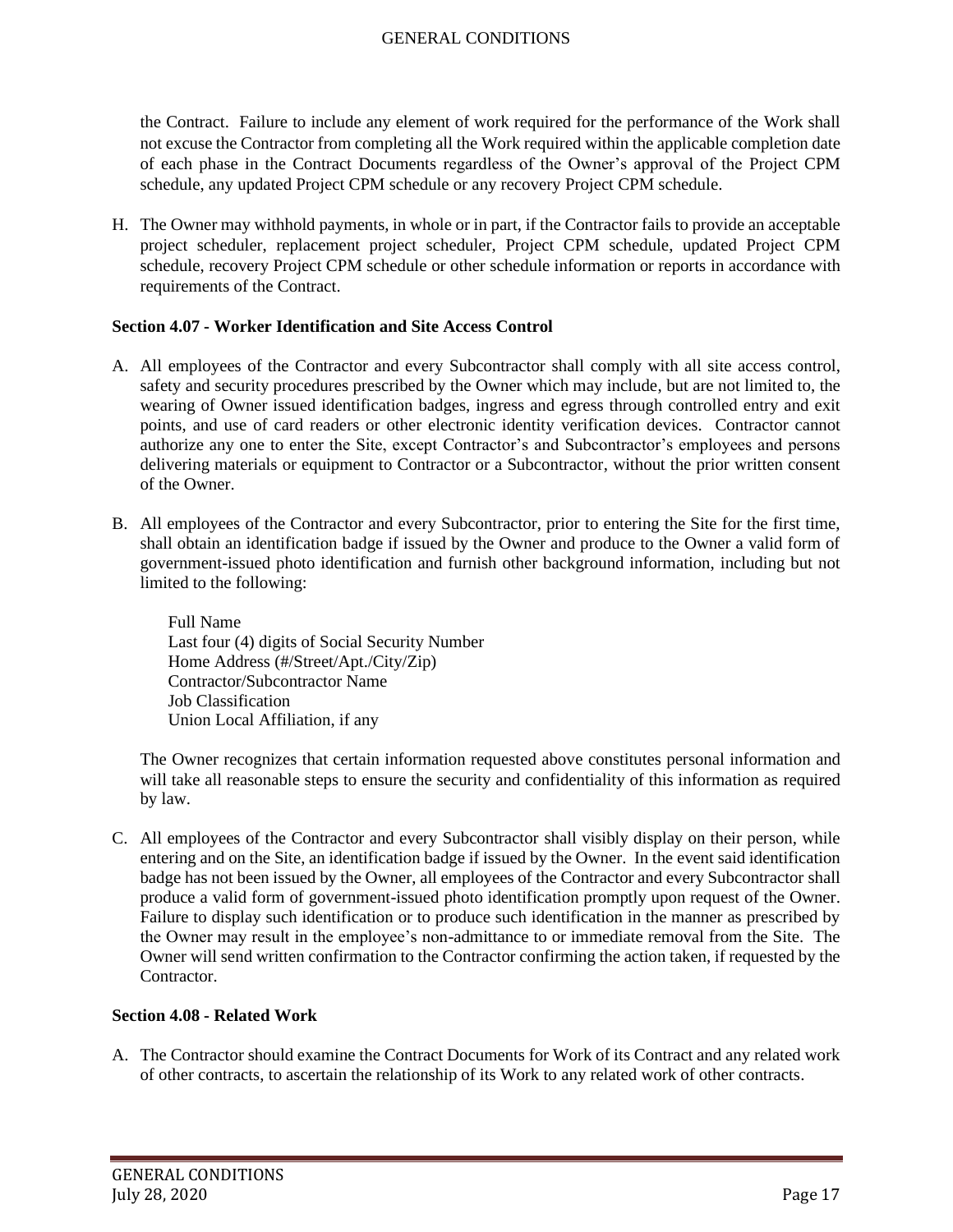the Contract. Failure to include any element of work required for the performance of the Work shall not excuse the Contractor from completing all the Work required within the applicable completion date of each phase in the Contract Documents regardless of the Owner's approval of the Project CPM schedule, any updated Project CPM schedule or any recovery Project CPM schedule.

H. The Owner may withhold payments, in whole or in part, if the Contractor fails to provide an acceptable project scheduler, replacement project scheduler, Project CPM schedule, updated Project CPM schedule, recovery Project CPM schedule or other schedule information or reports in accordance with requirements of the Contract.

### <span id="page-16-0"></span>**Section 4.07 - Worker Identification and Site Access Control**

- A. All employees of the Contractor and every Subcontractor shall comply with all site access control, safety and security procedures prescribed by the Owner which may include, but are not limited to, the wearing of Owner issued identification badges, ingress and egress through controlled entry and exit points, and use of card readers or other electronic identity verification devices. Contractor cannot authorize any one to enter the Site, except Contractor's and Subcontractor's employees and persons delivering materials or equipment to Contractor or a Subcontractor, without the prior written consent of the Owner.
- B. All employees of the Contractor and every Subcontractor, prior to entering the Site for the first time, shall obtain an identification badge if issued by the Owner and produce to the Owner a valid form of government-issued photo identification and furnish other background information, including but not limited to the following:

Full Name Last four (4) digits of Social Security Number Home Address (#/Street/Apt./City/Zip) Contractor/Subcontractor Name Job Classification Union Local Affiliation, if any

The Owner recognizes that certain information requested above constitutes personal information and will take all reasonable steps to ensure the security and confidentiality of this information as required by law.

C. All employees of the Contractor and every Subcontractor shall visibly display on their person, while entering and on the Site, an identification badge if issued by the Owner. In the event said identification badge has not been issued by the Owner, all employees of the Contractor and every Subcontractor shall produce a valid form of government-issued photo identification promptly upon request of the Owner. Failure to display such identification or to produce such identification in the manner as prescribed by the Owner may result in the employee's non-admittance to or immediate removal from the Site. The Owner will send written confirmation to the Contractor confirming the action taken, if requested by the Contractor.

# <span id="page-16-1"></span>**Section 4.08 - Related Work**

A. The Contractor should examine the Contract Documents for Work of its Contract and any related work of other contracts, to ascertain the relationship of its Work to any related work of other contracts.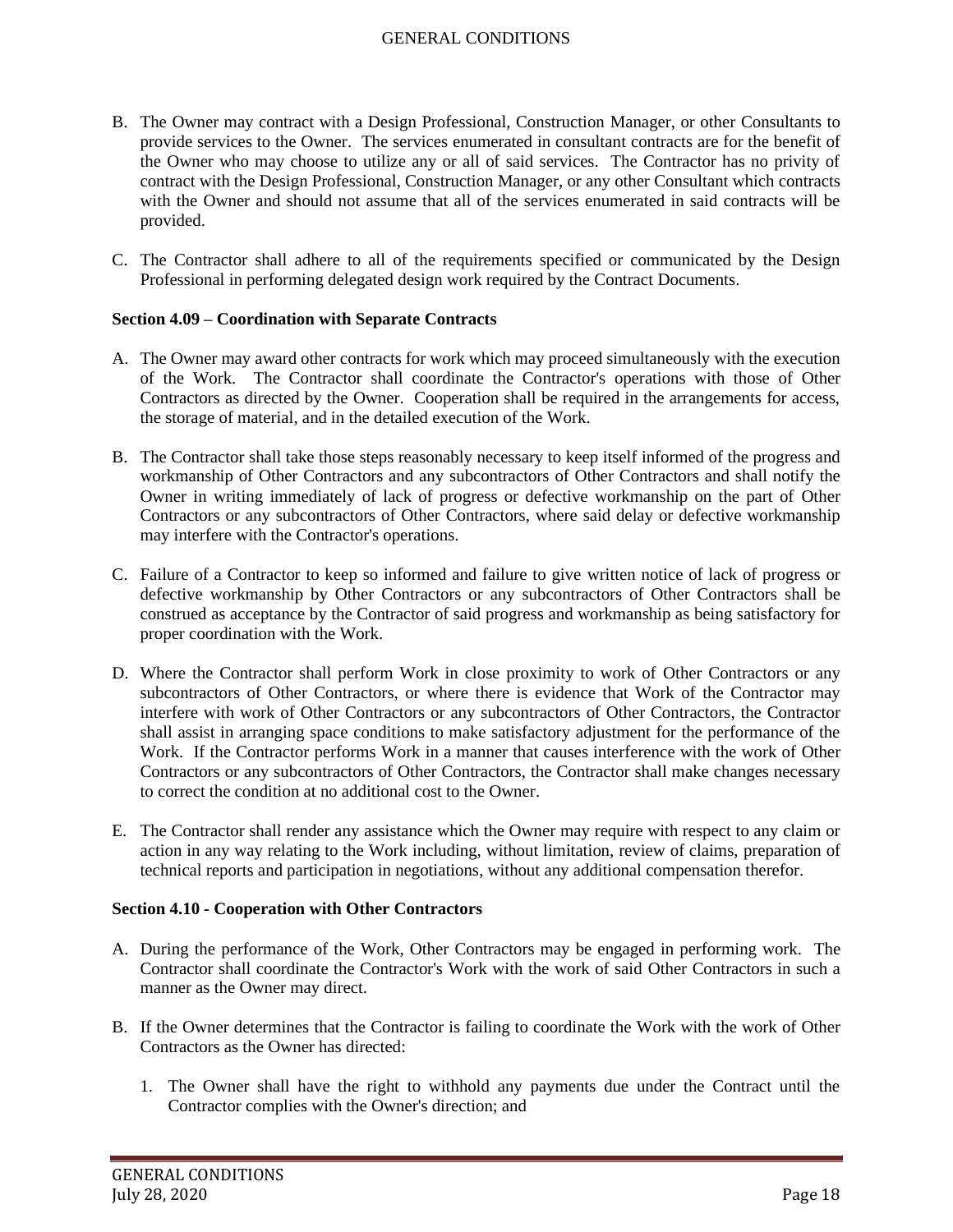- B. The Owner may contract with a Design Professional, Construction Manager, or other Consultants to provide services to the Owner. The services enumerated in consultant contracts are for the benefit of the Owner who may choose to utilize any or all of said services. The Contractor has no privity of contract with the Design Professional, Construction Manager, or any other Consultant which contracts with the Owner and should not assume that all of the services enumerated in said contracts will be provided.
- C. The Contractor shall adhere to all of the requirements specified or communicated by the Design Professional in performing delegated design work required by the Contract Documents.

#### <span id="page-17-0"></span>**Section 4.09 – Coordination with Separate Contracts**

- A. The Owner may award other contracts for work which may proceed simultaneously with the execution of the Work. The Contractor shall coordinate the Contractor's operations with those of Other Contractors as directed by the Owner. Cooperation shall be required in the arrangements for access, the storage of material, and in the detailed execution of the Work.
- B. The Contractor shall take those steps reasonably necessary to keep itself informed of the progress and workmanship of Other Contractors and any subcontractors of Other Contractors and shall notify the Owner in writing immediately of lack of progress or defective workmanship on the part of Other Contractors or any subcontractors of Other Contractors, where said delay or defective workmanship may interfere with the Contractor's operations.
- C. Failure of a Contractor to keep so informed and failure to give written notice of lack of progress or defective workmanship by Other Contractors or any subcontractors of Other Contractors shall be construed as acceptance by the Contractor of said progress and workmanship as being satisfactory for proper coordination with the Work.
- D. Where the Contractor shall perform Work in close proximity to work of Other Contractors or any subcontractors of Other Contractors, or where there is evidence that Work of the Contractor may interfere with work of Other Contractors or any subcontractors of Other Contractors, the Contractor shall assist in arranging space conditions to make satisfactory adjustment for the performance of the Work. If the Contractor performs Work in a manner that causes interference with the work of Other Contractors or any subcontractors of Other Contractors, the Contractor shall make changes necessary to correct the condition at no additional cost to the Owner.
- E. The Contractor shall render any assistance which the Owner may require with respect to any claim or action in any way relating to the Work including, without limitation, review of claims, preparation of technical reports and participation in negotiations, without any additional compensation therefor.

### <span id="page-17-1"></span>**Section 4.10 - Cooperation with Other Contractors**

- A. During the performance of the Work, Other Contractors may be engaged in performing work. The Contractor shall coordinate the Contractor's Work with the work of said Other Contractors in such a manner as the Owner may direct.
- B. If the Owner determines that the Contractor is failing to coordinate the Work with the work of Other Contractors as the Owner has directed:
	- 1. The Owner shall have the right to withhold any payments due under the Contract until the Contractor complies with the Owner's direction; and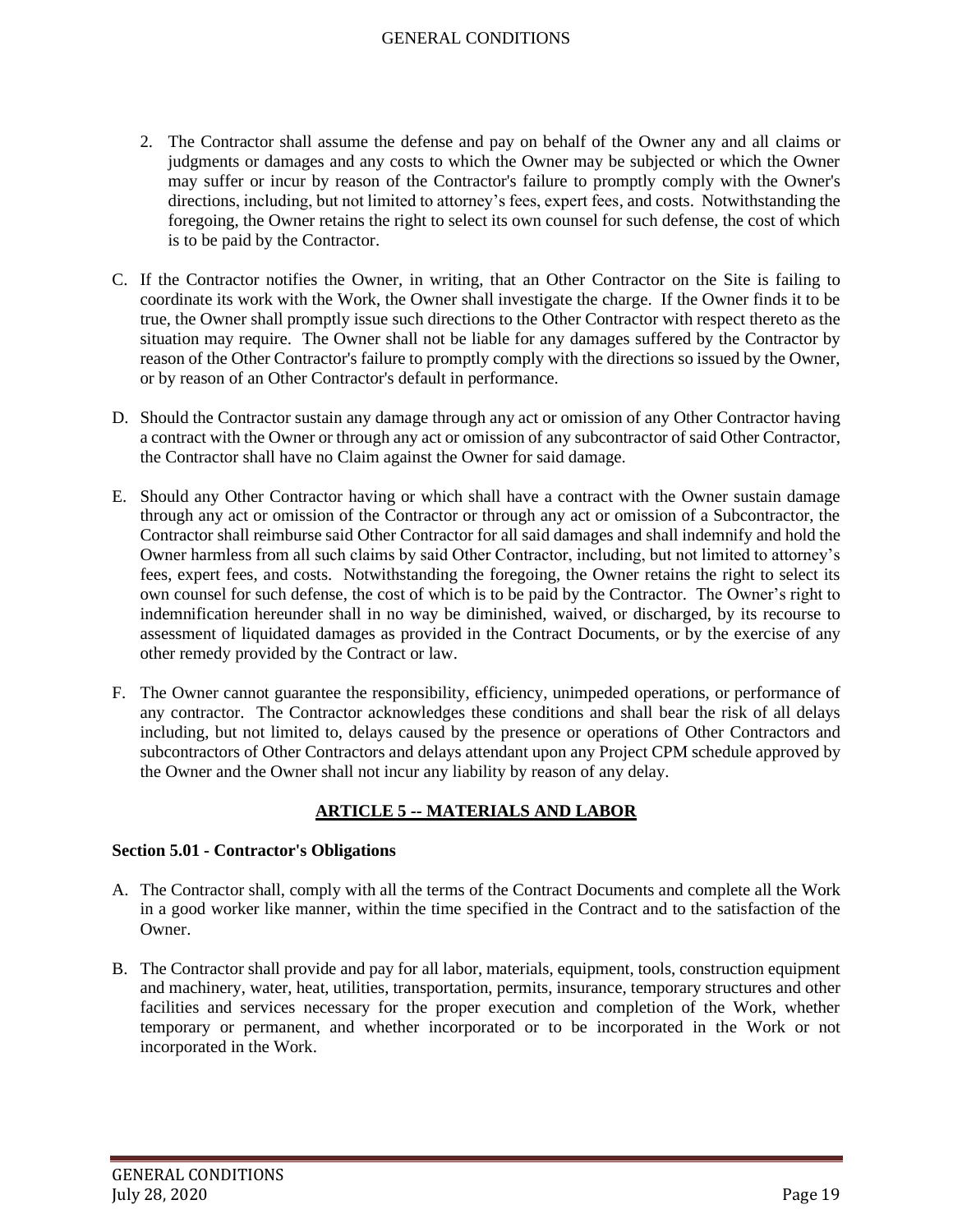- 2. The Contractor shall assume the defense and pay on behalf of the Owner any and all claims or judgments or damages and any costs to which the Owner may be subjected or which the Owner may suffer or incur by reason of the Contractor's failure to promptly comply with the Owner's directions, including, but not limited to attorney's fees, expert fees, and costs. Notwithstanding the foregoing, the Owner retains the right to select its own counsel for such defense, the cost of which is to be paid by the Contractor.
- C. If the Contractor notifies the Owner, in writing, that an Other Contractor on the Site is failing to coordinate its work with the Work, the Owner shall investigate the charge. If the Owner finds it to be true, the Owner shall promptly issue such directions to the Other Contractor with respect thereto as the situation may require. The Owner shall not be liable for any damages suffered by the Contractor by reason of the Other Contractor's failure to promptly comply with the directions so issued by the Owner, or by reason of an Other Contractor's default in performance.
- D. Should the Contractor sustain any damage through any act or omission of any Other Contractor having a contract with the Owner or through any act or omission of any subcontractor of said Other Contractor, the Contractor shall have no Claim against the Owner for said damage.
- E. Should any Other Contractor having or which shall have a contract with the Owner sustain damage through any act or omission of the Contractor or through any act or omission of a Subcontractor, the Contractor shall reimburse said Other Contractor for all said damages and shall indemnify and hold the Owner harmless from all such claims by said Other Contractor, including, but not limited to attorney's fees, expert fees, and costs. Notwithstanding the foregoing, the Owner retains the right to select its own counsel for such defense, the cost of which is to be paid by the Contractor. The Owner's right to indemnification hereunder shall in no way be diminished, waived, or discharged, by its recourse to assessment of liquidated damages as provided in the Contract Documents, or by the exercise of any other remedy provided by the Contract or law.
- F. The Owner cannot guarantee the responsibility, efficiency, unimpeded operations, or performance of any contractor. The Contractor acknowledges these conditions and shall bear the risk of all delays including, but not limited to, delays caused by the presence or operations of Other Contractors and subcontractors of Other Contractors and delays attendant upon any Project CPM schedule approved by the Owner and the Owner shall not incur any liability by reason of any delay.

# **ARTICLE 5 -- MATERIALS AND LABOR**

### <span id="page-18-1"></span><span id="page-18-0"></span>**Section 5.01 - Contractor's Obligations**

- A. The Contractor shall, comply with all the terms of the Contract Documents and complete all the Work in a good worker like manner, within the time specified in the Contract and to the satisfaction of the Owner.
- B. The Contractor shall provide and pay for all labor, materials, equipment, tools, construction equipment and machinery, water, heat, utilities, transportation, permits, insurance, temporary structures and other facilities and services necessary for the proper execution and completion of the Work, whether temporary or permanent, and whether incorporated or to be incorporated in the Work or not incorporated in the Work.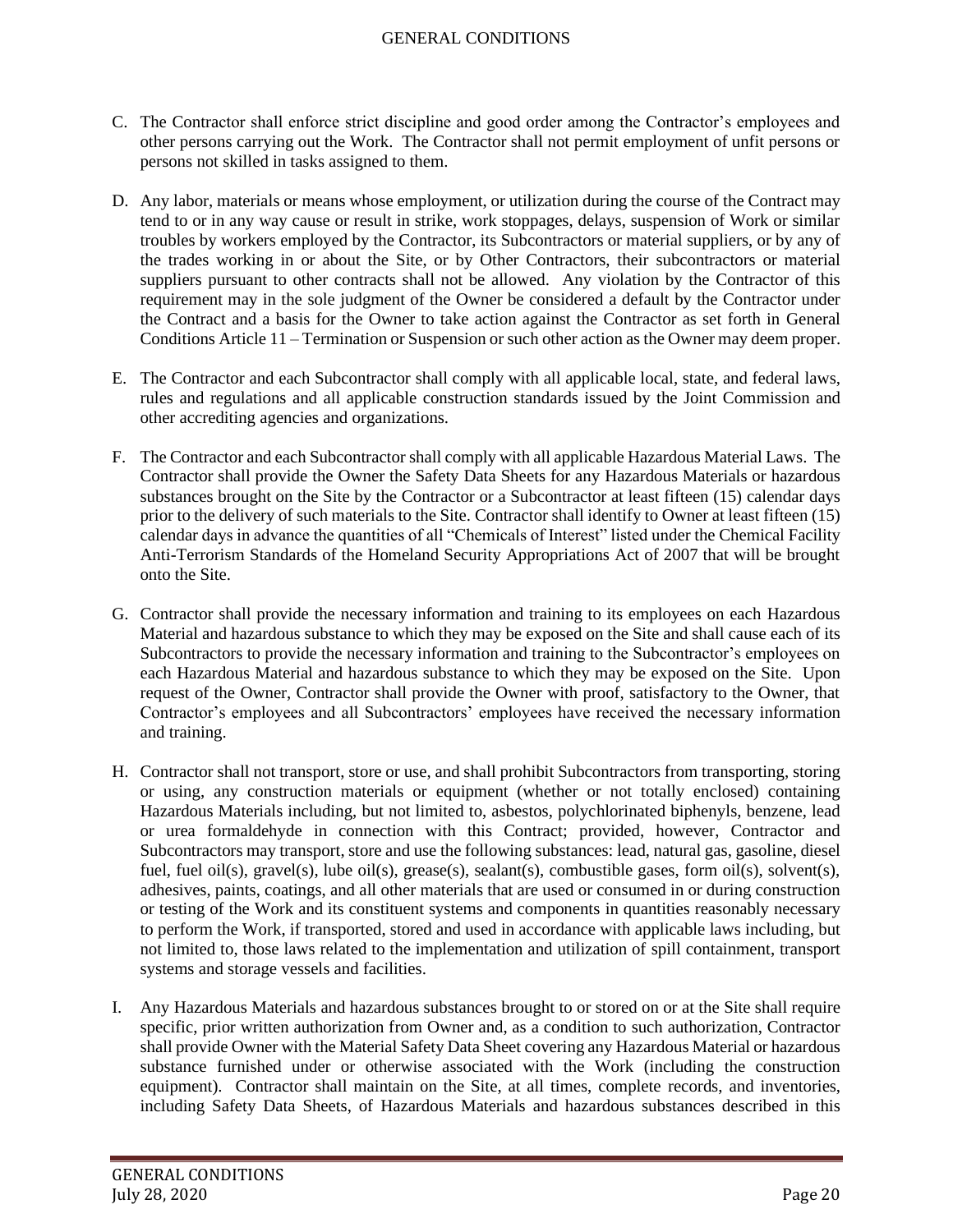- C. The Contractor shall enforce strict discipline and good order among the Contractor's employees and other persons carrying out the Work. The Contractor shall not permit employment of unfit persons or persons not skilled in tasks assigned to them.
- D. Any labor, materials or means whose employment, or utilization during the course of the Contract may tend to or in any way cause or result in strike, work stoppages, delays, suspension of Work or similar troubles by workers employed by the Contractor, its Subcontractors or material suppliers, or by any of the trades working in or about the Site, or by Other Contractors, their subcontractors or material suppliers pursuant to other contracts shall not be allowed. Any violation by the Contractor of this requirement may in the sole judgment of the Owner be considered a default by the Contractor under the Contract and a basis for the Owner to take action against the Contractor as set forth in General Conditions Article 11 – Termination or Suspension or such other action as the Owner may deem proper.
- E. The Contractor and each Subcontractor shall comply with all applicable local, state, and federal laws, rules and regulations and all applicable construction standards issued by the Joint Commission and other accrediting agencies and organizations.
- F. The Contractor and each Subcontractor shall comply with all applicable Hazardous Material Laws. The Contractor shall provide the Owner the Safety Data Sheets for any Hazardous Materials or hazardous substances brought on the Site by the Contractor or a Subcontractor at least fifteen (15) calendar days prior to the delivery of such materials to the Site. Contractor shall identify to Owner at least fifteen (15) calendar days in advance the quantities of all "Chemicals of Interest" listed under the Chemical Facility Anti-Terrorism Standards of the Homeland Security Appropriations Act of 2007 that will be brought onto the Site.
- G. Contractor shall provide the necessary information and training to its employees on each Hazardous Material and hazardous substance to which they may be exposed on the Site and shall cause each of its Subcontractors to provide the necessary information and training to the Subcontractor's employees on each Hazardous Material and hazardous substance to which they may be exposed on the Site. Upon request of the Owner, Contractor shall provide the Owner with proof, satisfactory to the Owner, that Contractor's employees and all Subcontractors' employees have received the necessary information and training.
- H. Contractor shall not transport, store or use, and shall prohibit Subcontractors from transporting, storing or using, any construction materials or equipment (whether or not totally enclosed) containing Hazardous Materials including, but not limited to, asbestos, polychlorinated biphenyls, benzene, lead or urea formaldehyde in connection with this Contract; provided, however, Contractor and Subcontractors may transport, store and use the following substances: lead, natural gas, gasoline, diesel fuel, fuel oil(s), gravel(s), lube oil(s), grease(s), sealant(s), combustible gases, form oil(s), solvent(s), adhesives, paints, coatings, and all other materials that are used or consumed in or during construction or testing of the Work and its constituent systems and components in quantities reasonably necessary to perform the Work, if transported, stored and used in accordance with applicable laws including, but not limited to, those laws related to the implementation and utilization of spill containment, transport systems and storage vessels and facilities.
- I. Any Hazardous Materials and hazardous substances brought to or stored on or at the Site shall require specific, prior written authorization from Owner and, as a condition to such authorization, Contractor shall provide Owner with the Material Safety Data Sheet covering any Hazardous Material or hazardous substance furnished under or otherwise associated with the Work (including the construction equipment). Contractor shall maintain on the Site, at all times, complete records, and inventories, including Safety Data Sheets, of Hazardous Materials and hazardous substances described in this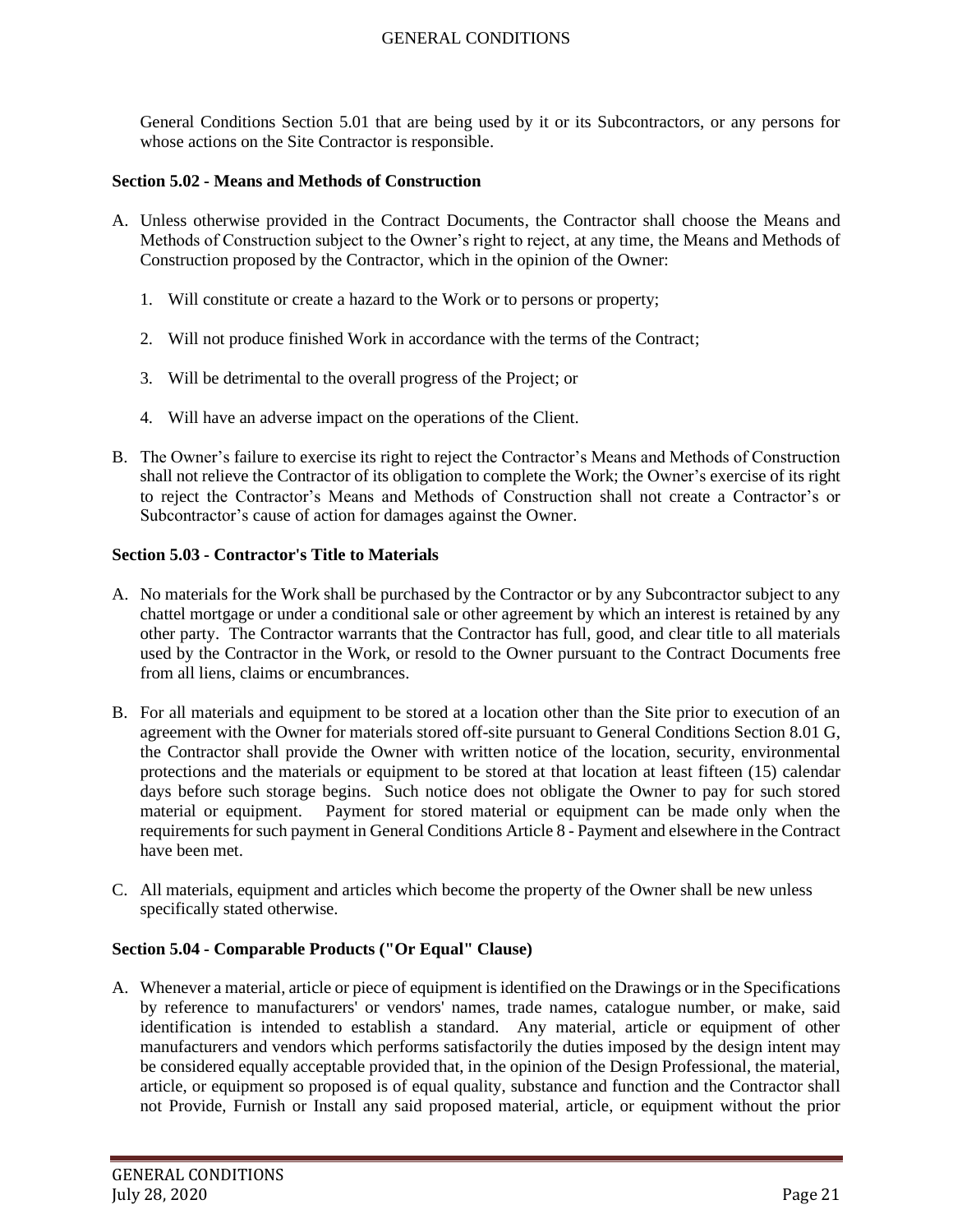General Conditions Section 5.01 that are being used by it or its Subcontractors, or any persons for whose actions on the Site Contractor is responsible.

### <span id="page-20-0"></span>**Section 5.02 - Means and Methods of Construction**

- A. Unless otherwise provided in the Contract Documents, the Contractor shall choose the Means and Methods of Construction subject to the Owner's right to reject, at any time, the Means and Methods of Construction proposed by the Contractor, which in the opinion of the Owner:
	- 1. Will constitute or create a hazard to the Work or to persons or property;
	- 2. Will not produce finished Work in accordance with the terms of the Contract;
	- 3. Will be detrimental to the overall progress of the Project; or
	- 4. Will have an adverse impact on the operations of the Client.
- B. The Owner's failure to exercise its right to reject the Contractor's Means and Methods of Construction shall not relieve the Contractor of its obligation to complete the Work; the Owner's exercise of its right to reject the Contractor's Means and Methods of Construction shall not create a Contractor's or Subcontractor's cause of action for damages against the Owner.

## <span id="page-20-1"></span>**Section 5.03 - Contractor's Title to Materials**

- A. No materials for the Work shall be purchased by the Contractor or by any Subcontractor subject to any chattel mortgage or under a conditional sale or other agreement by which an interest is retained by any other party. The Contractor warrants that the Contractor has full, good, and clear title to all materials used by the Contractor in the Work, or resold to the Owner pursuant to the Contract Documents free from all liens, claims or encumbrances.
- B. For all materials and equipment to be stored at a location other than the Site prior to execution of an agreement with the Owner for materials stored off-site pursuant to General Conditions Section 8.01 G, the Contractor shall provide the Owner with written notice of the location, security, environmental protections and the materials or equipment to be stored at that location at least fifteen (15) calendar days before such storage begins. Such notice does not obligate the Owner to pay for such stored material or equipment. Payment for stored material or equipment can be made only when the requirements for such payment in General Conditions Article 8 - Payment and elsewhere in the Contract have been met.
- C. All materials, equipment and articles which become the property of the Owner shall be new unless specifically stated otherwise.

### <span id="page-20-2"></span>**Section 5.04 - Comparable Products ("Or Equal" Clause)**

A. Whenever a material, article or piece of equipment is identified on the Drawings or in the Specifications by reference to manufacturers' or vendors' names, trade names, catalogue number, or make, said identification is intended to establish a standard. Any material, article or equipment of other manufacturers and vendors which performs satisfactorily the duties imposed by the design intent may be considered equally acceptable provided that, in the opinion of the Design Professional, the material, article, or equipment so proposed is of equal quality, substance and function and the Contractor shall not Provide, Furnish or Install any said proposed material, article, or equipment without the prior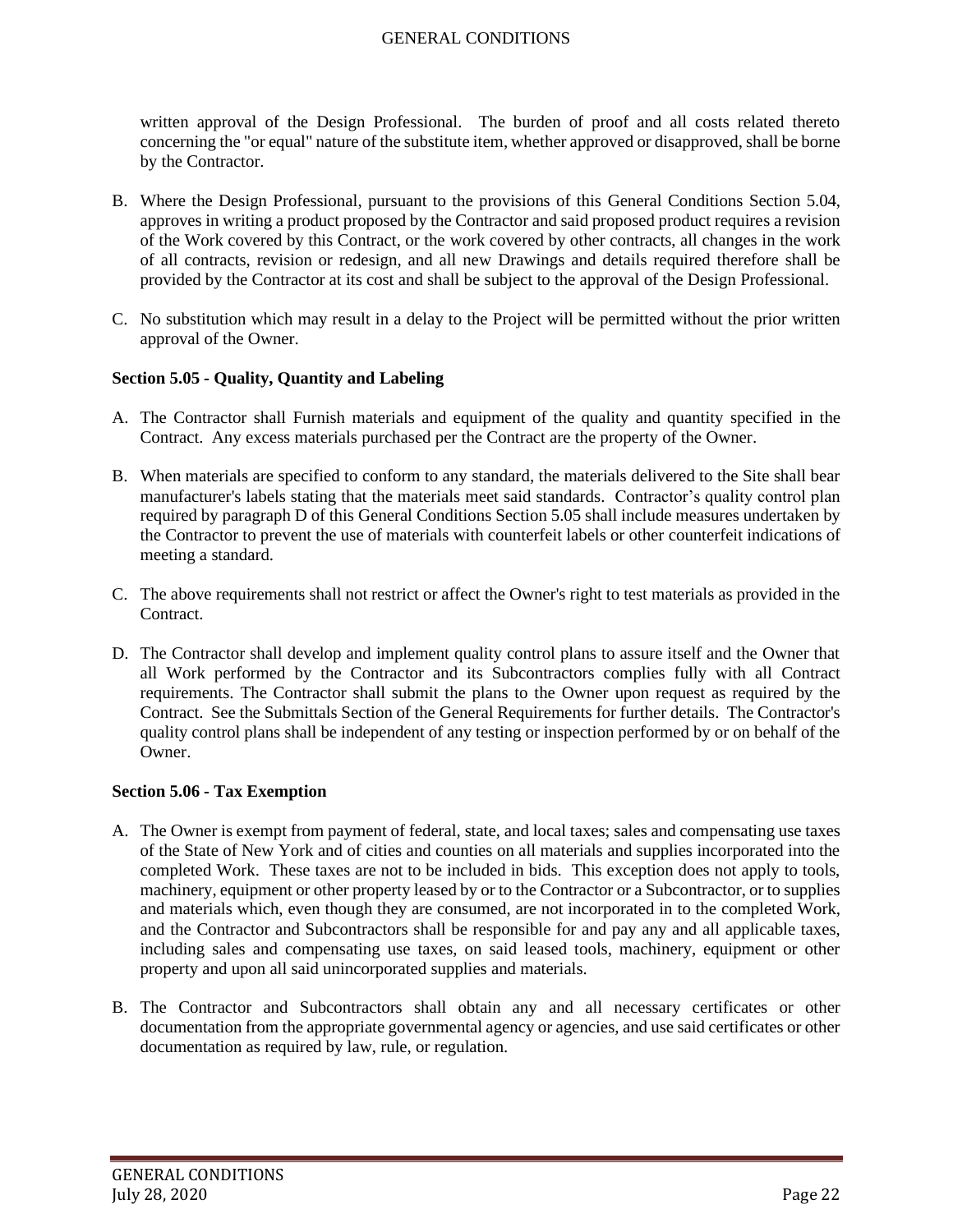written approval of the Design Professional. The burden of proof and all costs related thereto concerning the "or equal" nature of the substitute item, whether approved or disapproved, shall be borne by the Contractor.

- B. Where the Design Professional, pursuant to the provisions of this General Conditions Section 5.04, approves in writing a product proposed by the Contractor and said proposed product requires a revision of the Work covered by this Contract, or the work covered by other contracts, all changes in the work of all contracts, revision or redesign, and all new Drawings and details required therefore shall be provided by the Contractor at its cost and shall be subject to the approval of the Design Professional.
- C. No substitution which may result in a delay to the Project will be permitted without the prior written approval of the Owner.

### <span id="page-21-0"></span>**Section 5.05 - Quality, Quantity and Labeling**

- A. The Contractor shall Furnish materials and equipment of the quality and quantity specified in the Contract. Any excess materials purchased per the Contract are the property of the Owner.
- B. When materials are specified to conform to any standard, the materials delivered to the Site shall bear manufacturer's labels stating that the materials meet said standards. Contractor's quality control plan required by paragraph D of this General Conditions Section 5.05 shall include measures undertaken by the Contractor to prevent the use of materials with counterfeit labels or other counterfeit indications of meeting a standard.
- C. The above requirements shall not restrict or affect the Owner's right to test materials as provided in the **Contract**
- D. The Contractor shall develop and implement quality control plans to assure itself and the Owner that all Work performed by the Contractor and its Subcontractors complies fully with all Contract requirements. The Contractor shall submit the plans to the Owner upon request as required by the Contract. See the Submittals Section of the General Requirements for further details. The Contractor's quality control plans shall be independent of any testing or inspection performed by or on behalf of the Owner.

### <span id="page-21-1"></span>**Section 5.06 - Tax Exemption**

- A. The Owner is exempt from payment of federal, state, and local taxes; sales and compensating use taxes of the State of New York and of cities and counties on all materials and supplies incorporated into the completed Work. These taxes are not to be included in bids. This exception does not apply to tools, machinery, equipment or other property leased by or to the Contractor or a Subcontractor, or to supplies and materials which, even though they are consumed, are not incorporated in to the completed Work, and the Contractor and Subcontractors shall be responsible for and pay any and all applicable taxes, including sales and compensating use taxes, on said leased tools, machinery, equipment or other property and upon all said unincorporated supplies and materials.
- B. The Contractor and Subcontractors shall obtain any and all necessary certificates or other documentation from the appropriate governmental agency or agencies, and use said certificates or other documentation as required by law, rule, or regulation.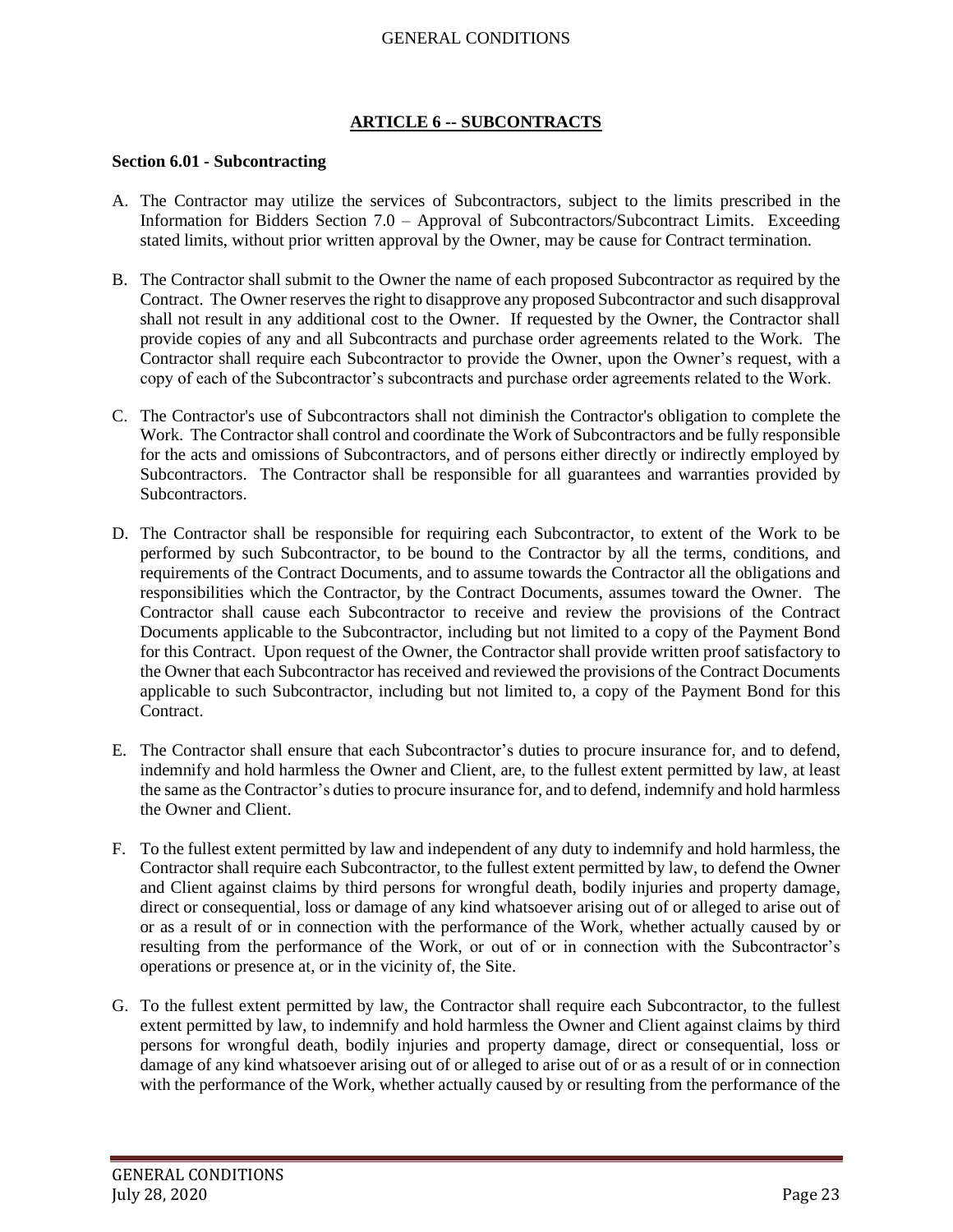## **ARTICLE 6 -- SUBCONTRACTS**

#### <span id="page-22-1"></span><span id="page-22-0"></span>**Section 6.01 - Subcontracting**

- A. The Contractor may utilize the services of Subcontractors, subject to the limits prescribed in the Information for Bidders Section 7.0 – Approval of Subcontractors/Subcontract Limits. Exceeding stated limits, without prior written approval by the Owner, may be cause for Contract termination.
- B. The Contractor shall submit to the Owner the name of each proposed Subcontractor as required by the Contract. The Owner reserves the right to disapprove any proposed Subcontractor and such disapproval shall not result in any additional cost to the Owner. If requested by the Owner, the Contractor shall provide copies of any and all Subcontracts and purchase order agreements related to the Work. The Contractor shall require each Subcontractor to provide the Owner, upon the Owner's request, with a copy of each of the Subcontractor's subcontracts and purchase order agreements related to the Work.
- C. The Contractor's use of Subcontractors shall not diminish the Contractor's obligation to complete the Work. The Contractor shall control and coordinate the Work of Subcontractors and be fully responsible for the acts and omissions of Subcontractors, and of persons either directly or indirectly employed by Subcontractors. The Contractor shall be responsible for all guarantees and warranties provided by Subcontractors.
- D. The Contractor shall be responsible for requiring each Subcontractor, to extent of the Work to be performed by such Subcontractor, to be bound to the Contractor by all the terms, conditions, and requirements of the Contract Documents, and to assume towards the Contractor all the obligations and responsibilities which the Contractor, by the Contract Documents, assumes toward the Owner. The Contractor shall cause each Subcontractor to receive and review the provisions of the Contract Documents applicable to the Subcontractor, including but not limited to a copy of the Payment Bond for this Contract. Upon request of the Owner, the Contractor shall provide written proof satisfactory to the Owner that each Subcontractor has received and reviewed the provisions of the Contract Documents applicable to such Subcontractor, including but not limited to, a copy of the Payment Bond for this Contract.
- E. The Contractor shall ensure that each Subcontractor's duties to procure insurance for, and to defend, indemnify and hold harmless the Owner and Client, are, to the fullest extent permitted by law, at least the same asthe Contractor's duties to procure insurance for, and to defend, indemnify and hold harmless the Owner and Client.
- F. To the fullest extent permitted by law and independent of any duty to indemnify and hold harmless, the Contractor shall require each Subcontractor, to the fullest extent permitted by law, to defend the Owner and Client against claims by third persons for wrongful death, bodily injuries and property damage, direct or consequential, loss or damage of any kind whatsoever arising out of or alleged to arise out of or as a result of or in connection with the performance of the Work, whether actually caused by or resulting from the performance of the Work, or out of or in connection with the Subcontractor's operations or presence at, or in the vicinity of, the Site.
- G. To the fullest extent permitted by law, the Contractor shall require each Subcontractor, to the fullest extent permitted by law, to indemnify and hold harmless the Owner and Client against claims by third persons for wrongful death, bodily injuries and property damage, direct or consequential, loss or damage of any kind whatsoever arising out of or alleged to arise out of or as a result of or in connection with the performance of the Work, whether actually caused by or resulting from the performance of the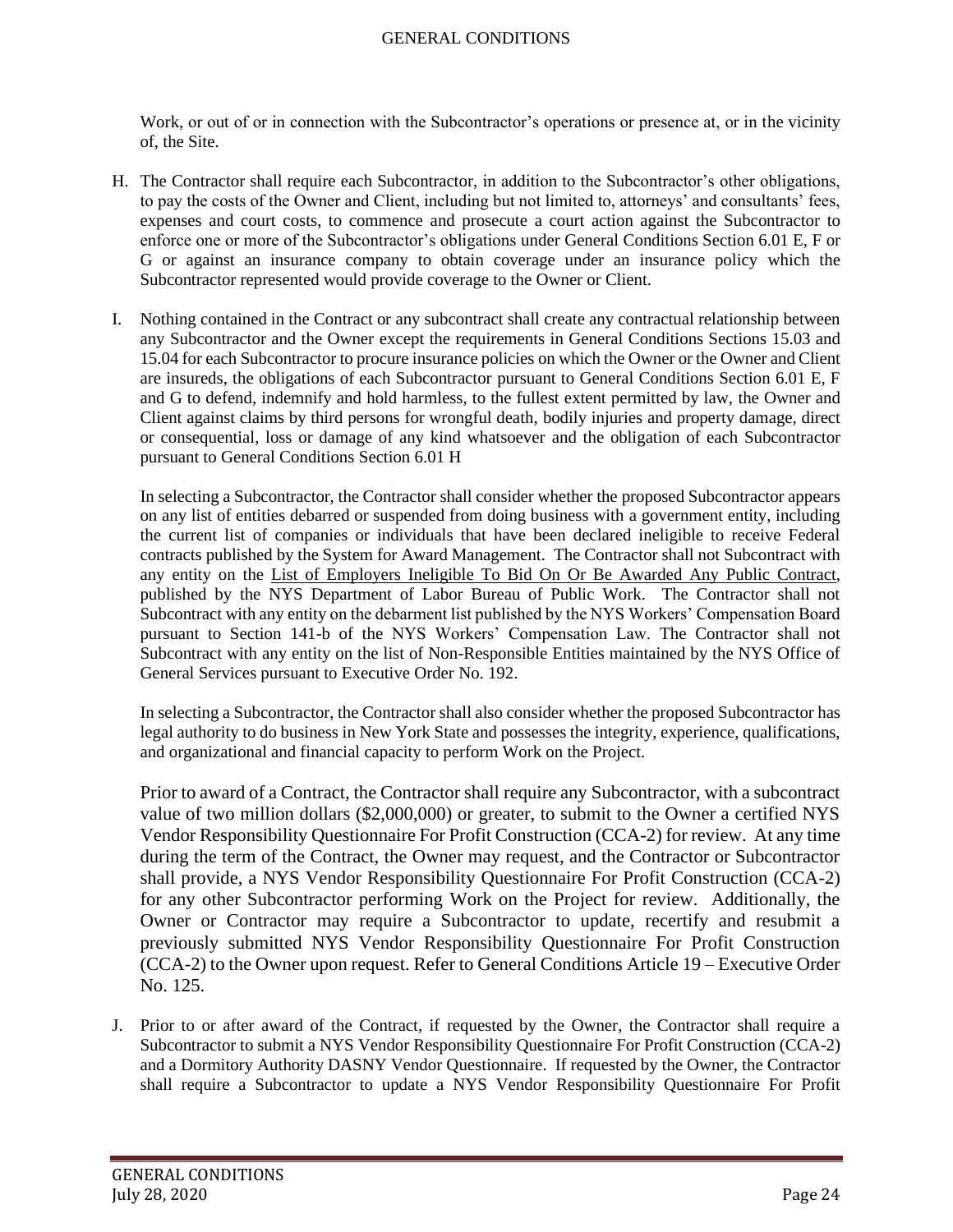Work, or out of or in connection with the Subcontractor's operations or presence at, or in the vicinity of, the Site.

- H. The Contractor shall require each Subcontractor, in addition to the Subcontractor's other obligations, to pay the costs of the Owner and Client, including but not limited to, attorneys' and consultants' fees, expenses and court costs, to commence and prosecute a court action against the Subcontractor to enforce one or more of the Subcontractor's obligations under General Conditions Section 6.01 E, F or G or against an insurance company to obtain coverage under an insurance policy which the Subcontractor represented would provide coverage to the Owner or Client.
- I. Nothing contained in the Contract or any subcontract shall create any contractual relationship between any Subcontractor and the Owner except the requirements in General Conditions Sections 15.03 and 15.04 for each Subcontractor to procure insurance policies on which the Owner or the Owner and Client are insureds, the obligations of each Subcontractor pursuant to General Conditions Section 6.01 E, F and G to defend, indemnify and hold harmless, to the fullest extent permitted by law, the Owner and Client against claims by third persons for wrongful death, bodily injuries and property damage, direct or consequential, loss or damage of any kind whatsoever and the obligation of each Subcontractor pursuant to General Conditions Section 6.01 H

In selecting a Subcontractor, the Contractor shall consider whether the proposed Subcontractor appears on any list of entities debarred or suspended from doing business with a government entity, including the current list of companies or individuals that have been declared ineligible to receive Federal contracts published by the System for Award Management. The Contractor shall not Subcontract with any entity on the List of Employers Ineligible To Bid On Or Be Awarded Any Public Contract, published by the NYS Department of Labor Bureau of Public Work. The Contractor shall not Subcontract with any entity on the debarment list published by the NYS Workers' Compensation Board pursuant to Section 141-b of the NYS Workers' Compensation Law. The Contractor shall not Subcontract with any entity on the list of Non-Responsible Entities maintained by the NYS Office of General Services pursuant to Executive Order No. 192.

In selecting a Subcontractor, the Contractor shall also consider whether the proposed Subcontractor has legal authority to do business in New York State and possesses the integrity, experience, qualifications, and organizational and financial capacity to perform Work on the Project.

Prior to award of a Contract, the Contractor shall require any Subcontractor, with a subcontract value of two million dollars (\$2,000,000) or greater, to submit to the Owner a certified NYS Vendor Responsibility Questionnaire For Profit Construction (CCA-2) for review. At any time during the term of the Contract, the Owner may request, and the Contractor or Subcontractor shall provide, a NYS Vendor Responsibility Questionnaire For Profit Construction (CCA-2) for any other Subcontractor performing Work on the Project for review. Additionally, the Owner or Contractor may require a Subcontractor to update, recertify and resubmit a previously submitted NYS Vendor Responsibility Questionnaire For Profit Construction (CCA-2) to the Owner upon request. Refer to General Conditions Article 19 – Executive Order No. 125.

J. Prior to or after award of the Contract, if requested by the Owner, the Contractor shall require a Subcontractor to submit a NYS Vendor Responsibility Questionnaire For Profit Construction (CCA-2) and a Dormitory Authority DASNY Vendor Questionnaire. If requested by the Owner, the Contractor shall require a Subcontractor to update a NYS Vendor Responsibility Questionnaire For Profit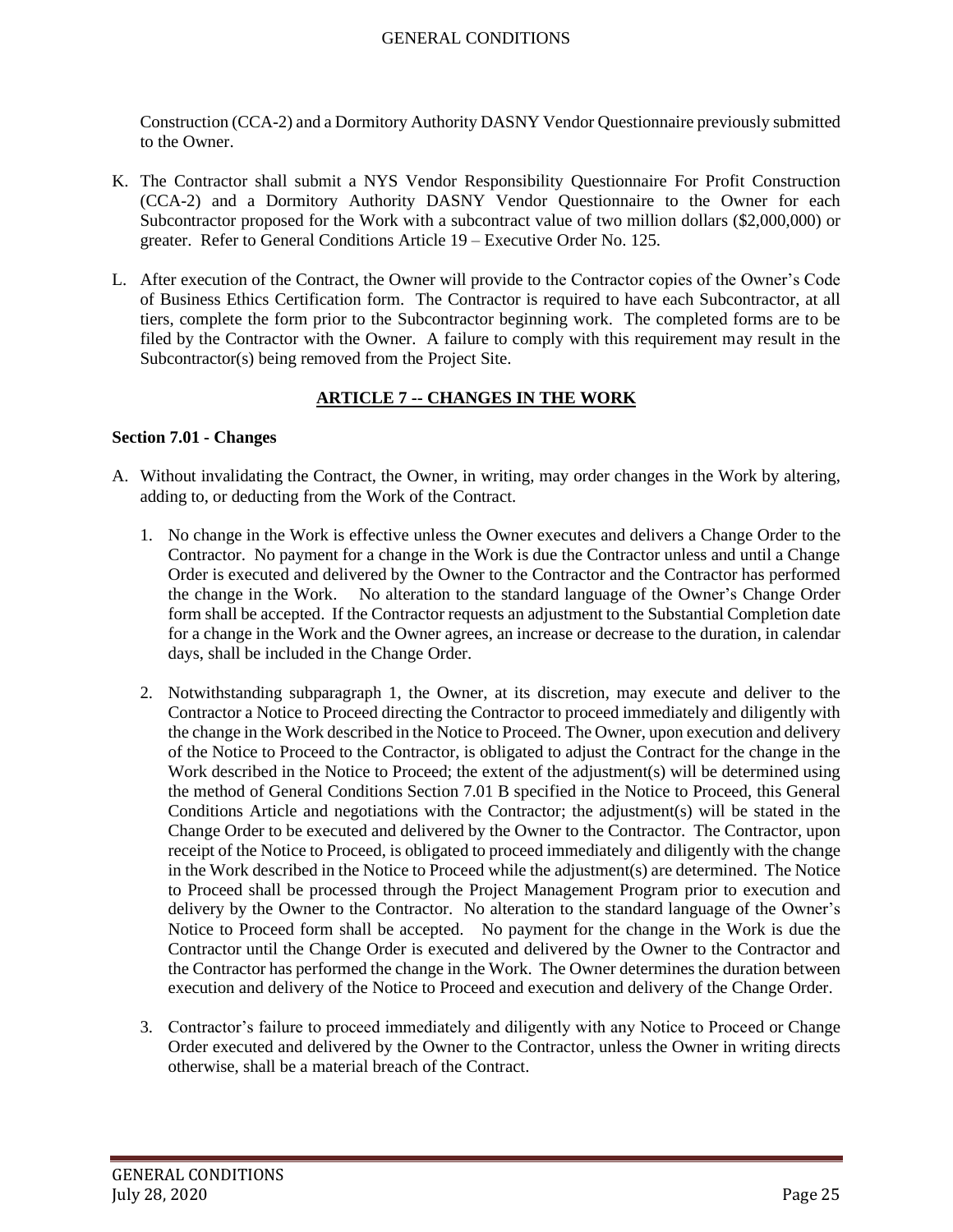Construction (CCA-2) and a Dormitory Authority DASNY Vendor Questionnaire previously submitted to the Owner.

- K. The Contractor shall submit a NYS Vendor Responsibility Questionnaire For Profit Construction (CCA-2) and a Dormitory Authority DASNY Vendor Questionnaire to the Owner for each Subcontractor proposed for the Work with a subcontract value of two million dollars (\$2,000,000) or greater. Refer to General Conditions Article 19 – Executive Order No. 125.
- L. After execution of the Contract, the Owner will provide to the Contractor copies of the Owner's Code of Business Ethics Certification form. The Contractor is required to have each Subcontractor, at all tiers, complete the form prior to the Subcontractor beginning work. The completed forms are to be filed by the Contractor with the Owner. A failure to comply with this requirement may result in the Subcontractor(s) being removed from the Project Site.

# **ARTICLE 7 -- CHANGES IN THE WORK**

# <span id="page-24-1"></span><span id="page-24-0"></span>**Section 7.01 - Changes**

- A. Without invalidating the Contract, the Owner, in writing, may order changes in the Work by altering, adding to, or deducting from the Work of the Contract.
	- 1. No change in the Work is effective unless the Owner executes and delivers a Change Order to the Contractor. No payment for a change in the Work is due the Contractor unless and until a Change Order is executed and delivered by the Owner to the Contractor and the Contractor has performed the change in the Work. No alteration to the standard language of the Owner's Change Order form shall be accepted. If the Contractor requests an adjustment to the Substantial Completion date for a change in the Work and the Owner agrees, an increase or decrease to the duration, in calendar days, shall be included in the Change Order.
	- 2. Notwithstanding subparagraph 1, the Owner, at its discretion, may execute and deliver to the Contractor a Notice to Proceed directing the Contractor to proceed immediately and diligently with the change in the Work described in the Notice to Proceed. The Owner, upon execution and delivery of the Notice to Proceed to the Contractor, is obligated to adjust the Contract for the change in the Work described in the Notice to Proceed; the extent of the adjustment(s) will be determined using the method of General Conditions Section 7.01 B specified in the Notice to Proceed, this General Conditions Article and negotiations with the Contractor; the adjustment(s) will be stated in the Change Order to be executed and delivered by the Owner to the Contractor. The Contractor, upon receipt of the Notice to Proceed, is obligated to proceed immediately and diligently with the change in the Work described in the Notice to Proceed while the adjustment(s) are determined. The Notice to Proceed shall be processed through the Project Management Program prior to execution and delivery by the Owner to the Contractor. No alteration to the standard language of the Owner's Notice to Proceed form shall be accepted. No payment for the change in the Work is due the Contractor until the Change Order is executed and delivered by the Owner to the Contractor and the Contractor has performed the change in the Work. The Owner determines the duration between execution and delivery of the Notice to Proceed and execution and delivery of the Change Order.
	- 3. Contractor's failure to proceed immediately and diligently with any Notice to Proceed or Change Order executed and delivered by the Owner to the Contractor, unless the Owner in writing directs otherwise, shall be a material breach of the Contract.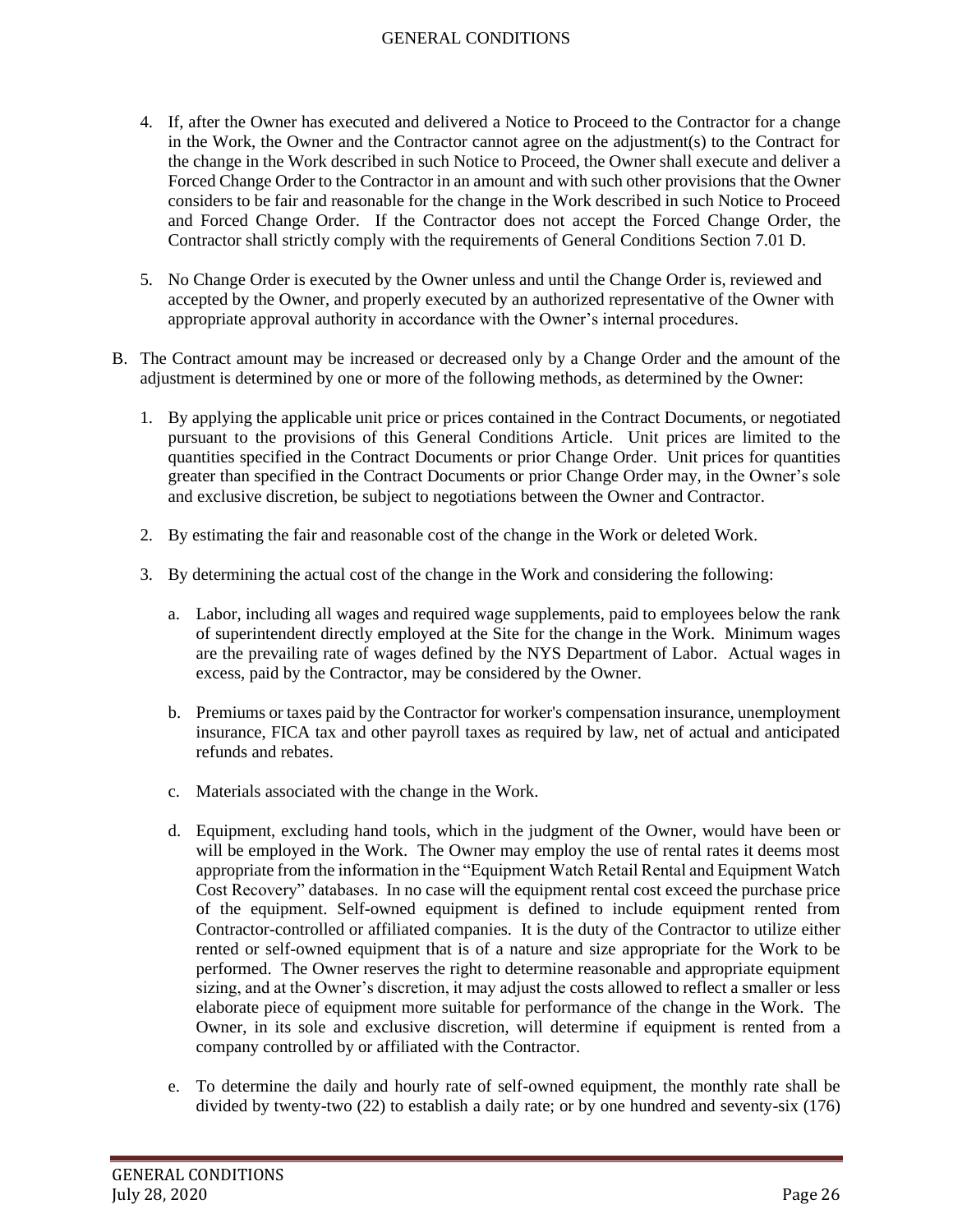- 4. If, after the Owner has executed and delivered a Notice to Proceed to the Contractor for a change in the Work, the Owner and the Contractor cannot agree on the adjustment(s) to the Contract for the change in the Work described in such Notice to Proceed, the Owner shall execute and deliver a Forced Change Order to the Contractor in an amount and with such other provisions that the Owner considers to be fair and reasonable for the change in the Work described in such Notice to Proceed and Forced Change Order. If the Contractor does not accept the Forced Change Order, the Contractor shall strictly comply with the requirements of General Conditions Section 7.01 D.
- 5. No Change Order is executed by the Owner unless and until the Change Order is, reviewed and accepted by the Owner, and properly executed by an authorized representative of the Owner with appropriate approval authority in accordance with the Owner's internal procedures.
- B. The Contract amount may be increased or decreased only by a Change Order and the amount of the adjustment is determined by one or more of the following methods, as determined by the Owner:
	- 1. By applying the applicable unit price or prices contained in the Contract Documents, or negotiated pursuant to the provisions of this General Conditions Article. Unit prices are limited to the quantities specified in the Contract Documents or prior Change Order. Unit prices for quantities greater than specified in the Contract Documents or prior Change Order may, in the Owner's sole and exclusive discretion, be subject to negotiations between the Owner and Contractor.
	- 2. By estimating the fair and reasonable cost of the change in the Work or deleted Work.
	- 3. By determining the actual cost of the change in the Work and considering the following:
		- a. Labor, including all wages and required wage supplements, paid to employees below the rank of superintendent directly employed at the Site for the change in the Work. Minimum wages are the prevailing rate of wages defined by the NYS Department of Labor. Actual wages in excess, paid by the Contractor, may be considered by the Owner.
		- b. Premiums or taxes paid by the Contractor for worker's compensation insurance, unemployment insurance, FICA tax and other payroll taxes as required by law, net of actual and anticipated refunds and rebates.
		- c. Materials associated with the change in the Work.
		- d. Equipment, excluding hand tools, which in the judgment of the Owner, would have been or will be employed in the Work. The Owner may employ the use of rental rates it deems most appropriate from the information in the "Equipment Watch Retail Rental and Equipment Watch Cost Recovery" databases. In no case will the equipment rental cost exceed the purchase price of the equipment. Self-owned equipment is defined to include equipment rented from Contractor-controlled or affiliated companies. It is the duty of the Contractor to utilize either rented or self-owned equipment that is of a nature and size appropriate for the Work to be performed. The Owner reserves the right to determine reasonable and appropriate equipment sizing, and at the Owner's discretion, it may adjust the costs allowed to reflect a smaller or less elaborate piece of equipment more suitable for performance of the change in the Work. The Owner, in its sole and exclusive discretion, will determine if equipment is rented from a company controlled by or affiliated with the Contractor.
		- e. To determine the daily and hourly rate of self-owned equipment, the monthly rate shall be divided by twenty-two (22) to establish a daily rate; or by one hundred and seventy-six (176)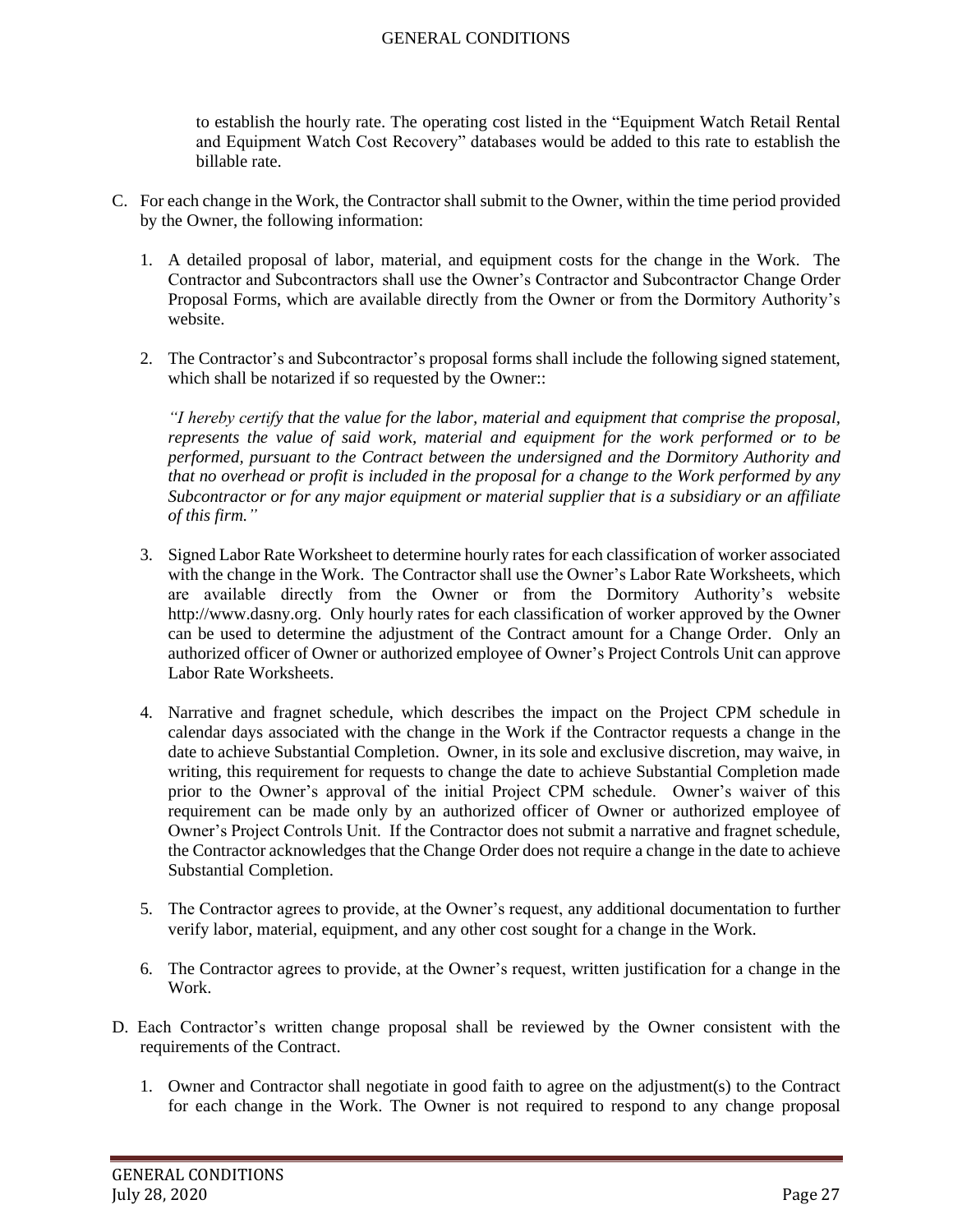to establish the hourly rate. The operating cost listed in the "Equipment Watch Retail Rental and Equipment Watch Cost Recovery" databases would be added to this rate to establish the billable rate.

- C. For each change in the Work, the Contractor shall submit to the Owner, within the time period provided by the Owner, the following information:
	- 1. A detailed proposal of labor, material, and equipment costs for the change in the Work. The Contractor and Subcontractors shall use the Owner's Contractor and Subcontractor Change Order Proposal Forms, which are available directly from the Owner or from the Dormitory Authority's website.
	- 2. The Contractor's and Subcontractor's proposal forms shall include the following signed statement, which shall be notarized if so requested by the Owner::

*"I hereby certify that the value for the labor, material and equipment that comprise the proposal, represents the value of said work, material and equipment for the work performed or to be performed, pursuant to the Contract between the undersigned and the Dormitory Authority and that no overhead or profit is included in the proposal for a change to the Work performed by any Subcontractor or for any major equipment or material supplier that is a subsidiary or an affiliate of this firm."*

- 3. Signed Labor Rate Worksheet to determine hourly rates for each classification of worker associated with the change in the Work. The Contractor shall use the Owner's Labor Rate Worksheets, which are available directly from the Owner or from the Dormitory Authority's website http://www.dasny.org. Only hourly rates for each classification of worker approved by the Owner can be used to determine the adjustment of the Contract amount for a Change Order. Only an authorized officer of Owner or authorized employee of Owner's Project Controls Unit can approve Labor Rate Worksheets.
- 4. Narrative and fragnet schedule, which describes the impact on the Project CPM schedule in calendar days associated with the change in the Work if the Contractor requests a change in the date to achieve Substantial Completion. Owner, in its sole and exclusive discretion, may waive, in writing, this requirement for requests to change the date to achieve Substantial Completion made prior to the Owner's approval of the initial Project CPM schedule. Owner's waiver of this requirement can be made only by an authorized officer of Owner or authorized employee of Owner's Project Controls Unit. If the Contractor does not submit a narrative and fragnet schedule, the Contractor acknowledges that the Change Order does not require a change in the date to achieve Substantial Completion.
- 5. The Contractor agrees to provide, at the Owner's request, any additional documentation to further verify labor, material, equipment, and any other cost sought for a change in the Work.
- 6. The Contractor agrees to provide, at the Owner's request, written justification for a change in the Work.
- D. Each Contractor's written change proposal shall be reviewed by the Owner consistent with the requirements of the Contract.
	- 1. Owner and Contractor shall negotiate in good faith to agree on the adjustment(s) to the Contract for each change in the Work. The Owner is not required to respond to any change proposal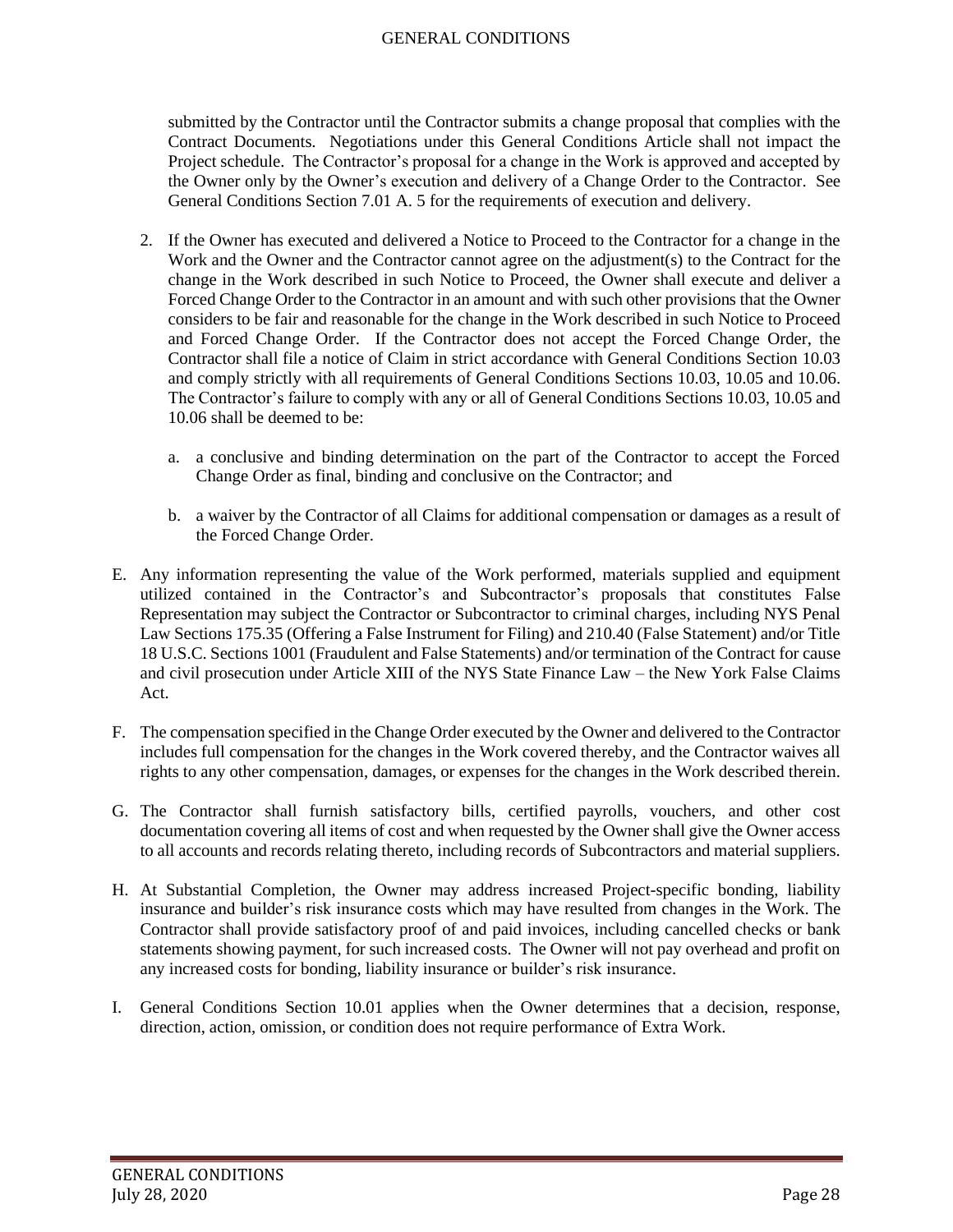submitted by the Contractor until the Contractor submits a change proposal that complies with the Contract Documents. Negotiations under this General Conditions Article shall not impact the Project schedule. The Contractor's proposal for a change in the Work is approved and accepted by the Owner only by the Owner's execution and delivery of a Change Order to the Contractor. See General Conditions Section 7.01 A. 5 for the requirements of execution and delivery.

- 2. If the Owner has executed and delivered a Notice to Proceed to the Contractor for a change in the Work and the Owner and the Contractor cannot agree on the adjustment(s) to the Contract for the change in the Work described in such Notice to Proceed, the Owner shall execute and deliver a Forced Change Order to the Contractor in an amount and with such other provisions that the Owner considers to be fair and reasonable for the change in the Work described in such Notice to Proceed and Forced Change Order. If the Contractor does not accept the Forced Change Order, the Contractor shall file a notice of Claim in strict accordance with General Conditions Section 10.03 and comply strictly with all requirements of General Conditions Sections 10.03, 10.05 and 10.06. The Contractor's failure to comply with any or all of General Conditions Sections 10.03, 10.05 and 10.06 shall be deemed to be:
	- a. a conclusive and binding determination on the part of the Contractor to accept the Forced Change Order as final, binding and conclusive on the Contractor; and
	- b. a waiver by the Contractor of all Claims for additional compensation or damages as a result of the Forced Change Order.
- E. Any information representing the value of the Work performed, materials supplied and equipment utilized contained in the Contractor's and Subcontractor's proposals that constitutes False Representation may subject the Contractor or Subcontractor to criminal charges, including NYS Penal Law Sections 175.35 (Offering a False Instrument for Filing) and 210.40 (False Statement) and/or Title 18 U.S.C. Sections 1001 (Fraudulent and False Statements) and/or termination of the Contract for cause and civil prosecution under Article XIII of the NYS State Finance Law – the New York False Claims Act.
- F. The compensation specified in the Change Order executed by the Owner and delivered to the Contractor includes full compensation for the changes in the Work covered thereby, and the Contractor waives all rights to any other compensation, damages, or expenses for the changes in the Work described therein.
- G. The Contractor shall furnish satisfactory bills, certified payrolls, vouchers, and other cost documentation covering all items of cost and when requested by the Owner shall give the Owner access to all accounts and records relating thereto, including records of Subcontractors and material suppliers.
- H. At Substantial Completion, the Owner may address increased Project-specific bonding, liability insurance and builder's risk insurance costs which may have resulted from changes in the Work. The Contractor shall provide satisfactory proof of and paid invoices, including cancelled checks or bank statements showing payment, for such increased costs. The Owner will not pay overhead and profit on any increased costs for bonding, liability insurance or builder's risk insurance.
- I. General Conditions Section 10.01 applies when the Owner determines that a decision, response, direction, action, omission, or condition does not require performance of Extra Work.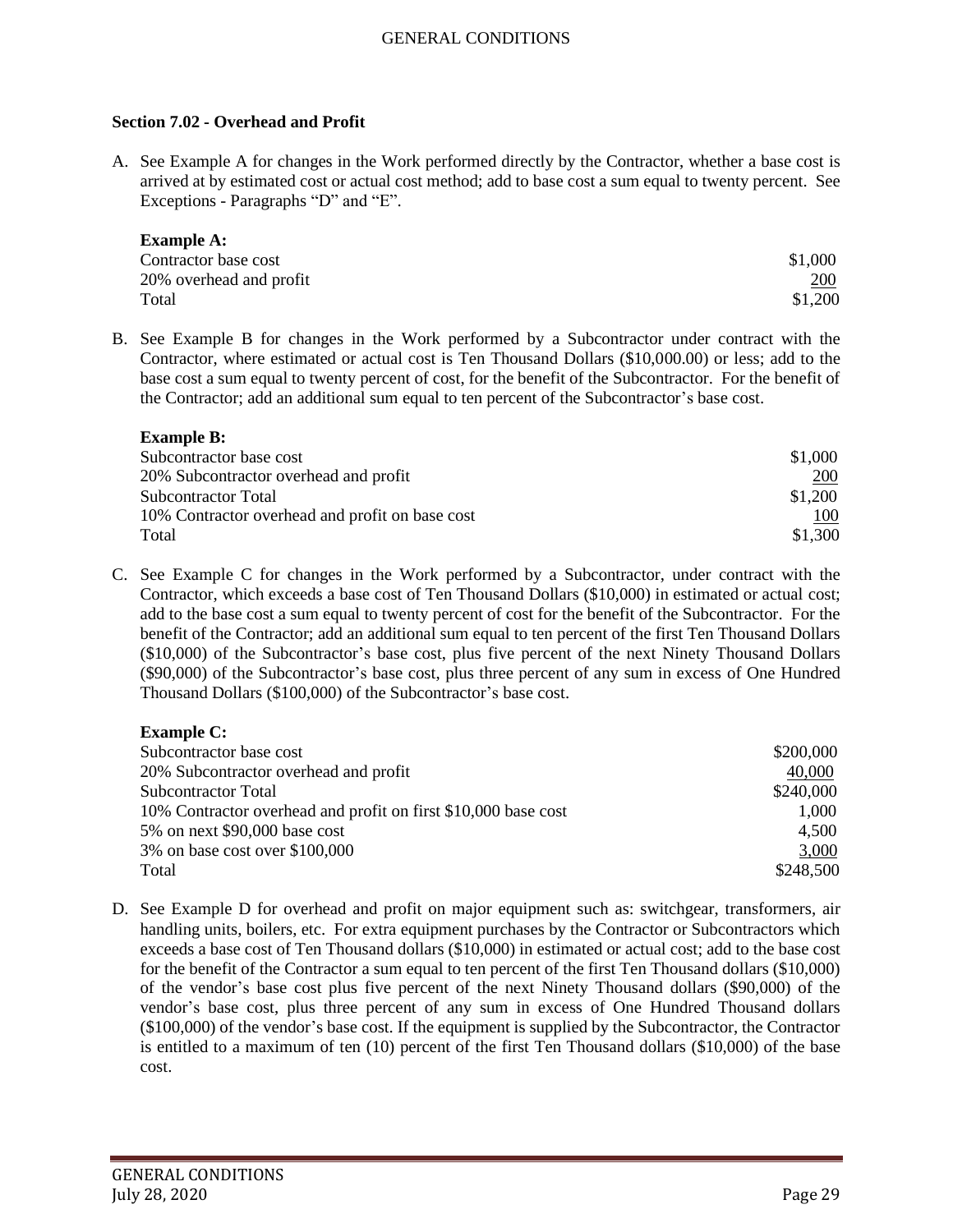#### <span id="page-28-0"></span>**Section 7.02 - Overhead and Profit**

A. See Example A for changes in the Work performed directly by the Contractor, whether a base cost is arrived at by estimated cost or actual cost method; add to base cost a sum equal to twenty percent. See Exceptions - Paragraphs "D" and "E".

| <b>Example A:</b>       |         |
|-------------------------|---------|
| Contractor base cost    | \$1,000 |
| 20% overhead and profit | 200     |
| Total                   | \$1,200 |

B. See Example B for changes in the Work performed by a Subcontractor under contract with the Contractor, where estimated or actual cost is Ten Thousand Dollars (\$10,000.00) or less; add to the base cost a sum equal to twenty percent of cost, for the benefit of the Subcontractor. For the benefit of the Contractor; add an additional sum equal to ten percent of the Subcontractor's base cost.

| <b>Example B:</b>                               |         |
|-------------------------------------------------|---------|
| Subcontractor base cost                         | \$1,000 |
| 20% Subcontractor overhead and profit           | 200     |
| <b>Subcontractor Total</b>                      | \$1,200 |
| 10% Contractor overhead and profit on base cost | 100     |
| Total                                           | \$1,300 |

C. See Example C for changes in the Work performed by a Subcontractor, under contract with the Contractor, which exceeds a base cost of Ten Thousand Dollars (\$10,000) in estimated or actual cost; add to the base cost a sum equal to twenty percent of cost for the benefit of the Subcontractor. For the benefit of the Contractor; add an additional sum equal to ten percent of the first Ten Thousand Dollars (\$10,000) of the Subcontractor's base cost, plus five percent of the next Ninety Thousand Dollars (\$90,000) of the Subcontractor's base cost, plus three percent of any sum in excess of One Hundred Thousand Dollars (\$100,000) of the Subcontractor's base cost.

### **Example C:**

| \$200,000 |
|-----------|
| 40,000    |
| \$240,000 |
| 1,000     |
| 4.500     |
| 3,000     |
| \$248,500 |
|           |

D. See Example D for overhead and profit on major equipment such as: switchgear, transformers, air handling units, boilers, etc. For extra equipment purchases by the Contractor or Subcontractors which exceeds a base cost of Ten Thousand dollars (\$10,000) in estimated or actual cost; add to the base cost for the benefit of the Contractor a sum equal to ten percent of the first Ten Thousand dollars (\$10,000) of the vendor's base cost plus five percent of the next Ninety Thousand dollars (\$90,000) of the vendor's base cost, plus three percent of any sum in excess of One Hundred Thousand dollars (\$100,000) of the vendor's base cost. If the equipment is supplied by the Subcontractor, the Contractor is entitled to a maximum of ten (10) percent of the first Ten Thousand dollars (\$10,000) of the base cost.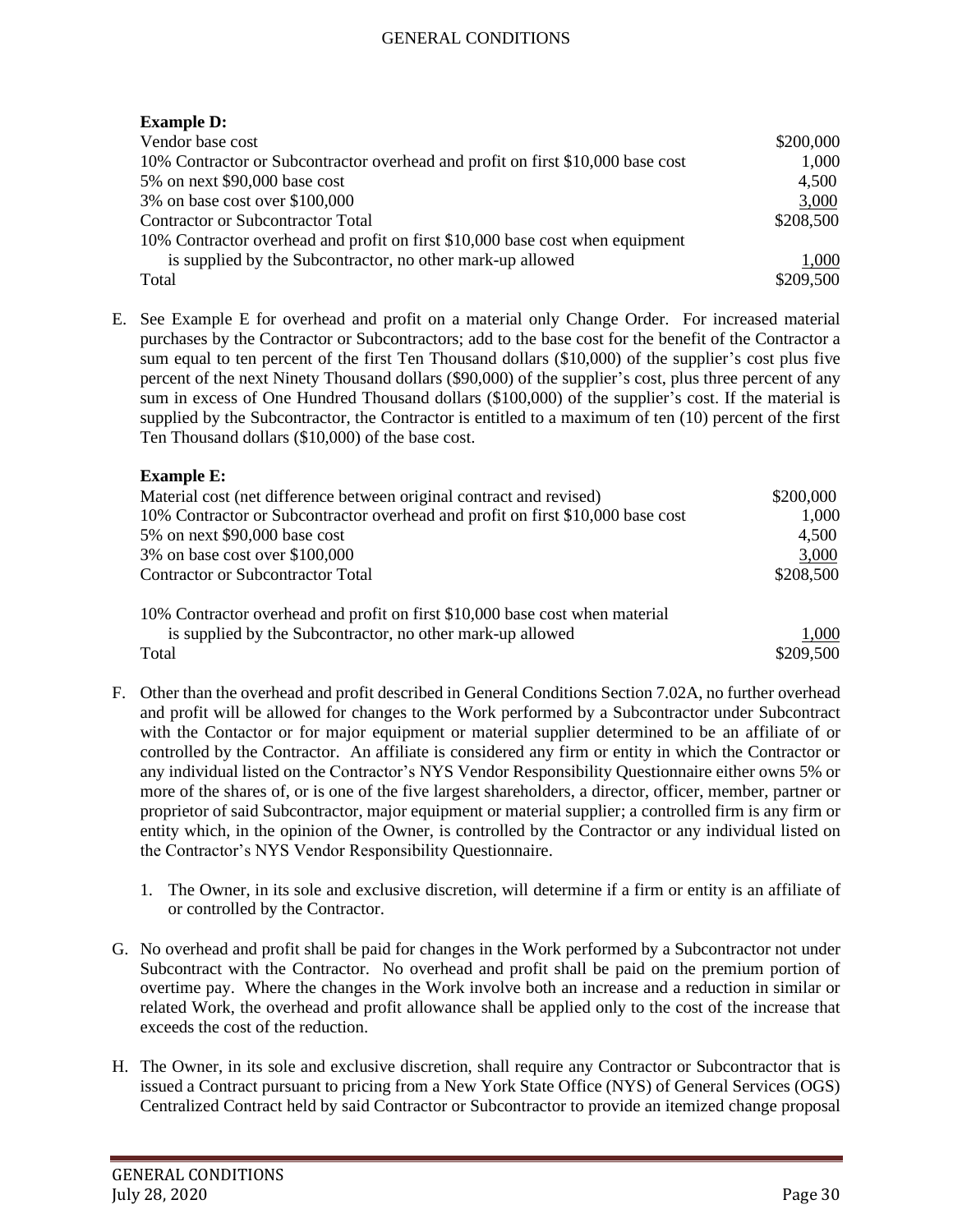# **Example D:**

| Vendor base cost                                                                | \$200,000 |
|---------------------------------------------------------------------------------|-----------|
| 10% Contractor or Subcontractor overhead and profit on first \$10,000 base cost | 1,000     |
| 5% on next \$90,000 base cost                                                   | 4,500     |
| 3% on base cost over \$100,000                                                  | 3,000     |
| <b>Contractor or Subcontractor Total</b>                                        | \$208,500 |
| 10% Contractor overhead and profit on first \$10,000 base cost when equipment   |           |
| is supplied by the Subcontractor, no other mark-up allowed                      | 1,000     |
| Total                                                                           | \$209,500 |

E. See Example E for overhead and profit on a material only Change Order. For increased material purchases by the Contractor or Subcontractors; add to the base cost for the benefit of the Contractor a sum equal to ten percent of the first Ten Thousand dollars (\$10,000) of the supplier's cost plus five percent of the next Ninety Thousand dollars (\$90,000) of the supplier's cost, plus three percent of any sum in excess of One Hundred Thousand dollars (\$100,000) of the supplier's cost. If the material is supplied by the Subcontractor, the Contractor is entitled to a maximum of ten (10) percent of the first Ten Thousand dollars (\$10,000) of the base cost.

### **Example E:**

| Material cost (net difference between original contract and revised)            | \$200,000 |
|---------------------------------------------------------------------------------|-----------|
| 10% Contractor or Subcontractor overhead and profit on first \$10,000 base cost | 1,000     |
| 5% on next \$90,000 base cost                                                   | 4,500     |
| 3% on base cost over \$100,000                                                  | 3,000     |
| Contractor or Subcontractor Total                                               | \$208,500 |
| 10% Contractor overhead and profit on first \$10,000 base cost when material    |           |
| is supplied by the Subcontractor, no other mark-up allowed                      | 1,000     |
| Total                                                                           | \$209,500 |

- F. Other than the overhead and profit described in General Conditions Section 7.02A, no further overhead and profit will be allowed for changes to the Work performed by a Subcontractor under Subcontract with the Contactor or for major equipment or material supplier determined to be an affiliate of or controlled by the Contractor. An affiliate is considered any firm or entity in which the Contractor or any individual listed on the Contractor's NYS Vendor Responsibility Questionnaire either owns 5% or more of the shares of, or is one of the five largest shareholders, a director, officer, member, partner or proprietor of said Subcontractor, major equipment or material supplier; a controlled firm is any firm or entity which, in the opinion of the Owner, is controlled by the Contractor or any individual listed on the Contractor's NYS Vendor Responsibility Questionnaire.
	- 1. The Owner, in its sole and exclusive discretion, will determine if a firm or entity is an affiliate of or controlled by the Contractor.
- G. No overhead and profit shall be paid for changes in the Work performed by a Subcontractor not under Subcontract with the Contractor. No overhead and profit shall be paid on the premium portion of overtime pay. Where the changes in the Work involve both an increase and a reduction in similar or related Work, the overhead and profit allowance shall be applied only to the cost of the increase that exceeds the cost of the reduction.
- H. The Owner, in its sole and exclusive discretion, shall require any Contractor or Subcontractor that is issued a Contract pursuant to pricing from a New York State Office (NYS) of General Services (OGS) Centralized Contract held by said Contractor or Subcontractor to provide an itemized change proposal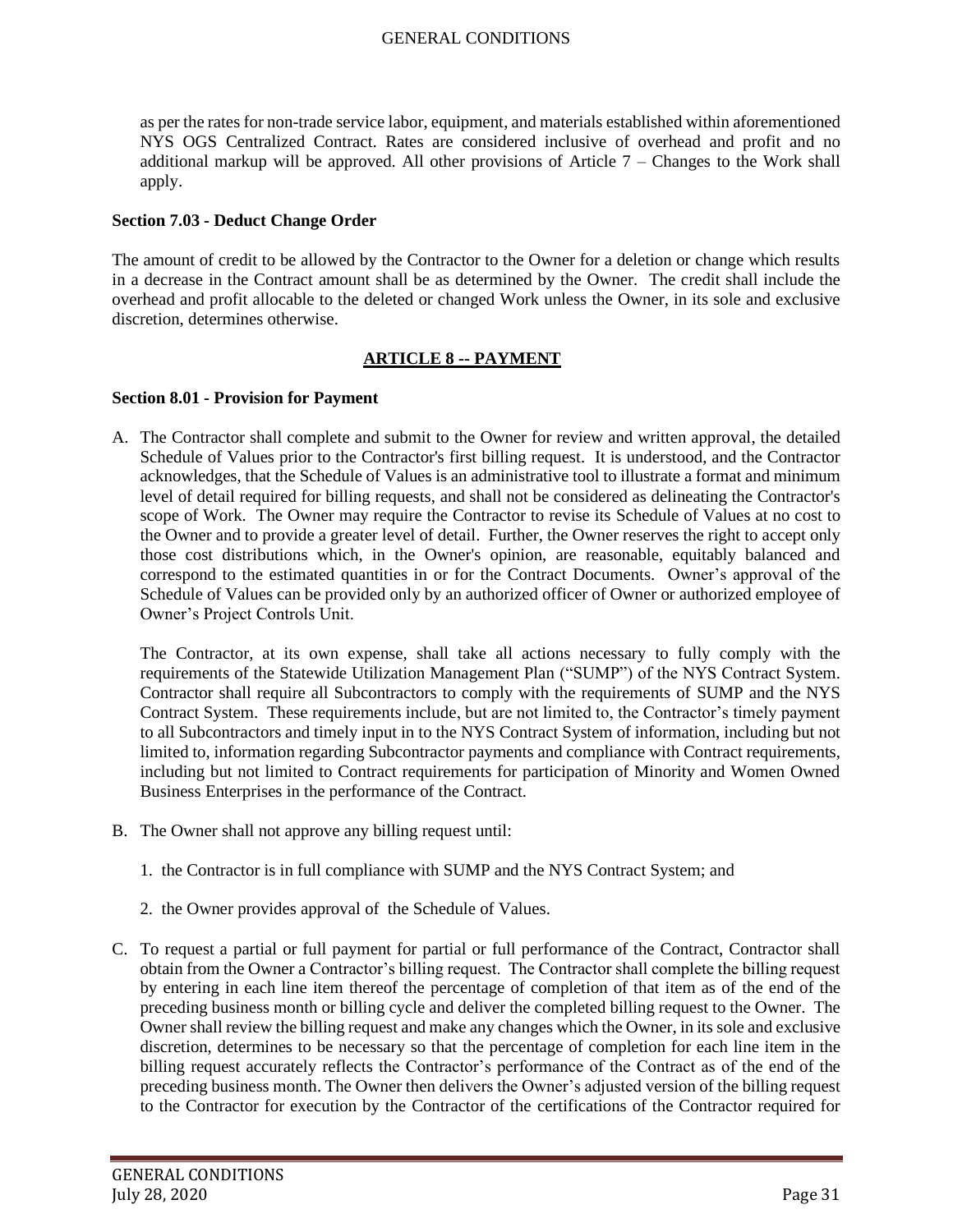as per the rates for non-trade service labor, equipment, and materials established within aforementioned NYS OGS Centralized Contract. Rates are considered inclusive of overhead and profit and no additional markup will be approved. All other provisions of Article  $7 -$ Changes to the Work shall apply.

#### <span id="page-30-0"></span>**Section 7.03 - Deduct Change Order**

The amount of credit to be allowed by the Contractor to the Owner for a deletion or change which results in a decrease in the Contract amount shall be as determined by the Owner. The credit shall include the overhead and profit allocable to the deleted or changed Work unless the Owner, in its sole and exclusive discretion, determines otherwise.

## **ARTICLE 8 -- PAYMENT**

#### <span id="page-30-2"></span><span id="page-30-1"></span>**Section 8.01 - Provision for Payment**

A. The Contractor shall complete and submit to the Owner for review and written approval, the detailed Schedule of Values prior to the Contractor's first billing request. It is understood, and the Contractor acknowledges, that the Schedule of Values is an administrative tool to illustrate a format and minimum level of detail required for billing requests, and shall not be considered as delineating the Contractor's scope of Work. The Owner may require the Contractor to revise its Schedule of Values at no cost to the Owner and to provide a greater level of detail. Further, the Owner reserves the right to accept only those cost distributions which, in the Owner's opinion, are reasonable, equitably balanced and correspond to the estimated quantities in or for the Contract Documents. Owner's approval of the Schedule of Values can be provided only by an authorized officer of Owner or authorized employee of Owner's Project Controls Unit.

The Contractor, at its own expense, shall take all actions necessary to fully comply with the requirements of the Statewide Utilization Management Plan ("SUMP") of the NYS Contract System. Contractor shall require all Subcontractors to comply with the requirements of SUMP and the NYS Contract System. These requirements include, but are not limited to, the Contractor's timely payment to all Subcontractors and timely input in to the NYS Contract System of information, including but not limited to, information regarding Subcontractor payments and compliance with Contract requirements, including but not limited to Contract requirements for participation of Minority and Women Owned Business Enterprises in the performance of the Contract.

- B. The Owner shall not approve any billing request until:
	- 1. the Contractor is in full compliance with SUMP and the NYS Contract System; and
	- 2. the Owner provides approval of the Schedule of Values.
- C. To request a partial or full payment for partial or full performance of the Contract, Contractor shall obtain from the Owner a Contractor's billing request. The Contractor shall complete the billing request by entering in each line item thereof the percentage of completion of that item as of the end of the preceding business month or billing cycle and deliver the completed billing request to the Owner. The Owner shall review the billing request and make any changes which the Owner, in its sole and exclusive discretion, determines to be necessary so that the percentage of completion for each line item in the billing request accurately reflects the Contractor's performance of the Contract as of the end of the preceding business month. The Owner then delivers the Owner's adjusted version of the billing request to the Contractor for execution by the Contractor of the certifications of the Contractor required for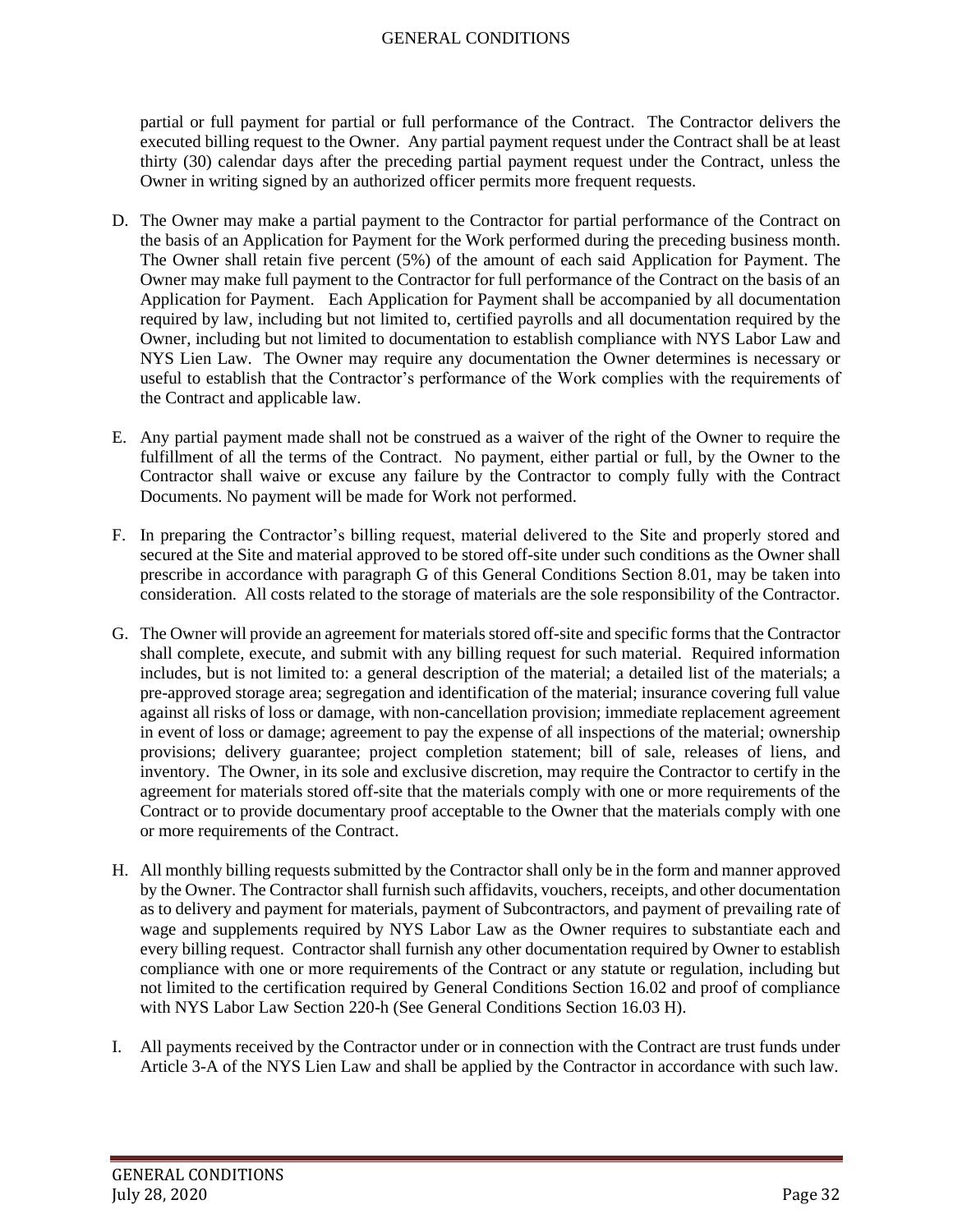partial or full payment for partial or full performance of the Contract. The Contractor delivers the executed billing request to the Owner. Any partial payment request under the Contract shall be at least thirty (30) calendar days after the preceding partial payment request under the Contract, unless the Owner in writing signed by an authorized officer permits more frequent requests.

- D. The Owner may make a partial payment to the Contractor for partial performance of the Contract on the basis of an Application for Payment for the Work performed during the preceding business month. The Owner shall retain five percent (5%) of the amount of each said Application for Payment. The Owner may make full payment to the Contractor for full performance of the Contract on the basis of an Application for Payment. Each Application for Payment shall be accompanied by all documentation required by law, including but not limited to, certified payrolls and all documentation required by the Owner, including but not limited to documentation to establish compliance with NYS Labor Law and NYS Lien Law. The Owner may require any documentation the Owner determines is necessary or useful to establish that the Contractor's performance of the Work complies with the requirements of the Contract and applicable law.
- E. Any partial payment made shall not be construed as a waiver of the right of the Owner to require the fulfillment of all the terms of the Contract. No payment, either partial or full, by the Owner to the Contractor shall waive or excuse any failure by the Contractor to comply fully with the Contract Documents. No payment will be made for Work not performed.
- F. In preparing the Contractor's billing request, material delivered to the Site and properly stored and secured at the Site and material approved to be stored off-site under such conditions as the Owner shall prescribe in accordance with paragraph G of this General Conditions Section 8.01, may be taken into consideration. All costs related to the storage of materials are the sole responsibility of the Contractor.
- G. The Owner will provide an agreement for materials stored off-site and specific forms that the Contractor shall complete, execute, and submit with any billing request for such material. Required information includes, but is not limited to: a general description of the material; a detailed list of the materials; a pre-approved storage area; segregation and identification of the material; insurance covering full value against all risks of loss or damage, with non-cancellation provision; immediate replacement agreement in event of loss or damage; agreement to pay the expense of all inspections of the material; ownership provisions; delivery guarantee; project completion statement; bill of sale, releases of liens, and inventory. The Owner, in its sole and exclusive discretion, may require the Contractor to certify in the agreement for materials stored off-site that the materials comply with one or more requirements of the Contract or to provide documentary proof acceptable to the Owner that the materials comply with one or more requirements of the Contract.
- H. All monthly billing requests submitted by the Contractor shall only be in the form and manner approved by the Owner. The Contractor shall furnish such affidavits, vouchers, receipts, and other documentation as to delivery and payment for materials, payment of Subcontractors, and payment of prevailing rate of wage and supplements required by NYS Labor Law as the Owner requires to substantiate each and every billing request. Contractor shall furnish any other documentation required by Owner to establish compliance with one or more requirements of the Contract or any statute or regulation, including but not limited to the certification required by General Conditions Section 16.02 and proof of compliance with NYS Labor Law Section 220-h (See General Conditions Section 16.03 H).
- I. All payments received by the Contractor under or in connection with the Contract are trust funds under Article 3-A of the NYS Lien Law and shall be applied by the Contractor in accordance with such law.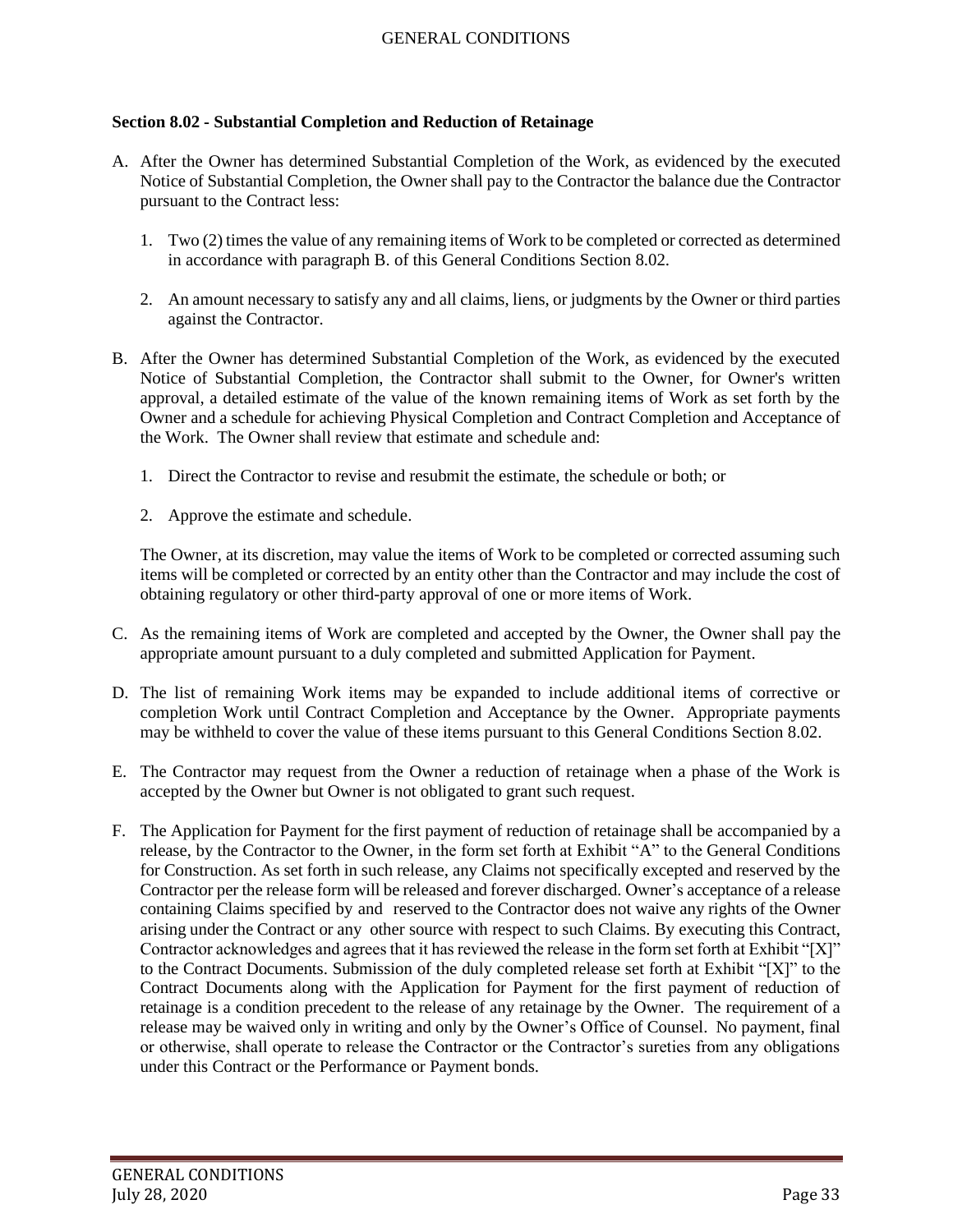#### <span id="page-32-0"></span>**Section 8.02 - Substantial Completion and Reduction of Retainage**

- A. After the Owner has determined Substantial Completion of the Work, as evidenced by the executed Notice of Substantial Completion, the Owner shall pay to the Contractor the balance due the Contractor pursuant to the Contract less:
	- 1. Two (2) times the value of any remaining items of Work to be completed or corrected as determined in accordance with paragraph B. of this General Conditions Section 8.02.
	- 2. An amount necessary to satisfy any and all claims, liens, or judgments by the Owner or third parties against the Contractor.
- B. After the Owner has determined Substantial Completion of the Work, as evidenced by the executed Notice of Substantial Completion, the Contractor shall submit to the Owner, for Owner's written approval, a detailed estimate of the value of the known remaining items of Work as set forth by the Owner and a schedule for achieving Physical Completion and Contract Completion and Acceptance of the Work. The Owner shall review that estimate and schedule and:
	- 1. Direct the Contractor to revise and resubmit the estimate, the schedule or both; or
	- 2. Approve the estimate and schedule.

The Owner, at its discretion, may value the items of Work to be completed or corrected assuming such items will be completed or corrected by an entity other than the Contractor and may include the cost of obtaining regulatory or other third-party approval of one or more items of Work.

- C. As the remaining items of Work are completed and accepted by the Owner, the Owner shall pay the appropriate amount pursuant to a duly completed and submitted Application for Payment.
- D. The list of remaining Work items may be expanded to include additional items of corrective or completion Work until Contract Completion and Acceptance by the Owner. Appropriate payments may be withheld to cover the value of these items pursuant to this General Conditions Section 8.02.
- E. The Contractor may request from the Owner a reduction of retainage when a phase of the Work is accepted by the Owner but Owner is not obligated to grant such request.
- F. The Application for Payment for the first payment of reduction of retainage shall be accompanied by a release, by the Contractor to the Owner, in the form set forth at Exhibit "A" to the General Conditions for Construction. As set forth in such release, any Claims not specifically excepted and reserved by the Contractor per the release form will be released and forever discharged. Owner's acceptance of a release containing Claims specified by and reserved to the Contractor does not waive any rights of the Owner arising under the Contract or any other source with respect to such Claims. By executing this Contract, Contractor acknowledges and agrees that it has reviewed the release in the form set forth at Exhibit "[X]" to the Contract Documents. Submission of the duly completed release set forth at Exhibit "[X]" to the Contract Documents along with the Application for Payment for the first payment of reduction of retainage is a condition precedent to the release of any retainage by the Owner. The requirement of a release may be waived only in writing and only by the Owner's Office of Counsel. No payment, final or otherwise, shall operate to release the Contractor or the Contractor's sureties from any obligations under this Contract or the Performance or Payment bonds.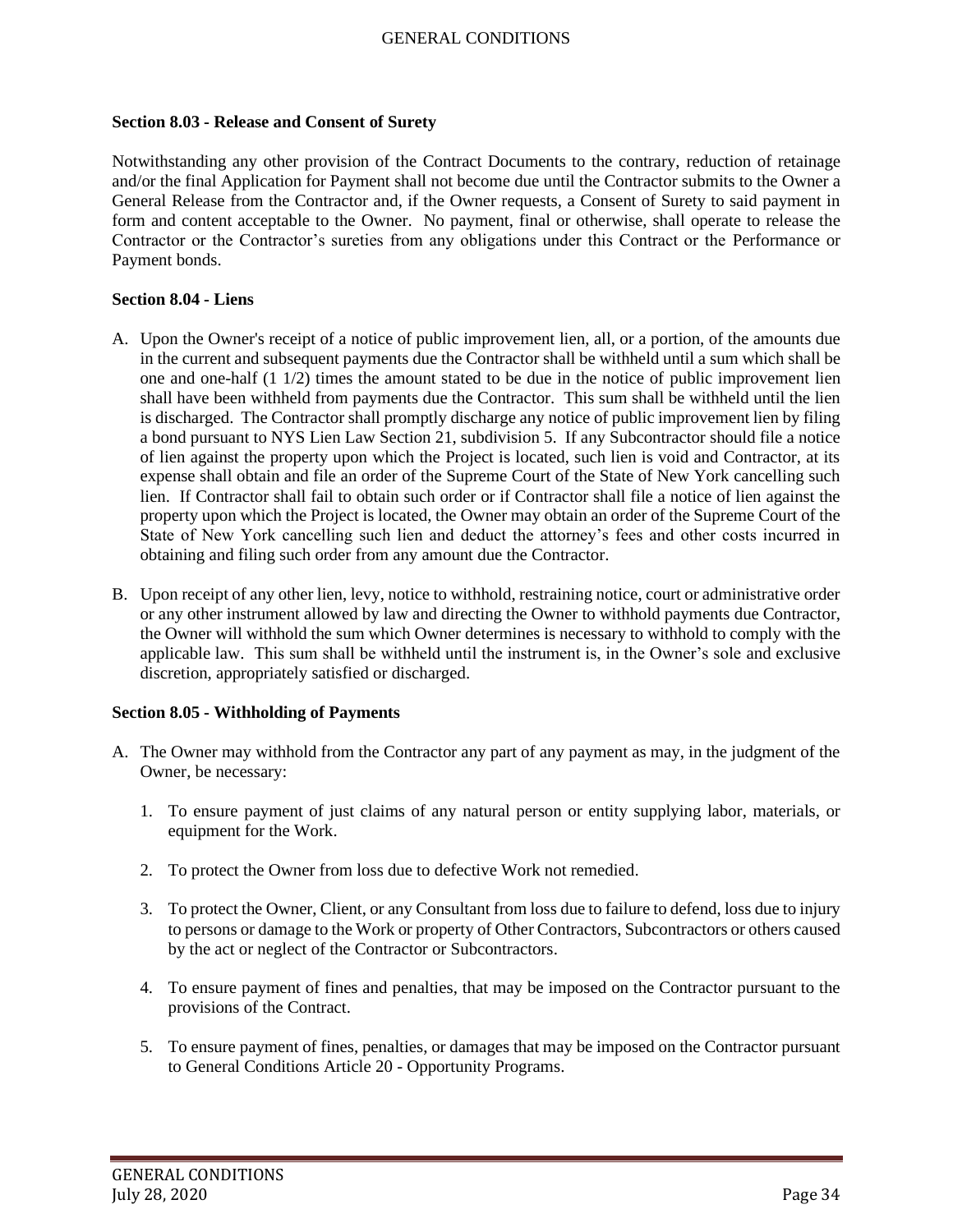#### <span id="page-33-0"></span>**Section 8.03 - Release and Consent of Surety**

Notwithstanding any other provision of the Contract Documents to the contrary, reduction of retainage and/or the final Application for Payment shall not become due until the Contractor submits to the Owner a General Release from the Contractor and, if the Owner requests, a Consent of Surety to said payment in form and content acceptable to the Owner. No payment, final or otherwise, shall operate to release the Contractor or the Contractor's sureties from any obligations under this Contract or the Performance or Payment bonds.

### <span id="page-33-1"></span>**Section 8.04 - Liens**

- A. Upon the Owner's receipt of a notice of public improvement lien, all, or a portion, of the amounts due in the current and subsequent payments due the Contractor shall be withheld until a sum which shall be one and one-half (1 1/2) times the amount stated to be due in the notice of public improvement lien shall have been withheld from payments due the Contractor. This sum shall be withheld until the lien is discharged. The Contractor shall promptly discharge any notice of public improvement lien by filing a bond pursuant to NYS Lien Law Section 21, subdivision 5. If any Subcontractor should file a notice of lien against the property upon which the Project is located, such lien is void and Contractor, at its expense shall obtain and file an order of the Supreme Court of the State of New York cancelling such lien. If Contractor shall fail to obtain such order or if Contractor shall file a notice of lien against the property upon which the Project is located, the Owner may obtain an order of the Supreme Court of the State of New York cancelling such lien and deduct the attorney's fees and other costs incurred in obtaining and filing such order from any amount due the Contractor.
- B. Upon receipt of any other lien, levy, notice to withhold, restraining notice, court or administrative order or any other instrument allowed by law and directing the Owner to withhold payments due Contractor, the Owner will withhold the sum which Owner determines is necessary to withhold to comply with the applicable law. This sum shall be withheld until the instrument is, in the Owner's sole and exclusive discretion, appropriately satisfied or discharged.

#### <span id="page-33-2"></span>**Section 8.05 - Withholding of Payments**

- A. The Owner may withhold from the Contractor any part of any payment as may, in the judgment of the Owner, be necessary:
	- 1. To ensure payment of just claims of any natural person or entity supplying labor, materials, or equipment for the Work.
	- 2. To protect the Owner from loss due to defective Work not remedied.
	- 3. To protect the Owner, Client, or any Consultant from loss due to failure to defend, loss due to injury to persons or damage to the Work or property of Other Contractors, Subcontractors or others caused by the act or neglect of the Contractor or Subcontractors.
	- 4. To ensure payment of fines and penalties, that may be imposed on the Contractor pursuant to the provisions of the Contract.
	- 5. To ensure payment of fines, penalties, or damages that may be imposed on the Contractor pursuant to General Conditions Article 20 - Opportunity Programs.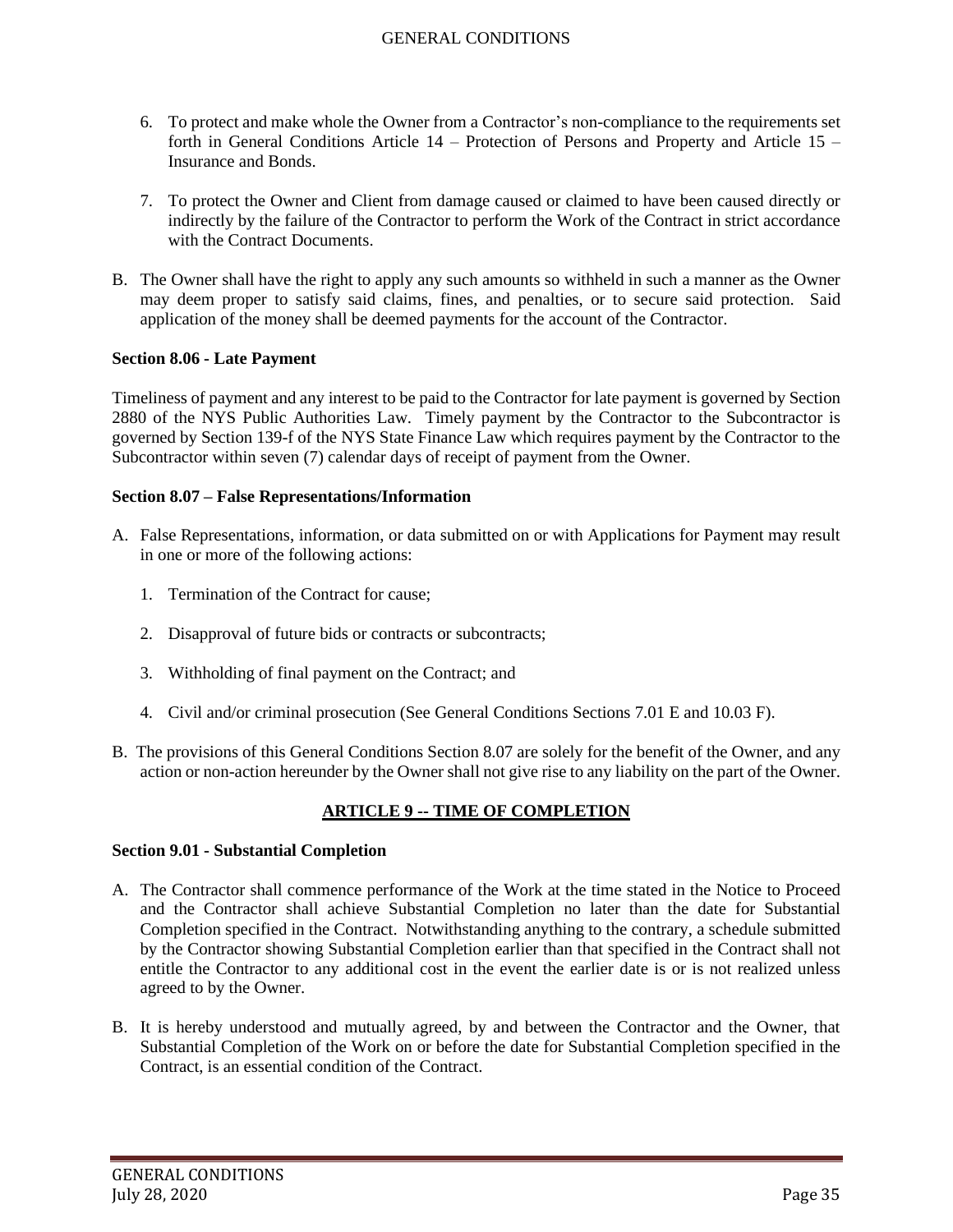- 6. To protect and make whole the Owner from a Contractor's non-compliance to the requirements set forth in General Conditions Article 14 – Protection of Persons and Property and Article 15 – Insurance and Bonds.
- 7. To protect the Owner and Client from damage caused or claimed to have been caused directly or indirectly by the failure of the Contractor to perform the Work of the Contract in strict accordance with the Contract Documents.
- B. The Owner shall have the right to apply any such amounts so withheld in such a manner as the Owner may deem proper to satisfy said claims, fines, and penalties, or to secure said protection. Said application of the money shall be deemed payments for the account of the Contractor.

### <span id="page-34-0"></span>**Section 8.06 - Late Payment**

Timeliness of payment and any interest to be paid to the Contractor for late payment is governed by Section 2880 of the NYS Public Authorities Law. Timely payment by the Contractor to the Subcontractor is governed by Section 139-f of the NYS State Finance Law which requires payment by the Contractor to the Subcontractor within seven (7) calendar days of receipt of payment from the Owner.

### <span id="page-34-1"></span>**Section 8.07 – False Representations/Information**

- A. False Representations, information, or data submitted on or with Applications for Payment may result in one or more of the following actions:
	- 1. Termination of the Contract for cause;
	- 2. Disapproval of future bids or contracts or subcontracts;
	- 3. Withholding of final payment on the Contract; and
	- 4. Civil and/or criminal prosecution (See General Conditions Sections 7.01 E and 10.03 F).
- B. The provisions of this General Conditions Section 8.07 are solely for the benefit of the Owner, and any action or non-action hereunder by the Owner shall not give rise to any liability on the part of the Owner.

### **ARTICLE 9 -- TIME OF COMPLETION**

#### <span id="page-34-3"></span><span id="page-34-2"></span>**Section 9.01 - Substantial Completion**

- A. The Contractor shall commence performance of the Work at the time stated in the Notice to Proceed and the Contractor shall achieve Substantial Completion no later than the date for Substantial Completion specified in the Contract. Notwithstanding anything to the contrary, a schedule submitted by the Contractor showing Substantial Completion earlier than that specified in the Contract shall not entitle the Contractor to any additional cost in the event the earlier date is or is not realized unless agreed to by the Owner.
- B. It is hereby understood and mutually agreed, by and between the Contractor and the Owner, that Substantial Completion of the Work on or before the date for Substantial Completion specified in the Contract, is an essential condition of the Contract.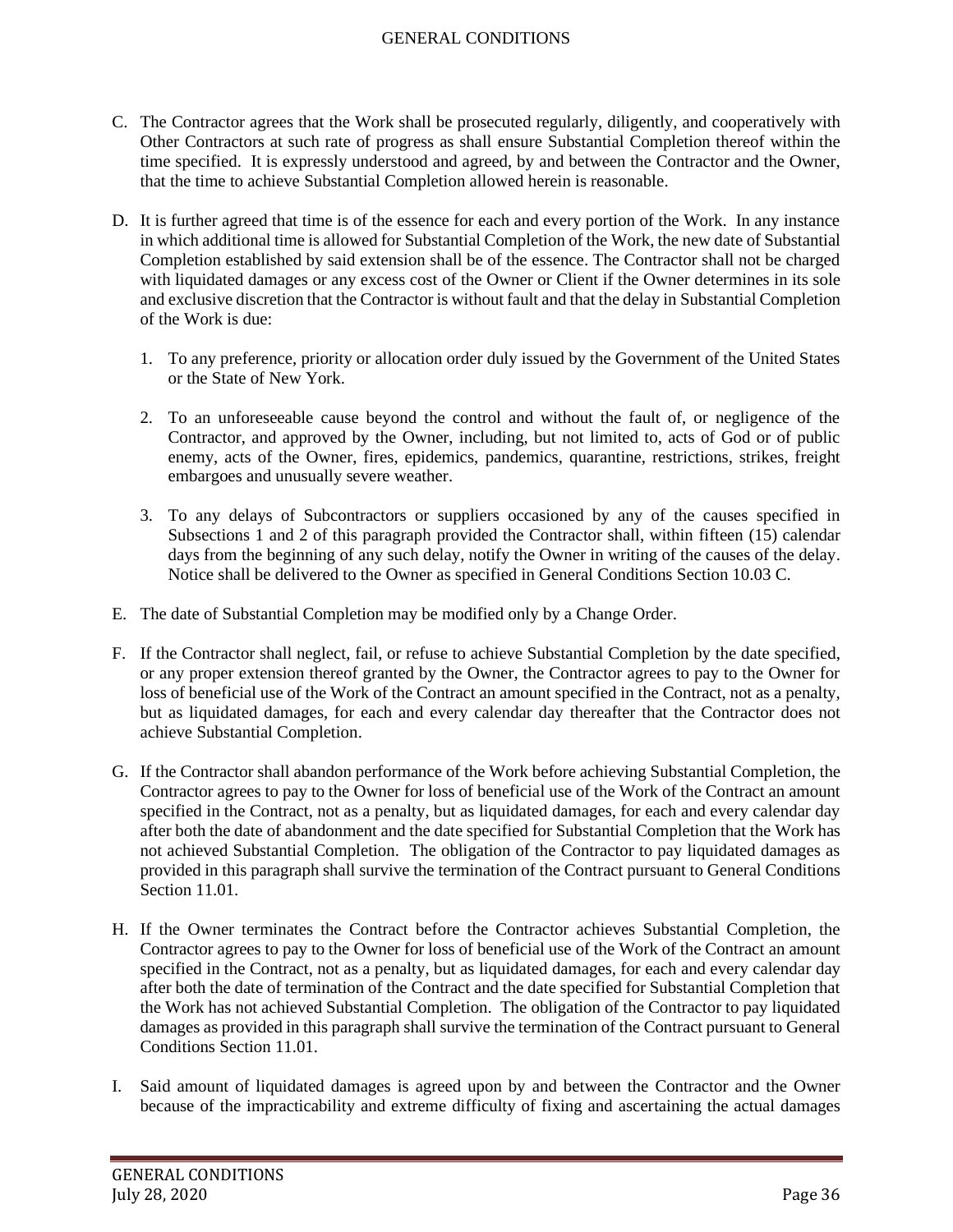- C. The Contractor agrees that the Work shall be prosecuted regularly, diligently, and cooperatively with Other Contractors at such rate of progress as shall ensure Substantial Completion thereof within the time specified. It is expressly understood and agreed, by and between the Contractor and the Owner, that the time to achieve Substantial Completion allowed herein is reasonable.
- D. It is further agreed that time is of the essence for each and every portion of the Work. In any instance in which additional time is allowed for Substantial Completion of the Work, the new date of Substantial Completion established by said extension shall be of the essence. The Contractor shall not be charged with liquidated damages or any excess cost of the Owner or Client if the Owner determines in its sole and exclusive discretion that the Contractor is without fault and that the delay in Substantial Completion of the Work is due:
	- 1. To any preference, priority or allocation order duly issued by the Government of the United States or the State of New York.
	- 2. To an unforeseeable cause beyond the control and without the fault of, or negligence of the Contractor, and approved by the Owner, including, but not limited to, acts of God or of public enemy, acts of the Owner, fires, epidemics, pandemics, quarantine, restrictions, strikes, freight embargoes and unusually severe weather.
	- 3. To any delays of Subcontractors or suppliers occasioned by any of the causes specified in Subsections 1 and 2 of this paragraph provided the Contractor shall, within fifteen (15) calendar days from the beginning of any such delay, notify the Owner in writing of the causes of the delay. Notice shall be delivered to the Owner as specified in General Conditions Section 10.03 C.
- E. The date of Substantial Completion may be modified only by a Change Order.
- F. If the Contractor shall neglect, fail, or refuse to achieve Substantial Completion by the date specified, or any proper extension thereof granted by the Owner, the Contractor agrees to pay to the Owner for loss of beneficial use of the Work of the Contract an amount specified in the Contract, not as a penalty, but as liquidated damages, for each and every calendar day thereafter that the Contractor does not achieve Substantial Completion.
- G. If the Contractor shall abandon performance of the Work before achieving Substantial Completion, the Contractor agrees to pay to the Owner for loss of beneficial use of the Work of the Contract an amount specified in the Contract, not as a penalty, but as liquidated damages, for each and every calendar day after both the date of abandonment and the date specified for Substantial Completion that the Work has not achieved Substantial Completion. The obligation of the Contractor to pay liquidated damages as provided in this paragraph shall survive the termination of the Contract pursuant to General Conditions Section 11.01.
- H. If the Owner terminates the Contract before the Contractor achieves Substantial Completion, the Contractor agrees to pay to the Owner for loss of beneficial use of the Work of the Contract an amount specified in the Contract, not as a penalty, but as liquidated damages, for each and every calendar day after both the date of termination of the Contract and the date specified for Substantial Completion that the Work has not achieved Substantial Completion. The obligation of the Contractor to pay liquidated damages as provided in this paragraph shall survive the termination of the Contract pursuant to General Conditions Section 11.01.
- I. Said amount of liquidated damages is agreed upon by and between the Contractor and the Owner because of the impracticability and extreme difficulty of fixing and ascertaining the actual damages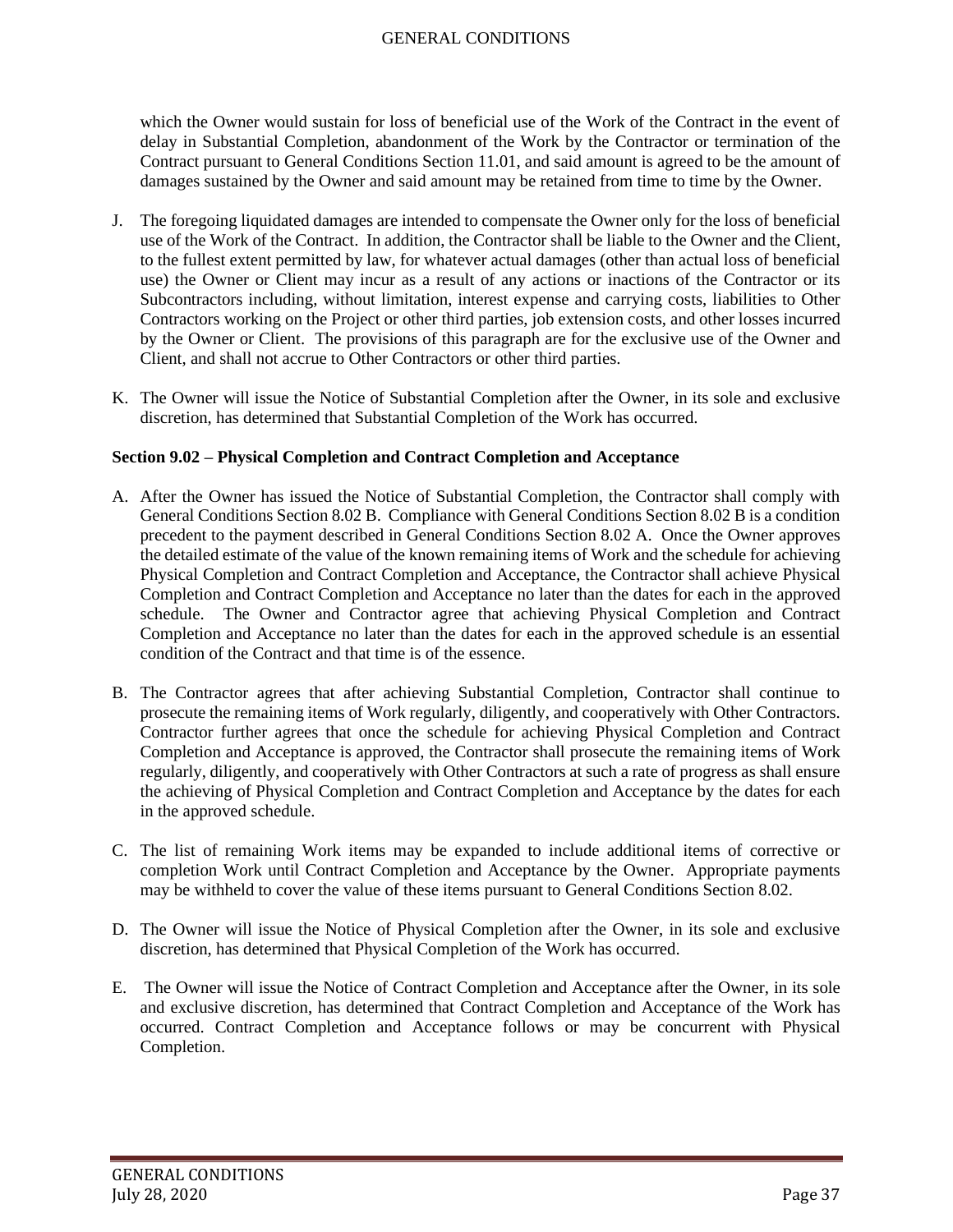which the Owner would sustain for loss of beneficial use of the Work of the Contract in the event of delay in Substantial Completion, abandonment of the Work by the Contractor or termination of the Contract pursuant to General Conditions Section 11.01, and said amount is agreed to be the amount of damages sustained by the Owner and said amount may be retained from time to time by the Owner.

- J. The foregoing liquidated damages are intended to compensate the Owner only for the loss of beneficial use of the Work of the Contract. In addition, the Contractor shall be liable to the Owner and the Client, to the fullest extent permitted by law, for whatever actual damages (other than actual loss of beneficial use) the Owner or Client may incur as a result of any actions or inactions of the Contractor or its Subcontractors including, without limitation, interest expense and carrying costs, liabilities to Other Contractors working on the Project or other third parties, job extension costs, and other losses incurred by the Owner or Client. The provisions of this paragraph are for the exclusive use of the Owner and Client, and shall not accrue to Other Contractors or other third parties.
- K. The Owner will issue the Notice of Substantial Completion after the Owner, in its sole and exclusive discretion, has determined that Substantial Completion of the Work has occurred.

## **Section 9.02 – Physical Completion and Contract Completion and Acceptance**

- A. After the Owner has issued the Notice of Substantial Completion, the Contractor shall comply with General Conditions Section 8.02 B. Compliance with General Conditions Section 8.02 B is a condition precedent to the payment described in General Conditions Section 8.02 A. Once the Owner approves the detailed estimate of the value of the known remaining items of Work and the schedule for achieving Physical Completion and Contract Completion and Acceptance, the Contractor shall achieve Physical Completion and Contract Completion and Acceptance no later than the dates for each in the approved schedule. The Owner and Contractor agree that achieving Physical Completion and Contract Completion and Acceptance no later than the dates for each in the approved schedule is an essential condition of the Contract and that time is of the essence.
- B. The Contractor agrees that after achieving Substantial Completion, Contractor shall continue to prosecute the remaining items of Work regularly, diligently, and cooperatively with Other Contractors. Contractor further agrees that once the schedule for achieving Physical Completion and Contract Completion and Acceptance is approved, the Contractor shall prosecute the remaining items of Work regularly, diligently, and cooperatively with Other Contractors at such a rate of progress as shall ensure the achieving of Physical Completion and Contract Completion and Acceptance by the dates for each in the approved schedule.
- C. The list of remaining Work items may be expanded to include additional items of corrective or completion Work until Contract Completion and Acceptance by the Owner. Appropriate payments may be withheld to cover the value of these items pursuant to General Conditions Section 8.02.
- D. The Owner will issue the Notice of Physical Completion after the Owner, in its sole and exclusive discretion, has determined that Physical Completion of the Work has occurred.
- E. The Owner will issue the Notice of Contract Completion and Acceptance after the Owner, in its sole and exclusive discretion, has determined that Contract Completion and Acceptance of the Work has occurred. Contract Completion and Acceptance follows or may be concurrent with Physical Completion.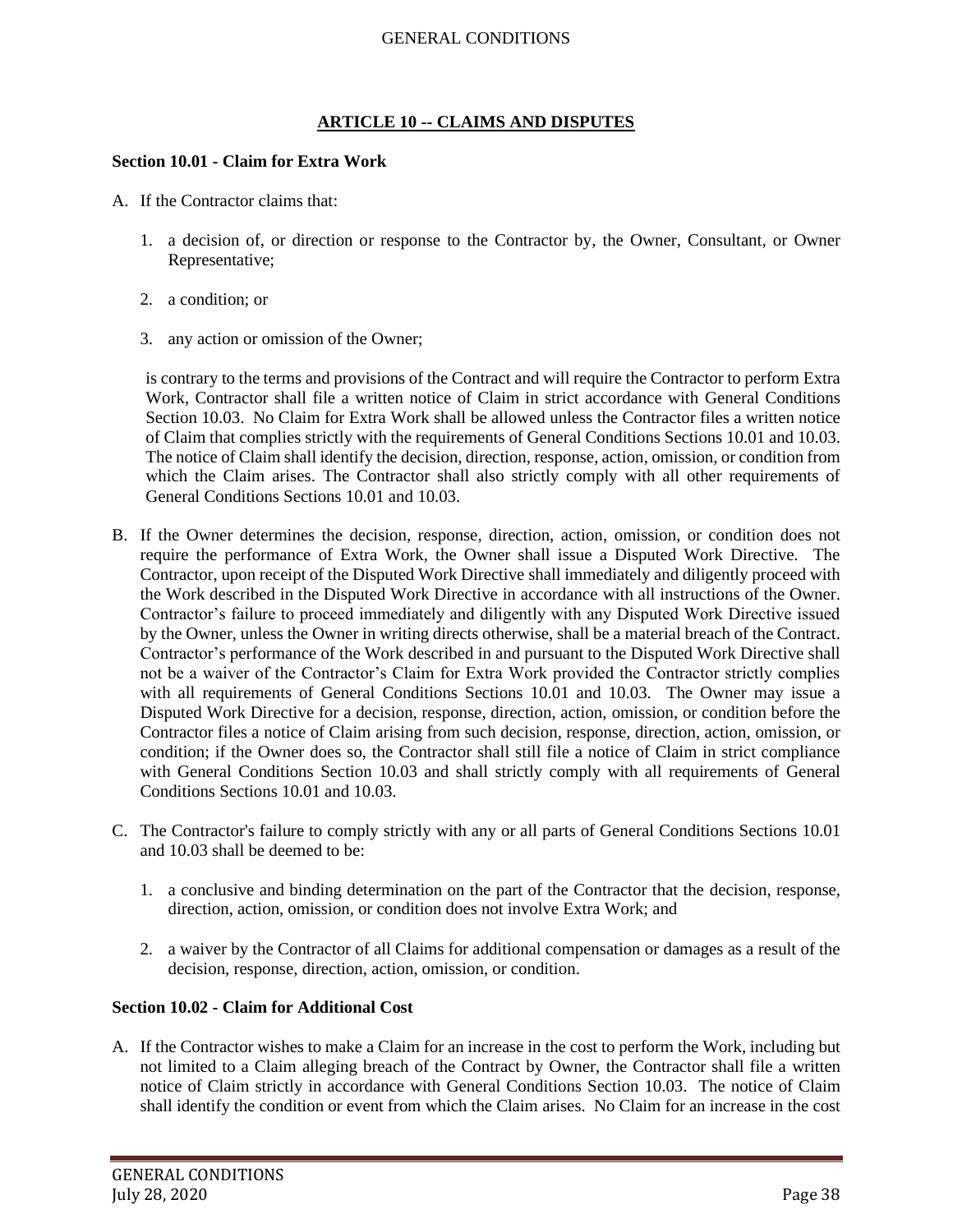# **ARTICLE 10 -- CLAIMS AND DISPUTES**

### **Section 10.01 - Claim for Extra Work**

- A. If the Contractor claims that:
	- 1. a decision of, or direction or response to the Contractor by, the Owner, Consultant, or Owner Representative;
	- 2. a condition; or
	- 3. any action or omission of the Owner;

is contrary to the terms and provisions of the Contract and will require the Contractor to perform Extra Work, Contractor shall file a written notice of Claim in strict accordance with General Conditions Section 10.03. No Claim for Extra Work shall be allowed unless the Contractor files a written notice of Claim that complies strictly with the requirements of General Conditions Sections 10.01 and 10.03. The notice of Claim shall identify the decision, direction, response, action, omission, or condition from which the Claim arises. The Contractor shall also strictly comply with all other requirements of General Conditions Sections 10.01 and 10.03.

- B. If the Owner determines the decision, response, direction, action, omission, or condition does not require the performance of Extra Work, the Owner shall issue a Disputed Work Directive. The Contractor, upon receipt of the Disputed Work Directive shall immediately and diligently proceed with the Work described in the Disputed Work Directive in accordance with all instructions of the Owner. Contractor's failure to proceed immediately and diligently with any Disputed Work Directive issued by the Owner, unless the Owner in writing directs otherwise, shall be a material breach of the Contract. Contractor's performance of the Work described in and pursuant to the Disputed Work Directive shall not be a waiver of the Contractor's Claim for Extra Work provided the Contractor strictly complies with all requirements of General Conditions Sections 10.01 and 10.03. The Owner may issue a Disputed Work Directive for a decision, response, direction, action, omission, or condition before the Contractor files a notice of Claim arising from such decision, response, direction, action, omission, or condition; if the Owner does so, the Contractor shall still file a notice of Claim in strict compliance with General Conditions Section 10.03 and shall strictly comply with all requirements of General Conditions Sections 10.01 and 10.03.
- C. The Contractor's failure to comply strictly with any or all parts of General Conditions Sections 10.01 and 10.03 shall be deemed to be:
	- 1. a conclusive and binding determination on the part of the Contractor that the decision, response, direction, action, omission, or condition does not involve Extra Work; and
	- 2. a waiver by the Contractor of all Claims for additional compensation or damages as a result of the decision, response, direction, action, omission, or condition.

### **Section 10.02 - Claim for Additional Cost**

A. If the Contractor wishes to make a Claim for an increase in the cost to perform the Work, including but not limited to a Claim alleging breach of the Contract by Owner, the Contractor shall file a written notice of Claim strictly in accordance with General Conditions Section 10.03. The notice of Claim shall identify the condition or event from which the Claim arises. No Claim for an increase in the cost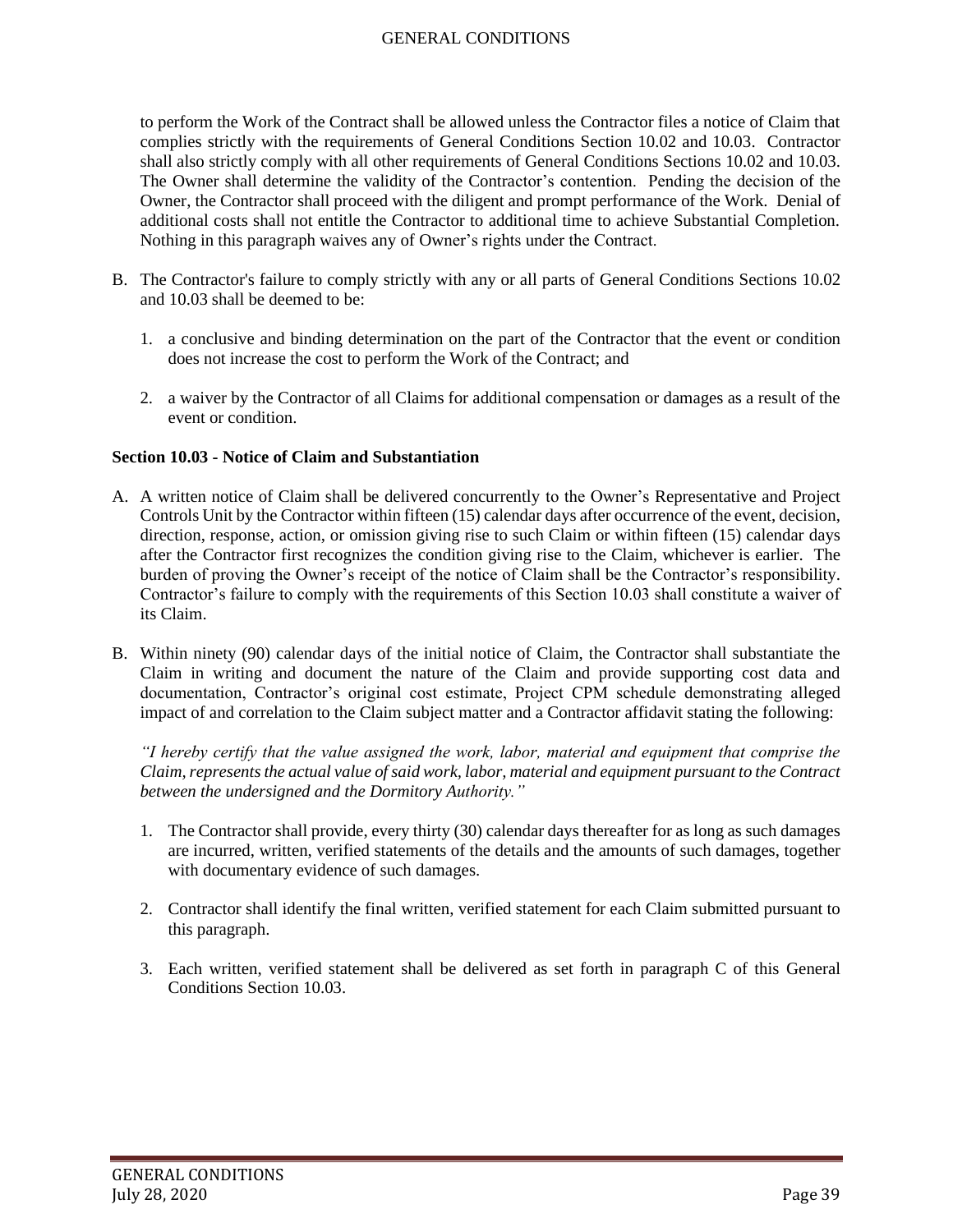to perform the Work of the Contract shall be allowed unless the Contractor files a notice of Claim that complies strictly with the requirements of General Conditions Section 10.02 and 10.03. Contractor shall also strictly comply with all other requirements of General Conditions Sections 10.02 and 10.03. The Owner shall determine the validity of the Contractor's contention. Pending the decision of the Owner, the Contractor shall proceed with the diligent and prompt performance of the Work. Denial of additional costs shall not entitle the Contractor to additional time to achieve Substantial Completion. Nothing in this paragraph waives any of Owner's rights under the Contract.

- B. The Contractor's failure to comply strictly with any or all parts of General Conditions Sections 10.02 and 10.03 shall be deemed to be:
	- 1. a conclusive and binding determination on the part of the Contractor that the event or condition does not increase the cost to perform the Work of the Contract; and
	- 2. a waiver by the Contractor of all Claims for additional compensation or damages as a result of the event or condition.

### **Section 10.03 - Notice of Claim and Substantiation**

- A. A written notice of Claim shall be delivered concurrently to the Owner's Representative and Project Controls Unit by the Contractor within fifteen (15) calendar days after occurrence of the event, decision, direction, response, action, or omission giving rise to such Claim or within fifteen (15) calendar days after the Contractor first recognizes the condition giving rise to the Claim, whichever is earlier. The burden of proving the Owner's receipt of the notice of Claim shall be the Contractor's responsibility. Contractor's failure to comply with the requirements of this Section 10.03 shall constitute a waiver of its Claim.
- B. Within ninety (90) calendar days of the initial notice of Claim, the Contractor shall substantiate the Claim in writing and document the nature of the Claim and provide supporting cost data and documentation, Contractor's original cost estimate, Project CPM schedule demonstrating alleged impact of and correlation to the Claim subject matter and a Contractor affidavit stating the following:

*"I hereby certify that the value assigned the work, labor, material and equipment that comprise the Claim, represents the actual value of said work, labor, material and equipment pursuant to the Contract between the undersigned and the Dormitory Authority."*

- 1. The Contractor shall provide, every thirty (30) calendar days thereafter for as long as such damages are incurred, written, verified statements of the details and the amounts of such damages, together with documentary evidence of such damages.
- 2. Contractor shall identify the final written, verified statement for each Claim submitted pursuant to this paragraph.
- 3. Each written, verified statement shall be delivered as set forth in paragraph C of this General Conditions Section 10.03.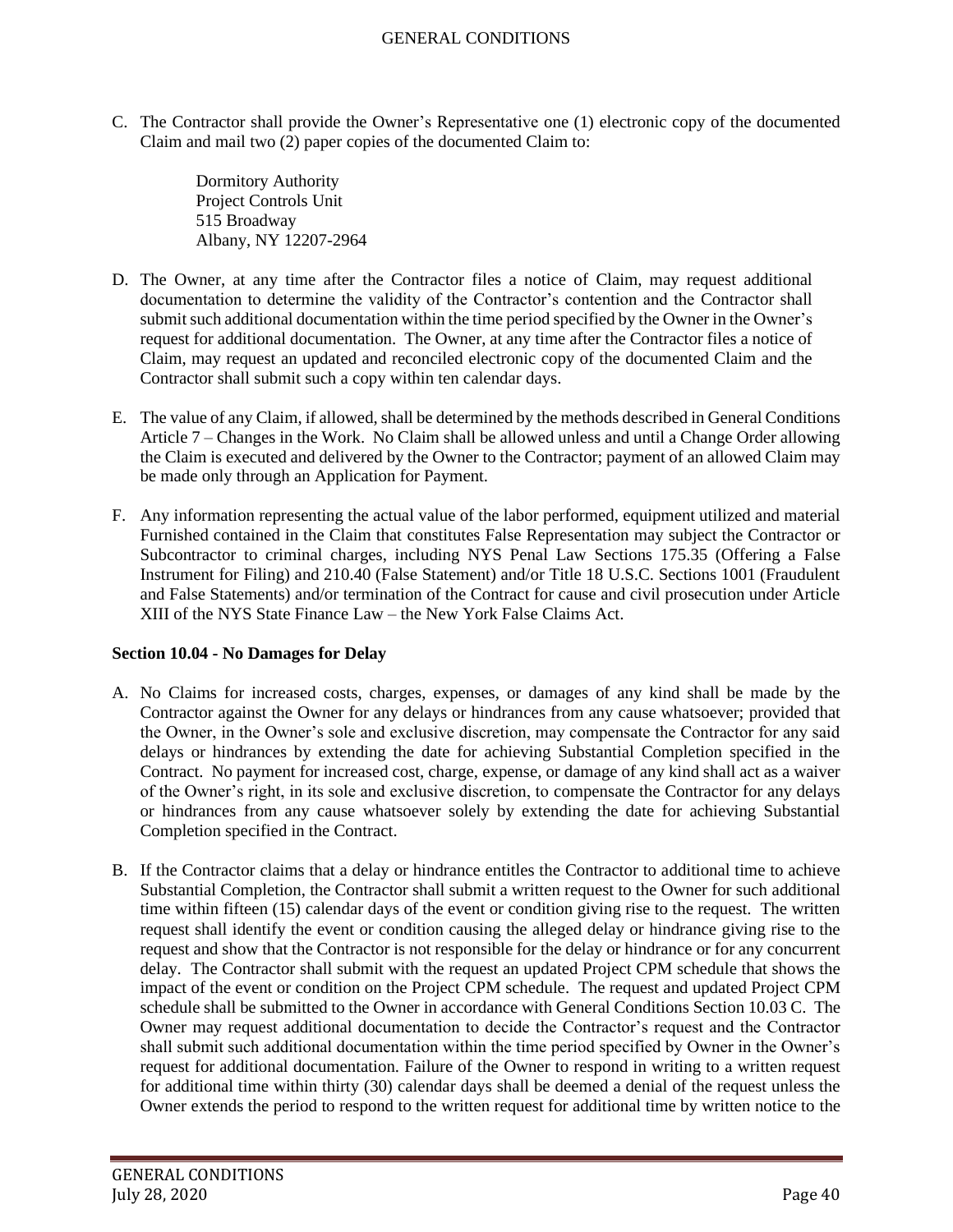C. The Contractor shall provide the Owner's Representative one (1) electronic copy of the documented Claim and mail two (2) paper copies of the documented Claim to:

> Dormitory Authority Project Controls Unit 515 Broadway Albany, NY 12207-2964

- D. The Owner, at any time after the Contractor files a notice of Claim, may request additional documentation to determine the validity of the Contractor's contention and the Contractor shall submit such additional documentation within the time period specified by the Owner in the Owner's request for additional documentation. The Owner, at any time after the Contractor files a notice of Claim, may request an updated and reconciled electronic copy of the documented Claim and the Contractor shall submit such a copy within ten calendar days.
- E. The value of any Claim, if allowed, shall be determined by the methods described in General Conditions Article 7 – Changes in the Work. No Claim shall be allowed unless and until a Change Order allowing the Claim is executed and delivered by the Owner to the Contractor; payment of an allowed Claim may be made only through an Application for Payment.
- F. Any information representing the actual value of the labor performed, equipment utilized and material Furnished contained in the Claim that constitutes False Representation may subject the Contractor or Subcontractor to criminal charges, including NYS Penal Law Sections 175.35 (Offering a False Instrument for Filing) and 210.40 (False Statement) and/or Title 18 U.S.C. Sections 1001 (Fraudulent and False Statements) and/or termination of the Contract for cause and civil prosecution under Article XIII of the NYS State Finance Law – the New York False Claims Act.

### **Section 10.04 - No Damages for Delay**

- A. No Claims for increased costs, charges, expenses, or damages of any kind shall be made by the Contractor against the Owner for any delays or hindrances from any cause whatsoever; provided that the Owner, in the Owner's sole and exclusive discretion, may compensate the Contractor for any said delays or hindrances by extending the date for achieving Substantial Completion specified in the Contract. No payment for increased cost, charge, expense, or damage of any kind shall act as a waiver of the Owner's right, in its sole and exclusive discretion, to compensate the Contractor for any delays or hindrances from any cause whatsoever solely by extending the date for achieving Substantial Completion specified in the Contract.
- B. If the Contractor claims that a delay or hindrance entitles the Contractor to additional time to achieve Substantial Completion, the Contractor shall submit a written request to the Owner for such additional time within fifteen (15) calendar days of the event or condition giving rise to the request. The written request shall identify the event or condition causing the alleged delay or hindrance giving rise to the request and show that the Contractor is not responsible for the delay or hindrance or for any concurrent delay. The Contractor shall submit with the request an updated Project CPM schedule that shows the impact of the event or condition on the Project CPM schedule. The request and updated Project CPM schedule shall be submitted to the Owner in accordance with General Conditions Section 10.03 C. The Owner may request additional documentation to decide the Contractor's request and the Contractor shall submit such additional documentation within the time period specified by Owner in the Owner's request for additional documentation. Failure of the Owner to respond in writing to a written request for additional time within thirty (30) calendar days shall be deemed a denial of the request unless the Owner extends the period to respond to the written request for additional time by written notice to the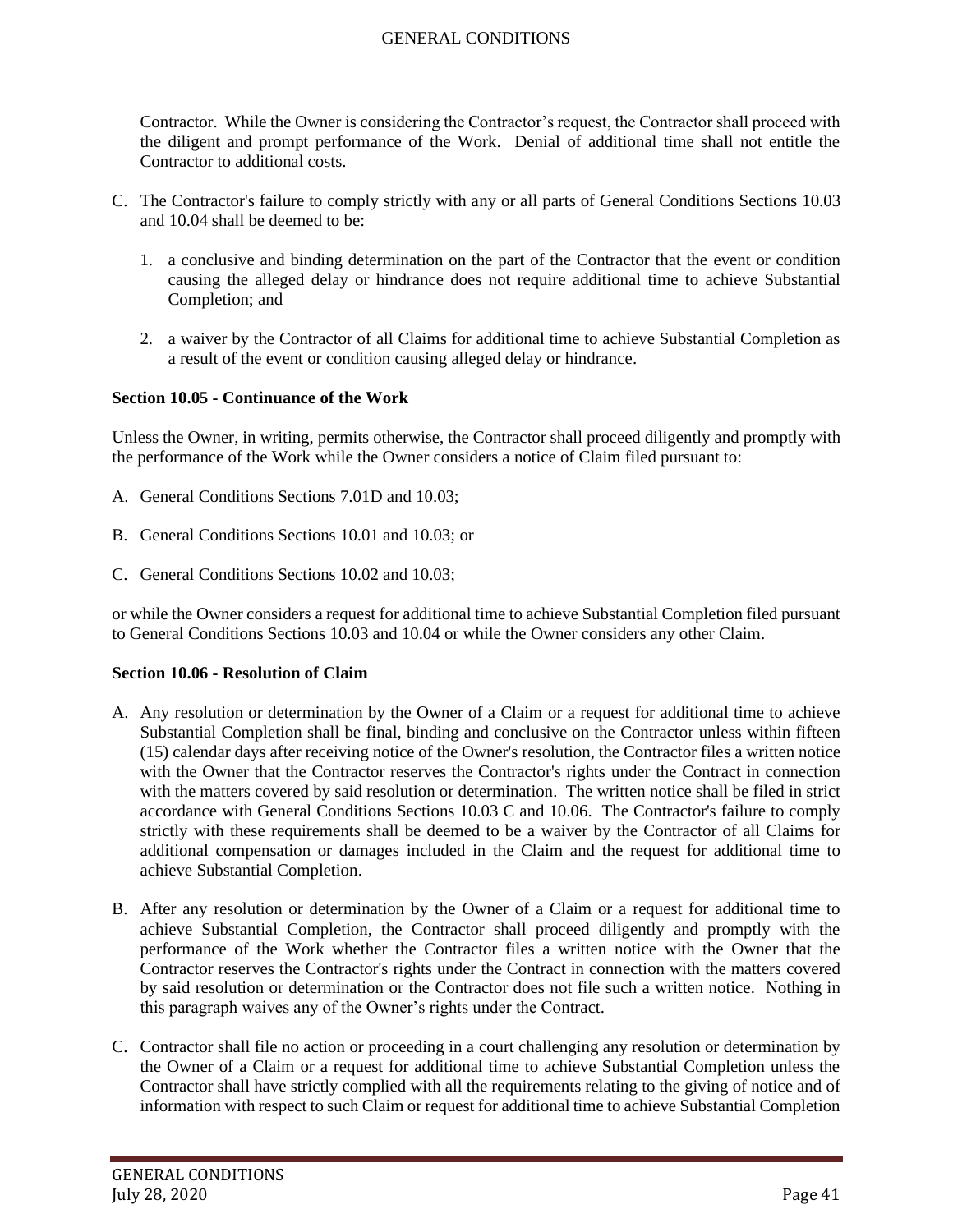Contractor. While the Owner is considering the Contractor's request, the Contractor shall proceed with the diligent and prompt performance of the Work. Denial of additional time shall not entitle the Contractor to additional costs.

- C. The Contractor's failure to comply strictly with any or all parts of General Conditions Sections 10.03 and 10.04 shall be deemed to be:
	- 1. a conclusive and binding determination on the part of the Contractor that the event or condition causing the alleged delay or hindrance does not require additional time to achieve Substantial Completion; and
	- 2. a waiver by the Contractor of all Claims for additional time to achieve Substantial Completion as a result of the event or condition causing alleged delay or hindrance.

### **Section 10.05 - Continuance of the Work**

Unless the Owner, in writing, permits otherwise, the Contractor shall proceed diligently and promptly with the performance of the Work while the Owner considers a notice of Claim filed pursuant to:

- A. General Conditions Sections 7.01D and 10.03;
- B. General Conditions Sections 10.01 and 10.03; or
- C. General Conditions Sections 10.02 and 10.03;

or while the Owner considers a request for additional time to achieve Substantial Completion filed pursuant to General Conditions Sections 10.03 and 10.04 or while the Owner considers any other Claim.

### **Section 10.06 - Resolution of Claim**

- A. Any resolution or determination by the Owner of a Claim or a request for additional time to achieve Substantial Completion shall be final, binding and conclusive on the Contractor unless within fifteen (15) calendar days after receiving notice of the Owner's resolution, the Contractor files a written notice with the Owner that the Contractor reserves the Contractor's rights under the Contract in connection with the matters covered by said resolution or determination. The written notice shall be filed in strict accordance with General Conditions Sections 10.03 C and 10.06. The Contractor's failure to comply strictly with these requirements shall be deemed to be a waiver by the Contractor of all Claims for additional compensation or damages included in the Claim and the request for additional time to achieve Substantial Completion.
- B. After any resolution or determination by the Owner of a Claim or a request for additional time to achieve Substantial Completion, the Contractor shall proceed diligently and promptly with the performance of the Work whether the Contractor files a written notice with the Owner that the Contractor reserves the Contractor's rights under the Contract in connection with the matters covered by said resolution or determination or the Contractor does not file such a written notice. Nothing in this paragraph waives any of the Owner's rights under the Contract.
- C. Contractor shall file no action or proceeding in a court challenging any resolution or determination by the Owner of a Claim or a request for additional time to achieve Substantial Completion unless the Contractor shall have strictly complied with all the requirements relating to the giving of notice and of information with respect to such Claim or request for additional time to achieve Substantial Completion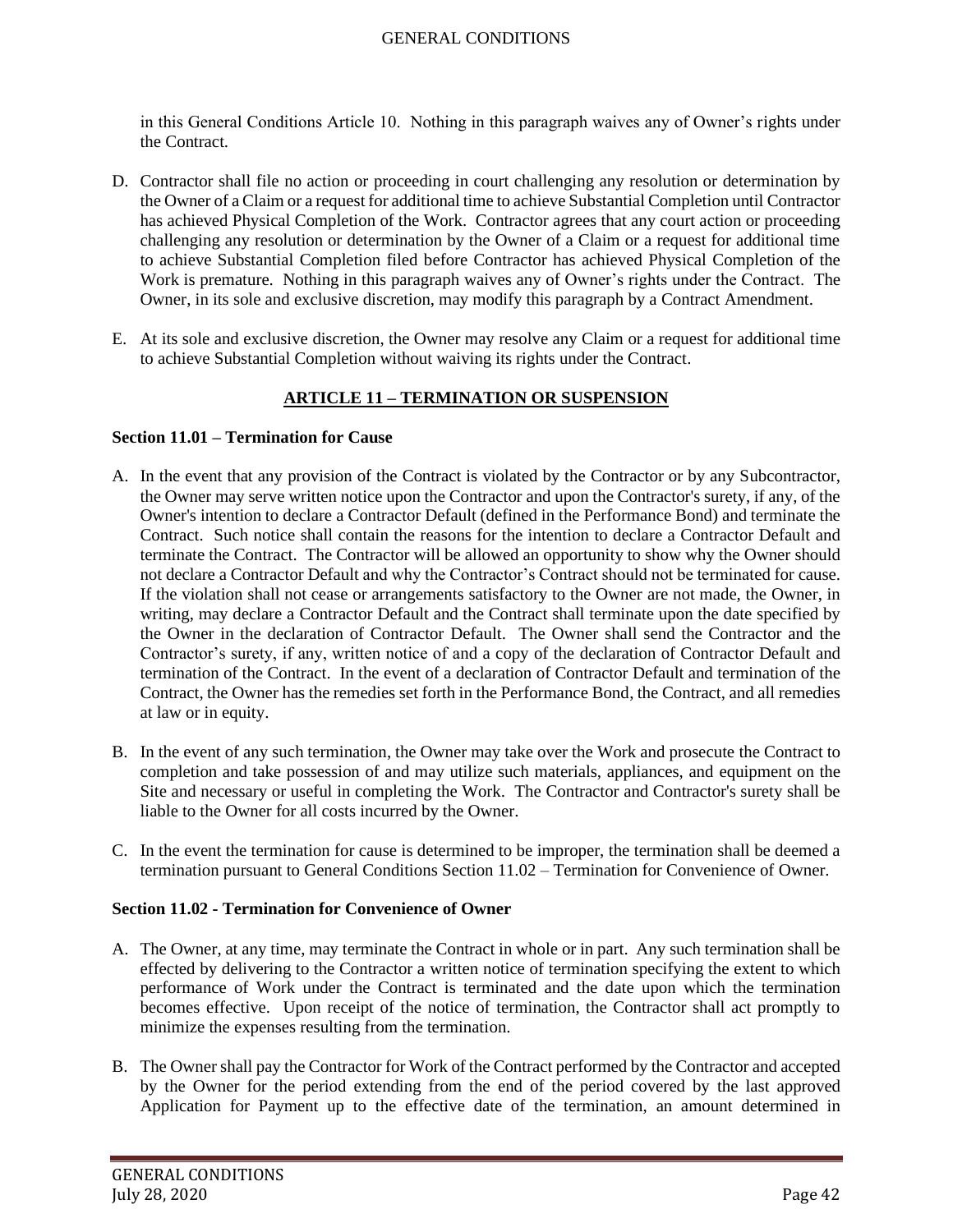in this General Conditions Article 10. Nothing in this paragraph waives any of Owner's rights under the Contract.

- D. Contractor shall file no action or proceeding in court challenging any resolution or determination by the Owner of a Claim or a request for additional time to achieve Substantial Completion until Contractor has achieved Physical Completion of the Work. Contractor agrees that any court action or proceeding challenging any resolution or determination by the Owner of a Claim or a request for additional time to achieve Substantial Completion filed before Contractor has achieved Physical Completion of the Work is premature. Nothing in this paragraph waives any of Owner's rights under the Contract. The Owner, in its sole and exclusive discretion, may modify this paragraph by a Contract Amendment.
- E. At its sole and exclusive discretion, the Owner may resolve any Claim or a request for additional time to achieve Substantial Completion without waiving its rights under the Contract.

# **ARTICLE 11 – TERMINATION OR SUSPENSION**

### **Section 11.01 – Termination for Cause**

- A. In the event that any provision of the Contract is violated by the Contractor or by any Subcontractor, the Owner may serve written notice upon the Contractor and upon the Contractor's surety, if any, of the Owner's intention to declare a Contractor Default (defined in the Performance Bond) and terminate the Contract. Such notice shall contain the reasons for the intention to declare a Contractor Default and terminate the Contract. The Contractor will be allowed an opportunity to show why the Owner should not declare a Contractor Default and why the Contractor's Contract should not be terminated for cause. If the violation shall not cease or arrangements satisfactory to the Owner are not made, the Owner, in writing, may declare a Contractor Default and the Contract shall terminate upon the date specified by the Owner in the declaration of Contractor Default. The Owner shall send the Contractor and the Contractor's surety, if any, written notice of and a copy of the declaration of Contractor Default and termination of the Contract. In the event of a declaration of Contractor Default and termination of the Contract, the Owner has the remedies set forth in the Performance Bond, the Contract, and all remedies at law or in equity.
- B. In the event of any such termination, the Owner may take over the Work and prosecute the Contract to completion and take possession of and may utilize such materials, appliances, and equipment on the Site and necessary or useful in completing the Work. The Contractor and Contractor's surety shall be liable to the Owner for all costs incurred by the Owner.
- C. In the event the termination for cause is determined to be improper, the termination shall be deemed a termination pursuant to General Conditions Section 11.02 – Termination for Convenience of Owner.

## **Section 11.02 - Termination for Convenience of Owner**

- A. The Owner, at any time, may terminate the Contract in whole or in part. Any such termination shall be effected by delivering to the Contractor a written notice of termination specifying the extent to which performance of Work under the Contract is terminated and the date upon which the termination becomes effective. Upon receipt of the notice of termination, the Contractor shall act promptly to minimize the expenses resulting from the termination.
- B. The Owner shall pay the Contractor for Work of the Contract performed by the Contractor and accepted by the Owner for the period extending from the end of the period covered by the last approved Application for Payment up to the effective date of the termination, an amount determined in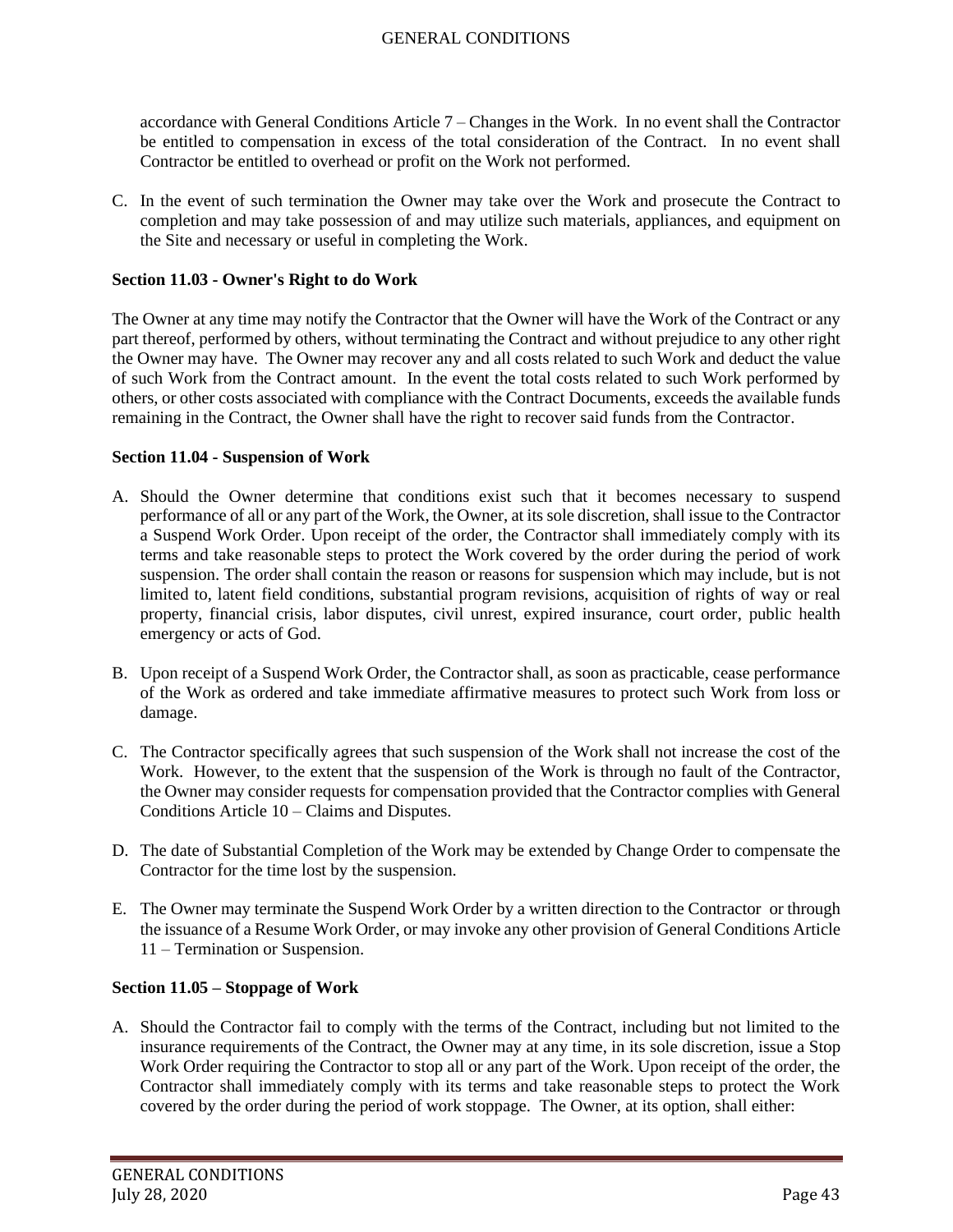accordance with General Conditions Article 7 – Changes in the Work. In no event shall the Contractor be entitled to compensation in excess of the total consideration of the Contract. In no event shall Contractor be entitled to overhead or profit on the Work not performed.

C. In the event of such termination the Owner may take over the Work and prosecute the Contract to completion and may take possession of and may utilize such materials, appliances, and equipment on the Site and necessary or useful in completing the Work.

### **Section 11.03 - Owner's Right to do Work**

The Owner at any time may notify the Contractor that the Owner will have the Work of the Contract or any part thereof, performed by others, without terminating the Contract and without prejudice to any other right the Owner may have. The Owner may recover any and all costs related to such Work and deduct the value of such Work from the Contract amount. In the event the total costs related to such Work performed by others, or other costs associated with compliance with the Contract Documents, exceeds the available funds remaining in the Contract, the Owner shall have the right to recover said funds from the Contractor.

#### **Section 11.04 - Suspension of Work**

- A. Should the Owner determine that conditions exist such that it becomes necessary to suspend performance of all or any part of the Work, the Owner, at its sole discretion, shall issue to the Contractor a Suspend Work Order. Upon receipt of the order, the Contractor shall immediately comply with its terms and take reasonable steps to protect the Work covered by the order during the period of work suspension. The order shall contain the reason or reasons for suspension which may include, but is not limited to, latent field conditions, substantial program revisions, acquisition of rights of way or real property, financial crisis, labor disputes, civil unrest, expired insurance, court order, public health emergency or acts of God.
- B. Upon receipt of a Suspend Work Order, the Contractor shall, as soon as practicable, cease performance of the Work as ordered and take immediate affirmative measures to protect such Work from loss or damage.
- C. The Contractor specifically agrees that such suspension of the Work shall not increase the cost of the Work. However, to the extent that the suspension of the Work is through no fault of the Contractor, the Owner may consider requests for compensation provided that the Contractor complies with General Conditions Article 10 – Claims and Disputes.
- D. The date of Substantial Completion of the Work may be extended by Change Order to compensate the Contractor for the time lost by the suspension.
- E. The Owner may terminate the Suspend Work Order by a written direction to the Contractor or through the issuance of a Resume Work Order, or may invoke any other provision of General Conditions Article 11 – Termination or Suspension.

### **Section 11.05 – Stoppage of Work**

A. Should the Contractor fail to comply with the terms of the Contract, including but not limited to the insurance requirements of the Contract, the Owner may at any time, in its sole discretion, issue a Stop Work Order requiring the Contractor to stop all or any part of the Work. Upon receipt of the order, the Contractor shall immediately comply with its terms and take reasonable steps to protect the Work covered by the order during the period of work stoppage. The Owner, at its option, shall either: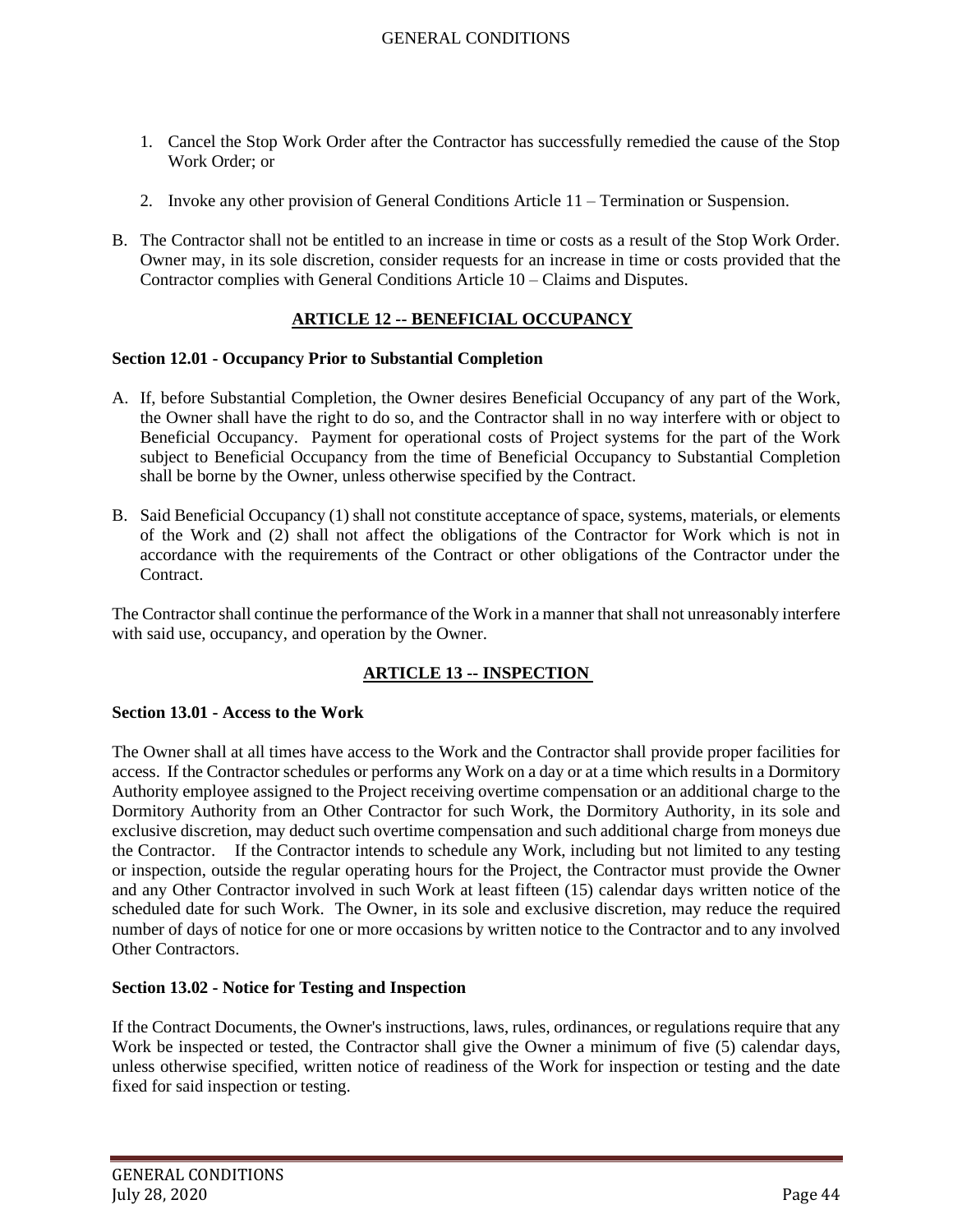- 1. Cancel the Stop Work Order after the Contractor has successfully remedied the cause of the Stop Work Order; or
- 2. Invoke any other provision of General Conditions Article 11 Termination or Suspension.
- B. The Contractor shall not be entitled to an increase in time or costs as a result of the Stop Work Order. Owner may, in its sole discretion, consider requests for an increase in time or costs provided that the Contractor complies with General Conditions Article 10 – Claims and Disputes.

# **ARTICLE 12 -- BENEFICIAL OCCUPANCY**

#### **Section 12.01 - Occupancy Prior to Substantial Completion**

- A. If, before Substantial Completion, the Owner desires Beneficial Occupancy of any part of the Work, the Owner shall have the right to do so, and the Contractor shall in no way interfere with or object to Beneficial Occupancy. Payment for operational costs of Project systems for the part of the Work subject to Beneficial Occupancy from the time of Beneficial Occupancy to Substantial Completion shall be borne by the Owner, unless otherwise specified by the Contract.
- B. Said Beneficial Occupancy (1) shall not constitute acceptance of space, systems, materials, or elements of the Work and (2) shall not affect the obligations of the Contractor for Work which is not in accordance with the requirements of the Contract or other obligations of the Contractor under the Contract.

The Contractor shall continue the performance of the Work in a manner that shall not unreasonably interfere with said use, occupancy, and operation by the Owner.

# **ARTICLE 13 -- INSPECTION**

#### **Section 13.01 - Access to the Work**

The Owner shall at all times have access to the Work and the Contractor shall provide proper facilities for access. If the Contractor schedules or performs any Work on a day or at a time which results in a Dormitory Authority employee assigned to the Project receiving overtime compensation or an additional charge to the Dormitory Authority from an Other Contractor for such Work, the Dormitory Authority, in its sole and exclusive discretion, may deduct such overtime compensation and such additional charge from moneys due the Contractor. If the Contractor intends to schedule any Work, including but not limited to any testing or inspection, outside the regular operating hours for the Project, the Contractor must provide the Owner and any Other Contractor involved in such Work at least fifteen (15) calendar days written notice of the scheduled date for such Work. The Owner, in its sole and exclusive discretion, may reduce the required number of days of notice for one or more occasions by written notice to the Contractor and to any involved Other Contractors.

### **Section 13.02 - Notice for Testing and Inspection**

If the Contract Documents, the Owner's instructions, laws, rules, ordinances, or regulations require that any Work be inspected or tested, the Contractor shall give the Owner a minimum of five (5) calendar days, unless otherwise specified, written notice of readiness of the Work for inspection or testing and the date fixed for said inspection or testing.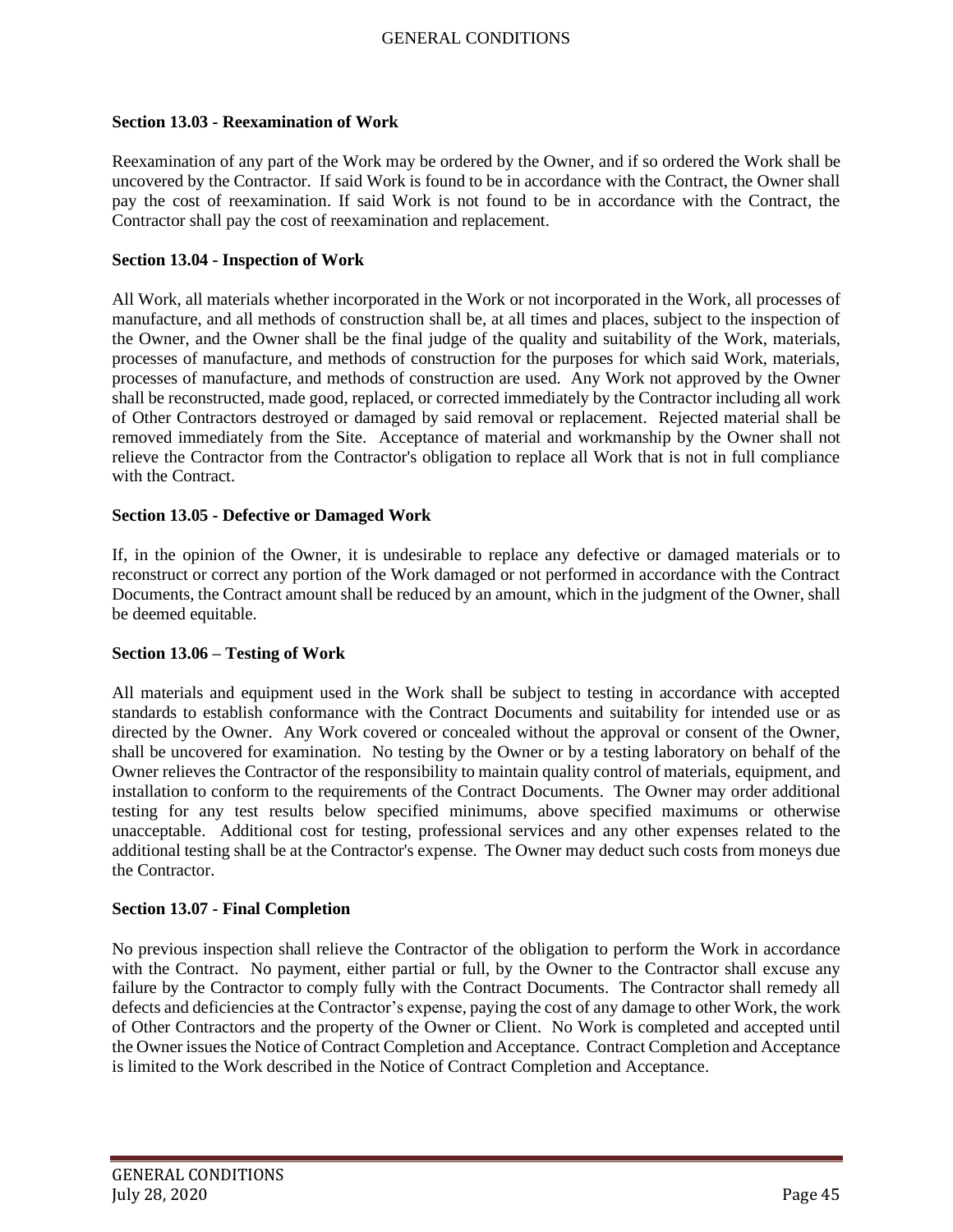#### **Section 13.03 - Reexamination of Work**

Reexamination of any part of the Work may be ordered by the Owner, and if so ordered the Work shall be uncovered by the Contractor. If said Work is found to be in accordance with the Contract, the Owner shall pay the cost of reexamination. If said Work is not found to be in accordance with the Contract, the Contractor shall pay the cost of reexamination and replacement.

#### **Section 13.04 - Inspection of Work**

All Work, all materials whether incorporated in the Work or not incorporated in the Work, all processes of manufacture, and all methods of construction shall be, at all times and places, subject to the inspection of the Owner, and the Owner shall be the final judge of the quality and suitability of the Work, materials, processes of manufacture, and methods of construction for the purposes for which said Work, materials, processes of manufacture, and methods of construction are used. Any Work not approved by the Owner shall be reconstructed, made good, replaced, or corrected immediately by the Contractor including all work of Other Contractors destroyed or damaged by said removal or replacement. Rejected material shall be removed immediately from the Site. Acceptance of material and workmanship by the Owner shall not relieve the Contractor from the Contractor's obligation to replace all Work that is not in full compliance with the Contract.

#### **Section 13.05 - Defective or Damaged Work**

If, in the opinion of the Owner, it is undesirable to replace any defective or damaged materials or to reconstruct or correct any portion of the Work damaged or not performed in accordance with the Contract Documents, the Contract amount shall be reduced by an amount, which in the judgment of the Owner, shall be deemed equitable.

### **Section 13.06 – Testing of Work**

All materials and equipment used in the Work shall be subject to testing in accordance with accepted standards to establish conformance with the Contract Documents and suitability for intended use or as directed by the Owner. Any Work covered or concealed without the approval or consent of the Owner, shall be uncovered for examination. No testing by the Owner or by a testing laboratory on behalf of the Owner relieves the Contractor of the responsibility to maintain quality control of materials, equipment, and installation to conform to the requirements of the Contract Documents. The Owner may order additional testing for any test results below specified minimums, above specified maximums or otherwise unacceptable. Additional cost for testing, professional services and any other expenses related to the additional testing shall be at the Contractor's expense. The Owner may deduct such costs from moneys due the Contractor.

## **Section 13.07 - Final Completion**

No previous inspection shall relieve the Contractor of the obligation to perform the Work in accordance with the Contract. No payment, either partial or full, by the Owner to the Contractor shall excuse any failure by the Contractor to comply fully with the Contract Documents. The Contractor shall remedy all defects and deficiencies at the Contractor's expense, paying the cost of any damage to other Work, the work of Other Contractors and the property of the Owner or Client. No Work is completed and accepted until the Owner issues the Notice of Contract Completion and Acceptance. Contract Completion and Acceptance is limited to the Work described in the Notice of Contract Completion and Acceptance.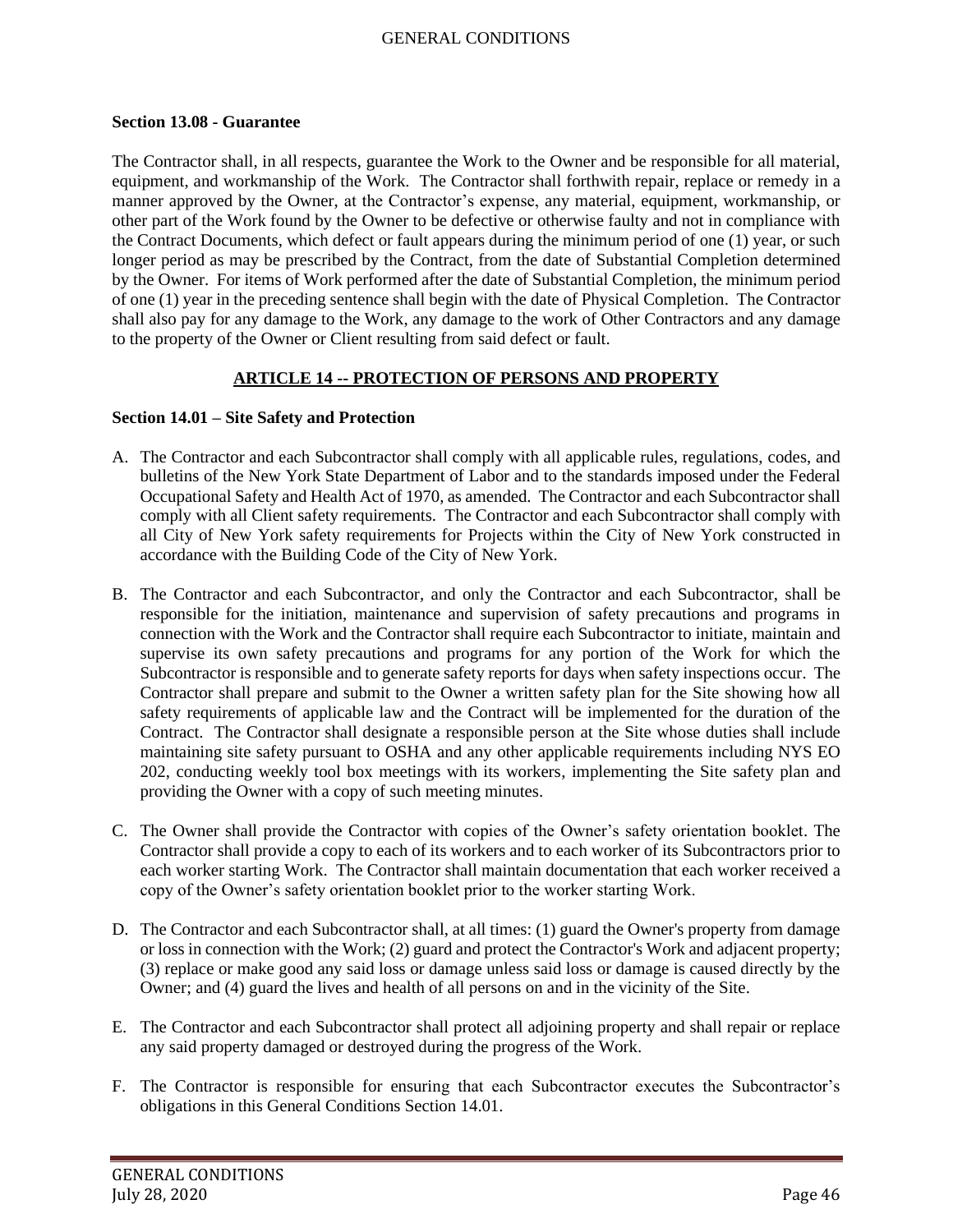#### **Section 13.08 - Guarantee**

The Contractor shall, in all respects, guarantee the Work to the Owner and be responsible for all material, equipment, and workmanship of the Work. The Contractor shall forthwith repair, replace or remedy in a manner approved by the Owner, at the Contractor's expense, any material, equipment, workmanship, or other part of the Work found by the Owner to be defective or otherwise faulty and not in compliance with the Contract Documents, which defect or fault appears during the minimum period of one (1) year, or such longer period as may be prescribed by the Contract, from the date of Substantial Completion determined by the Owner. For items of Work performed after the date of Substantial Completion, the minimum period of one (1) year in the preceding sentence shall begin with the date of Physical Completion. The Contractor shall also pay for any damage to the Work, any damage to the work of Other Contractors and any damage to the property of the Owner or Client resulting from said defect or fault.

## **ARTICLE 14 -- PROTECTION OF PERSONS AND PROPERTY**

### **Section 14.01 – Site Safety and Protection**

- A. The Contractor and each Subcontractor shall comply with all applicable rules, regulations, codes, and bulletins of the New York State Department of Labor and to the standards imposed under the Federal Occupational Safety and Health Act of 1970, as amended. The Contractor and each Subcontractor shall comply with all Client safety requirements. The Contractor and each Subcontractor shall comply with all City of New York safety requirements for Projects within the City of New York constructed in accordance with the Building Code of the City of New York.
- B. The Contractor and each Subcontractor, and only the Contractor and each Subcontractor, shall be responsible for the initiation, maintenance and supervision of safety precautions and programs in connection with the Work and the Contractor shall require each Subcontractor to initiate, maintain and supervise its own safety precautions and programs for any portion of the Work for which the Subcontractor is responsible and to generate safety reports for days when safety inspections occur. The Contractor shall prepare and submit to the Owner a written safety plan for the Site showing how all safety requirements of applicable law and the Contract will be implemented for the duration of the Contract. The Contractor shall designate a responsible person at the Site whose duties shall include maintaining site safety pursuant to OSHA and any other applicable requirements including NYS EO 202, conducting weekly tool box meetings with its workers, implementing the Site safety plan and providing the Owner with a copy of such meeting minutes.
- C. The Owner shall provide the Contractor with copies of the Owner's safety orientation booklet. The Contractor shall provide a copy to each of its workers and to each worker of its Subcontractors prior to each worker starting Work. The Contractor shall maintain documentation that each worker received a copy of the Owner's safety orientation booklet prior to the worker starting Work.
- D. The Contractor and each Subcontractor shall, at all times: (1) guard the Owner's property from damage or loss in connection with the Work; (2) guard and protect the Contractor's Work and adjacent property; (3) replace or make good any said loss or damage unless said loss or damage is caused directly by the Owner; and (4) guard the lives and health of all persons on and in the vicinity of the Site.
- E. The Contractor and each Subcontractor shall protect all adjoining property and shall repair or replace any said property damaged or destroyed during the progress of the Work.
- F. The Contractor is responsible for ensuring that each Subcontractor executes the Subcontractor's obligations in this General Conditions Section 14.01.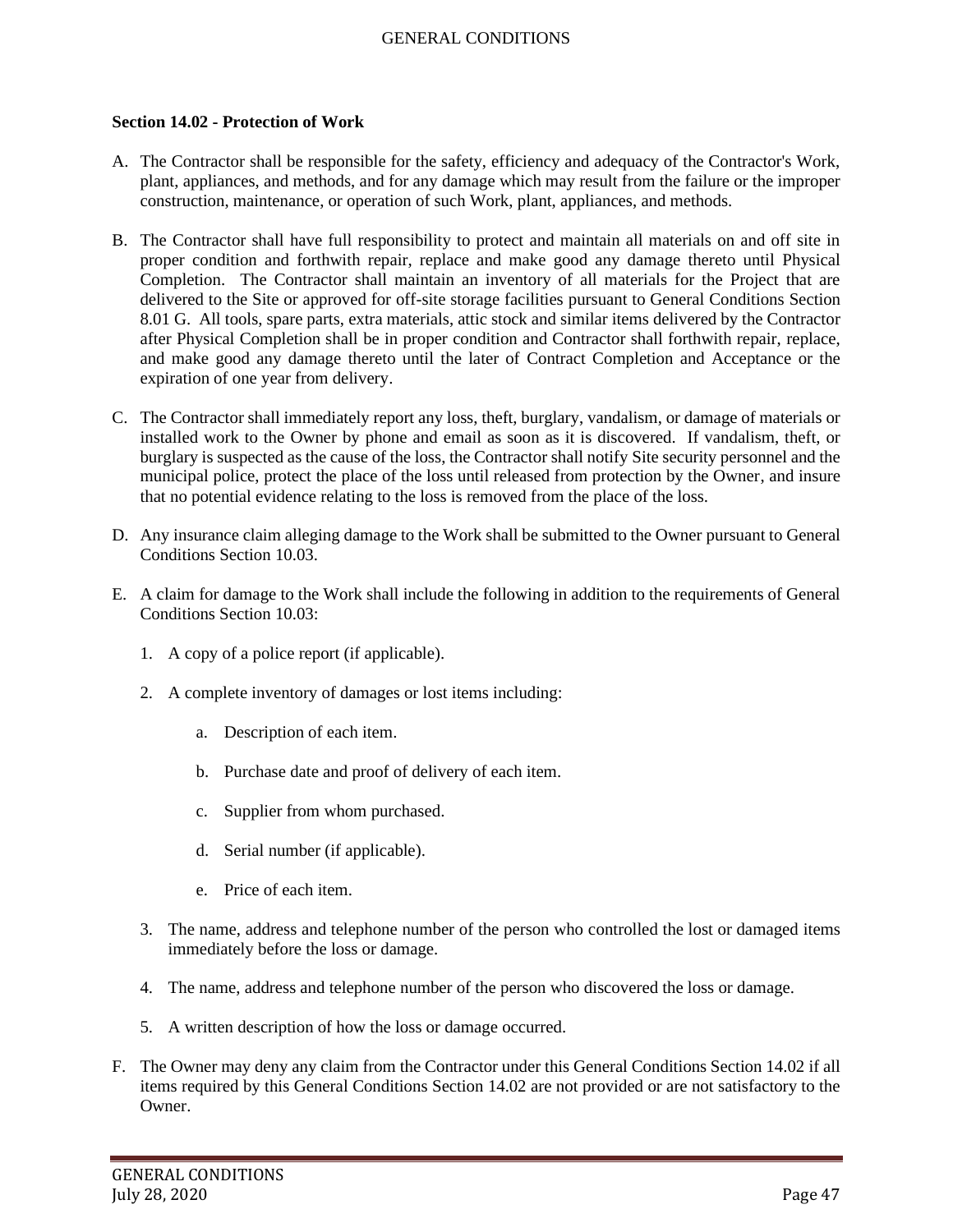#### **Section 14.02 - Protection of Work**

- A. The Contractor shall be responsible for the safety, efficiency and adequacy of the Contractor's Work, plant, appliances, and methods, and for any damage which may result from the failure or the improper construction, maintenance, or operation of such Work, plant, appliances, and methods.
- B. The Contractor shall have full responsibility to protect and maintain all materials on and off site in proper condition and forthwith repair, replace and make good any damage thereto until Physical Completion. The Contractor shall maintain an inventory of all materials for the Project that are delivered to the Site or approved for off-site storage facilities pursuant to General Conditions Section 8.01 G. All tools, spare parts, extra materials, attic stock and similar items delivered by the Contractor after Physical Completion shall be in proper condition and Contractor shall forthwith repair, replace, and make good any damage thereto until the later of Contract Completion and Acceptance or the expiration of one year from delivery.
- C. The Contractor shall immediately report any loss, theft, burglary, vandalism, or damage of materials or installed work to the Owner by phone and email as soon as it is discovered. If vandalism, theft, or burglary is suspected as the cause of the loss, the Contractor shall notify Site security personnel and the municipal police, protect the place of the loss until released from protection by the Owner, and insure that no potential evidence relating to the loss is removed from the place of the loss.
- D. Any insurance claim alleging damage to the Work shall be submitted to the Owner pursuant to General Conditions Section 10.03.
- E. A claim for damage to the Work shall include the following in addition to the requirements of General Conditions Section 10.03:
	- 1. A copy of a police report (if applicable).
	- 2. A complete inventory of damages or lost items including:
		- a. Description of each item.
		- b. Purchase date and proof of delivery of each item.
		- c. Supplier from whom purchased.
		- d. Serial number (if applicable).
		- e. Price of each item.
	- 3. The name, address and telephone number of the person who controlled the lost or damaged items immediately before the loss or damage.
	- 4. The name, address and telephone number of the person who discovered the loss or damage.
	- 5. A written description of how the loss or damage occurred.
- F. The Owner may deny any claim from the Contractor under this General Conditions Section 14.02 if all items required by this General Conditions Section 14.02 are not provided or are not satisfactory to the Owner.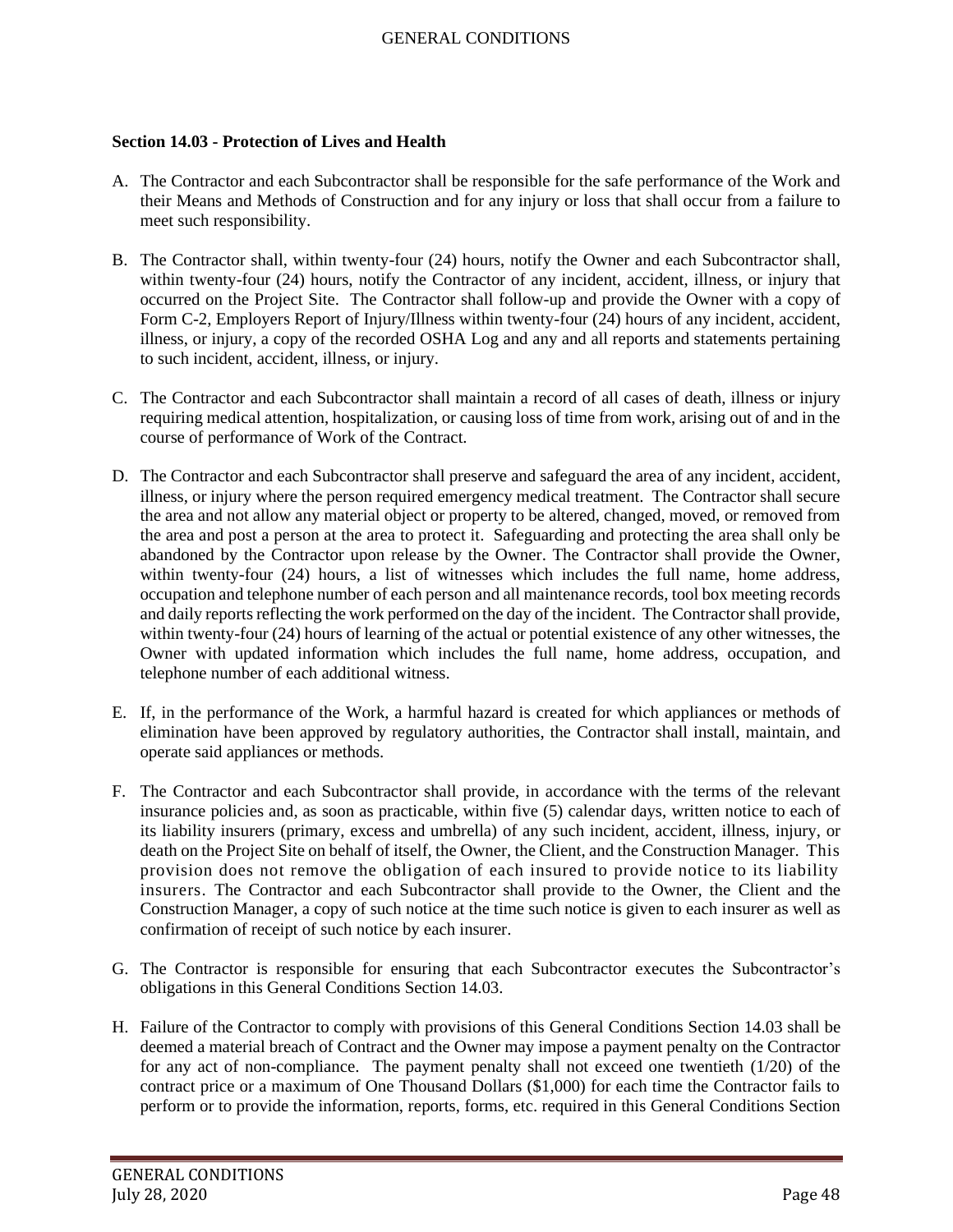## **Section 14.03 - Protection of Lives and Health**

- A. The Contractor and each Subcontractor shall be responsible for the safe performance of the Work and their Means and Methods of Construction and for any injury or loss that shall occur from a failure to meet such responsibility.
- B. The Contractor shall, within twenty-four (24) hours, notify the Owner and each Subcontractor shall, within twenty-four (24) hours, notify the Contractor of any incident, accident, illness, or injury that occurred on the Project Site. The Contractor shall follow-up and provide the Owner with a copy of Form C-2, Employers Report of Injury/Illness within twenty-four  $(24)$  hours of any incident, accident, illness, or injury, a copy of the recorded OSHA Log and any and all reports and statements pertaining to such incident, accident, illness, or injury.
- C. The Contractor and each Subcontractor shall maintain a record of all cases of death, illness or injury requiring medical attention, hospitalization, or causing loss of time from work, arising out of and in the course of performance of Work of the Contract.
- D. The Contractor and each Subcontractor shall preserve and safeguard the area of any incident, accident, illness, or injury where the person required emergency medical treatment. The Contractor shall secure the area and not allow any material object or property to be altered, changed, moved, or removed from the area and post a person at the area to protect it. Safeguarding and protecting the area shall only be abandoned by the Contractor upon release by the Owner. The Contractor shall provide the Owner, within twenty-four (24) hours, a list of witnesses which includes the full name, home address, occupation and telephone number of each person and all maintenance records, tool box meeting records and daily reports reflecting the work performed on the day of the incident. The Contractor shall provide, within twenty-four (24) hours of learning of the actual or potential existence of any other witnesses, the Owner with updated information which includes the full name, home address, occupation, and telephone number of each additional witness.
- E. If, in the performance of the Work, a harmful hazard is created for which appliances or methods of elimination have been approved by regulatory authorities, the Contractor shall install, maintain, and operate said appliances or methods.
- F. The Contractor and each Subcontractor shall provide, in accordance with the terms of the relevant insurance policies and, as soon as practicable, within five (5) calendar days, written notice to each of its liability insurers (primary, excess and umbrella) of any such incident, accident, illness, injury, or death on the Project Site on behalf of itself, the Owner, the Client, and the Construction Manager. This provision does not remove the obligation of each insured to provide notice to its liability insurers. The Contractor and each Subcontractor shall provide to the Owner, the Client and the Construction Manager, a copy of such notice at the time such notice is given to each insurer as well as confirmation of receipt of such notice by each insurer.
- G. The Contractor is responsible for ensuring that each Subcontractor executes the Subcontractor's obligations in this General Conditions Section 14.03.
- H. Failure of the Contractor to comply with provisions of this General Conditions Section 14.03 shall be deemed a material breach of Contract and the Owner may impose a payment penalty on the Contractor for any act of non-compliance. The payment penalty shall not exceed one twentieth (1/20) of the contract price or a maximum of One Thousand Dollars (\$1,000) for each time the Contractor fails to perform or to provide the information, reports, forms, etc. required in this General Conditions Section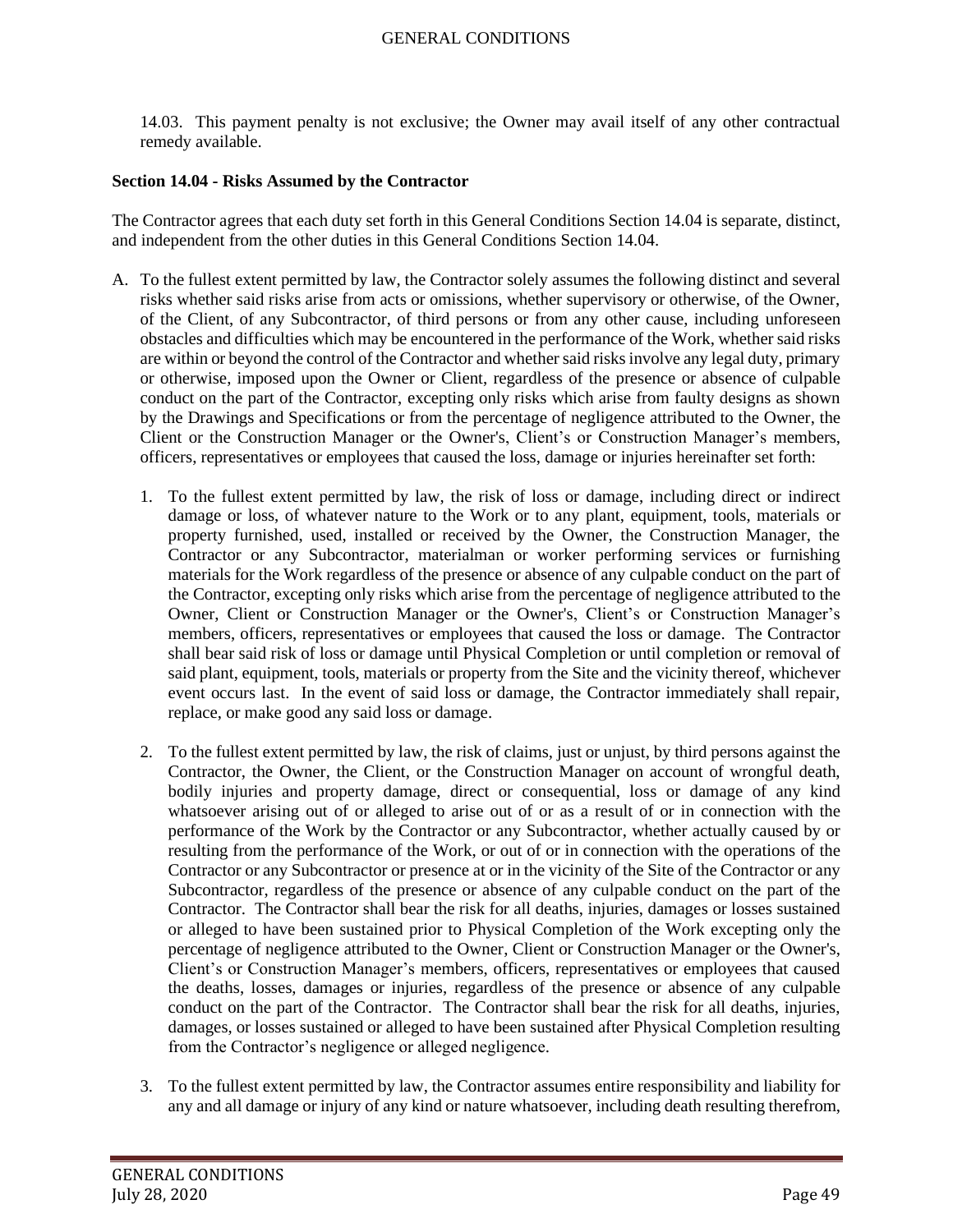14.03. This payment penalty is not exclusive; the Owner may avail itself of any other contractual remedy available.

### **Section 14.04 - Risks Assumed by the Contractor**

The Contractor agrees that each duty set forth in this General Conditions Section 14.04 is separate, distinct, and independent from the other duties in this General Conditions Section 14.04.

- A. To the fullest extent permitted by law, the Contractor solely assumes the following distinct and several risks whether said risks arise from acts or omissions, whether supervisory or otherwise, of the Owner, of the Client, of any Subcontractor, of third persons or from any other cause, including unforeseen obstacles and difficulties which may be encountered in the performance of the Work, whether said risks are within or beyond the control of the Contractor and whether said risks involve any legal duty, primary or otherwise, imposed upon the Owner or Client, regardless of the presence or absence of culpable conduct on the part of the Contractor, excepting only risks which arise from faulty designs as shown by the Drawings and Specifications or from the percentage of negligence attributed to the Owner, the Client or the Construction Manager or the Owner's, Client's or Construction Manager's members, officers, representatives or employees that caused the loss, damage or injuries hereinafter set forth:
	- 1. To the fullest extent permitted by law, the risk of loss or damage, including direct or indirect damage or loss, of whatever nature to the Work or to any plant, equipment, tools, materials or property furnished, used, installed or received by the Owner, the Construction Manager, the Contractor or any Subcontractor, materialman or worker performing services or furnishing materials for the Work regardless of the presence or absence of any culpable conduct on the part of the Contractor, excepting only risks which arise from the percentage of negligence attributed to the Owner, Client or Construction Manager or the Owner's, Client's or Construction Manager's members, officers, representatives or employees that caused the loss or damage. The Contractor shall bear said risk of loss or damage until Physical Completion or until completion or removal of said plant, equipment, tools, materials or property from the Site and the vicinity thereof, whichever event occurs last. In the event of said loss or damage, the Contractor immediately shall repair, replace, or make good any said loss or damage.
	- 2. To the fullest extent permitted by law, the risk of claims, just or unjust, by third persons against the Contractor, the Owner, the Client, or the Construction Manager on account of wrongful death, bodily injuries and property damage, direct or consequential, loss or damage of any kind whatsoever arising out of or alleged to arise out of or as a result of or in connection with the performance of the Work by the Contractor or any Subcontractor, whether actually caused by or resulting from the performance of the Work, or out of or in connection with the operations of the Contractor or any Subcontractor or presence at or in the vicinity of the Site of the Contractor or any Subcontractor, regardless of the presence or absence of any culpable conduct on the part of the Contractor. The Contractor shall bear the risk for all deaths, injuries, damages or losses sustained or alleged to have been sustained prior to Physical Completion of the Work excepting only the percentage of negligence attributed to the Owner, Client or Construction Manager or the Owner's, Client's or Construction Manager's members, officers, representatives or employees that caused the deaths, losses, damages or injuries, regardless of the presence or absence of any culpable conduct on the part of the Contractor. The Contractor shall bear the risk for all deaths, injuries, damages, or losses sustained or alleged to have been sustained after Physical Completion resulting from the Contractor's negligence or alleged negligence.
	- 3. To the fullest extent permitted by law, the Contractor assumes entire responsibility and liability for any and all damage or injury of any kind or nature whatsoever, including death resulting therefrom,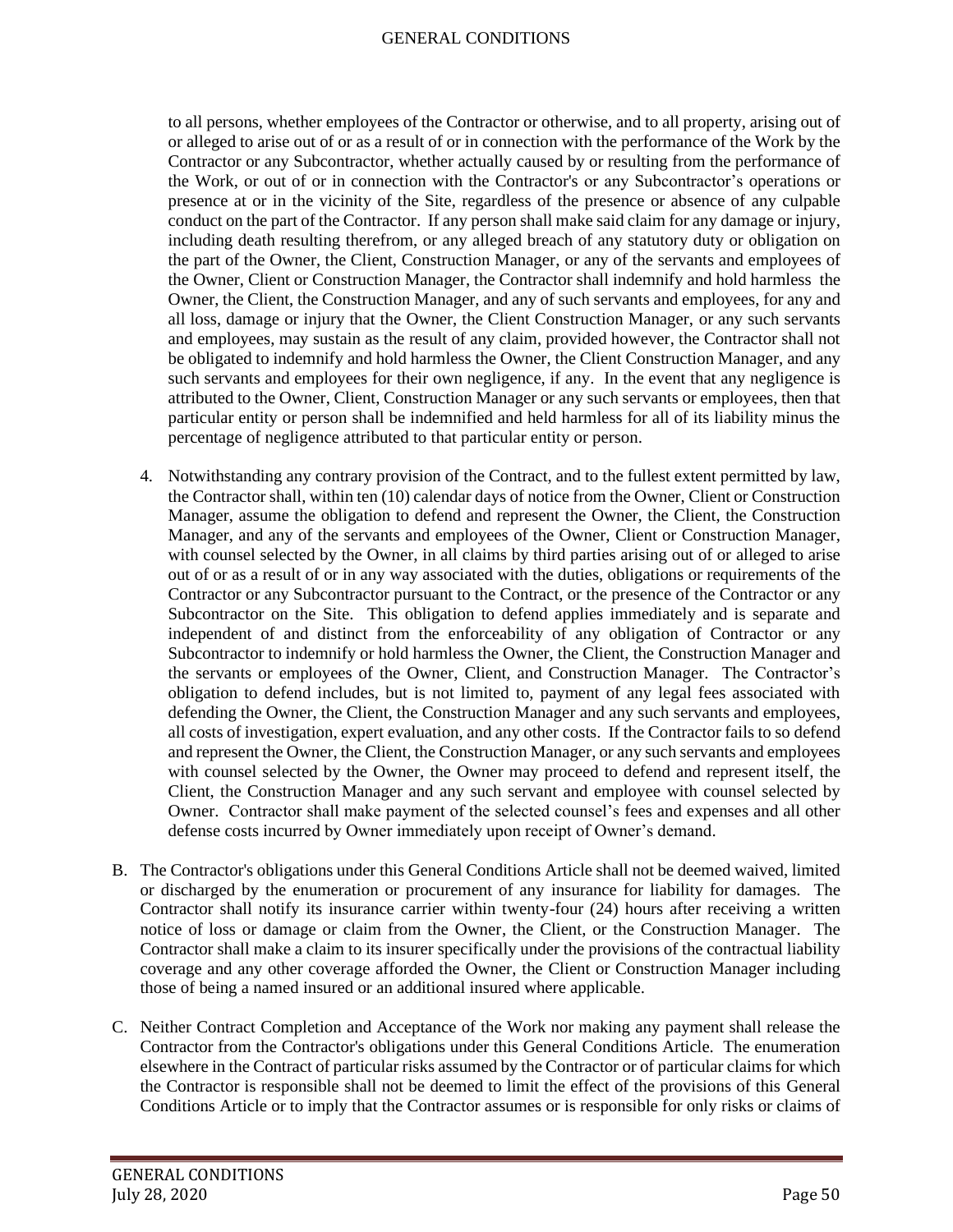to all persons, whether employees of the Contractor or otherwise, and to all property, arising out of or alleged to arise out of or as a result of or in connection with the performance of the Work by the Contractor or any Subcontractor, whether actually caused by or resulting from the performance of the Work, or out of or in connection with the Contractor's or any Subcontractor's operations or presence at or in the vicinity of the Site, regardless of the presence or absence of any culpable conduct on the part of the Contractor. If any person shall make said claim for any damage or injury, including death resulting therefrom, or any alleged breach of any statutory duty or obligation on the part of the Owner, the Client, Construction Manager, or any of the servants and employees of the Owner, Client or Construction Manager, the Contractor shall indemnify and hold harmless the Owner, the Client, the Construction Manager, and any of such servants and employees, for any and all loss, damage or injury that the Owner, the Client Construction Manager, or any such servants and employees, may sustain as the result of any claim, provided however, the Contractor shall not be obligated to indemnify and hold harmless the Owner, the Client Construction Manager, and any such servants and employees for their own negligence, if any. In the event that any negligence is attributed to the Owner, Client, Construction Manager or any such servants or employees, then that particular entity or person shall be indemnified and held harmless for all of its liability minus the percentage of negligence attributed to that particular entity or person.

- 4. Notwithstanding any contrary provision of the Contract, and to the fullest extent permitted by law, the Contractor shall, within ten (10) calendar days of notice from the Owner, Client or Construction Manager, assume the obligation to defend and represent the Owner, the Client, the Construction Manager, and any of the servants and employees of the Owner, Client or Construction Manager, with counsel selected by the Owner, in all claims by third parties arising out of or alleged to arise out of or as a result of or in any way associated with the duties, obligations or requirements of the Contractor or any Subcontractor pursuant to the Contract, or the presence of the Contractor or any Subcontractor on the Site. This obligation to defend applies immediately and is separate and independent of and distinct from the enforceability of any obligation of Contractor or any Subcontractor to indemnify or hold harmless the Owner, the Client, the Construction Manager and the servants or employees of the Owner, Client, and Construction Manager. The Contractor's obligation to defend includes, but is not limited to, payment of any legal fees associated with defending the Owner, the Client, the Construction Manager and any such servants and employees, all costs of investigation, expert evaluation, and any other costs. If the Contractor fails to so defend and represent the Owner, the Client, the Construction Manager, or any such servants and employees with counsel selected by the Owner, the Owner may proceed to defend and represent itself, the Client, the Construction Manager and any such servant and employee with counsel selected by Owner. Contractor shall make payment of the selected counsel's fees and expenses and all other defense costs incurred by Owner immediately upon receipt of Owner's demand.
- B. The Contractor's obligations under this General Conditions Article shall not be deemed waived, limited or discharged by the enumeration or procurement of any insurance for liability for damages. The Contractor shall notify its insurance carrier within twenty-four (24) hours after receiving a written notice of loss or damage or claim from the Owner, the Client, or the Construction Manager. The Contractor shall make a claim to its insurer specifically under the provisions of the contractual liability coverage and any other coverage afforded the Owner, the Client or Construction Manager including those of being a named insured or an additional insured where applicable.
- C. Neither Contract Completion and Acceptance of the Work nor making any payment shall release the Contractor from the Contractor's obligations under this General Conditions Article. The enumeration elsewhere in the Contract of particular risks assumed by the Contractor or of particular claims for which the Contractor is responsible shall not be deemed to limit the effect of the provisions of this General Conditions Article or to imply that the Contractor assumes or is responsible for only risks or claims of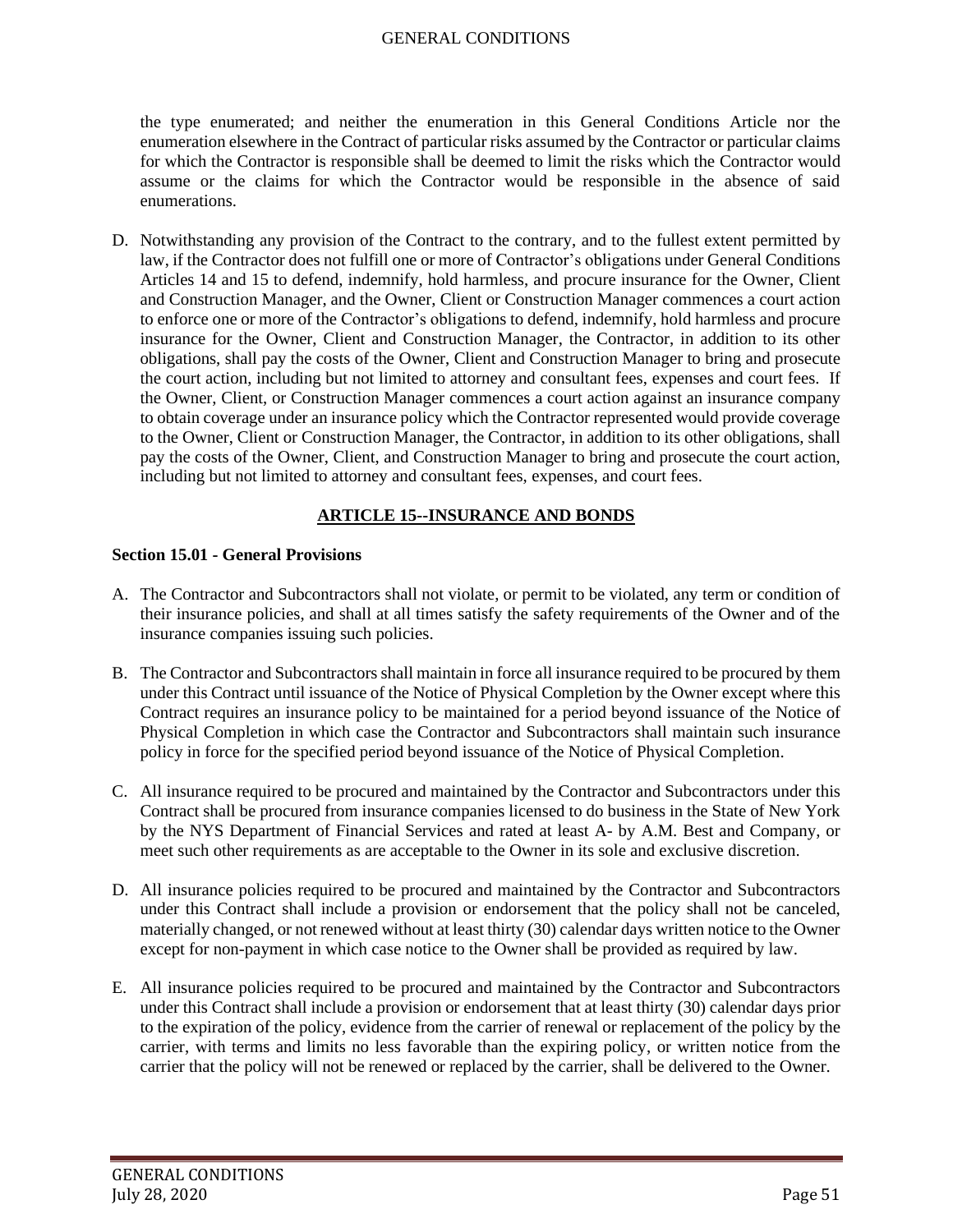the type enumerated; and neither the enumeration in this General Conditions Article nor the enumeration elsewhere in the Contract of particular risks assumed by the Contractor or particular claims for which the Contractor is responsible shall be deemed to limit the risks which the Contractor would assume or the claims for which the Contractor would be responsible in the absence of said enumerations.

D. Notwithstanding any provision of the Contract to the contrary, and to the fullest extent permitted by law, if the Contractor does not fulfill one or more of Contractor's obligations under General Conditions Articles 14 and 15 to defend, indemnify, hold harmless, and procure insurance for the Owner, Client and Construction Manager, and the Owner, Client or Construction Manager commences a court action to enforce one or more of the Contractor's obligations to defend, indemnify, hold harmless and procure insurance for the Owner, Client and Construction Manager, the Contractor, in addition to its other obligations, shall pay the costs of the Owner, Client and Construction Manager to bring and prosecute the court action, including but not limited to attorney and consultant fees, expenses and court fees. If the Owner, Client, or Construction Manager commences a court action against an insurance company to obtain coverage under an insurance policy which the Contractor represented would provide coverage to the Owner, Client or Construction Manager, the Contractor, in addition to its other obligations, shall pay the costs of the Owner, Client, and Construction Manager to bring and prosecute the court action, including but not limited to attorney and consultant fees, expenses, and court fees.

## **ARTICLE 15--INSURANCE AND BONDS**

### **Section 15.01 - General Provisions**

- A. The Contractor and Subcontractors shall not violate, or permit to be violated, any term or condition of their insurance policies, and shall at all times satisfy the safety requirements of the Owner and of the insurance companies issuing such policies.
- B. The Contractor and Subcontractors shall maintain in force all insurance required to be procured by them under this Contract until issuance of the Notice of Physical Completion by the Owner except where this Contract requires an insurance policy to be maintained for a period beyond issuance of the Notice of Physical Completion in which case the Contractor and Subcontractors shall maintain such insurance policy in force for the specified period beyond issuance of the Notice of Physical Completion.
- C. All insurance required to be procured and maintained by the Contractor and Subcontractors under this Contract shall be procured from insurance companies licensed to do business in the State of New York by the NYS Department of Financial Services and rated at least A- by A.M. Best and Company, or meet such other requirements as are acceptable to the Owner in its sole and exclusive discretion.
- D. All insurance policies required to be procured and maintained by the Contractor and Subcontractors under this Contract shall include a provision or endorsement that the policy shall not be canceled, materially changed, or not renewed without at least thirty (30) calendar days written notice to the Owner except for non-payment in which case notice to the Owner shall be provided as required by law.
- E. All insurance policies required to be procured and maintained by the Contractor and Subcontractors under this Contract shall include a provision or endorsement that at least thirty (30) calendar days prior to the expiration of the policy, evidence from the carrier of renewal or replacement of the policy by the carrier, with terms and limits no less favorable than the expiring policy, or written notice from the carrier that the policy will not be renewed or replaced by the carrier, shall be delivered to the Owner.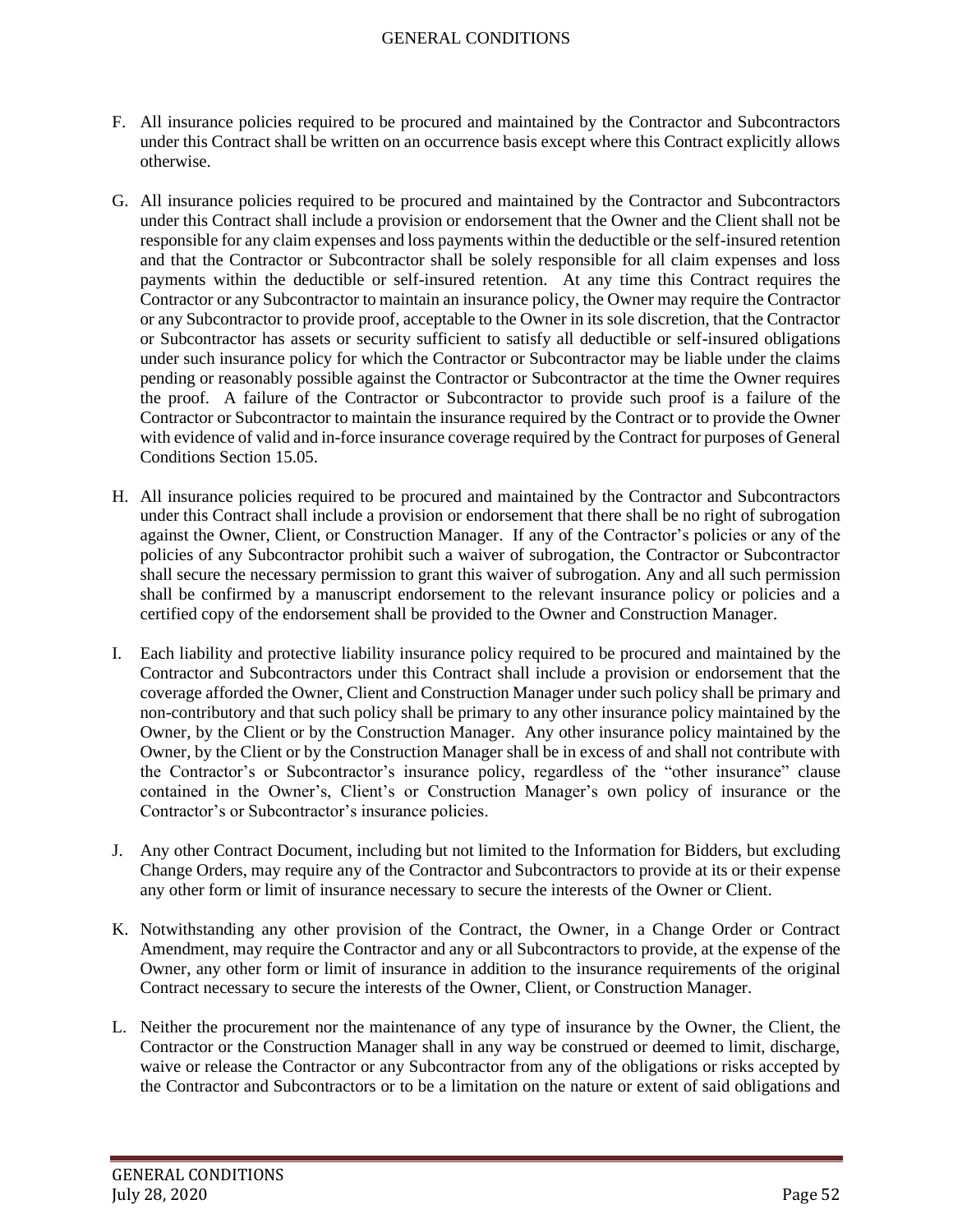- F. All insurance policies required to be procured and maintained by the Contractor and Subcontractors under this Contract shall be written on an occurrence basis except where this Contract explicitly allows otherwise.
- G. All insurance policies required to be procured and maintained by the Contractor and Subcontractors under this Contract shall include a provision or endorsement that the Owner and the Client shall not be responsible for any claim expenses and loss payments within the deductible or the self-insured retention and that the Contractor or Subcontractor shall be solely responsible for all claim expenses and loss payments within the deductible or self-insured retention. At any time this Contract requires the Contractor or any Subcontractor to maintain an insurance policy, the Owner may require the Contractor or any Subcontractor to provide proof, acceptable to the Owner in its sole discretion, that the Contractor or Subcontractor has assets or security sufficient to satisfy all deductible or self-insured obligations under such insurance policy for which the Contractor or Subcontractor may be liable under the claims pending or reasonably possible against the Contractor or Subcontractor at the time the Owner requires the proof. A failure of the Contractor or Subcontractor to provide such proof is a failure of the Contractor or Subcontractor to maintain the insurance required by the Contract or to provide the Owner with evidence of valid and in-force insurance coverage required by the Contract for purposes of General Conditions Section 15.05.
- H. All insurance policies required to be procured and maintained by the Contractor and Subcontractors under this Contract shall include a provision or endorsement that there shall be no right of subrogation against the Owner, Client, or Construction Manager. If any of the Contractor's policies or any of the policies of any Subcontractor prohibit such a waiver of subrogation, the Contractor or Subcontractor shall secure the necessary permission to grant this waiver of subrogation. Any and all such permission shall be confirmed by a manuscript endorsement to the relevant insurance policy or policies and a certified copy of the endorsement shall be provided to the Owner and Construction Manager.
- I. Each liability and protective liability insurance policy required to be procured and maintained by the Contractor and Subcontractors under this Contract shall include a provision or endorsement that the coverage afforded the Owner, Client and Construction Manager under such policy shall be primary and non-contributory and that such policy shall be primary to any other insurance policy maintained by the Owner, by the Client or by the Construction Manager. Any other insurance policy maintained by the Owner, by the Client or by the Construction Manager shall be in excess of and shall not contribute with the Contractor's or Subcontractor's insurance policy, regardless of the "other insurance" clause contained in the Owner's, Client's or Construction Manager's own policy of insurance or the Contractor's or Subcontractor's insurance policies.
- J. Any other Contract Document, including but not limited to the Information for Bidders, but excluding Change Orders, may require any of the Contractor and Subcontractors to provide at its or their expense any other form or limit of insurance necessary to secure the interests of the Owner or Client.
- K. Notwithstanding any other provision of the Contract, the Owner, in a Change Order or Contract Amendment, may require the Contractor and any or all Subcontractors to provide, at the expense of the Owner, any other form or limit of insurance in addition to the insurance requirements of the original Contract necessary to secure the interests of the Owner, Client, or Construction Manager.
- L. Neither the procurement nor the maintenance of any type of insurance by the Owner, the Client, the Contractor or the Construction Manager shall in any way be construed or deemed to limit, discharge, waive or release the Contractor or any Subcontractor from any of the obligations or risks accepted by the Contractor and Subcontractors or to be a limitation on the nature or extent of said obligations and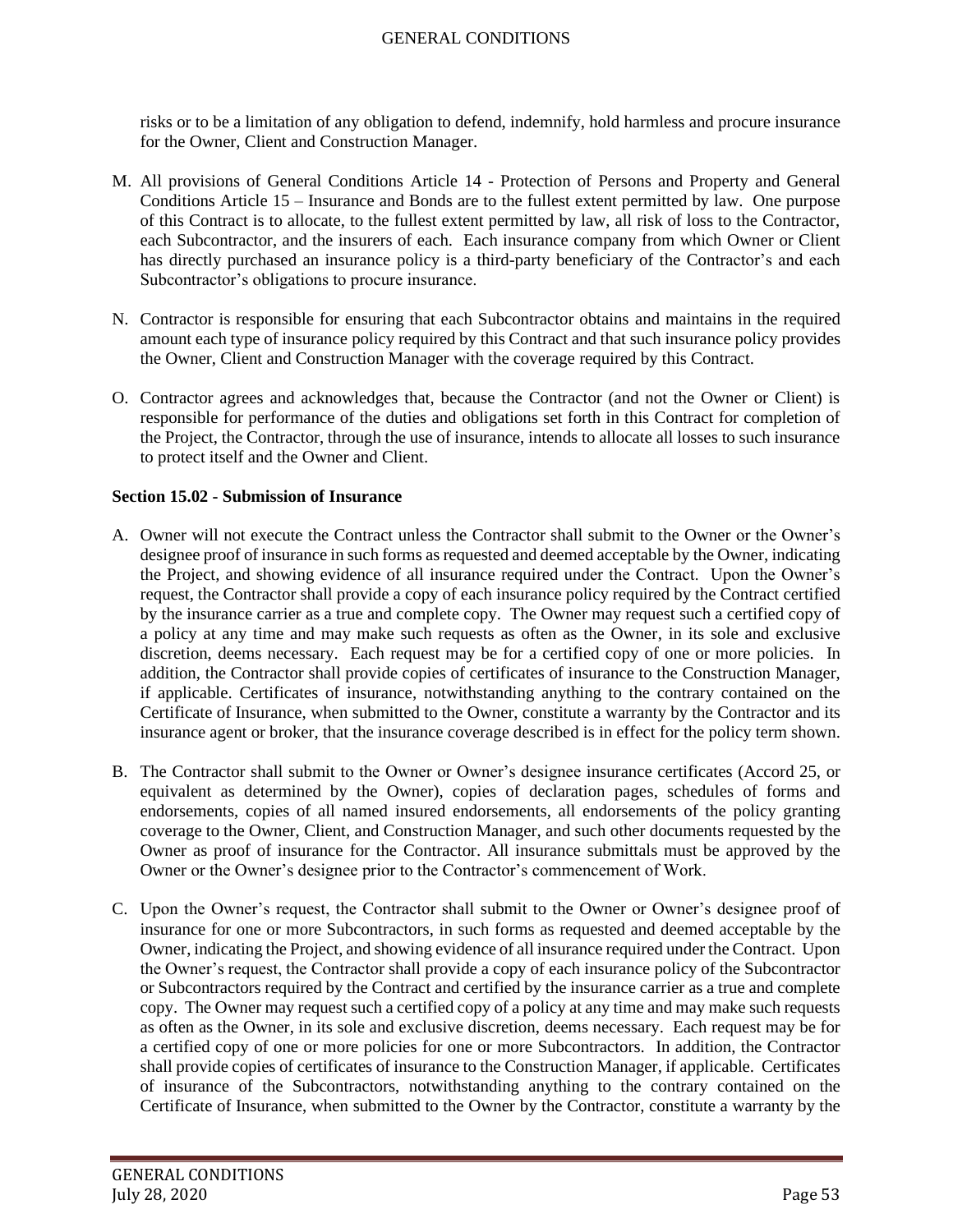risks or to be a limitation of any obligation to defend, indemnify, hold harmless and procure insurance for the Owner, Client and Construction Manager.

- M. All provisions of General Conditions Article 14 Protection of Persons and Property and General Conditions Article 15 – Insurance and Bonds are to the fullest extent permitted by law. One purpose of this Contract is to allocate, to the fullest extent permitted by law, all risk of loss to the Contractor, each Subcontractor, and the insurers of each. Each insurance company from which Owner or Client has directly purchased an insurance policy is a third-party beneficiary of the Contractor's and each Subcontractor's obligations to procure insurance.
- N. Contractor is responsible for ensuring that each Subcontractor obtains and maintains in the required amount each type of insurance policy required by this Contract and that such insurance policy provides the Owner, Client and Construction Manager with the coverage required by this Contract.
- O. Contractor agrees and acknowledges that, because the Contractor (and not the Owner or Client) is responsible for performance of the duties and obligations set forth in this Contract for completion of the Project, the Contractor, through the use of insurance, intends to allocate all losses to such insurance to protect itself and the Owner and Client.

### **Section 15.02 - Submission of Insurance**

- A. Owner will not execute the Contract unless the Contractor shall submit to the Owner or the Owner's designee proof of insurance in such forms as requested and deemed acceptable by the Owner, indicating the Project, and showing evidence of all insurance required under the Contract. Upon the Owner's request, the Contractor shall provide a copy of each insurance policy required by the Contract certified by the insurance carrier as a true and complete copy. The Owner may request such a certified copy of a policy at any time and may make such requests as often as the Owner, in its sole and exclusive discretion, deems necessary. Each request may be for a certified copy of one or more policies. In addition, the Contractor shall provide copies of certificates of insurance to the Construction Manager, if applicable. Certificates of insurance, notwithstanding anything to the contrary contained on the Certificate of Insurance, when submitted to the Owner, constitute a warranty by the Contractor and its insurance agent or broker, that the insurance coverage described is in effect for the policy term shown.
- B. The Contractor shall submit to the Owner or Owner's designee insurance certificates (Accord 25, or equivalent as determined by the Owner), copies of declaration pages, schedules of forms and endorsements, copies of all named insured endorsements, all endorsements of the policy granting coverage to the Owner, Client, and Construction Manager, and such other documents requested by the Owner as proof of insurance for the Contractor. All insurance submittals must be approved by the Owner or the Owner's designee prior to the Contractor's commencement of Work.
- C. Upon the Owner's request, the Contractor shall submit to the Owner or Owner's designee proof of insurance for one or more Subcontractors, in such forms as requested and deemed acceptable by the Owner, indicating the Project, and showing evidence of all insurance required under the Contract. Upon the Owner's request, the Contractor shall provide a copy of each insurance policy of the Subcontractor or Subcontractors required by the Contract and certified by the insurance carrier as a true and complete copy. The Owner may request such a certified copy of a policy at any time and may make such requests as often as the Owner, in its sole and exclusive discretion, deems necessary. Each request may be for a certified copy of one or more policies for one or more Subcontractors. In addition, the Contractor shall provide copies of certificates of insurance to the Construction Manager, if applicable. Certificates of insurance of the Subcontractors, notwithstanding anything to the contrary contained on the Certificate of Insurance, when submitted to the Owner by the Contractor, constitute a warranty by the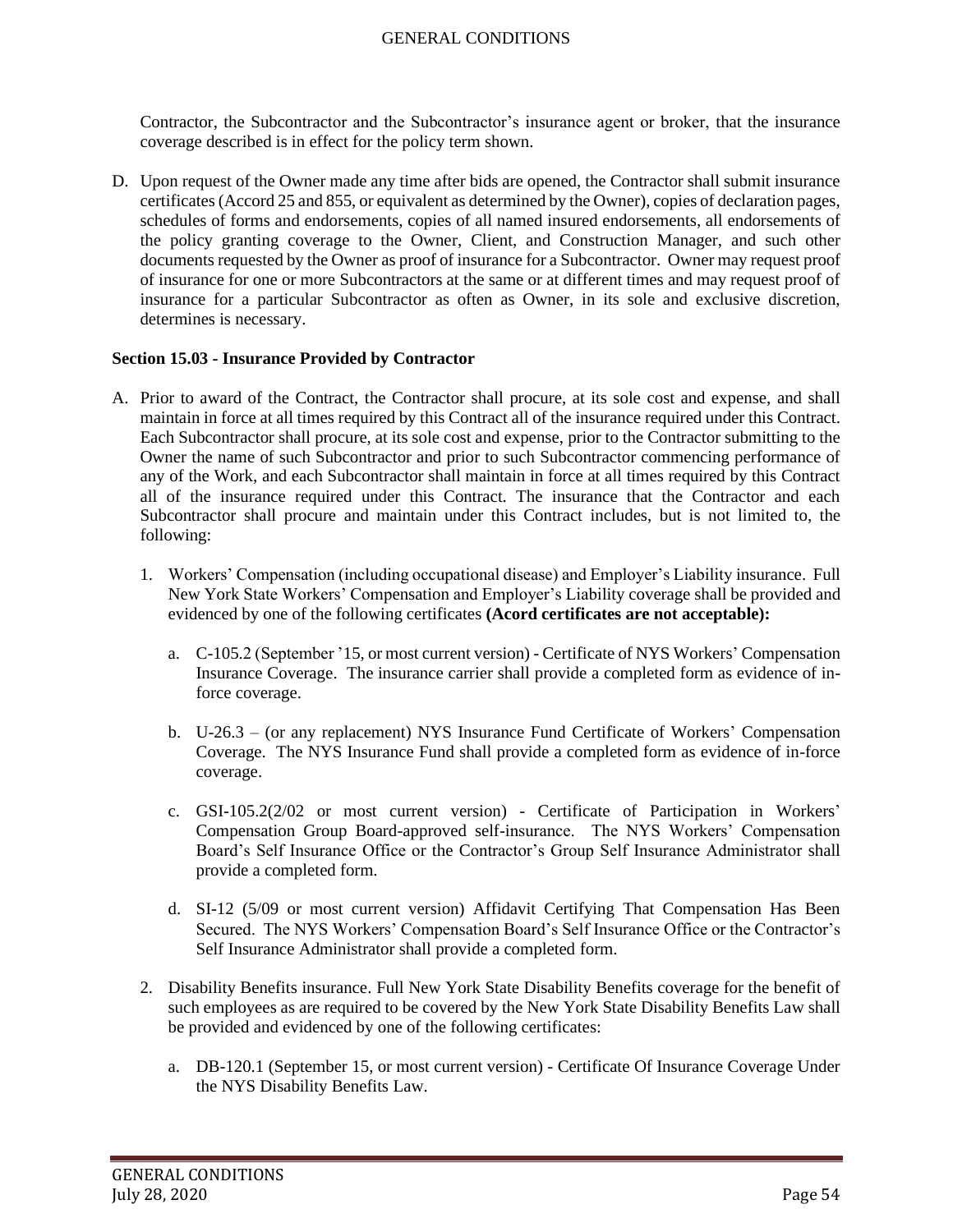Contractor, the Subcontractor and the Subcontractor's insurance agent or broker, that the insurance coverage described is in effect for the policy term shown.

D. Upon request of the Owner made any time after bids are opened, the Contractor shall submit insurance certificates (Accord 25 and 855, or equivalent as determined by the Owner), copies of declaration pages, schedules of forms and endorsements, copies of all named insured endorsements, all endorsements of the policy granting coverage to the Owner, Client, and Construction Manager, and such other documents requested by the Owner as proof of insurance for a Subcontractor. Owner may request proof of insurance for one or more Subcontractors at the same or at different times and may request proof of insurance for a particular Subcontractor as often as Owner, in its sole and exclusive discretion, determines is necessary.

### **Section 15.03 - Insurance Provided by Contractor**

- A. Prior to award of the Contract, the Contractor shall procure, at its sole cost and expense, and shall maintain in force at all times required by this Contract all of the insurance required under this Contract. Each Subcontractor shall procure, at its sole cost and expense, prior to the Contractor submitting to the Owner the name of such Subcontractor and prior to such Subcontractor commencing performance of any of the Work, and each Subcontractor shall maintain in force at all times required by this Contract all of the insurance required under this Contract. The insurance that the Contractor and each Subcontractor shall procure and maintain under this Contract includes, but is not limited to, the following:
	- 1. Workers' Compensation (including occupational disease) and Employer's Liability insurance. Full New York State Workers' Compensation and Employer's Liability coverage shall be provided and evidenced by one of the following certificates **(Acord certificates are not acceptable):**
		- a. C-105.2 (September '15, or most current version) Certificate of NYS Workers' Compensation Insurance Coverage. The insurance carrier shall provide a completed form as evidence of inforce coverage.
		- b. U-26.3 (or any replacement) NYS Insurance Fund Certificate of Workers' Compensation Coverage. The NYS Insurance Fund shall provide a completed form as evidence of in-force coverage.
		- c. GSI-105.2(2/02 or most current version) Certificate of Participation in Workers' Compensation Group Board-approved self-insurance. The NYS Workers' Compensation Board's Self Insurance Office or the Contractor's Group Self Insurance Administrator shall provide a completed form.
		- d. SI-12 (5/09 or most current version) Affidavit Certifying That Compensation Has Been Secured. The NYS Workers' Compensation Board's Self Insurance Office or the Contractor's Self Insurance Administrator shall provide a completed form.
	- 2. Disability Benefits insurance. Full New York State Disability Benefits coverage for the benefit of such employees as are required to be covered by the New York State Disability Benefits Law shall be provided and evidenced by one of the following certificates:
		- a. DB-120.1 (September 15, or most current version) Certificate Of Insurance Coverage Under the NYS Disability Benefits Law.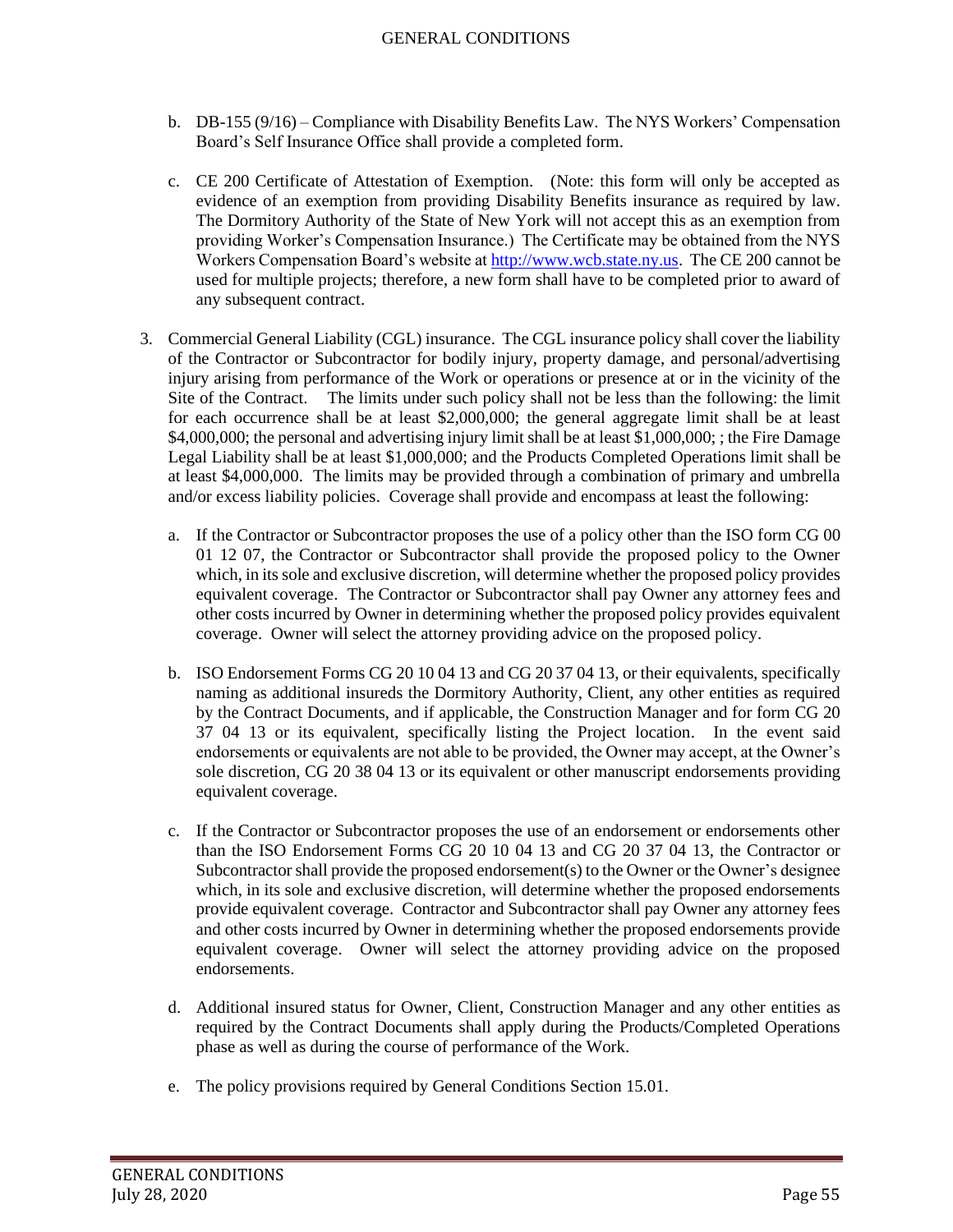- b. DB-155 (9/16) Compliance with Disability Benefits Law. The NYS Workers' Compensation Board's Self Insurance Office shall provide a completed form.
- c. CE 200 Certificate of Attestation of Exemption. (Note: this form will only be accepted as evidence of an exemption from providing Disability Benefits insurance as required by law. The Dormitory Authority of the State of New York will not accept this as an exemption from providing Worker's Compensation Insurance.) The Certificate may be obtained from the NYS Workers Compensation Board's website a[t http://www.wcb.state.ny.us.](http://www.wcb.state.ny.us/) The CE 200 cannot be used for multiple projects; therefore, a new form shall have to be completed prior to award of any subsequent contract.
- 3. Commercial General Liability (CGL) insurance. The CGL insurance policy shall cover the liability of the Contractor or Subcontractor for bodily injury, property damage, and personal/advertising injury arising from performance of the Work or operations or presence at or in the vicinity of the Site of the Contract. The limits under such policy shall not be less than the following: the limit for each occurrence shall be at least \$2,000,000; the general aggregate limit shall be at least \$4,000,000; the personal and advertising injury limit shall be at least \$1,000,000; ; the Fire Damage Legal Liability shall be at least \$1,000,000; and the Products Completed Operations limit shall be at least \$4,000,000. The limits may be provided through a combination of primary and umbrella and/or excess liability policies. Coverage shall provide and encompass at least the following:
	- a. If the Contractor or Subcontractor proposes the use of a policy other than the ISO form CG 00 01 12 07, the Contractor or Subcontractor shall provide the proposed policy to the Owner which, in its sole and exclusive discretion, will determine whether the proposed policy provides equivalent coverage. The Contractor or Subcontractor shall pay Owner any attorney fees and other costs incurred by Owner in determining whether the proposed policy provides equivalent coverage. Owner will select the attorney providing advice on the proposed policy.
	- b. ISO Endorsement Forms CG 20 10 04 13 and CG 20 37 04 13, or their equivalents, specifically naming as additional insureds the Dormitory Authority, Client, any other entities as required by the Contract Documents, and if applicable, the Construction Manager and for form CG 20 37 04 13 or its equivalent, specifically listing the Project location. In the event said endorsements or equivalents are not able to be provided, the Owner may accept, at the Owner's sole discretion, CG 20 38 04 13 or its equivalent or other manuscript endorsements providing equivalent coverage.
	- c. If the Contractor or Subcontractor proposes the use of an endorsement or endorsements other than the ISO Endorsement Forms CG 20 10 04 13 and CG 20 37 04 13, the Contractor or Subcontractor shall provide the proposed endorsement(s) to the Owner or the Owner's designee which, in its sole and exclusive discretion, will determine whether the proposed endorsements provide equivalent coverage. Contractor and Subcontractor shall pay Owner any attorney fees and other costs incurred by Owner in determining whether the proposed endorsements provide equivalent coverage. Owner will select the attorney providing advice on the proposed endorsements.
	- d. Additional insured status for Owner, Client, Construction Manager and any other entities as required by the Contract Documents shall apply during the Products/Completed Operations phase as well as during the course of performance of the Work.
	- e. The policy provisions required by General Conditions Section 15.01.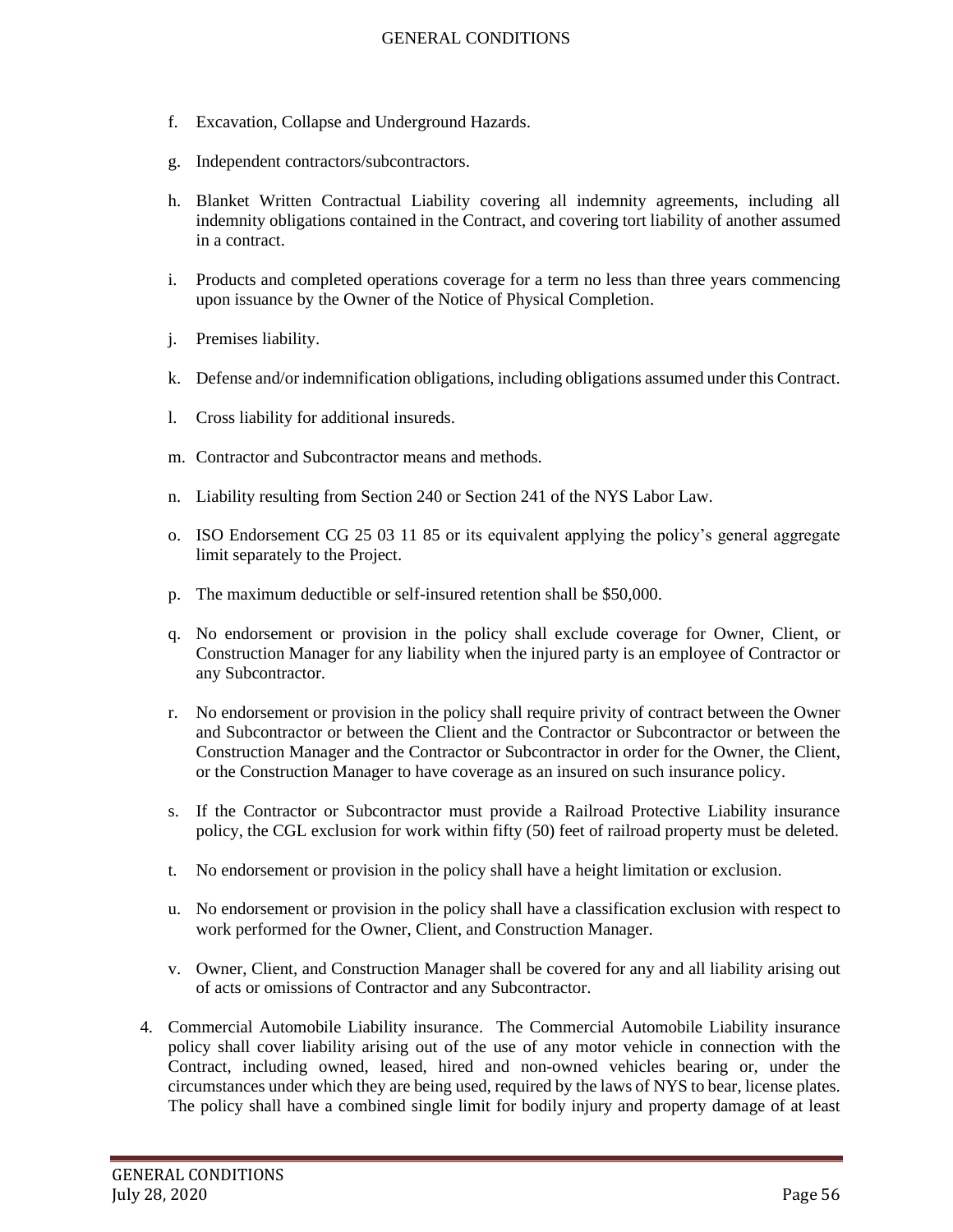- f. Excavation, Collapse and Underground Hazards.
- g. Independent contractors/subcontractors.
- h. Blanket Written Contractual Liability covering all indemnity agreements, including all indemnity obligations contained in the Contract, and covering tort liability of another assumed in a contract.
- i. Products and completed operations coverage for a term no less than three years commencing upon issuance by the Owner of the Notice of Physical Completion.
- j. Premises liability.
- k. Defense and/or indemnification obligations, including obligations assumed under this Contract.
- l. Cross liability for additional insureds.
- m. Contractor and Subcontractor means and methods.
- n. Liability resulting from Section 240 or Section 241 of the NYS Labor Law.
- o. ISO Endorsement CG 25 03 11 85 or its equivalent applying the policy's general aggregate limit separately to the Project.
- p. The maximum deductible or self-insured retention shall be \$50,000.
- q. No endorsement or provision in the policy shall exclude coverage for Owner, Client, or Construction Manager for any liability when the injured party is an employee of Contractor or any Subcontractor.
- r. No endorsement or provision in the policy shall require privity of contract between the Owner and Subcontractor or between the Client and the Contractor or Subcontractor or between the Construction Manager and the Contractor or Subcontractor in order for the Owner, the Client, or the Construction Manager to have coverage as an insured on such insurance policy.
- s. If the Contractor or Subcontractor must provide a Railroad Protective Liability insurance policy, the CGL exclusion for work within fifty (50) feet of railroad property must be deleted.
- t. No endorsement or provision in the policy shall have a height limitation or exclusion.
- u. No endorsement or provision in the policy shall have a classification exclusion with respect to work performed for the Owner, Client, and Construction Manager.
- v. Owner, Client, and Construction Manager shall be covered for any and all liability arising out of acts or omissions of Contractor and any Subcontractor.
- 4. Commercial Automobile Liability insurance. The Commercial Automobile Liability insurance policy shall cover liability arising out of the use of any motor vehicle in connection with the Contract, including owned, leased, hired and non-owned vehicles bearing or, under the circumstances under which they are being used, required by the laws of NYS to bear, license plates. The policy shall have a combined single limit for bodily injury and property damage of at least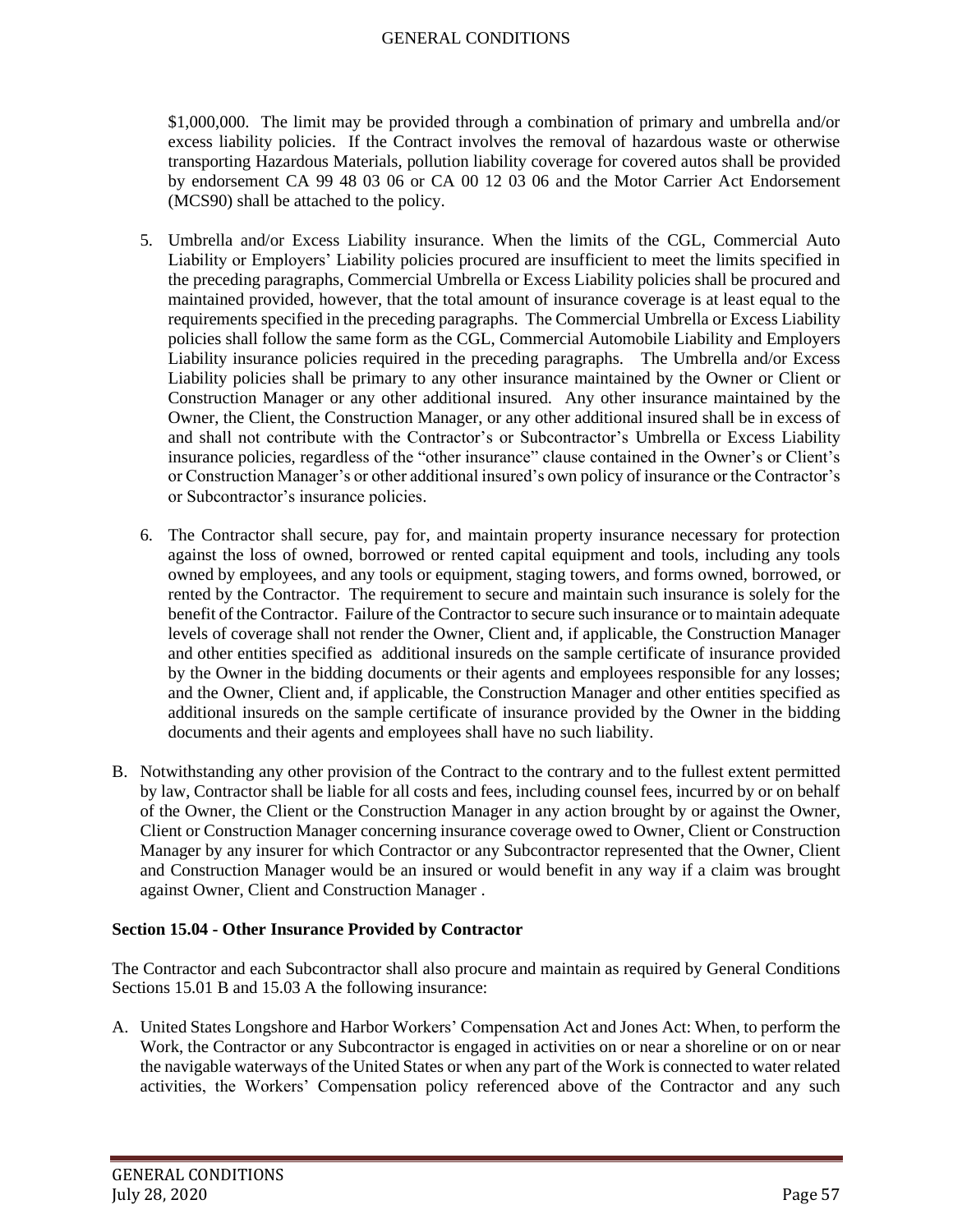\$1,000,000. The limit may be provided through a combination of primary and umbrella and/or excess liability policies. If the Contract involves the removal of hazardous waste or otherwise transporting Hazardous Materials, pollution liability coverage for covered autos shall be provided by endorsement CA 99 48 03 06 or CA 00 12 03 06 and the Motor Carrier Act Endorsement (MCS90) shall be attached to the policy.

- 5. Umbrella and/or Excess Liability insurance. When the limits of the CGL, Commercial Auto Liability or Employers' Liability policies procured are insufficient to meet the limits specified in the preceding paragraphs, Commercial Umbrella or Excess Liability policies shall be procured and maintained provided, however, that the total amount of insurance coverage is at least equal to the requirements specified in the preceding paragraphs. The Commercial Umbrella or Excess Liability policies shall follow the same form as the CGL, Commercial Automobile Liability and Employers Liability insurance policies required in the preceding paragraphs. The Umbrella and/or Excess Liability policies shall be primary to any other insurance maintained by the Owner or Client or Construction Manager or any other additional insured. Any other insurance maintained by the Owner, the Client, the Construction Manager, or any other additional insured shall be in excess of and shall not contribute with the Contractor's or Subcontractor's Umbrella or Excess Liability insurance policies, regardless of the "other insurance" clause contained in the Owner's or Client's or Construction Manager's or other additional insured's own policy of insurance or the Contractor's or Subcontractor's insurance policies.
- 6. The Contractor shall secure, pay for, and maintain property insurance necessary for protection against the loss of owned, borrowed or rented capital equipment and tools, including any tools owned by employees, and any tools or equipment, staging towers, and forms owned, borrowed, or rented by the Contractor. The requirement to secure and maintain such insurance is solely for the benefit of the Contractor. Failure of the Contractor to secure such insurance or to maintain adequate levels of coverage shall not render the Owner, Client and, if applicable, the Construction Manager and other entities specified as additional insureds on the sample certificate of insurance provided by the Owner in the bidding documents or their agents and employees responsible for any losses; and the Owner, Client and, if applicable, the Construction Manager and other entities specified as additional insureds on the sample certificate of insurance provided by the Owner in the bidding documents and their agents and employees shall have no such liability.
- B. Notwithstanding any other provision of the Contract to the contrary and to the fullest extent permitted by law, Contractor shall be liable for all costs and fees, including counsel fees, incurred by or on behalf of the Owner, the Client or the Construction Manager in any action brought by or against the Owner, Client or Construction Manager concerning insurance coverage owed to Owner, Client or Construction Manager by any insurer for which Contractor or any Subcontractor represented that the Owner, Client and Construction Manager would be an insured or would benefit in any way if a claim was brought against Owner, Client and Construction Manager .

# **Section 15.04 - Other Insurance Provided by Contractor**

The Contractor and each Subcontractor shall also procure and maintain as required by General Conditions Sections 15.01 B and 15.03 A the following insurance:

A. United States Longshore and Harbor Workers' Compensation Act and Jones Act: When, to perform the Work, the Contractor or any Subcontractor is engaged in activities on or near a shoreline or on or near the navigable waterways of the United States or when any part of the Work is connected to water related activities, the Workers' Compensation policy referenced above of the Contractor and any such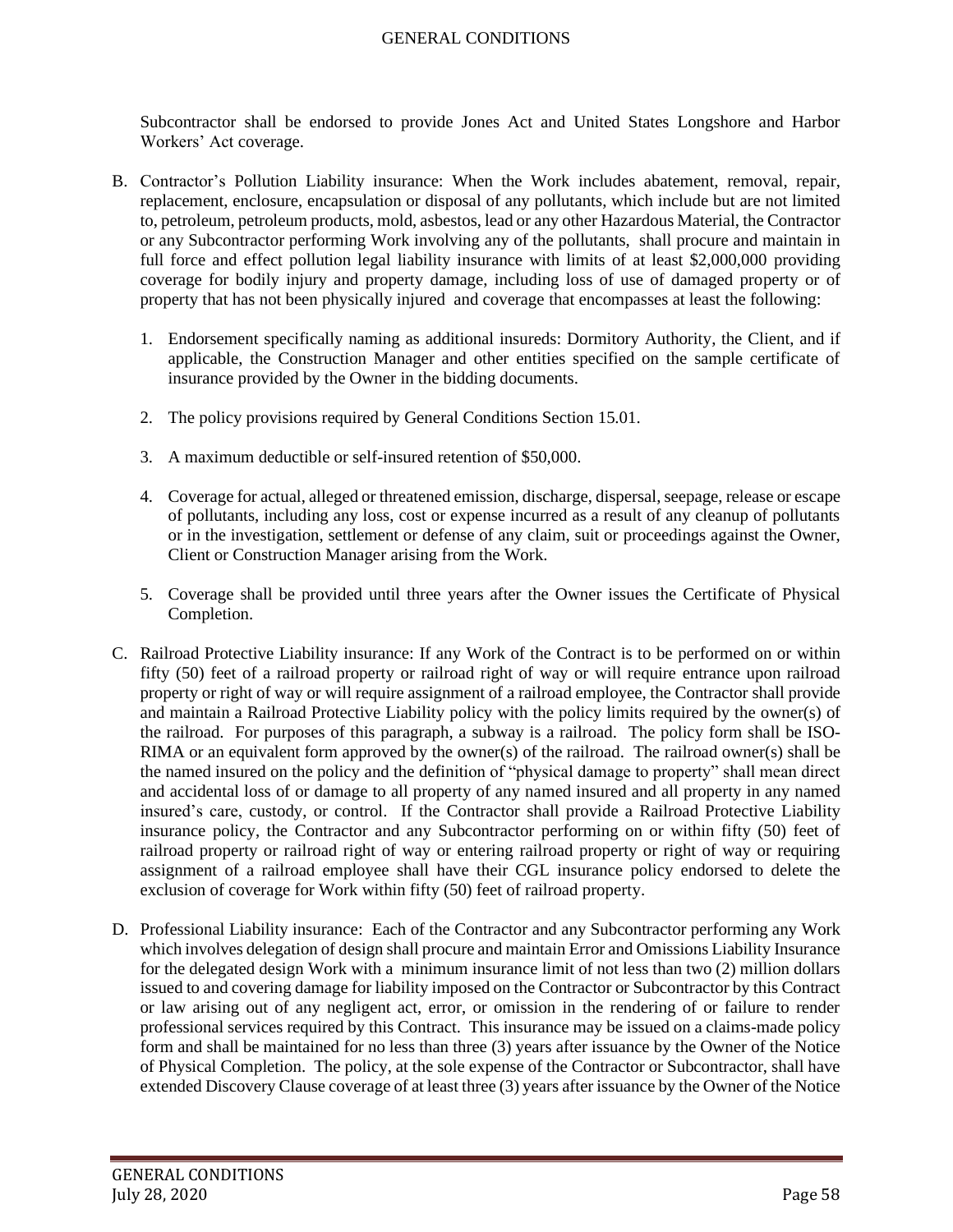Subcontractor shall be endorsed to provide Jones Act and United States Longshore and Harbor Workers' Act coverage.

- B. Contractor's Pollution Liability insurance: When the Work includes abatement, removal, repair, replacement, enclosure, encapsulation or disposal of any pollutants, which include but are not limited to, petroleum, petroleum products, mold, asbestos, lead or any other Hazardous Material, the Contractor or any Subcontractor performing Work involving any of the pollutants, shall procure and maintain in full force and effect pollution legal liability insurance with limits of at least \$2,000,000 providing coverage for bodily injury and property damage, including loss of use of damaged property or of property that has not been physically injured and coverage that encompasses at least the following:
	- 1. Endorsement specifically naming as additional insureds: Dormitory Authority, the Client, and if applicable, the Construction Manager and other entities specified on the sample certificate of insurance provided by the Owner in the bidding documents.
	- 2. The policy provisions required by General Conditions Section 15.01.
	- 3. A maximum deductible or self-insured retention of \$50,000.
	- 4. Coverage for actual, alleged or threatened emission, discharge, dispersal, seepage, release or escape of pollutants, including any loss, cost or expense incurred as a result of any cleanup of pollutants or in the investigation, settlement or defense of any claim, suit or proceedings against the Owner, Client or Construction Manager arising from the Work.
	- 5. Coverage shall be provided until three years after the Owner issues the Certificate of Physical Completion.
- C. Railroad Protective Liability insurance: If any Work of the Contract is to be performed on or within fifty (50) feet of a railroad property or railroad right of way or will require entrance upon railroad property or right of way or will require assignment of a railroad employee, the Contractor shall provide and maintain a Railroad Protective Liability policy with the policy limits required by the owner(s) of the railroad. For purposes of this paragraph, a subway is a railroad. The policy form shall be ISO-RIMA or an equivalent form approved by the owner(s) of the railroad. The railroad owner(s) shall be the named insured on the policy and the definition of "physical damage to property" shall mean direct and accidental loss of or damage to all property of any named insured and all property in any named insured's care, custody, or control. If the Contractor shall provide a Railroad Protective Liability insurance policy, the Contractor and any Subcontractor performing on or within fifty (50) feet of railroad property or railroad right of way or entering railroad property or right of way or requiring assignment of a railroad employee shall have their CGL insurance policy endorsed to delete the exclusion of coverage for Work within fifty (50) feet of railroad property.
- D. Professional Liability insurance: Each of the Contractor and any Subcontractor performing any Work which involves delegation of design shall procure and maintain Error and Omissions Liability Insurance for the delegated design Work with a minimum insurance limit of not less than two (2) million dollars issued to and covering damage for liability imposed on the Contractor or Subcontractor by this Contract or law arising out of any negligent act, error, or omission in the rendering of or failure to render professional services required by this Contract. This insurance may be issued on a claims-made policy form and shall be maintained for no less than three (3) years after issuance by the Owner of the Notice of Physical Completion. The policy, at the sole expense of the Contractor or Subcontractor, shall have extended Discovery Clause coverage of at least three (3) years after issuance by the Owner of the Notice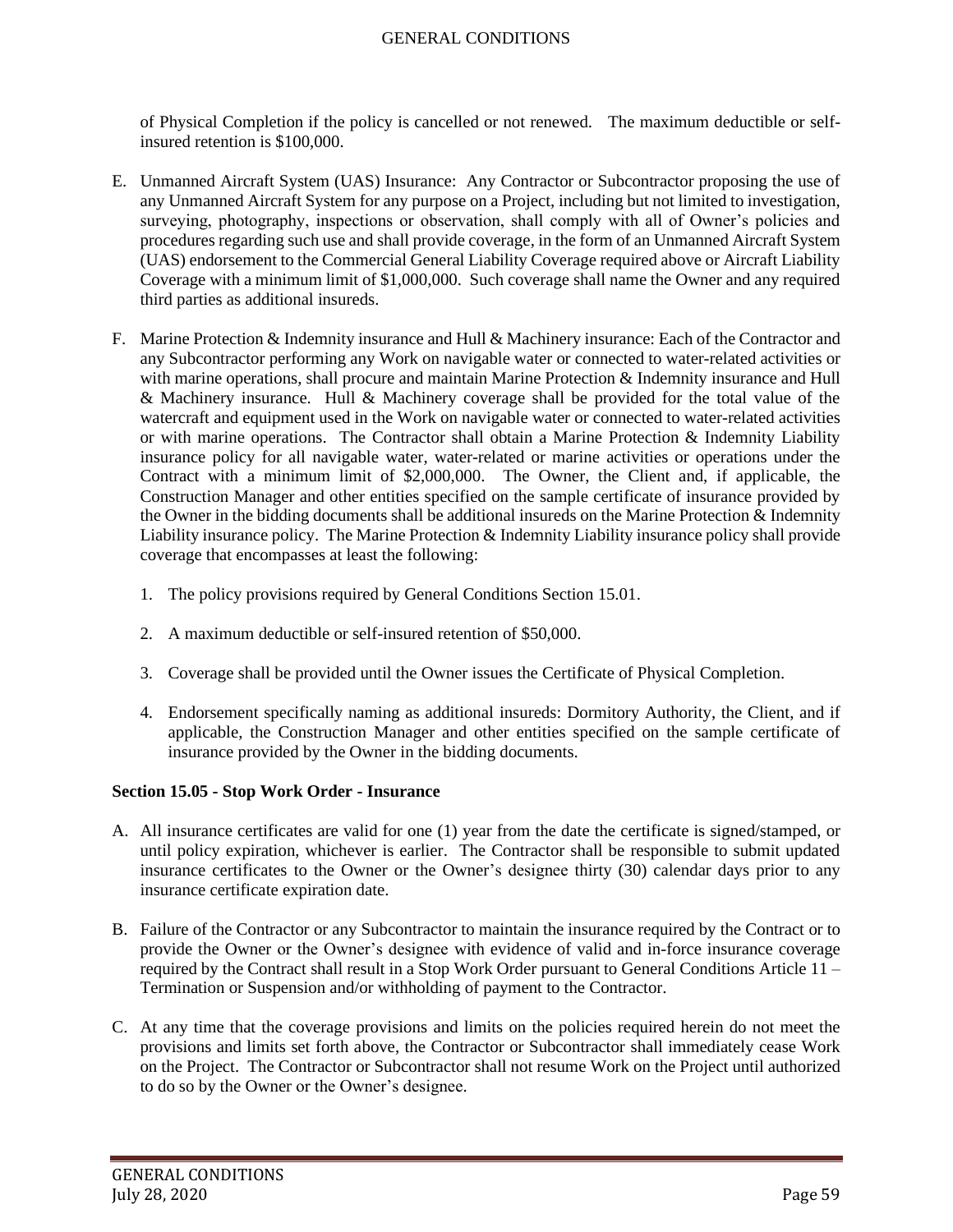of Physical Completion if the policy is cancelled or not renewed. The maximum deductible or selfinsured retention is \$100,000.

- E. Unmanned Aircraft System (UAS) Insurance: Any Contractor or Subcontractor proposing the use of any Unmanned Aircraft System for any purpose on a Project, including but not limited to investigation, surveying, photography, inspections or observation, shall comply with all of Owner's policies and procedures regarding such use and shall provide coverage, in the form of an Unmanned Aircraft System (UAS) endorsement to the Commercial General Liability Coverage required above or Aircraft Liability Coverage with a minimum limit of \$1,000,000. Such coverage shall name the Owner and any required third parties as additional insureds.
- F. Marine Protection & Indemnity insurance and Hull & Machinery insurance: Each of the Contractor and any Subcontractor performing any Work on navigable water or connected to water-related activities or with marine operations, shall procure and maintain Marine Protection & Indemnity insurance and Hull & Machinery insurance. Hull & Machinery coverage shall be provided for the total value of the watercraft and equipment used in the Work on navigable water or connected to water-related activities or with marine operations. The Contractor shall obtain a Marine Protection & Indemnity Liability insurance policy for all navigable water, water-related or marine activities or operations under the Contract with a minimum limit of \$2,000,000. The Owner, the Client and, if applicable, the Construction Manager and other entities specified on the sample certificate of insurance provided by the Owner in the bidding documents shall be additional insureds on the Marine Protection & Indemnity Liability insurance policy. The Marine Protection & Indemnity Liability insurance policy shall provide coverage that encompasses at least the following:
	- 1. The policy provisions required by General Conditions Section 15.01.
	- 2. A maximum deductible or self-insured retention of \$50,000.
	- 3. Coverage shall be provided until the Owner issues the Certificate of Physical Completion.
	- 4. Endorsement specifically naming as additional insureds: Dormitory Authority, the Client, and if applicable, the Construction Manager and other entities specified on the sample certificate of insurance provided by the Owner in the bidding documents.

### **Section 15.05 - Stop Work Order - Insurance**

- A. All insurance certificates are valid for one (1) year from the date the certificate is signed/stamped, or until policy expiration, whichever is earlier. The Contractor shall be responsible to submit updated insurance certificates to the Owner or the Owner's designee thirty (30) calendar days prior to any insurance certificate expiration date.
- B. Failure of the Contractor or any Subcontractor to maintain the insurance required by the Contract or to provide the Owner or the Owner's designee with evidence of valid and in-force insurance coverage required by the Contract shall result in a Stop Work Order pursuant to General Conditions Article 11 – Termination or Suspension and/or withholding of payment to the Contractor.
- C. At any time that the coverage provisions and limits on the policies required herein do not meet the provisions and limits set forth above, the Contractor or Subcontractor shall immediately cease Work on the Project. The Contractor or Subcontractor shall not resume Work on the Project until authorized to do so by the Owner or the Owner's designee.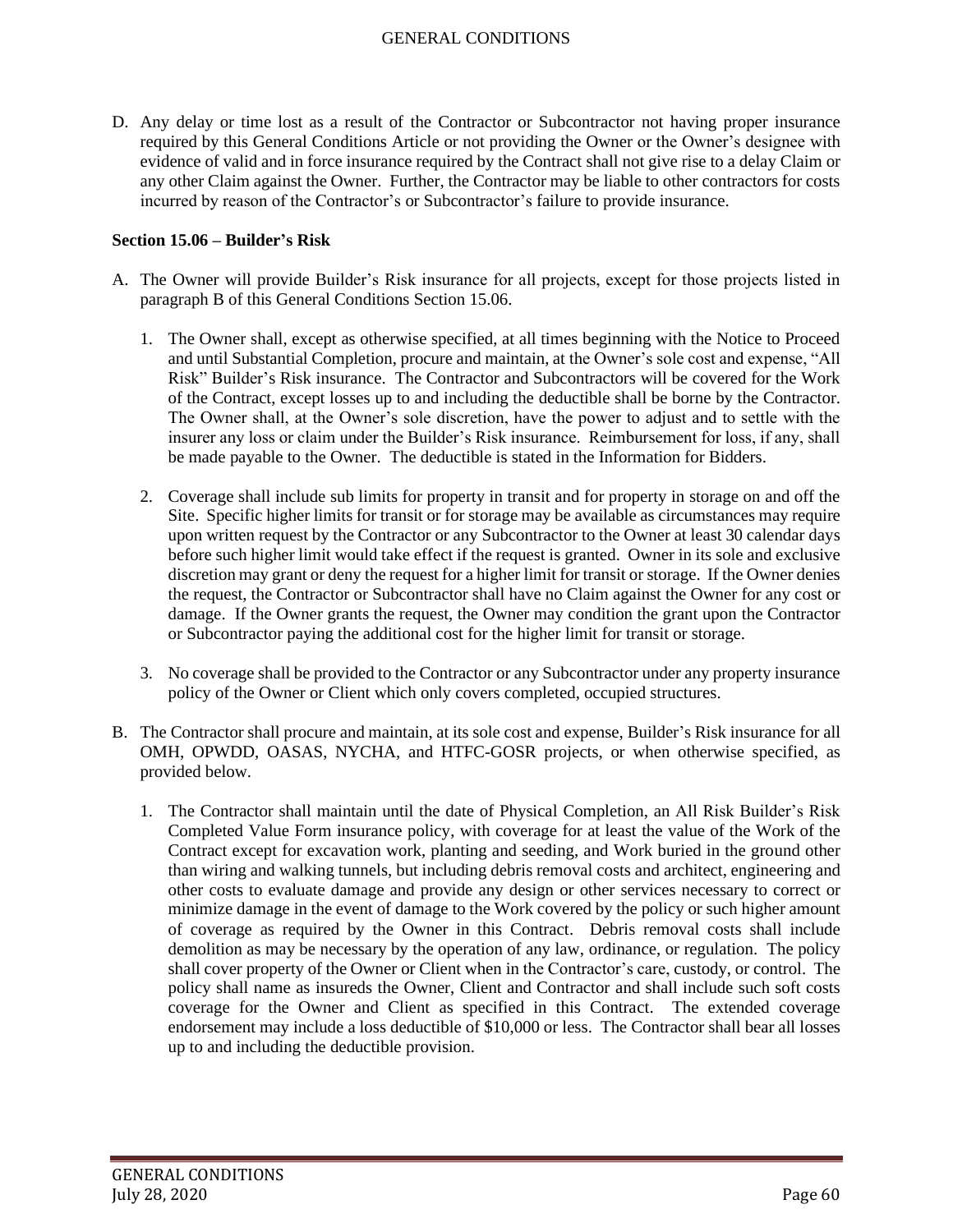D. Any delay or time lost as a result of the Contractor or Subcontractor not having proper insurance required by this General Conditions Article or not providing the Owner or the Owner's designee with evidence of valid and in force insurance required by the Contract shall not give rise to a delay Claim or any other Claim against the Owner. Further, the Contractor may be liable to other contractors for costs incurred by reason of the Contractor's or Subcontractor's failure to provide insurance.

#### **Section 15.06 – Builder's Risk**

- A. The Owner will provide Builder's Risk insurance for all projects, except for those projects listed in paragraph B of this General Conditions Section 15.06.
	- 1. The Owner shall, except as otherwise specified, at all times beginning with the Notice to Proceed and until Substantial Completion, procure and maintain, at the Owner's sole cost and expense, "All Risk" Builder's Risk insurance. The Contractor and Subcontractors will be covered for the Work of the Contract, except losses up to and including the deductible shall be borne by the Contractor. The Owner shall, at the Owner's sole discretion, have the power to adjust and to settle with the insurer any loss or claim under the Builder's Risk insurance. Reimbursement for loss, if any, shall be made payable to the Owner. The deductible is stated in the Information for Bidders.
	- 2. Coverage shall include sub limits for property in transit and for property in storage on and off the Site. Specific higher limits for transit or for storage may be available as circumstances may require upon written request by the Contractor or any Subcontractor to the Owner at least 30 calendar days before such higher limit would take effect if the request is granted. Owner in its sole and exclusive discretion may grant or deny the request for a higher limit for transit or storage. If the Owner denies the request, the Contractor or Subcontractor shall have no Claim against the Owner for any cost or damage. If the Owner grants the request, the Owner may condition the grant upon the Contractor or Subcontractor paying the additional cost for the higher limit for transit or storage.
	- 3. No coverage shall be provided to the Contractor or any Subcontractor under any property insurance policy of the Owner or Client which only covers completed, occupied structures.
- B. The Contractor shall procure and maintain, at its sole cost and expense, Builder's Risk insurance for all OMH, OPWDD, OASAS, NYCHA, and HTFC-GOSR projects, or when otherwise specified, as provided below.
	- 1. The Contractor shall maintain until the date of Physical Completion, an All Risk Builder's Risk Completed Value Form insurance policy, with coverage for at least the value of the Work of the Contract except for excavation work, planting and seeding, and Work buried in the ground other than wiring and walking tunnels, but including debris removal costs and architect, engineering and other costs to evaluate damage and provide any design or other services necessary to correct or minimize damage in the event of damage to the Work covered by the policy or such higher amount of coverage as required by the Owner in this Contract. Debris removal costs shall include demolition as may be necessary by the operation of any law, ordinance, or regulation. The policy shall cover property of the Owner or Client when in the Contractor's care, custody, or control. The policy shall name as insureds the Owner, Client and Contractor and shall include such soft costs coverage for the Owner and Client as specified in this Contract. The extended coverage endorsement may include a loss deductible of \$10,000 or less. The Contractor shall bear all losses up to and including the deductible provision.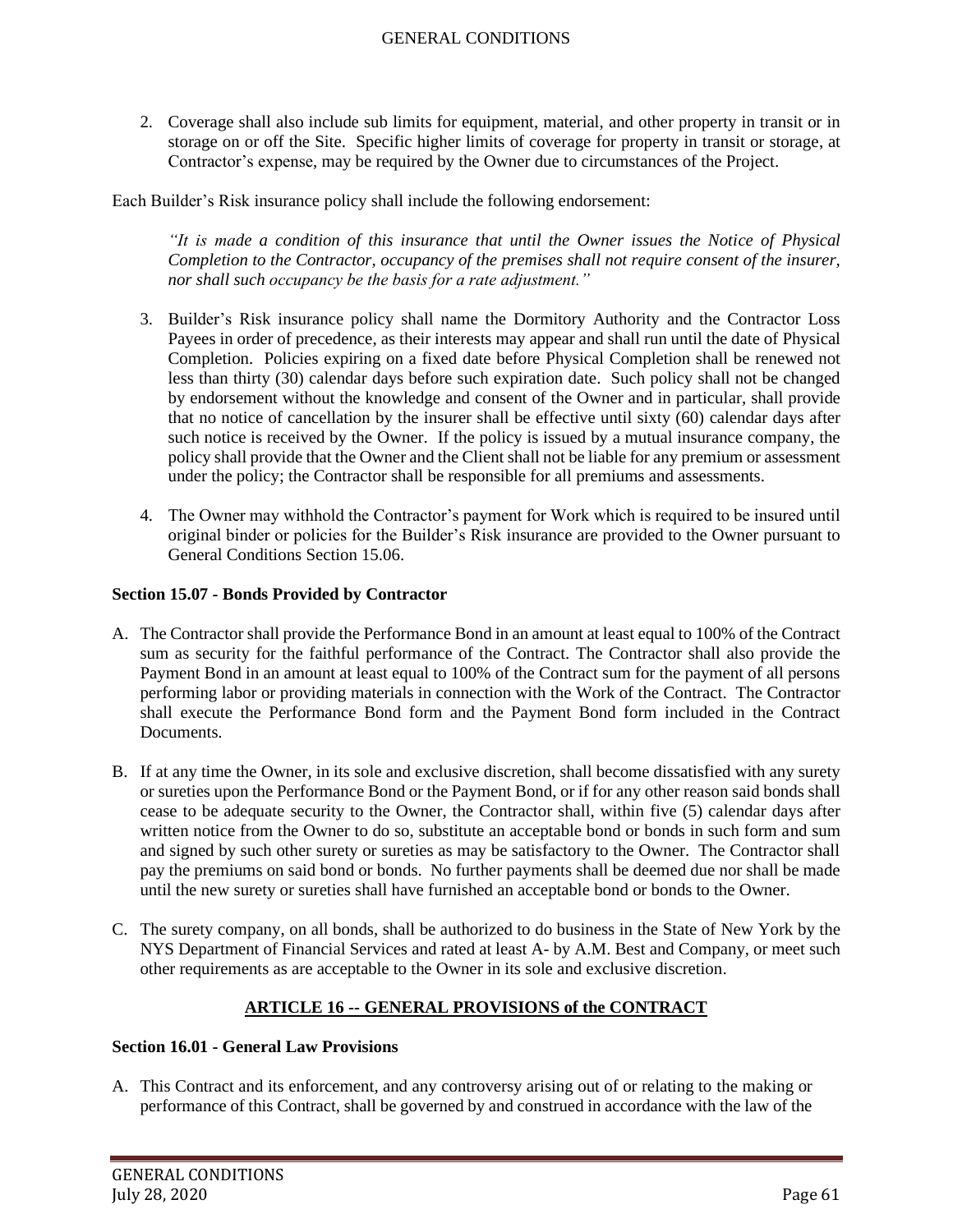2. Coverage shall also include sub limits for equipment, material, and other property in transit or in storage on or off the Site. Specific higher limits of coverage for property in transit or storage, at Contractor's expense, may be required by the Owner due to circumstances of the Project.

Each Builder's Risk insurance policy shall include the following endorsement:

*"It is made a condition of this insurance that until the Owner issues the Notice of Physical Completion to the Contractor, occupancy of the premises shall not require consent of the insurer, nor shall such occupancy be the basis for a rate adjustment."*

- 3. Builder's Risk insurance policy shall name the Dormitory Authority and the Contractor Loss Payees in order of precedence, as their interests may appear and shall run until the date of Physical Completion. Policies expiring on a fixed date before Physical Completion shall be renewed not less than thirty (30) calendar days before such expiration date. Such policy shall not be changed by endorsement without the knowledge and consent of the Owner and in particular, shall provide that no notice of cancellation by the insurer shall be effective until sixty (60) calendar days after such notice is received by the Owner. If the policy is issued by a mutual insurance company, the policy shall provide that the Owner and the Client shall not be liable for any premium or assessment under the policy; the Contractor shall be responsible for all premiums and assessments.
- 4. The Owner may withhold the Contractor's payment for Work which is required to be insured until original binder or policies for the Builder's Risk insurance are provided to the Owner pursuant to General Conditions Section 15.06.

## **Section 15.07 - Bonds Provided by Contractor**

- A. The Contractor shall provide the Performance Bond in an amount at least equal to 100% of the Contract sum as security for the faithful performance of the Contract. The Contractor shall also provide the Payment Bond in an amount at least equal to 100% of the Contract sum for the payment of all persons performing labor or providing materials in connection with the Work of the Contract. The Contractor shall execute the Performance Bond form and the Payment Bond form included in the Contract Documents.
- B. If at any time the Owner, in its sole and exclusive discretion, shall become dissatisfied with any surety or sureties upon the Performance Bond or the Payment Bond, or if for any other reason said bonds shall cease to be adequate security to the Owner, the Contractor shall, within five (5) calendar days after written notice from the Owner to do so, substitute an acceptable bond or bonds in such form and sum and signed by such other surety or sureties as may be satisfactory to the Owner. The Contractor shall pay the premiums on said bond or bonds. No further payments shall be deemed due nor shall be made until the new surety or sureties shall have furnished an acceptable bond or bonds to the Owner.
- C. The surety company, on all bonds, shall be authorized to do business in the State of New York by the NYS Department of Financial Services and rated at least A- by A.M. Best and Company, or meet such other requirements as are acceptable to the Owner in its sole and exclusive discretion.

# **ARTICLE 16 -- GENERAL PROVISIONS of the CONTRACT**

### **Section 16.01 - General Law Provisions**

A. This Contract and its enforcement, and any controversy arising out of or relating to the making or performance of this Contract, shall be governed by and construed in accordance with the law of the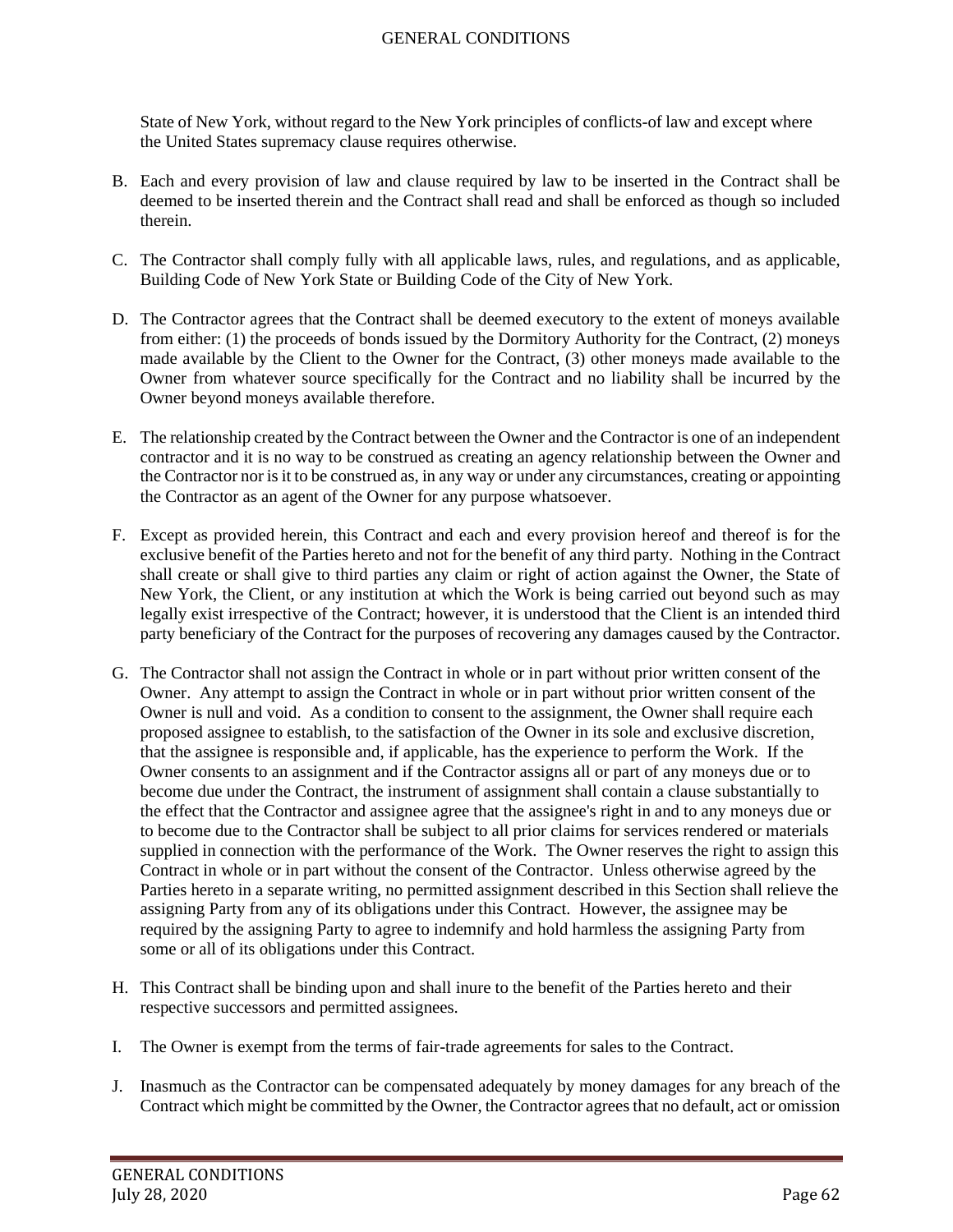State of New York, without regard to the New York principles of conflicts-of law and except where the United States supremacy clause requires otherwise.

- B. Each and every provision of law and clause required by law to be inserted in the Contract shall be deemed to be inserted therein and the Contract shall read and shall be enforced as though so included therein.
- C. The Contractor shall comply fully with all applicable laws, rules, and regulations, and as applicable, Building Code of New York State or Building Code of the City of New York.
- D. The Contractor agrees that the Contract shall be deemed executory to the extent of moneys available from either: (1) the proceeds of bonds issued by the Dormitory Authority for the Contract, (2) moneys made available by the Client to the Owner for the Contract, (3) other moneys made available to the Owner from whatever source specifically for the Contract and no liability shall be incurred by the Owner beyond moneys available therefore.
- E. The relationship created by the Contract between the Owner and the Contractor is one of an independent contractor and it is no way to be construed as creating an agency relationship between the Owner and the Contractor nor is it to be construed as, in any way or under any circumstances, creating or appointing the Contractor as an agent of the Owner for any purpose whatsoever.
- F. Except as provided herein, this Contract and each and every provision hereof and thereof is for the exclusive benefit of the Parties hereto and not for the benefit of any third party. Nothing in the Contract shall create or shall give to third parties any claim or right of action against the Owner, the State of New York, the Client, or any institution at which the Work is being carried out beyond such as may legally exist irrespective of the Contract; however, it is understood that the Client is an intended third party beneficiary of the Contract for the purposes of recovering any damages caused by the Contractor.
- G. The Contractor shall not assign the Contract in whole or in part without prior written consent of the Owner. Any attempt to assign the Contract in whole or in part without prior written consent of the Owner is null and void. As a condition to consent to the assignment, the Owner shall require each proposed assignee to establish, to the satisfaction of the Owner in its sole and exclusive discretion, that the assignee is responsible and, if applicable, has the experience to perform the Work. If the Owner consents to an assignment and if the Contractor assigns all or part of any moneys due or to become due under the Contract, the instrument of assignment shall contain a clause substantially to the effect that the Contractor and assignee agree that the assignee's right in and to any moneys due or to become due to the Contractor shall be subject to all prior claims for services rendered or materials supplied in connection with the performance of the Work. The Owner reserves the right to assign this Contract in whole or in part without the consent of the Contractor. Unless otherwise agreed by the Parties hereto in a separate writing, no permitted assignment described in this Section shall relieve the assigning Party from any of its obligations under this Contract. However, the assignee may be required by the assigning Party to agree to indemnify and hold harmless the assigning Party from some or all of its obligations under this Contract.
- H. This Contract shall be binding upon and shall inure to the benefit of the Parties hereto and their respective successors and permitted assignees.
- I. The Owner is exempt from the terms of fair-trade agreements for sales to the Contract.
- J. Inasmuch as the Contractor can be compensated adequately by money damages for any breach of the Contract which might be committed by the Owner, the Contractor agrees that no default, act or omission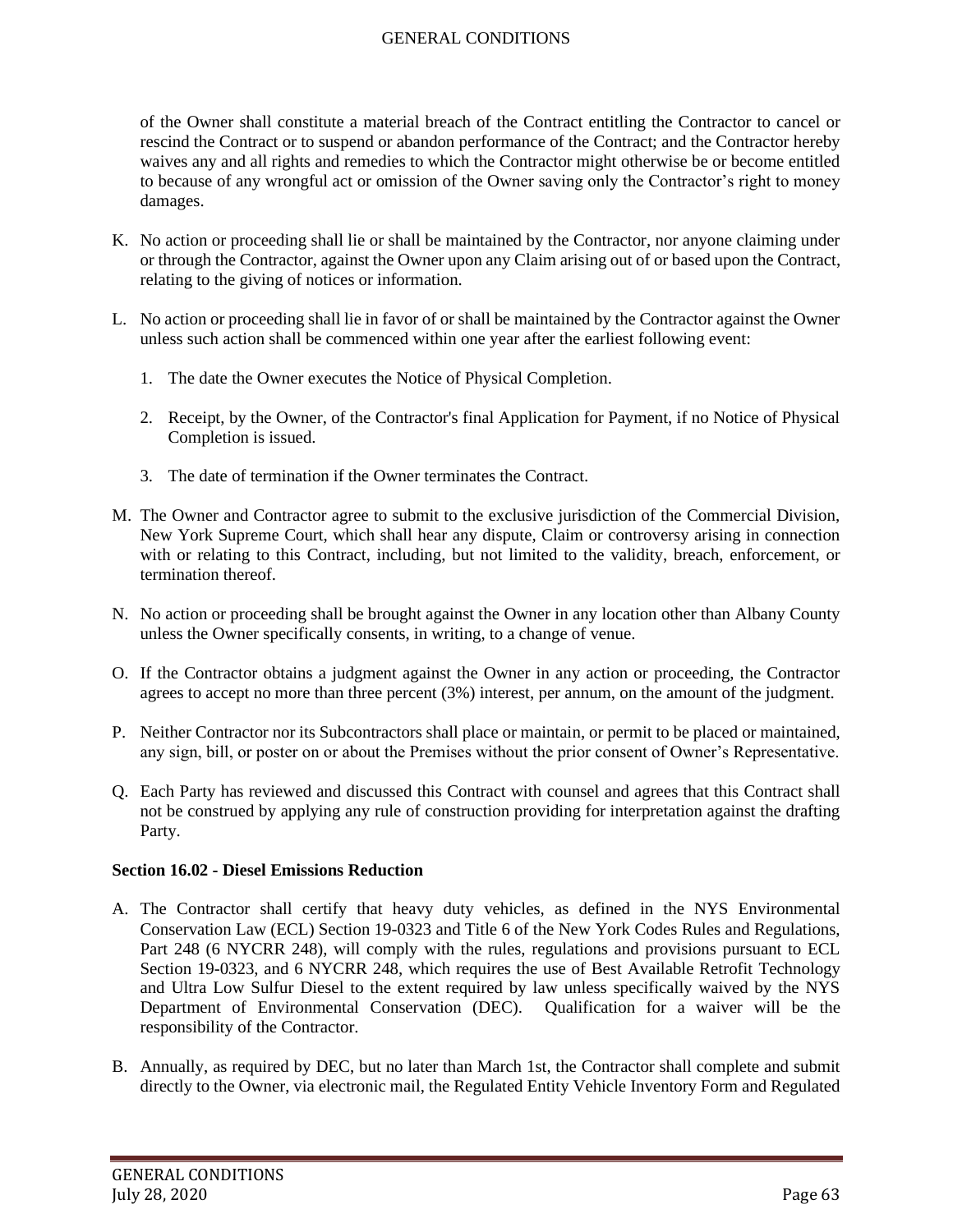of the Owner shall constitute a material breach of the Contract entitling the Contractor to cancel or rescind the Contract or to suspend or abandon performance of the Contract; and the Contractor hereby waives any and all rights and remedies to which the Contractor might otherwise be or become entitled to because of any wrongful act or omission of the Owner saving only the Contractor's right to money damages.

- K. No action or proceeding shall lie or shall be maintained by the Contractor, nor anyone claiming under or through the Contractor, against the Owner upon any Claim arising out of or based upon the Contract, relating to the giving of notices or information.
- L. No action or proceeding shall lie in favor of or shall be maintained by the Contractor against the Owner unless such action shall be commenced within one year after the earliest following event:
	- 1. The date the Owner executes the Notice of Physical Completion.
	- 2. Receipt, by the Owner, of the Contractor's final Application for Payment, if no Notice of Physical Completion is issued.
	- 3. The date of termination if the Owner terminates the Contract.
- M. The Owner and Contractor agree to submit to the exclusive jurisdiction of the Commercial Division, New York Supreme Court, which shall hear any dispute, Claim or controversy arising in connection with or relating to this Contract, including, but not limited to the validity, breach, enforcement, or termination thereof.
- N. No action or proceeding shall be brought against the Owner in any location other than Albany County unless the Owner specifically consents, in writing, to a change of venue.
- O. If the Contractor obtains a judgment against the Owner in any action or proceeding, the Contractor agrees to accept no more than three percent (3%) interest, per annum, on the amount of the judgment.
- P. Neither Contractor nor its Subcontractors shall place or maintain, or permit to be placed or maintained, any sign, bill, or poster on or about the Premises without the prior consent of Owner's Representative.
- Q. Each Party has reviewed and discussed this Contract with counsel and agrees that this Contract shall not be construed by applying any rule of construction providing for interpretation against the drafting Party.

# **Section 16.02 - Diesel Emissions Reduction**

- A. The Contractor shall certify that heavy duty vehicles, as defined in the NYS Environmental Conservation Law (ECL) Section 19-0323 and Title 6 of the New York Codes Rules and Regulations, Part 248 (6 NYCRR 248), will comply with the rules, regulations and provisions pursuant to ECL Section 19-0323, and 6 NYCRR 248, which requires the use of Best Available Retrofit Technology and Ultra Low Sulfur Diesel to the extent required by law unless specifically waived by the NYS Department of Environmental Conservation (DEC). Qualification for a waiver will be the responsibility of the Contractor.
- B. Annually, as required by DEC, but no later than March 1st, the Contractor shall complete and submit directly to the Owner, via electronic mail, the Regulated Entity Vehicle Inventory Form and Regulated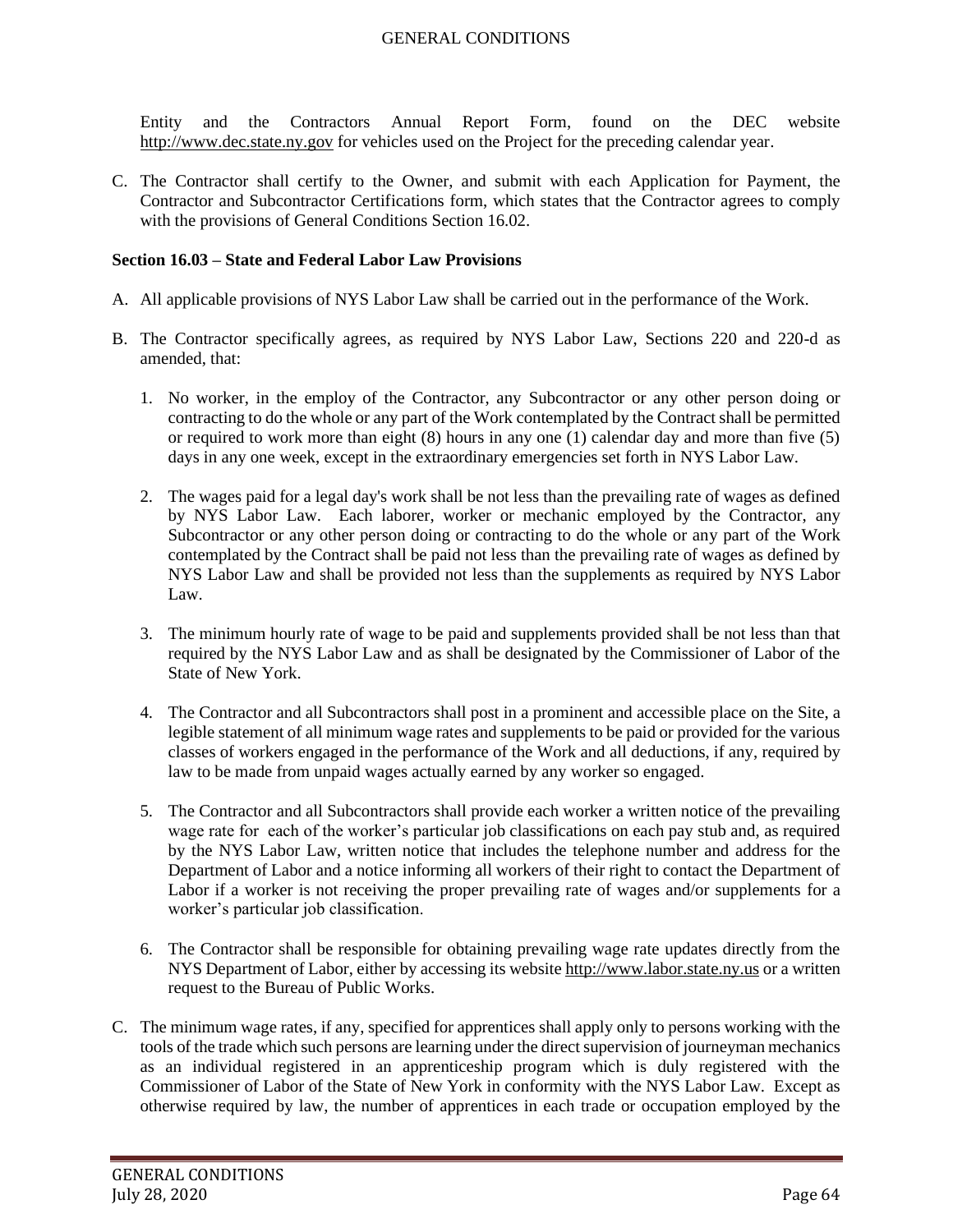Entity and the Contractors Annual Report Form, found on the DEC website [http://www.dec.state.ny.gov](http://www.dec.ny.gov/) for vehicles used on the Project for the preceding calendar year.

C. The Contractor shall certify to the Owner, and submit with each Application for Payment, the Contractor and Subcontractor Certifications form, which states that the Contractor agrees to comply with the provisions of General Conditions Section 16.02.

#### **Section 16.03 – State and Federal Labor Law Provisions**

- A. All applicable provisions of NYS Labor Law shall be carried out in the performance of the Work.
- B. The Contractor specifically agrees, as required by NYS Labor Law, Sections 220 and 220-d as amended, that:
	- 1. No worker, in the employ of the Contractor, any Subcontractor or any other person doing or contracting to do the whole or any part of the Work contemplated by the Contract shall be permitted or required to work more than eight (8) hours in any one (1) calendar day and more than five (5) days in any one week, except in the extraordinary emergencies set forth in NYS Labor Law.
	- 2. The wages paid for a legal day's work shall be not less than the prevailing rate of wages as defined by NYS Labor Law. Each laborer, worker or mechanic employed by the Contractor, any Subcontractor or any other person doing or contracting to do the whole or any part of the Work contemplated by the Contract shall be paid not less than the prevailing rate of wages as defined by NYS Labor Law and shall be provided not less than the supplements as required by NYS Labor Law.
	- 3. The minimum hourly rate of wage to be paid and supplements provided shall be not less than that required by the NYS Labor Law and as shall be designated by the Commissioner of Labor of the State of New York.
	- 4. The Contractor and all Subcontractors shall post in a prominent and accessible place on the Site, a legible statement of all minimum wage rates and supplements to be paid or provided for the various classes of workers engaged in the performance of the Work and all deductions, if any, required by law to be made from unpaid wages actually earned by any worker so engaged.
	- 5. The Contractor and all Subcontractors shall provide each worker a written notice of the prevailing wage rate for each of the worker's particular job classifications on each pay stub and, as required by the NYS Labor Law, written notice that includes the telephone number and address for the Department of Labor and a notice informing all workers of their right to contact the Department of Labor if a worker is not receiving the proper prevailing rate of wages and/or supplements for a worker's particular job classification.
	- 6. The Contractor shall be responsible for obtaining prevailing wage rate updates directly from the NYS Department of Labor, either by accessing its websit[e http://www.labor.state.ny.us](http://www.labor.state.ny.us/) or a written request to the Bureau of Public Works.
- C. The minimum wage rates, if any, specified for apprentices shall apply only to persons working with the tools of the trade which such persons are learning under the direct supervision of journeyman mechanics as an individual registered in an apprenticeship program which is duly registered with the Commissioner of Labor of the State of New York in conformity with the NYS Labor Law. Except as otherwise required by law, the number of apprentices in each trade or occupation employed by the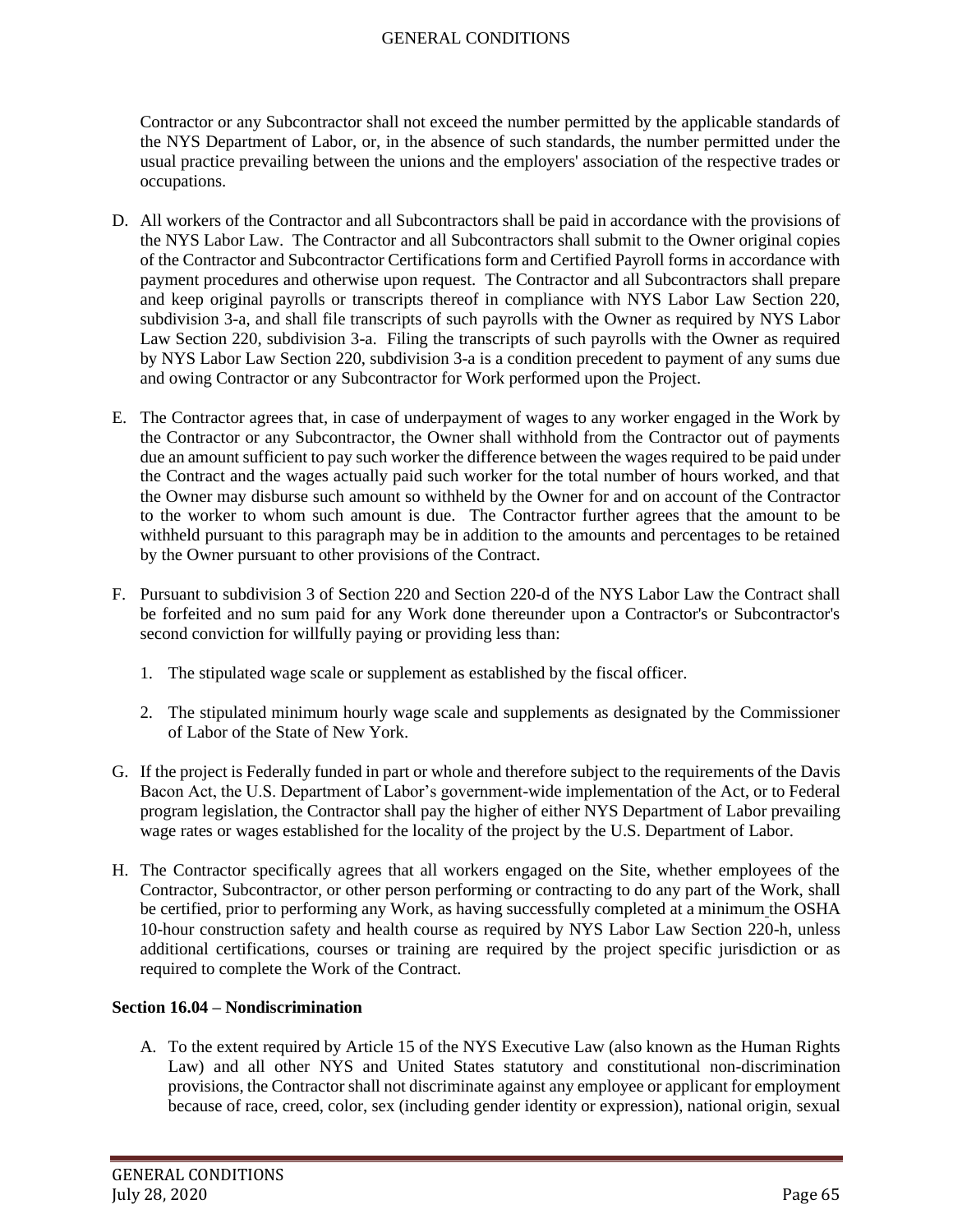Contractor or any Subcontractor shall not exceed the number permitted by the applicable standards of the NYS Department of Labor, or, in the absence of such standards, the number permitted under the usual practice prevailing between the unions and the employers' association of the respective trades or occupations.

- D. All workers of the Contractor and all Subcontractors shall be paid in accordance with the provisions of the NYS Labor Law. The Contractor and all Subcontractors shall submit to the Owner original copies of the Contractor and Subcontractor Certifications form and Certified Payroll forms in accordance with payment procedures and otherwise upon request. The Contractor and all Subcontractors shall prepare and keep original payrolls or transcripts thereof in compliance with NYS Labor Law Section 220, subdivision 3-a, and shall file transcripts of such payrolls with the Owner as required by NYS Labor Law Section 220, subdivision 3-a. Filing the transcripts of such payrolls with the Owner as required by NYS Labor Law Section 220, subdivision 3-a is a condition precedent to payment of any sums due and owing Contractor or any Subcontractor for Work performed upon the Project.
- E. The Contractor agrees that, in case of underpayment of wages to any worker engaged in the Work by the Contractor or any Subcontractor, the Owner shall withhold from the Contractor out of payments due an amount sufficient to pay such worker the difference between the wages required to be paid under the Contract and the wages actually paid such worker for the total number of hours worked, and that the Owner may disburse such amount so withheld by the Owner for and on account of the Contractor to the worker to whom such amount is due. The Contractor further agrees that the amount to be withheld pursuant to this paragraph may be in addition to the amounts and percentages to be retained by the Owner pursuant to other provisions of the Contract.
- F. Pursuant to subdivision 3 of Section 220 and Section 220-d of the NYS Labor Law the Contract shall be forfeited and no sum paid for any Work done thereunder upon a Contractor's or Subcontractor's second conviction for willfully paying or providing less than:
	- 1. The stipulated wage scale or supplement as established by the fiscal officer.
	- 2. The stipulated minimum hourly wage scale and supplements as designated by the Commissioner of Labor of the State of New York.
- G. If the project is Federally funded in part or whole and therefore subject to the requirements of the Davis Bacon Act, the U.S. Department of Labor's government-wide implementation of the Act, or to Federal program legislation, the Contractor shall pay the higher of either NYS Department of Labor prevailing wage rates or wages established for the locality of the project by the U.S. Department of Labor.
- H. The Contractor specifically agrees that all workers engaged on the Site, whether employees of the Contractor, Subcontractor, or other person performing or contracting to do any part of the Work, shall be certified, prior to performing any Work, as having successfully completed at a minimum the OSHA 10-hour construction safety and health course as required by NYS Labor Law Section 220-h, unless additional certifications, courses or training are required by the project specific jurisdiction or as required to complete the Work of the Contract.

### **Section 16.04 – Nondiscrimination**

A. To the extent required by Article 15 of the NYS Executive Law (also known as the Human Rights Law) and all other NYS and United States statutory and constitutional non-discrimination provisions, the Contractor shall not discriminate against any employee or applicant for employment because of race, creed, color, sex (including gender identity or expression), national origin, sexual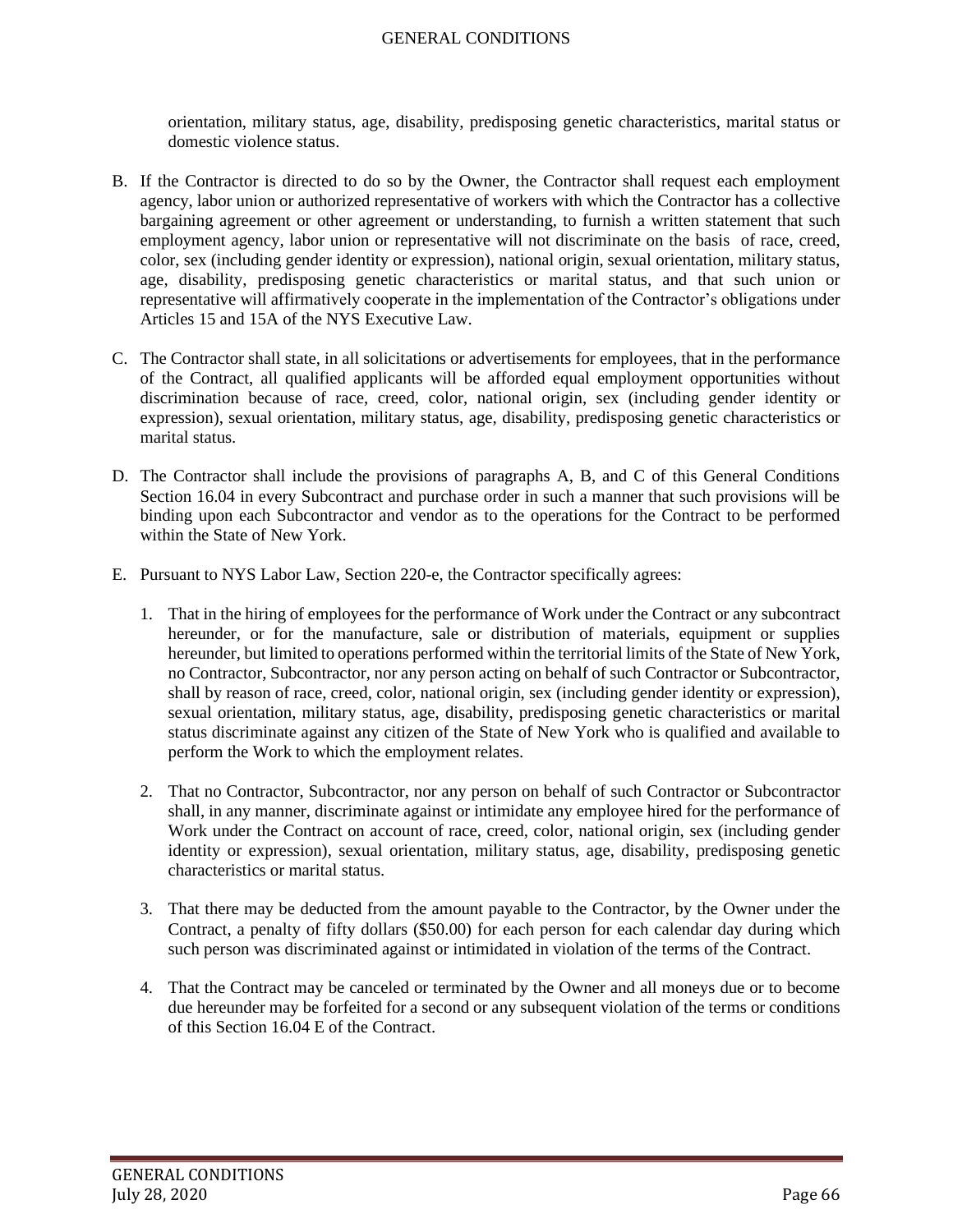orientation, military status, age, disability, predisposing genetic characteristics, marital status or domestic violence status.

- B. If the Contractor is directed to do so by the Owner, the Contractor shall request each employment agency, labor union or authorized representative of workers with which the Contractor has a collective bargaining agreement or other agreement or understanding, to furnish a written statement that such employment agency, labor union or representative will not discriminate on the basis of race, creed, color, sex (including gender identity or expression), national origin, sexual orientation, military status, age, disability, predisposing genetic characteristics or marital status, and that such union or representative will affirmatively cooperate in the implementation of the Contractor's obligations under Articles 15 and 15A of the NYS Executive Law.
- C. The Contractor shall state, in all solicitations or advertisements for employees, that in the performance of the Contract, all qualified applicants will be afforded equal employment opportunities without discrimination because of race, creed, color, national origin, sex (including gender identity or expression), sexual orientation, military status, age, disability, predisposing genetic characteristics or marital status.
- D. The Contractor shall include the provisions of paragraphs A, B, and C of this General Conditions Section 16.04 in every Subcontract and purchase order in such a manner that such provisions will be binding upon each Subcontractor and vendor as to the operations for the Contract to be performed within the State of New York.
- E. Pursuant to NYS Labor Law, Section 220-e, the Contractor specifically agrees:
	- 1. That in the hiring of employees for the performance of Work under the Contract or any subcontract hereunder, or for the manufacture, sale or distribution of materials, equipment or supplies hereunder, but limited to operations performed within the territorial limits of the State of New York, no Contractor, Subcontractor, nor any person acting on behalf of such Contractor or Subcontractor, shall by reason of race, creed, color, national origin, sex (including gender identity or expression), sexual orientation, military status, age, disability, predisposing genetic characteristics or marital status discriminate against any citizen of the State of New York who is qualified and available to perform the Work to which the employment relates.
	- 2. That no Contractor, Subcontractor, nor any person on behalf of such Contractor or Subcontractor shall, in any manner, discriminate against or intimidate any employee hired for the performance of Work under the Contract on account of race, creed, color, national origin, sex (including gender identity or expression), sexual orientation, military status, age, disability, predisposing genetic characteristics or marital status.
	- 3. That there may be deducted from the amount payable to the Contractor, by the Owner under the Contract, a penalty of fifty dollars (\$50.00) for each person for each calendar day during which such person was discriminated against or intimidated in violation of the terms of the Contract.
	- 4. That the Contract may be canceled or terminated by the Owner and all moneys due or to become due hereunder may be forfeited for a second or any subsequent violation of the terms or conditions of this Section 16.04 E of the Contract.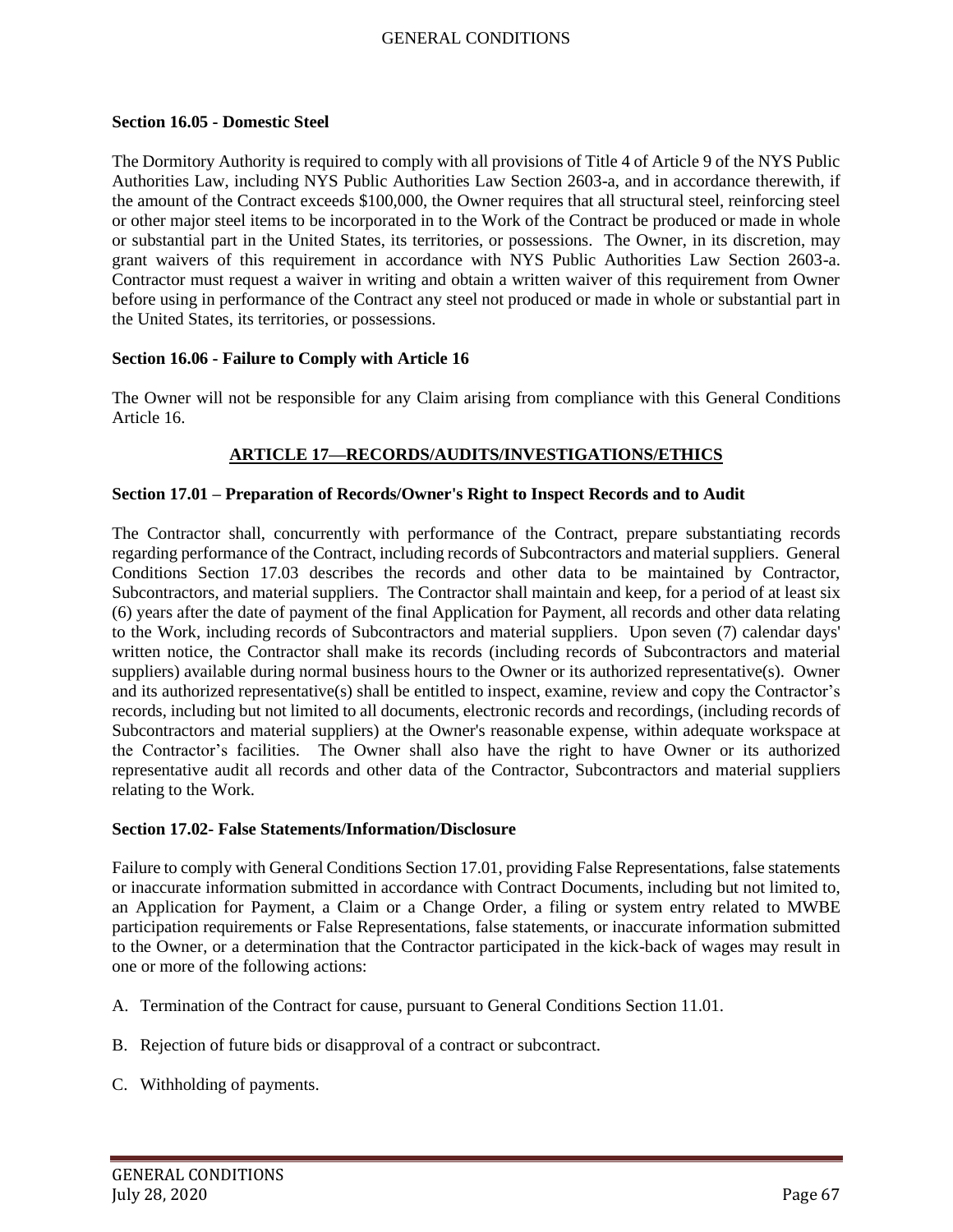#### **Section 16.05 - Domestic Steel**

The Dormitory Authority is required to comply with all provisions of Title 4 of Article 9 of the NYS Public Authorities Law, including NYS Public Authorities Law Section 2603-a, and in accordance therewith, if the amount of the Contract exceeds \$100,000, the Owner requires that all structural steel, reinforcing steel or other major steel items to be incorporated in to the Work of the Contract be produced or made in whole or substantial part in the United States, its territories, or possessions. The Owner, in its discretion, may grant waivers of this requirement in accordance with NYS Public Authorities Law Section 2603-a. Contractor must request a waiver in writing and obtain a written waiver of this requirement from Owner before using in performance of the Contract any steel not produced or made in whole or substantial part in the United States, its territories, or possessions.

### **Section 16.06 - Failure to Comply with Article 16**

The Owner will not be responsible for any Claim arising from compliance with this General Conditions Article 16.

### **ARTICLE 17—RECORDS/AUDITS/INVESTIGATIONS/ETHICS**

#### **Section 17.01 – Preparation of Records/Owner's Right to Inspect Records and to Audit**

The Contractor shall, concurrently with performance of the Contract, prepare substantiating records regarding performance of the Contract, including records of Subcontractors and material suppliers. General Conditions Section 17.03 describes the records and other data to be maintained by Contractor, Subcontractors, and material suppliers. The Contractor shall maintain and keep, for a period of at least six (6) years after the date of payment of the final Application for Payment, all records and other data relating to the Work, including records of Subcontractors and material suppliers. Upon seven (7) calendar days' written notice, the Contractor shall make its records (including records of Subcontractors and material suppliers) available during normal business hours to the Owner or its authorized representative(s). Owner and its authorized representative(s) shall be entitled to inspect, examine, review and copy the Contractor's records, including but not limited to all documents, electronic records and recordings, (including records of Subcontractors and material suppliers) at the Owner's reasonable expense, within adequate workspace at the Contractor's facilities. The Owner shall also have the right to have Owner or its authorized representative audit all records and other data of the Contractor, Subcontractors and material suppliers relating to the Work.

#### **Section 17.02- False Statements/Information/Disclosure**

Failure to comply with General Conditions Section 17.01, providing False Representations, false statements or inaccurate information submitted in accordance with Contract Documents, including but not limited to, an Application for Payment, a Claim or a Change Order, a filing or system entry related to MWBE participation requirements or False Representations, false statements, or inaccurate information submitted to the Owner, or a determination that the Contractor participated in the kick-back of wages may result in one or more of the following actions:

- A. Termination of the Contract for cause, pursuant to General Conditions Section 11.01.
- B. Rejection of future bids or disapproval of a contract or subcontract.
- C. Withholding of payments.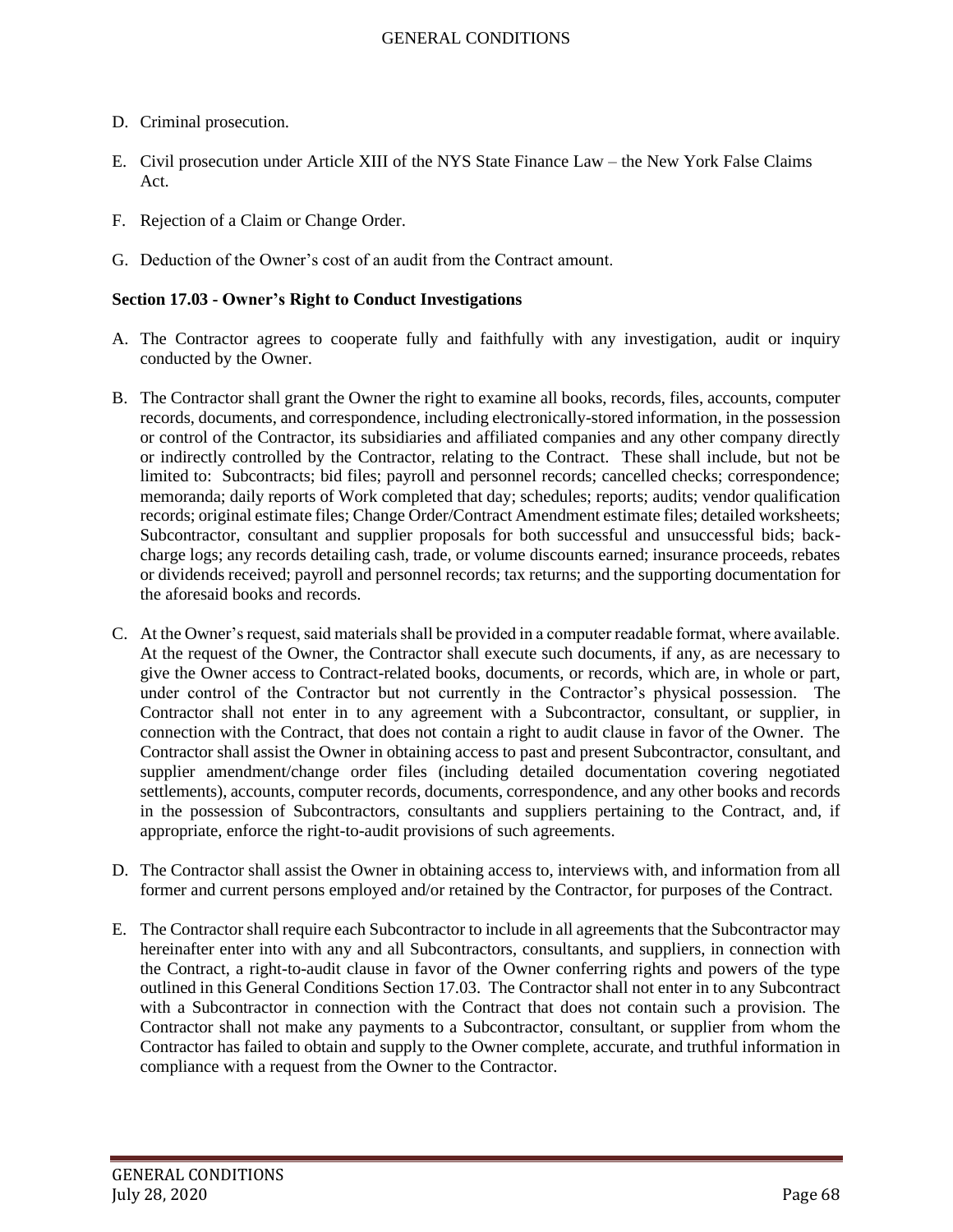- D. Criminal prosecution.
- E. Civil prosecution under Article XIII of the NYS State Finance Law the New York False Claims Act.
- F. Rejection of a Claim or Change Order.
- G. Deduction of the Owner's cost of an audit from the Contract amount.

## **Section 17.03 - Owner's Right to Conduct Investigations**

- A. The Contractor agrees to cooperate fully and faithfully with any investigation, audit or inquiry conducted by the Owner.
- B. The Contractor shall grant the Owner the right to examine all books, records, files, accounts, computer records, documents, and correspondence, including electronically-stored information, in the possession or control of the Contractor, its subsidiaries and affiliated companies and any other company directly or indirectly controlled by the Contractor, relating to the Contract. These shall include, but not be limited to: Subcontracts; bid files; payroll and personnel records; cancelled checks; correspondence; memoranda; daily reports of Work completed that day; schedules; reports; audits; vendor qualification records; original estimate files; Change Order/Contract Amendment estimate files; detailed worksheets; Subcontractor, consultant and supplier proposals for both successful and unsuccessful bids; backcharge logs; any records detailing cash, trade, or volume discounts earned; insurance proceeds, rebates or dividends received; payroll and personnel records; tax returns; and the supporting documentation for the aforesaid books and records.
- C. At the Owner's request, said materials shall be provided in a computer readable format, where available. At the request of the Owner, the Contractor shall execute such documents, if any, as are necessary to give the Owner access to Contract-related books, documents, or records, which are, in whole or part, under control of the Contractor but not currently in the Contractor's physical possession. The Contractor shall not enter in to any agreement with a Subcontractor, consultant, or supplier, in connection with the Contract, that does not contain a right to audit clause in favor of the Owner. The Contractor shall assist the Owner in obtaining access to past and present Subcontractor, consultant, and supplier amendment/change order files (including detailed documentation covering negotiated settlements), accounts, computer records, documents, correspondence, and any other books and records in the possession of Subcontractors, consultants and suppliers pertaining to the Contract, and, if appropriate, enforce the right-to-audit provisions of such agreements.
- D. The Contractor shall assist the Owner in obtaining access to, interviews with, and information from all former and current persons employed and/or retained by the Contractor, for purposes of the Contract.
- E. The Contractor shall require each Subcontractor to include in all agreements that the Subcontractor may hereinafter enter into with any and all Subcontractors, consultants, and suppliers, in connection with the Contract, a right-to-audit clause in favor of the Owner conferring rights and powers of the type outlined in this General Conditions Section 17.03. The Contractor shall not enter in to any Subcontract with a Subcontractor in connection with the Contract that does not contain such a provision. The Contractor shall not make any payments to a Subcontractor, consultant, or supplier from whom the Contractor has failed to obtain and supply to the Owner complete, accurate, and truthful information in compliance with a request from the Owner to the Contractor.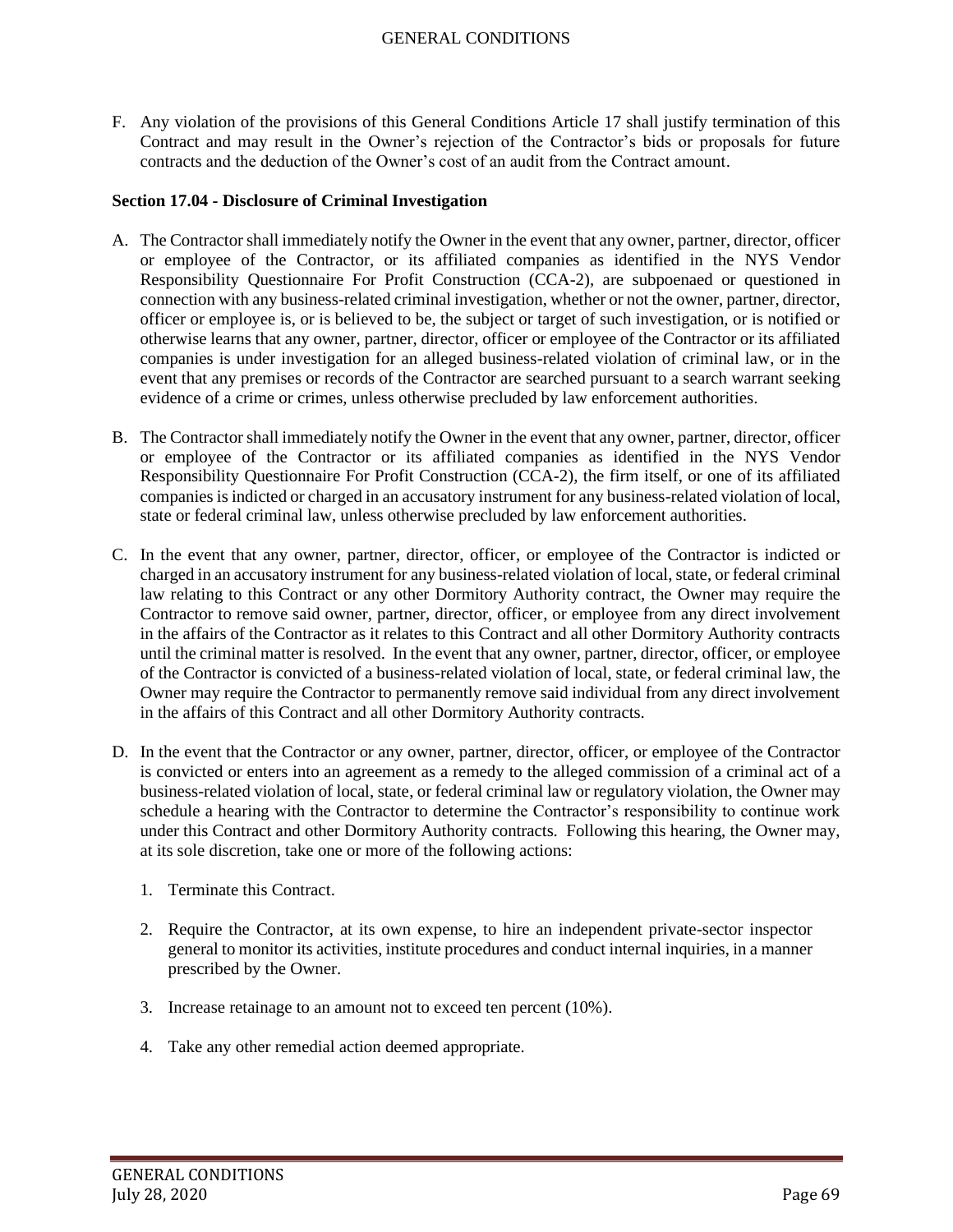F. Any violation of the provisions of this General Conditions Article 17 shall justify termination of this Contract and may result in the Owner's rejection of the Contractor's bids or proposals for future contracts and the deduction of the Owner's cost of an audit from the Contract amount.

### **Section 17.04 - Disclosure of Criminal Investigation**

- A. The Contractor shall immediately notify the Owner in the event that any owner, partner, director, officer or employee of the Contractor, or its affiliated companies as identified in the NYS Vendor Responsibility Questionnaire For Profit Construction (CCA-2), are subpoenaed or questioned in connection with any business-related criminal investigation, whether or not the owner, partner, director, officer or employee is, or is believed to be, the subject or target of such investigation, or is notified or otherwise learns that any owner, partner, director, officer or employee of the Contractor or its affiliated companies is under investigation for an alleged business-related violation of criminal law, or in the event that any premises or records of the Contractor are searched pursuant to a search warrant seeking evidence of a crime or crimes, unless otherwise precluded by law enforcement authorities.
- B. The Contractor shall immediately notify the Owner in the event that any owner, partner, director, officer or employee of the Contractor or its affiliated companies as identified in the NYS Vendor Responsibility Questionnaire For Profit Construction (CCA-2), the firm itself, or one of its affiliated companies is indicted or charged in an accusatory instrument for any business-related violation of local, state or federal criminal law, unless otherwise precluded by law enforcement authorities.
- C. In the event that any owner, partner, director, officer, or employee of the Contractor is indicted or charged in an accusatory instrument for any business-related violation of local, state, or federal criminal law relating to this Contract or any other Dormitory Authority contract, the Owner may require the Contractor to remove said owner, partner, director, officer, or employee from any direct involvement in the affairs of the Contractor as it relates to this Contract and all other Dormitory Authority contracts until the criminal matter is resolved. In the event that any owner, partner, director, officer, or employee of the Contractor is convicted of a business-related violation of local, state, or federal criminal law, the Owner may require the Contractor to permanently remove said individual from any direct involvement in the affairs of this Contract and all other Dormitory Authority contracts.
- D. In the event that the Contractor or any owner, partner, director, officer, or employee of the Contractor is convicted or enters into an agreement as a remedy to the alleged commission of a criminal act of a business-related violation of local, state, or federal criminal law or regulatory violation, the Owner may schedule a hearing with the Contractor to determine the Contractor's responsibility to continue work under this Contract and other Dormitory Authority contracts. Following this hearing, the Owner may, at its sole discretion, take one or more of the following actions:
	- 1. Terminate this Contract.
	- 2. Require the Contractor, at its own expense, to hire an independent private-sector inspector general to monitor its activities, institute procedures and conduct internal inquiries, in a manner prescribed by the Owner.
	- 3. Increase retainage to an amount not to exceed ten percent (10%).
	- 4. Take any other remedial action deemed appropriate.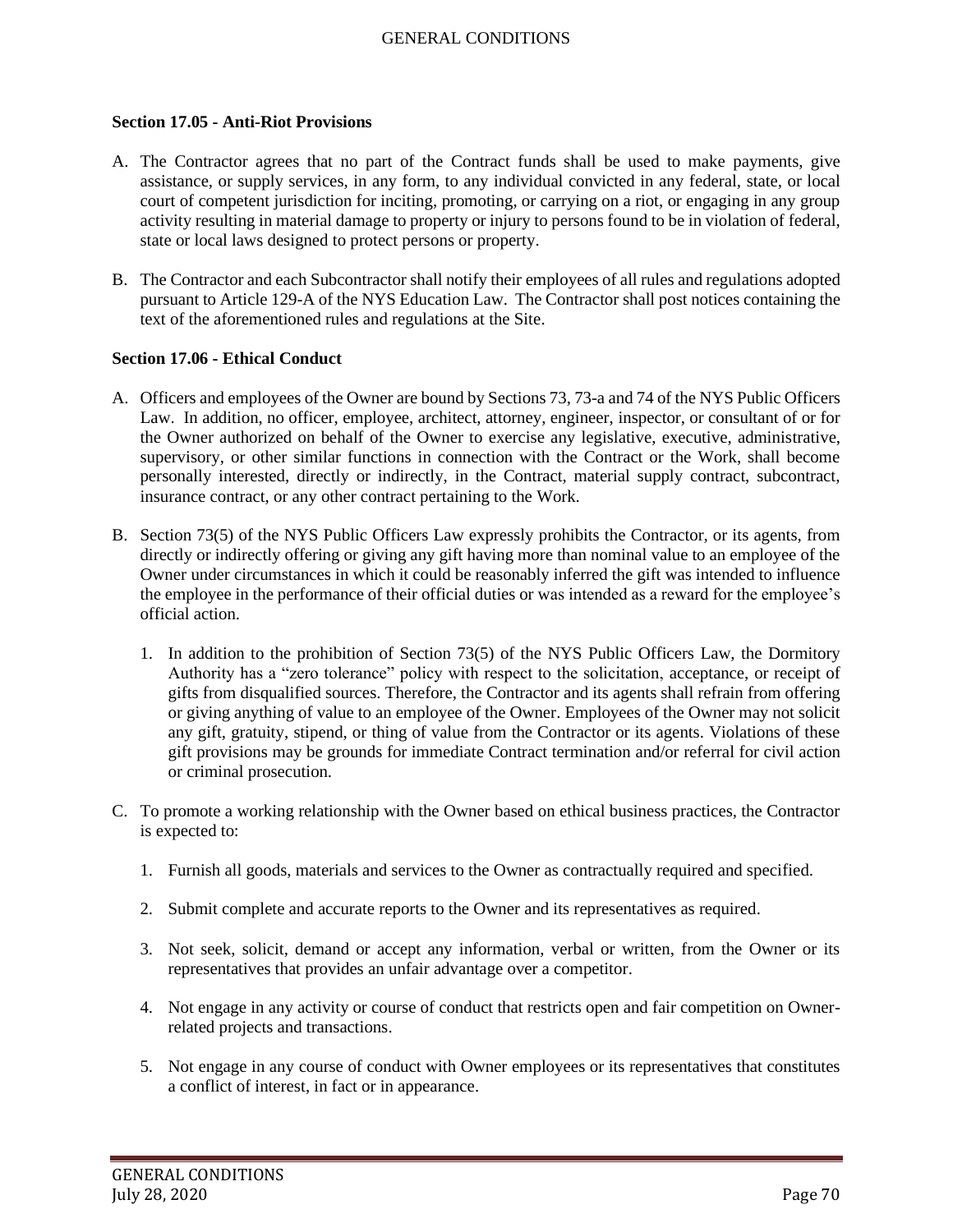#### **Section 17.05 - Anti-Riot Provisions**

- A. The Contractor agrees that no part of the Contract funds shall be used to make payments, give assistance, or supply services, in any form, to any individual convicted in any federal, state, or local court of competent jurisdiction for inciting, promoting, or carrying on a riot, or engaging in any group activity resulting in material damage to property or injury to persons found to be in violation of federal, state or local laws designed to protect persons or property.
- B. The Contractor and each Subcontractor shall notify their employees of all rules and regulations adopted pursuant to Article 129-A of the NYS Education Law. The Contractor shall post notices containing the text of the aforementioned rules and regulations at the Site.

#### **Section 17.06 - Ethical Conduct**

- A. Officers and employees of the Owner are bound by Sections 73, 73-a and 74 of the NYS Public Officers Law. In addition, no officer, employee, architect, attorney, engineer, inspector, or consultant of or for the Owner authorized on behalf of the Owner to exercise any legislative, executive, administrative, supervisory, or other similar functions in connection with the Contract or the Work, shall become personally interested, directly or indirectly, in the Contract, material supply contract, subcontract, insurance contract, or any other contract pertaining to the Work.
- B. Section 73(5) of the NYS Public Officers Law expressly prohibits the Contractor, or its agents, from directly or indirectly offering or giving any gift having more than nominal value to an employee of the Owner under circumstances in which it could be reasonably inferred the gift was intended to influence the employee in the performance of their official duties or was intended as a reward for the employee's official action.
	- 1. In addition to the prohibition of Section 73(5) of the NYS Public Officers Law, the Dormitory Authority has a "zero tolerance" policy with respect to the solicitation, acceptance, or receipt of gifts from disqualified sources. Therefore, the Contractor and its agents shall refrain from offering or giving anything of value to an employee of the Owner. Employees of the Owner may not solicit any gift, gratuity, stipend, or thing of value from the Contractor or its agents. Violations of these gift provisions may be grounds for immediate Contract termination and/or referral for civil action or criminal prosecution.
- C. To promote a working relationship with the Owner based on ethical business practices, the Contractor is expected to:
	- 1. Furnish all goods, materials and services to the Owner as contractually required and specified.
	- 2. Submit complete and accurate reports to the Owner and its representatives as required.
	- 3. Not seek, solicit, demand or accept any information, verbal or written, from the Owner or its representatives that provides an unfair advantage over a competitor.
	- 4. Not engage in any activity or course of conduct that restricts open and fair competition on Ownerrelated projects and transactions.
	- 5. Not engage in any course of conduct with Owner employees or its representatives that constitutes a conflict of interest, in fact or in appearance.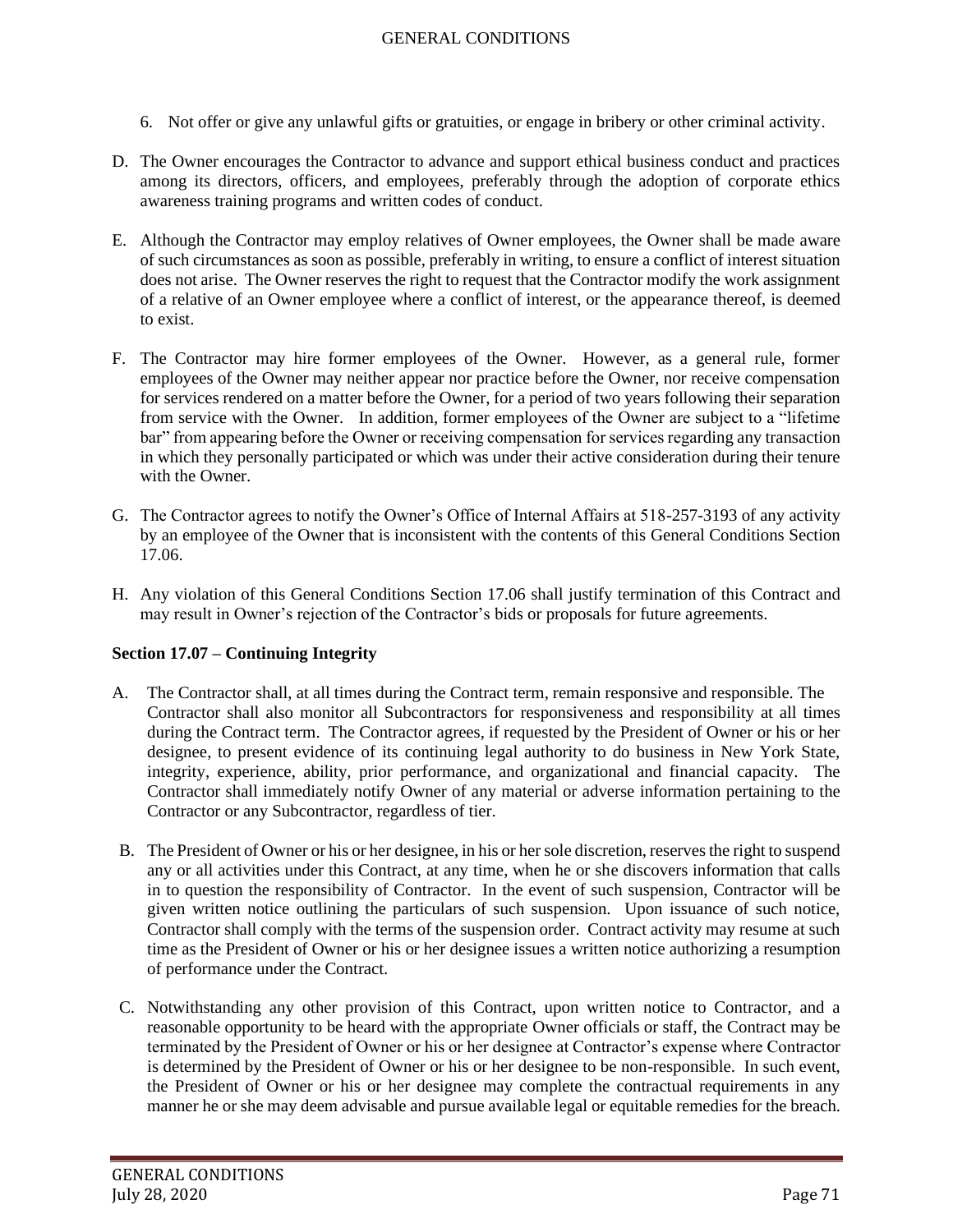- 6. Not offer or give any unlawful gifts or gratuities, or engage in bribery or other criminal activity.
- D. The Owner encourages the Contractor to advance and support ethical business conduct and practices among its directors, officers, and employees, preferably through the adoption of corporate ethics awareness training programs and written codes of conduct.
- E. Although the Contractor may employ relatives of Owner employees, the Owner shall be made aware of such circumstances as soon as possible, preferably in writing, to ensure a conflict of interest situation does not arise. The Owner reserves the right to request that the Contractor modify the work assignment of a relative of an Owner employee where a conflict of interest, or the appearance thereof, is deemed to exist.
- F. The Contractor may hire former employees of the Owner. However, as a general rule, former employees of the Owner may neither appear nor practice before the Owner, nor receive compensation for services rendered on a matter before the Owner, for a period of two years following their separation from service with the Owner. In addition, former employees of the Owner are subject to a "lifetime bar" from appearing before the Owner or receiving compensation for services regarding any transaction in which they personally participated or which was under their active consideration during their tenure with the Owner.
- G. The Contractor agrees to notify the Owner's Office of Internal Affairs at 518-257-3193 of any activity by an employee of the Owner that is inconsistent with the contents of this General Conditions Section 17.06.
- H. Any violation of this General Conditions Section 17.06 shall justify termination of this Contract and may result in Owner's rejection of the Contractor's bids or proposals for future agreements.

# **Section 17.07 – Continuing Integrity**

- A. The Contractor shall, at all times during the Contract term, remain responsive and responsible. The Contractor shall also monitor all Subcontractors for responsiveness and responsibility at all times during the Contract term. The Contractor agrees, if requested by the President of Owner or his or her designee, to present evidence of its continuing legal authority to do business in New York State, integrity, experience, ability, prior performance, and organizational and financial capacity. The Contractor shall immediately notify Owner of any material or adverse information pertaining to the Contractor or any Subcontractor, regardless of tier.
- B. The President of Owner or his or her designee, in his or her sole discretion, reserves the right to suspend any or all activities under this Contract, at any time, when he or she discovers information that calls in to question the responsibility of Contractor. In the event of such suspension, Contractor will be given written notice outlining the particulars of such suspension. Upon issuance of such notice, Contractor shall comply with the terms of the suspension order. Contract activity may resume at such time as the President of Owner or his or her designee issues a written notice authorizing a resumption of performance under the Contract.
- C. Notwithstanding any other provision of this Contract, upon written notice to Contractor, and a reasonable opportunity to be heard with the appropriate Owner officials or staff, the Contract may be terminated by the President of Owner or his or her designee at Contractor's expense where Contractor is determined by the President of Owner or his or her designee to be non-responsible. In such event, the President of Owner or his or her designee may complete the contractual requirements in any manner he or she may deem advisable and pursue available legal or equitable remedies for the breach.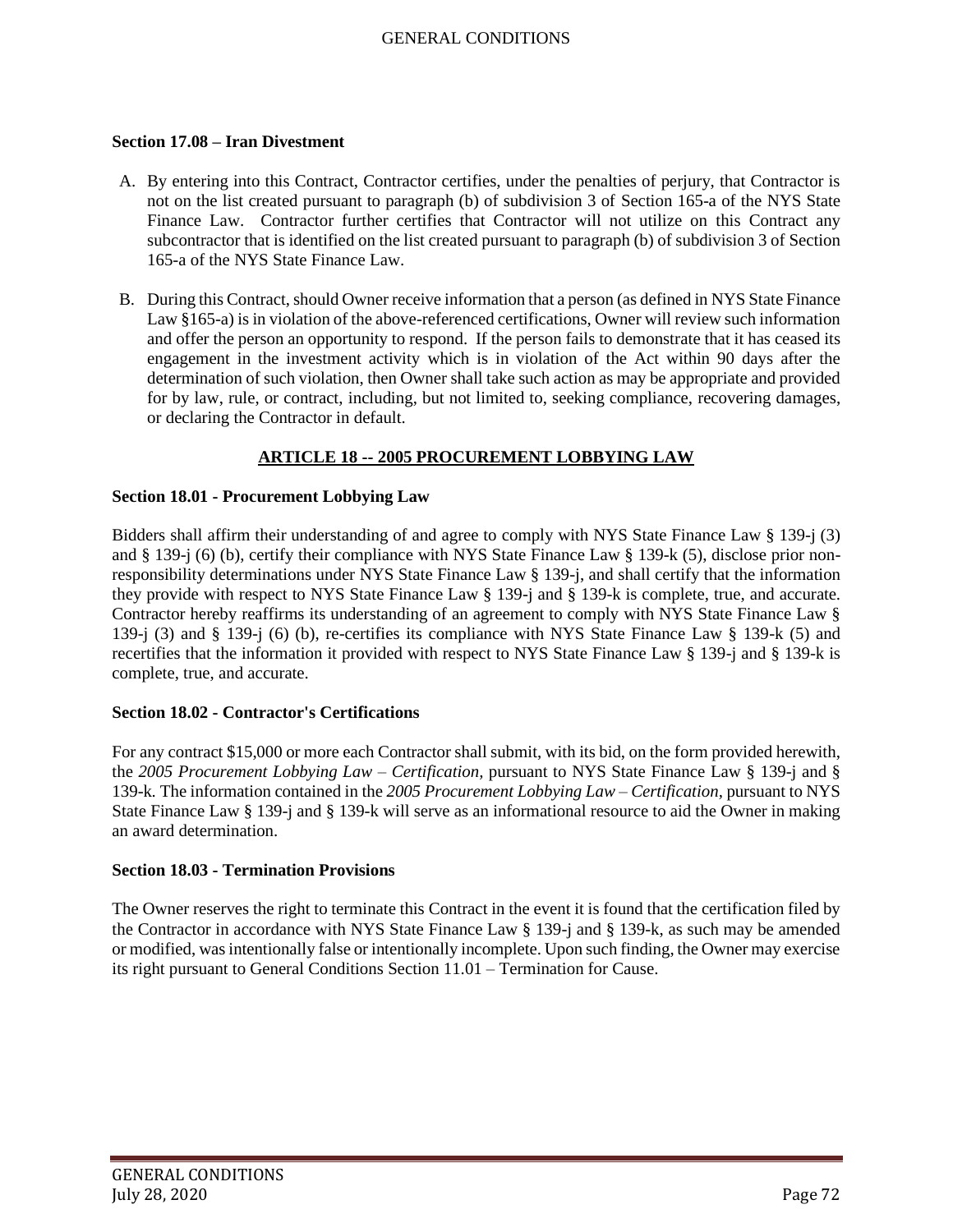### **Section 17.08 – Iran Divestment**

- A. By entering into this Contract, Contractor certifies, under the penalties of perjury, that Contractor is not on the list created pursuant to paragraph (b) of subdivision 3 of Section 165-a of the NYS State Finance Law. Contractor further certifies that Contractor will not utilize on this Contract any subcontractor that is identified on the list created pursuant to paragraph (b) of subdivision 3 of Section 165-a of the NYS State Finance Law.
- B. During this Contract, should Owner receive information that a person (as defined in NYS State Finance Law §165-a) is in violation of the above-referenced certifications, Owner will review such information and offer the person an opportunity to respond. If the person fails to demonstrate that it has ceased its engagement in the investment activity which is in violation of the Act within 90 days after the determination of such violation, then Owner shall take such action as may be appropriate and provided for by law, rule, or contract, including, but not limited to, seeking compliance, recovering damages, or declaring the Contractor in default.

# **ARTICLE 18 -- 2005 PROCUREMENT LOBBYING LAW**

## **Section 18.01 - Procurement Lobbying Law**

Bidders shall affirm their understanding of and agree to comply with NYS State Finance Law § 139-j (3) and § 139-j (6) (b), certify their compliance with NYS State Finance Law § 139-k (5), disclose prior nonresponsibility determinations under NYS State Finance Law § 139-j, and shall certify that the information they provide with respect to NYS State Finance Law § 139-j and § 139-k is complete, true, and accurate. Contractor hereby reaffirms its understanding of an agreement to comply with NYS State Finance Law § 139-j (3) and § 139-j (6) (b), re-certifies its compliance with NYS State Finance Law § 139-k (5) and recertifies that the information it provided with respect to NYS State Finance Law § 139-j and § 139-k is complete, true, and accurate.

### **Section 18.02 - Contractor's Certifications**

For any contract \$15,000 or more each Contractor shall submit, with its bid, on the form provided herewith, the *2005 Procurement Lobbying Law – Certification,* pursuant to NYS State Finance Law § 139-j and § 139-k*.* The information contained in the *2005 Procurement Lobbying Law – Certification,* pursuant to NYS State Finance Law § 139-j and § 139-k will serve as an informational resource to aid the Owner in making an award determination.

### **Section 18.03 - Termination Provisions**

The Owner reserves the right to terminate this Contract in the event it is found that the certification filed by the Contractor in accordance with NYS State Finance Law § 139-j and § 139-k, as such may be amended or modified, was intentionally false or intentionally incomplete. Upon such finding, the Owner may exercise its right pursuant to General Conditions Section 11.01 – Termination for Cause.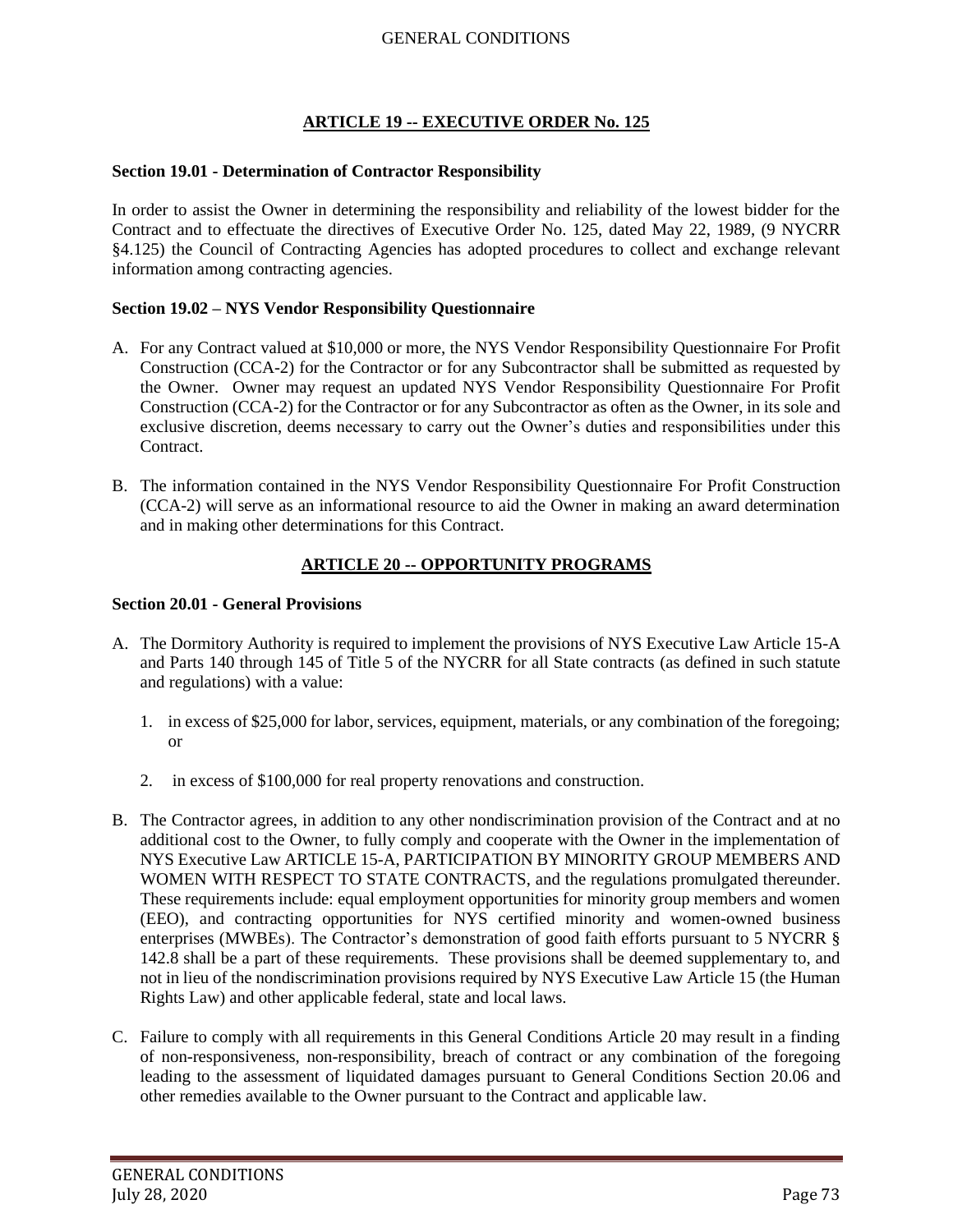# **ARTICLE 19 -- EXECUTIVE ORDER No. 125**

## **Section 19.01 - Determination of Contractor Responsibility**

In order to assist the Owner in determining the responsibility and reliability of the lowest bidder for the Contract and to effectuate the directives of Executive Order No. 125, dated May 22, 1989, (9 NYCRR §4.125) the Council of Contracting Agencies has adopted procedures to collect and exchange relevant information among contracting agencies.

## **Section 19.02 – NYS Vendor Responsibility Questionnaire**

- A. For any Contract valued at \$10,000 or more, the NYS Vendor Responsibility Questionnaire For Profit Construction (CCA-2) for the Contractor or for any Subcontractor shall be submitted as requested by the Owner. Owner may request an updated NYS Vendor Responsibility Questionnaire For Profit Construction (CCA-2) for the Contractor or for any Subcontractor as often as the Owner, in its sole and exclusive discretion, deems necessary to carry out the Owner's duties and responsibilities under this Contract.
- B. The information contained in the NYS Vendor Responsibility Questionnaire For Profit Construction (CCA-2) will serve as an informational resource to aid the Owner in making an award determination and in making other determinations for this Contract.

# **ARTICLE 20 -- OPPORTUNITY PROGRAMS**

## **Section 20.01 - General Provisions**

- A. The Dormitory Authority is required to implement the provisions of NYS Executive Law Article 15-A and Parts 140 through 145 of Title 5 of the NYCRR for all State contracts (as defined in such statute and regulations) with a value:
	- 1. in excess of \$25,000 for labor, services, equipment, materials, or any combination of the foregoing; or
	- 2. in excess of \$100,000 for real property renovations and construction.
- B. The Contractor agrees, in addition to any other nondiscrimination provision of the Contract and at no additional cost to the Owner, to fully comply and cooperate with the Owner in the implementation of NYS Executive Law ARTICLE 15-A, PARTICIPATION BY MINORITY GROUP MEMBERS AND WOMEN WITH RESPECT TO STATE CONTRACTS, and the regulations promulgated thereunder. These requirements include: equal employment opportunities for minority group members and women (EEO), and contracting opportunities for NYS certified minority and women-owned business enterprises (MWBEs). The Contractor's demonstration of good faith efforts pursuant to 5 NYCRR § 142.8 shall be a part of these requirements. These provisions shall be deemed supplementary to, and not in lieu of the nondiscrimination provisions required by NYS Executive Law Article 15 (the Human Rights Law) and other applicable federal, state and local laws.
- C. Failure to comply with all requirements in this General Conditions Article 20 may result in a finding of non-responsiveness, non-responsibility, breach of contract or any combination of the foregoing leading to the assessment of liquidated damages pursuant to General Conditions Section 20.06 and other remedies available to the Owner pursuant to the Contract and applicable law.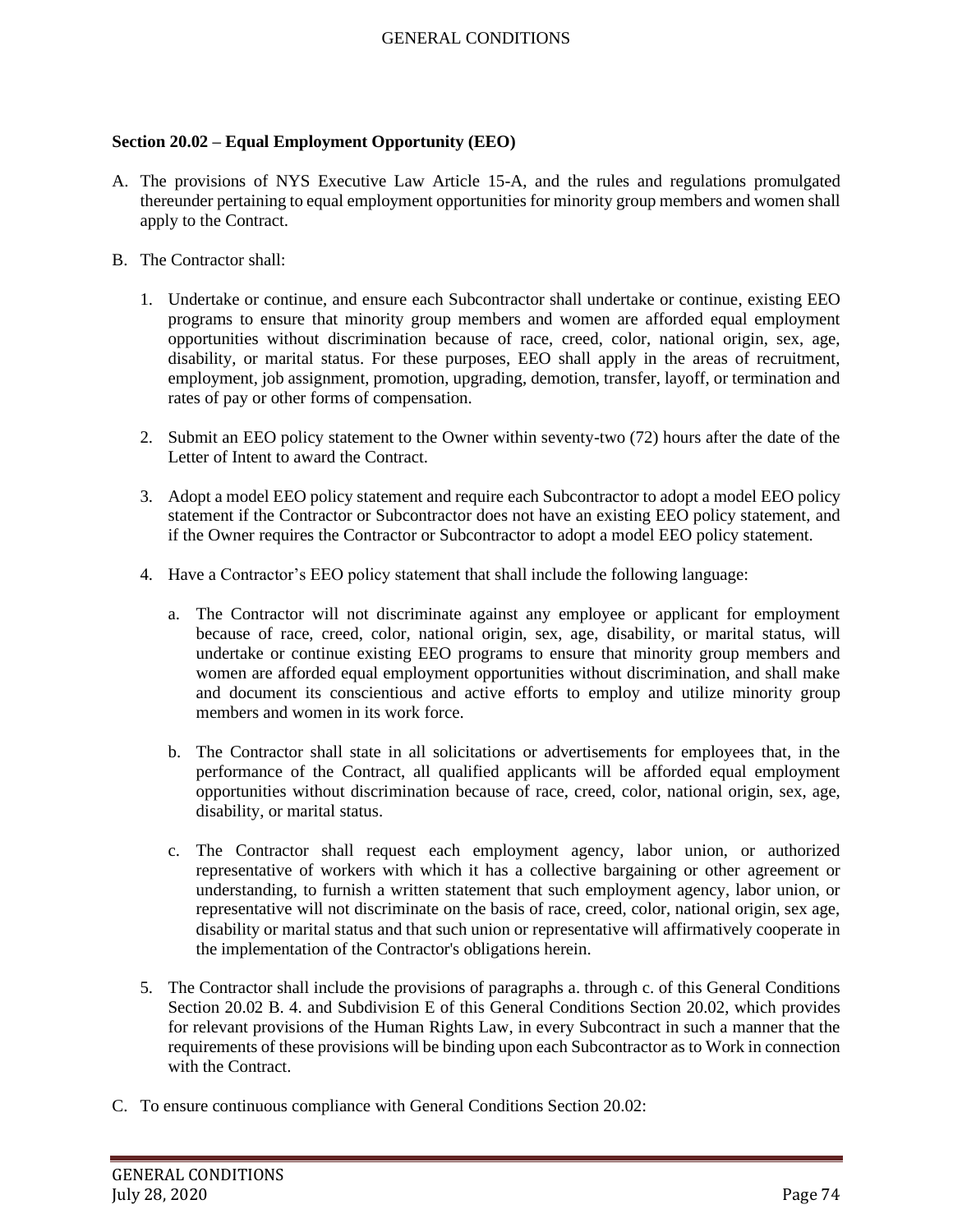## **Section 20.02 – Equal Employment Opportunity (EEO)**

- A. The provisions of NYS Executive Law Article 15-A, and the rules and regulations promulgated thereunder pertaining to equal employment opportunities for minority group members and women shall apply to the Contract.
- B. The Contractor shall:
	- 1. Undertake or continue, and ensure each Subcontractor shall undertake or continue, existing EEO programs to ensure that minority group members and women are afforded equal employment opportunities without discrimination because of race, creed, color, national origin, sex, age, disability, or marital status. For these purposes, EEO shall apply in the areas of recruitment, employment, job assignment, promotion, upgrading, demotion, transfer, layoff, or termination and rates of pay or other forms of compensation.
	- 2. Submit an EEO policy statement to the Owner within seventy-two (72) hours after the date of the Letter of Intent to award the Contract.
	- 3. Adopt a model EEO policy statement and require each Subcontractor to adopt a model EEO policy statement if the Contractor or Subcontractor does not have an existing EEO policy statement, and if the Owner requires the Contractor or Subcontractor to adopt a model EEO policy statement.
	- 4. Have a Contractor's EEO policy statement that shall include the following language:
		- a. The Contractor will not discriminate against any employee or applicant for employment because of race, creed, color, national origin, sex, age, disability, or marital status, will undertake or continue existing EEO programs to ensure that minority group members and women are afforded equal employment opportunities without discrimination, and shall make and document its conscientious and active efforts to employ and utilize minority group members and women in its work force.
		- b. The Contractor shall state in all solicitations or advertisements for employees that, in the performance of the Contract, all qualified applicants will be afforded equal employment opportunities without discrimination because of race, creed, color, national origin, sex, age, disability, or marital status.
		- c. The Contractor shall request each employment agency, labor union, or authorized representative of workers with which it has a collective bargaining or other agreement or understanding, to furnish a written statement that such employment agency, labor union, or representative will not discriminate on the basis of race, creed, color, national origin, sex age, disability or marital status and that such union or representative will affirmatively cooperate in the implementation of the Contractor's obligations herein.
	- 5. The Contractor shall include the provisions of paragraphs a. through c. of this General Conditions Section 20.02 B. 4. and Subdivision E of this General Conditions Section 20.02, which provides for relevant provisions of the Human Rights Law, in every Subcontract in such a manner that the requirements of these provisions will be binding upon each Subcontractor as to Work in connection with the Contract.
- C. To ensure continuous compliance with General Conditions Section 20.02: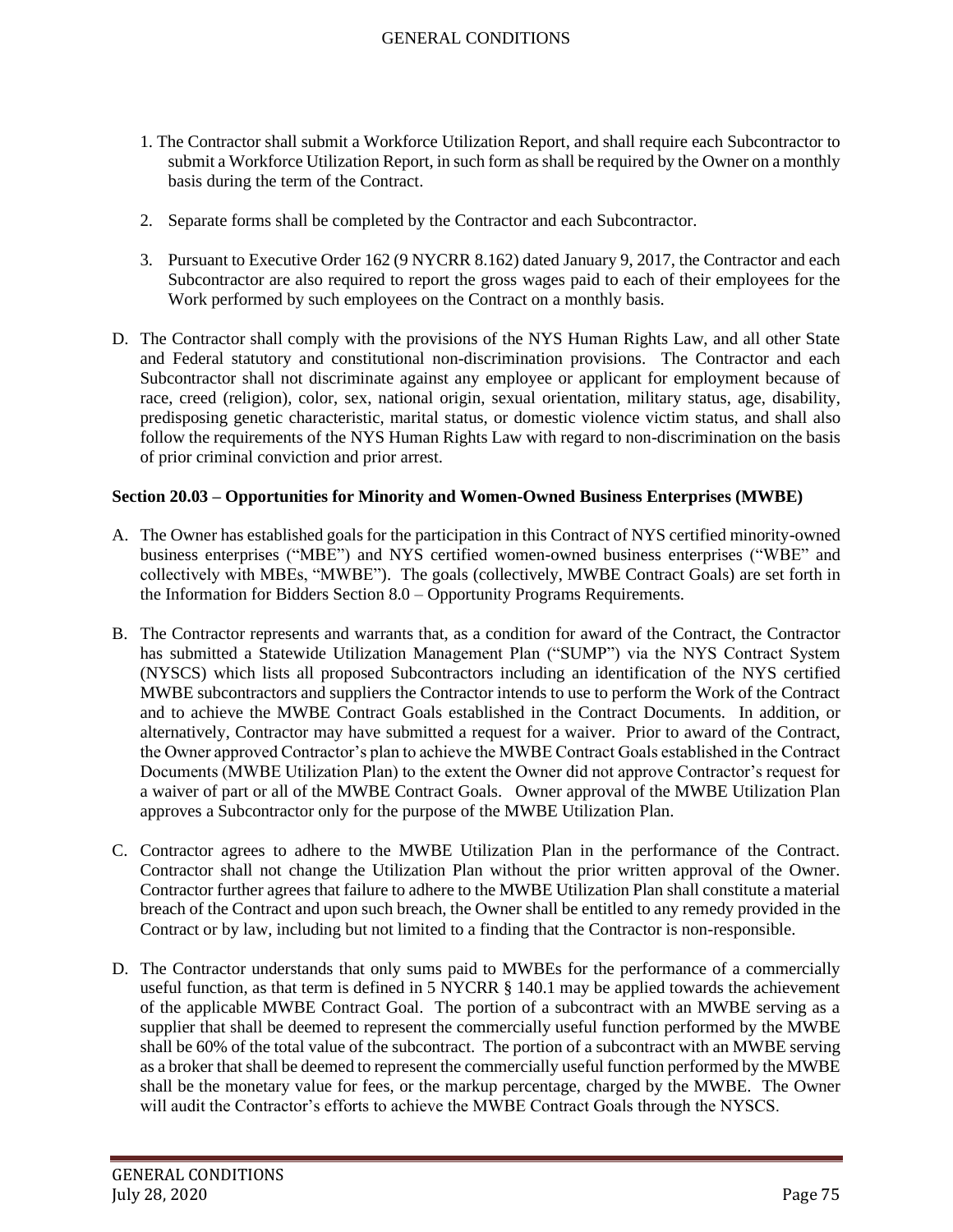- 1. The Contractor shall submit a Workforce Utilization Report, and shall require each Subcontractor to submit a Workforce Utilization Report, in such form as shall be required by the Owner on a monthly basis during the term of the Contract.
- 2. Separate forms shall be completed by the Contractor and each Subcontractor.
- 3. Pursuant to Executive Order 162 (9 NYCRR 8.162) dated January 9, 2017, the Contractor and each Subcontractor are also required to report the gross wages paid to each of their employees for the Work performed by such employees on the Contract on a monthly basis.
- D. The Contractor shall comply with the provisions of the NYS Human Rights Law, and all other State and Federal statutory and constitutional non-discrimination provisions. The Contractor and each Subcontractor shall not discriminate against any employee or applicant for employment because of race, creed (religion), color, sex, national origin, sexual orientation, military status, age, disability, predisposing genetic characteristic, marital status, or domestic violence victim status, and shall also follow the requirements of the NYS Human Rights Law with regard to non-discrimination on the basis of prior criminal conviction and prior arrest.

## **Section 20.03 – Opportunities for Minority and Women-Owned Business Enterprises (MWBE)**

- A. The Owner has established goals for the participation in this Contract of NYS certified minority-owned business enterprises ("MBE") and NYS certified women-owned business enterprises ("WBE" and collectively with MBEs, "MWBE"). The goals (collectively, MWBE Contract Goals) are set forth in the Information for Bidders Section 8.0 – Opportunity Programs Requirements.
- B. The Contractor represents and warrants that, as a condition for award of the Contract, the Contractor has submitted a Statewide Utilization Management Plan ("SUMP") via the NYS Contract System (NYSCS) which lists all proposed Subcontractors including an identification of the NYS certified MWBE subcontractors and suppliers the Contractor intends to use to perform the Work of the Contract and to achieve the MWBE Contract Goals established in the Contract Documents. In addition, or alternatively, Contractor may have submitted a request for a waiver. Prior to award of the Contract, the Owner approved Contractor's plan to achieve the MWBE Contract Goals established in the Contract Documents (MWBE Utilization Plan) to the extent the Owner did not approve Contractor's request for a waiver of part or all of the MWBE Contract Goals. Owner approval of the MWBE Utilization Plan approves a Subcontractor only for the purpose of the MWBE Utilization Plan.
- C. Contractor agrees to adhere to the MWBE Utilization Plan in the performance of the Contract. Contractor shall not change the Utilization Plan without the prior written approval of the Owner. Contractor further agrees that failure to adhere to the MWBE Utilization Plan shall constitute a material breach of the Contract and upon such breach, the Owner shall be entitled to any remedy provided in the Contract or by law, including but not limited to a finding that the Contractor is non-responsible.
- D. The Contractor understands that only sums paid to MWBEs for the performance of a commercially useful function, as that term is defined in 5 NYCRR § 140.1 may be applied towards the achievement of the applicable MWBE Contract Goal. The portion of a subcontract with an MWBE serving as a supplier that shall be deemed to represent the commercially useful function performed by the MWBE shall be 60% of the total value of the subcontract. The portion of a subcontract with an MWBE serving as a broker that shall be deemed to represent the commercially useful function performed by the MWBE shall be the monetary value for fees, or the markup percentage, charged by the MWBE. The Owner will audit the Contractor's efforts to achieve the MWBE Contract Goals through the NYSCS.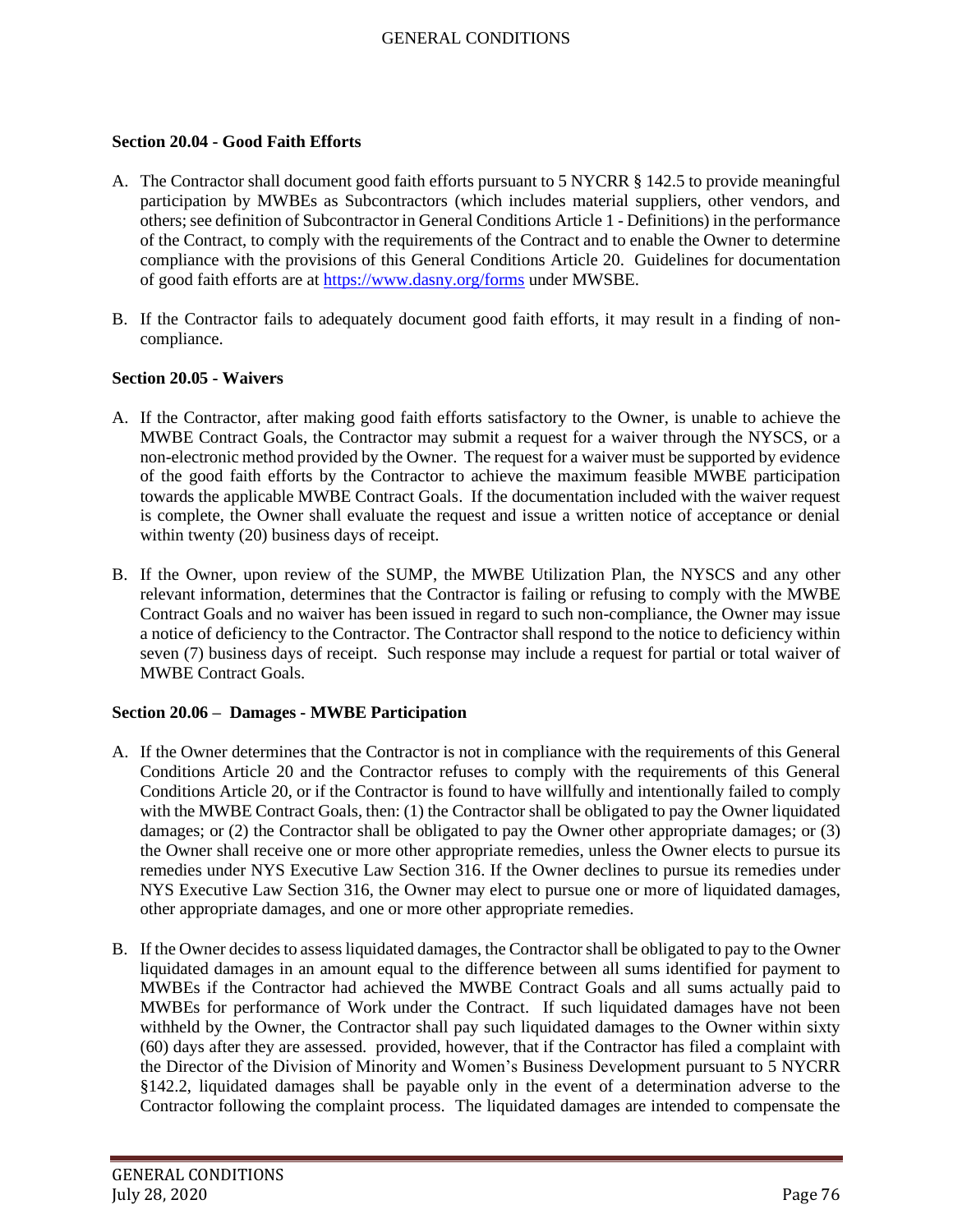## **Section 20.04 - Good Faith Efforts**

- A. The Contractor shall document good faith efforts pursuant to 5 NYCRR § 142.5 to provide meaningful participation by MWBEs as Subcontractors (which includes material suppliers, other vendors, and others; see definition of Subcontractor in General Conditions Article 1 - Definitions) in the performance of the Contract, to comply with the requirements of the Contract and to enable the Owner to determine compliance with the provisions of this General Conditions Article 20. Guidelines for documentation of good faith efforts are at<https://www.dasny.org/forms> under MWSBE.
- B. If the Contractor fails to adequately document good faith efforts, it may result in a finding of noncompliance.

## **Section 20.05 - Waivers**

- A. If the Contractor, after making good faith efforts satisfactory to the Owner, is unable to achieve the MWBE Contract Goals, the Contractor may submit a request for a waiver through the NYSCS, or a non-electronic method provided by the Owner. The request for a waiver must be supported by evidence of the good faith efforts by the Contractor to achieve the maximum feasible MWBE participation towards the applicable MWBE Contract Goals. If the documentation included with the waiver request is complete, the Owner shall evaluate the request and issue a written notice of acceptance or denial within twenty (20) business days of receipt.
- B. If the Owner, upon review of the SUMP, the MWBE Utilization Plan, the NYSCS and any other relevant information, determines that the Contractor is failing or refusing to comply with the MWBE Contract Goals and no waiver has been issued in regard to such non-compliance, the Owner may issue a notice of deficiency to the Contractor. The Contractor shall respond to the notice to deficiency within seven (7) business days of receipt. Such response may include a request for partial or total waiver of MWBE Contract Goals.

## **Section 20.06 – Damages - MWBE Participation**

- A. If the Owner determines that the Contractor is not in compliance with the requirements of this General Conditions Article 20 and the Contractor refuses to comply with the requirements of this General Conditions Article 20, or if the Contractor is found to have willfully and intentionally failed to comply with the MWBE Contract Goals, then: (1) the Contractor shall be obligated to pay the Owner liquidated damages; or (2) the Contractor shall be obligated to pay the Owner other appropriate damages; or (3) the Owner shall receive one or more other appropriate remedies, unless the Owner elects to pursue its remedies under NYS Executive Law Section 316. If the Owner declines to pursue its remedies under NYS Executive Law Section 316, the Owner may elect to pursue one or more of liquidated damages, other appropriate damages, and one or more other appropriate remedies.
- B. If the Owner decides to assess liquidated damages, the Contractor shall be obligated to pay to the Owner liquidated damages in an amount equal to the difference between all sums identified for payment to MWBEs if the Contractor had achieved the MWBE Contract Goals and all sums actually paid to MWBEs for performance of Work under the Contract. If such liquidated damages have not been withheld by the Owner, the Contractor shall pay such liquidated damages to the Owner within sixty (60) days after they are assessed. provided, however, that if the Contractor has filed a complaint with the Director of the Division of Minority and Women's Business Development pursuant to 5 NYCRR §142.2, liquidated damages shall be payable only in the event of a determination adverse to the Contractor following the complaint process. The liquidated damages are intended to compensate the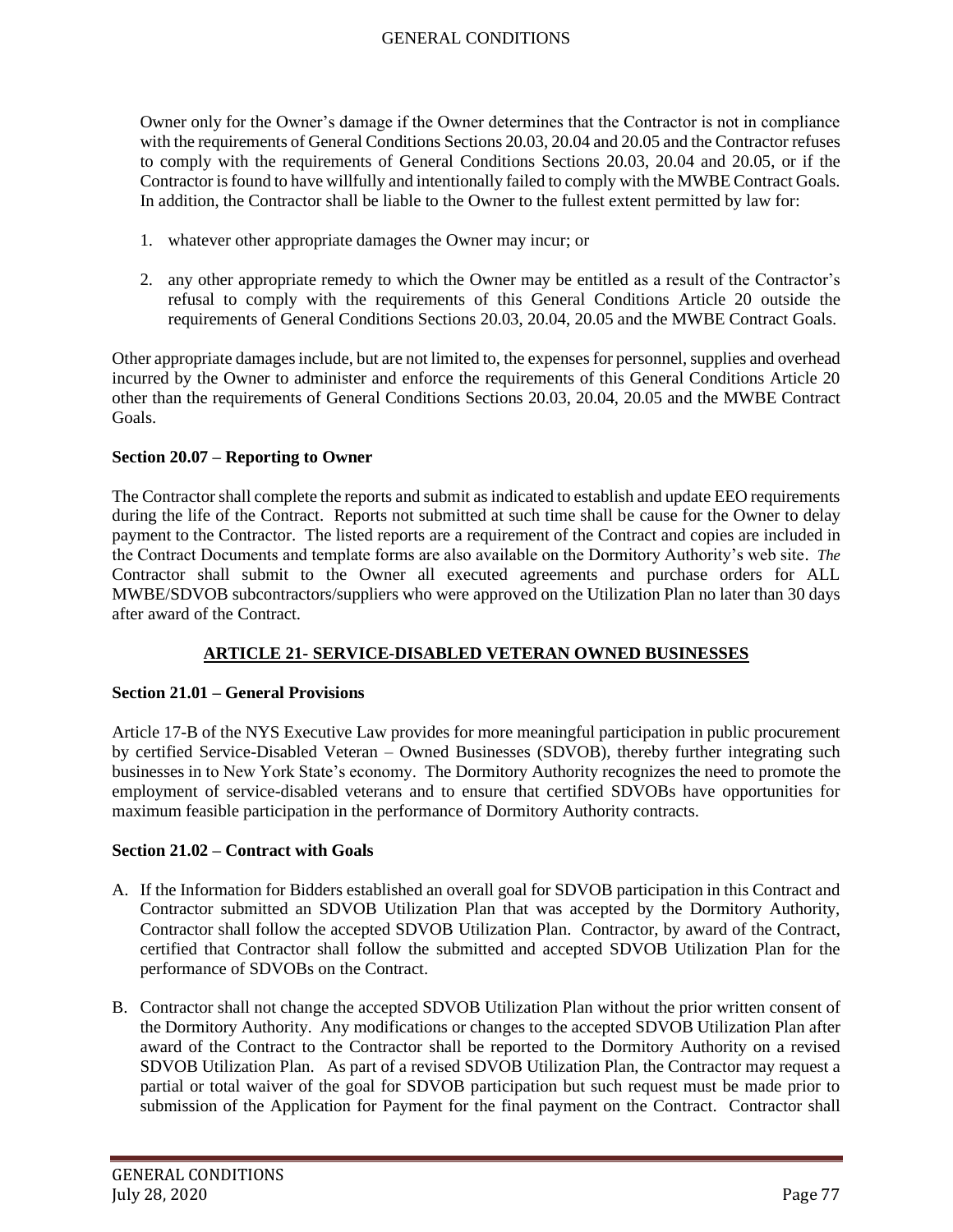Owner only for the Owner's damage if the Owner determines that the Contractor is not in compliance with the requirements of General Conditions Sections 20.03, 20.04 and 20.05 and the Contractor refuses to comply with the requirements of General Conditions Sections 20.03, 20.04 and 20.05, or if the Contractor is found to have willfully and intentionally failed to comply with the MWBE Contract Goals. In addition, the Contractor shall be liable to the Owner to the fullest extent permitted by law for:

- 1. whatever other appropriate damages the Owner may incur; or
- 2. any other appropriate remedy to which the Owner may be entitled as a result of the Contractor's refusal to comply with the requirements of this General Conditions Article 20 outside the requirements of General Conditions Sections 20.03, 20.04, 20.05 and the MWBE Contract Goals.

Other appropriate damages include, but are not limited to, the expenses for personnel, supplies and overhead incurred by the Owner to administer and enforce the requirements of this General Conditions Article 20 other than the requirements of General Conditions Sections 20.03, 20.04, 20.05 and the MWBE Contract Goals.

## **Section 20.07 – Reporting to Owner**

The Contractor shall complete the reports and submit as indicated to establish and update EEO requirements during the life of the Contract. Reports not submitted at such time shall be cause for the Owner to delay payment to the Contractor. The listed reports are a requirement of the Contract and copies are included in the Contract Documents and template forms are also available on the Dormitory Authority's web site. *The*  Contractor shall submit to the Owner all executed agreements and purchase orders for ALL MWBE/SDVOB subcontractors/suppliers who were approved on the Utilization Plan no later than 30 days after award of the Contract.

# **ARTICLE 21- SERVICE-DISABLED VETERAN OWNED BUSINESSES**

## **Section 21.01 – General Provisions**

Article 17-B of the NYS Executive Law provides for more meaningful participation in public procurement by certified Service-Disabled Veteran – Owned Businesses (SDVOB), thereby further integrating such businesses in to New York State's economy. The Dormitory Authority recognizes the need to promote the employment of service-disabled veterans and to ensure that certified SDVOBs have opportunities for maximum feasible participation in the performance of Dormitory Authority contracts.

## **Section 21.02 – Contract with Goals**

- A. If the Information for Bidders established an overall goal for SDVOB participation in this Contract and Contractor submitted an SDVOB Utilization Plan that was accepted by the Dormitory Authority, Contractor shall follow the accepted SDVOB Utilization Plan. Contractor, by award of the Contract, certified that Contractor shall follow the submitted and accepted SDVOB Utilization Plan for the performance of SDVOBs on the Contract.
- B. Contractor shall not change the accepted SDVOB Utilization Plan without the prior written consent of the Dormitory Authority. Any modifications or changes to the accepted SDVOB Utilization Plan after award of the Contract to the Contractor shall be reported to the Dormitory Authority on a revised SDVOB Utilization Plan. As part of a revised SDVOB Utilization Plan, the Contractor may request a partial or total waiver of the goal for SDVOB participation but such request must be made prior to submission of the Application for Payment for the final payment on the Contract. Contractor shall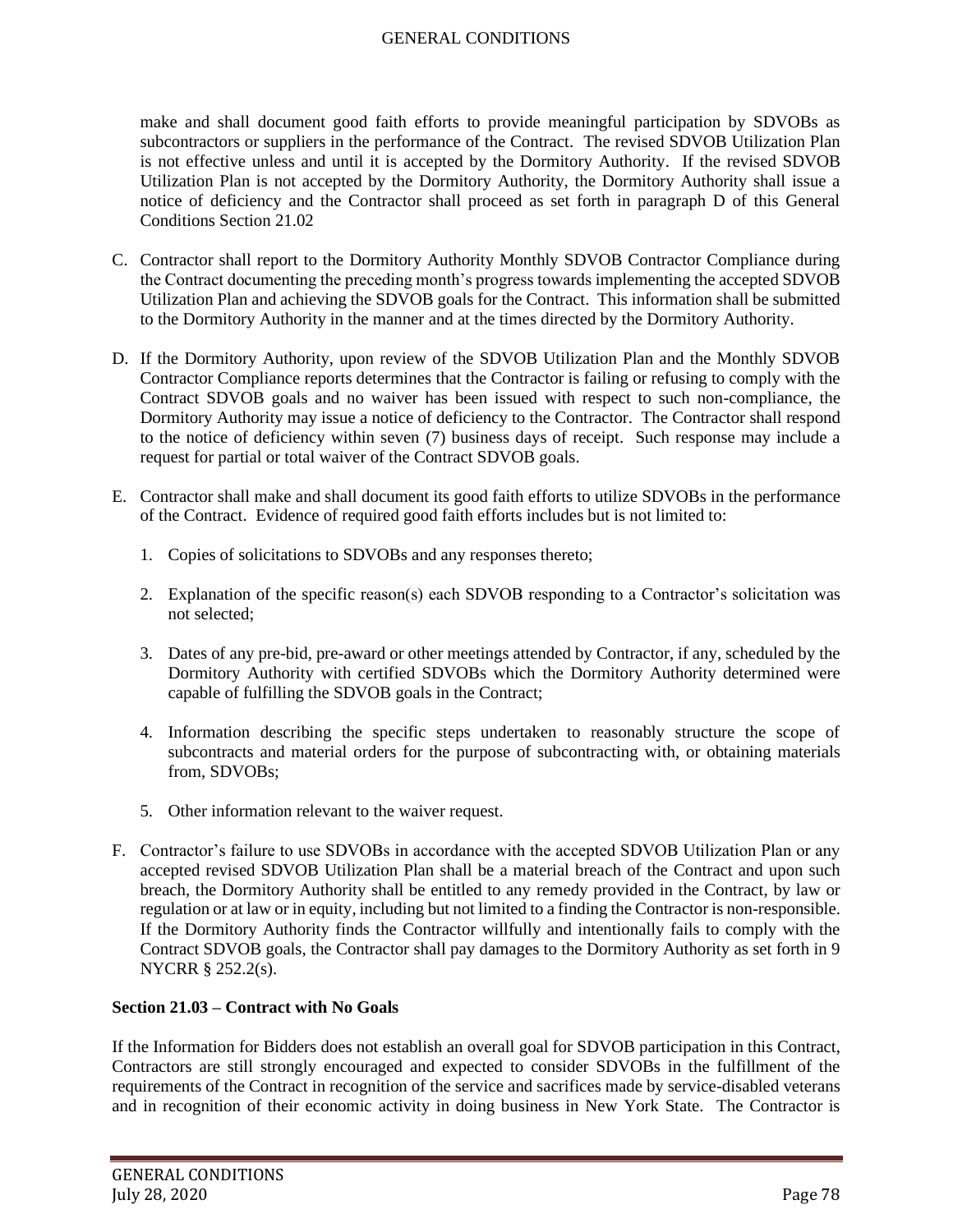make and shall document good faith efforts to provide meaningful participation by SDVOBs as subcontractors or suppliers in the performance of the Contract. The revised SDVOB Utilization Plan is not effective unless and until it is accepted by the Dormitory Authority. If the revised SDVOB Utilization Plan is not accepted by the Dormitory Authority, the Dormitory Authority shall issue a notice of deficiency and the Contractor shall proceed as set forth in paragraph D of this General Conditions Section 21.02

- C. Contractor shall report to the Dormitory Authority Monthly SDVOB Contractor Compliance during the Contract documenting the preceding month's progress towards implementing the accepted SDVOB Utilization Plan and achieving the SDVOB goals for the Contract. This information shall be submitted to the Dormitory Authority in the manner and at the times directed by the Dormitory Authority.
- D. If the Dormitory Authority, upon review of the SDVOB Utilization Plan and the Monthly SDVOB Contractor Compliance reports determines that the Contractor is failing or refusing to comply with the Contract SDVOB goals and no waiver has been issued with respect to such non-compliance, the Dormitory Authority may issue a notice of deficiency to the Contractor. The Contractor shall respond to the notice of deficiency within seven (7) business days of receipt. Such response may include a request for partial or total waiver of the Contract SDVOB goals.
- E. Contractor shall make and shall document its good faith efforts to utilize SDVOBs in the performance of the Contract. Evidence of required good faith efforts includes but is not limited to:
	- 1. Copies of solicitations to SDVOBs and any responses thereto;
	- 2. Explanation of the specific reason(s) each SDVOB responding to a Contractor's solicitation was not selected;
	- 3. Dates of any pre-bid, pre-award or other meetings attended by Contractor, if any, scheduled by the Dormitory Authority with certified SDVOBs which the Dormitory Authority determined were capable of fulfilling the SDVOB goals in the Contract;
	- 4. Information describing the specific steps undertaken to reasonably structure the scope of subcontracts and material orders for the purpose of subcontracting with, or obtaining materials from, SDVOBs;
	- 5. Other information relevant to the waiver request.
- F. Contractor's failure to use SDVOBs in accordance with the accepted SDVOB Utilization Plan or any accepted revised SDVOB Utilization Plan shall be a material breach of the Contract and upon such breach, the Dormitory Authority shall be entitled to any remedy provided in the Contract, by law or regulation or at law or in equity, including but not limited to a finding the Contractor is non-responsible. If the Dormitory Authority finds the Contractor willfully and intentionally fails to comply with the Contract SDVOB goals, the Contractor shall pay damages to the Dormitory Authority as set forth in 9 NYCRR § 252.2(s).

## **Section 21.03 – Contract with No Goals**

If the Information for Bidders does not establish an overall goal for SDVOB participation in this Contract, Contractors are still strongly encouraged and expected to consider SDVOBs in the fulfillment of the requirements of the Contract in recognition of the service and sacrifices made by service-disabled veterans and in recognition of their economic activity in doing business in New York State. The Contractor is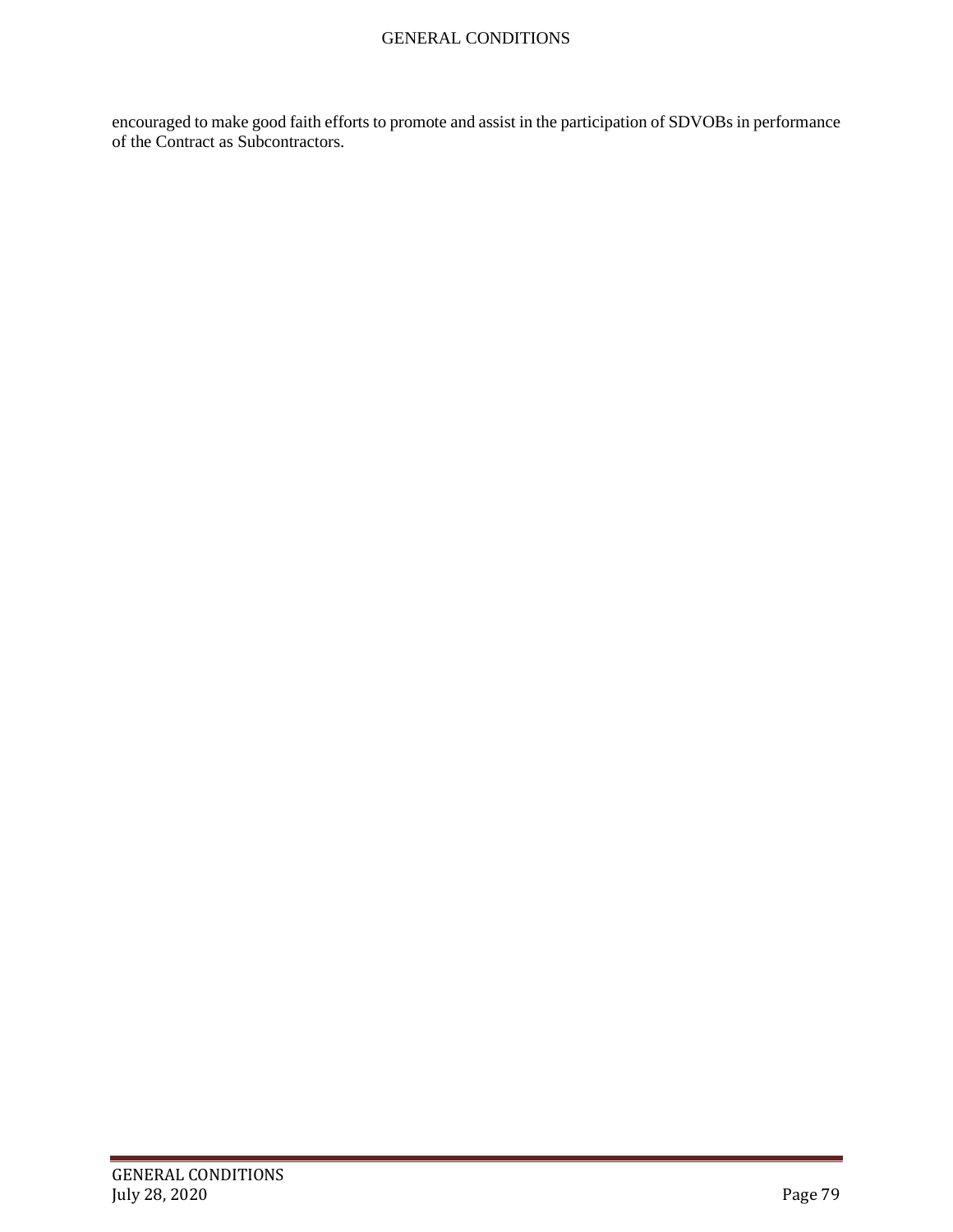encouraged to make good faith efforts to promote and assist in the participation of SDVOBs in performance of the Contract as Subcontractors.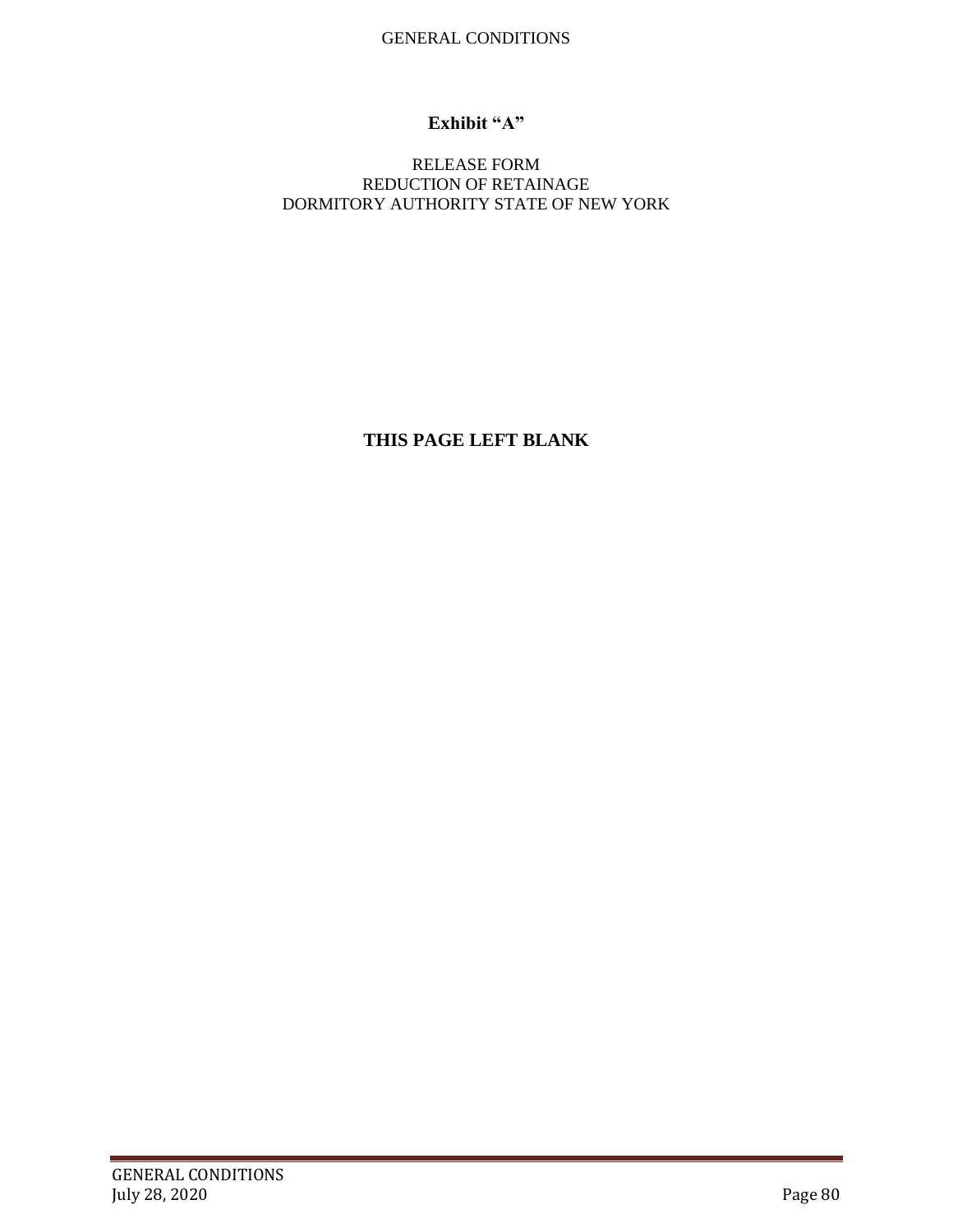# **Exhibit "A"**

## RELEASE FORM REDUCTION OF RETAINAGE DORMITORY AUTHORITY STATE OF NEW YORK

**THIS PAGE LEFT BLANK**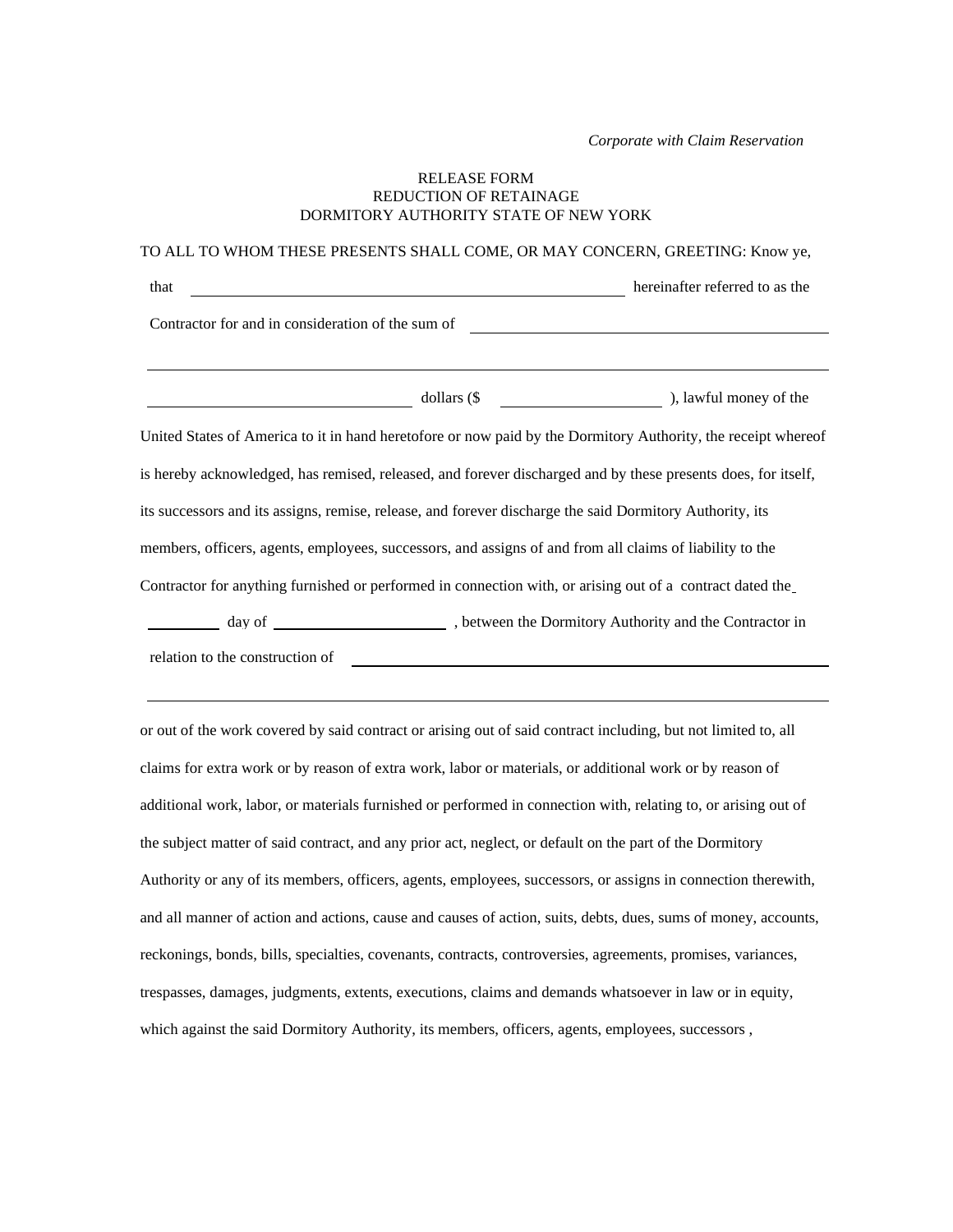*Corporate with Claim Reservation*

#### RELEASE FORM REDUCTION OF RETAINAGE DORMITORY AUTHORITY STATE OF NEW YORK

| TO ALL TO WHOM THESE PRESENTS SHALL COME, OR MAY CONCERN, GREETING: Know ye,                                  |  |                                |
|---------------------------------------------------------------------------------------------------------------|--|--------------------------------|
| that                                                                                                          |  | hereinafter referred to as the |
| Contractor for and in consideration of the sum of                                                             |  |                                |
|                                                                                                               |  |                                |
|                                                                                                               |  |                                |
| United States of America to it in hand heretofore or now paid by the Dormitory Authority, the receipt whereof |  |                                |
| is hereby acknowledged, has remised, released, and forever discharged and by these presents does, for itself, |  |                                |
| its successors and its assigns, remise, release, and forever discharge the said Dormitory Authority, its      |  |                                |
| members, officers, agents, employees, successors, and assigns of and from all claims of liability to the      |  |                                |
| Contractor for anything furnished or performed in connection with, or arising out of a contract dated the     |  |                                |
|                                                                                                               |  |                                |
| relation to the construction of                                                                               |  |                                |

or out of the work covered by said contract or arising out of said contract including, but not limited to, all claims for extra work or by reason of extra work, labor or materials, or additional work or by reason of additional work, labor, or materials furnished or performed in connection with, relating to, or arising out of the subject matter of said contract, and any prior act, neglect, or default on the part of the Dormitory Authority or any of its members, officers, agents, employees, successors, or assigns in connection therewith, and all manner of action and actions, cause and causes of action, suits, debts, dues, sums of money, accounts, reckonings, bonds, bills, specialties, covenants, contracts, controversies, agreements, promises, variances, trespasses, damages, judgments, extents, executions, claims and demands whatsoever in law or in equity, which against the said Dormitory Authority, its members, officers, agents, employees, successors ,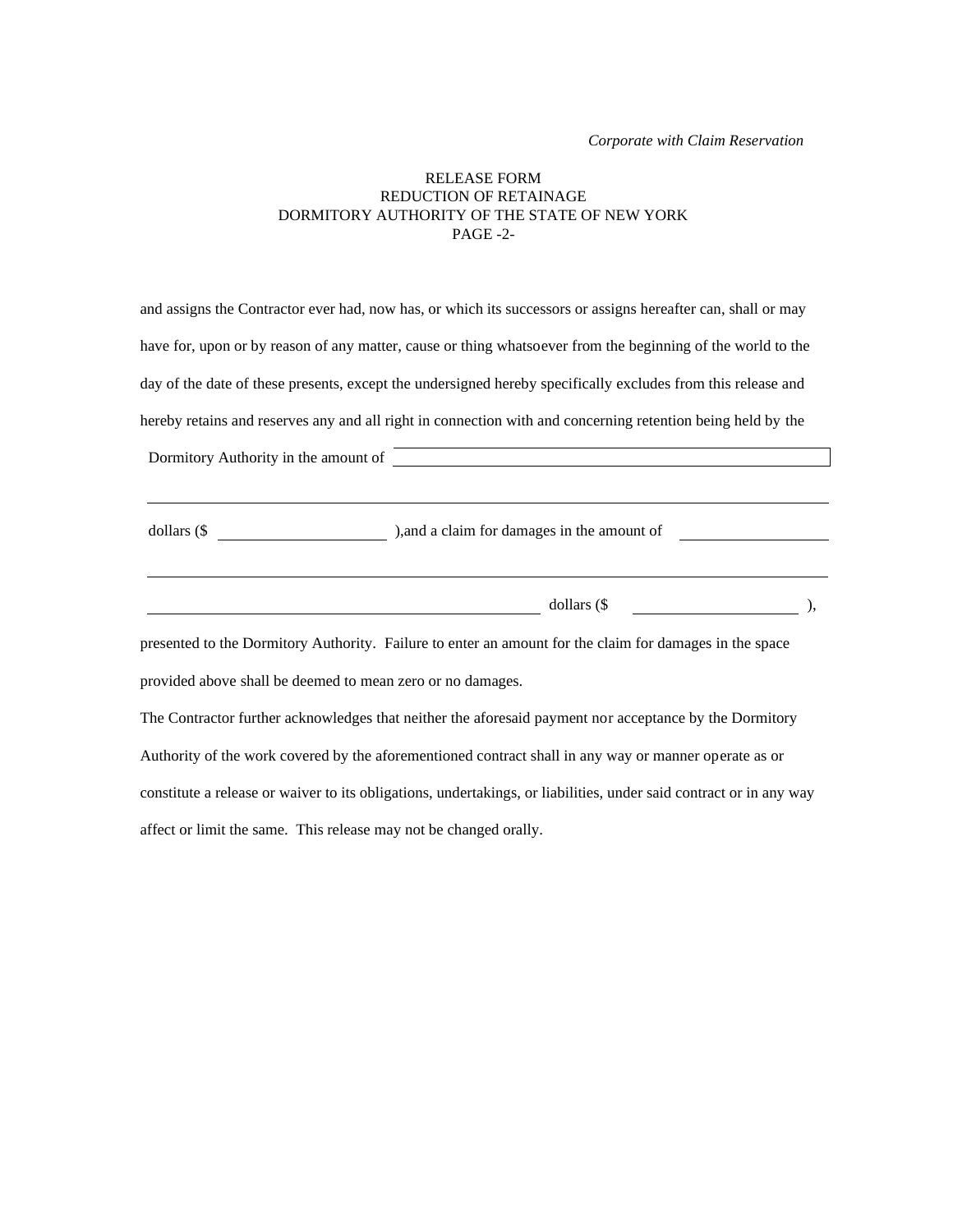#### RELEASE FORM REDUCTION OF RETAINAGE DORMITORY AUTHORITY OF THE STATE OF NEW YORK PAGE -2-

| and assigns the Contractor ever had, now has, or which its successors or assigns hereafter can, shall or may       |  |
|--------------------------------------------------------------------------------------------------------------------|--|
| have for, upon or by reason of any matter, cause or thing whatsoever from the beginning of the world to the        |  |
| day of the date of these presents, except the undersigned hereby specifically excludes from this release and       |  |
| hereby retains and reserves any and all right in connection with and concerning retention being held by the        |  |
| Dormitory Authority in the amount of <u>and a series of the series of the series of the series of</u>              |  |
|                                                                                                                    |  |
| $\frac{1}{2}$ dollars (\$ $\frac{1}{2}$ ),                                                                         |  |
| presented to the Dormitory Authority. Failure to enter an amount for the claim for damages in the space            |  |
| provided above shall be deemed to mean zero or no damages.                                                         |  |
| The Contractor further acknowledges that neither the aforesaid payment nor acceptance by the Dormitory             |  |
| Authority of the work covered by the aforementioned contract shall in any way or manner operate as or              |  |
| constitute a release or waiver to its obligations, undertakings, or liabilities, under said contract or in any way |  |

affect or limit the same. This release may not be changed orally.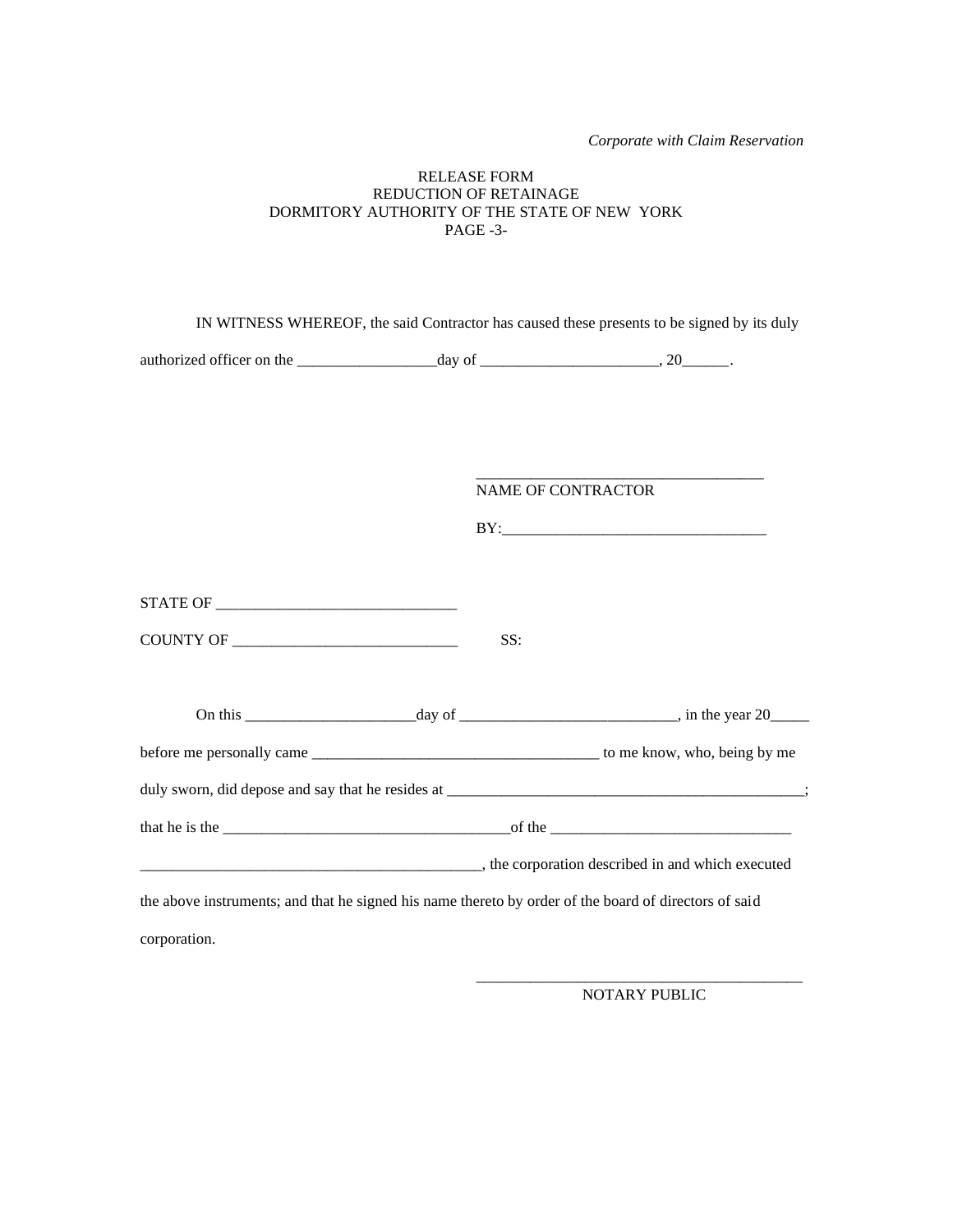*Corporate with Claim Reservation*

#### RELEASE FORM REDUCTION OF RETAINAGE DORMITORY AUTHORITY OF THE STATE OF NEW YORK PAGE -3-

| IN WITNESS WHEREOF, the said Contractor has caused these presents to be signed by its duly            |     |                           |
|-------------------------------------------------------------------------------------------------------|-----|---------------------------|
|                                                                                                       |     |                           |
|                                                                                                       |     |                           |
|                                                                                                       |     | <b>NAME OF CONTRACTOR</b> |
|                                                                                                       |     |                           |
|                                                                                                       | SS: |                           |
|                                                                                                       |     |                           |
|                                                                                                       |     |                           |
|                                                                                                       |     |                           |
|                                                                                                       |     |                           |
|                                                                                                       |     |                           |
| the above instruments; and that he signed his name thereto by order of the board of directors of said |     |                           |
| corporation.                                                                                          |     |                           |

\_\_\_\_\_\_\_\_\_\_\_\_\_\_\_\_\_\_\_\_\_\_\_\_\_\_\_\_\_\_\_\_\_\_\_\_\_\_\_\_\_\_ NOTARY PUBLIC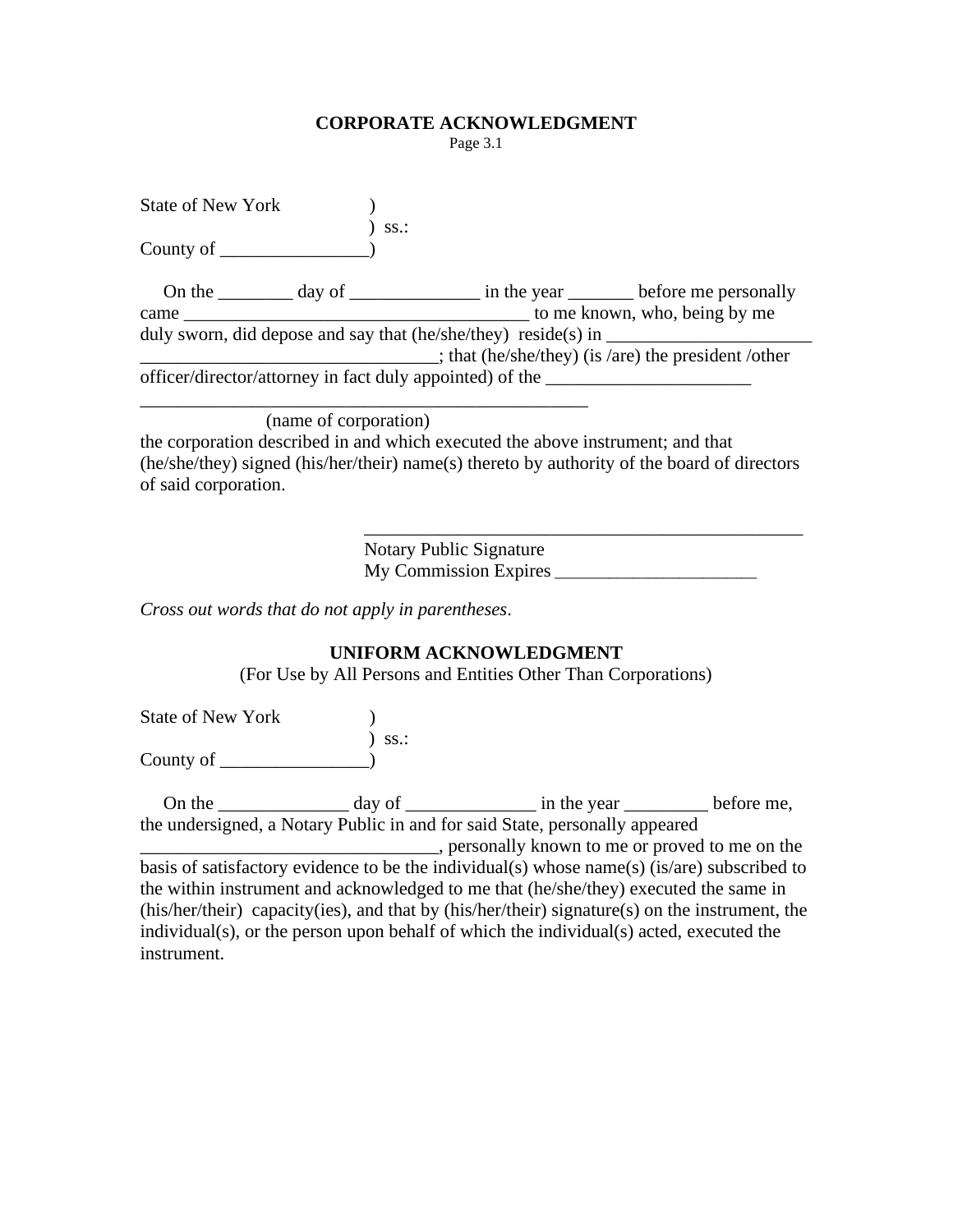## **CORPORATE ACKNOWLEDGMENT**

Page 3.1

| State of New York |     |                                                                                  |                                                           |
|-------------------|-----|----------------------------------------------------------------------------------|-----------------------------------------------------------|
|                   | SS. |                                                                                  |                                                           |
| County of $\_\_$  |     |                                                                                  |                                                           |
|                   |     |                                                                                  |                                                           |
|                   |     |                                                                                  |                                                           |
| came              |     |                                                                                  | to me known, who, being by me                             |
|                   |     |                                                                                  |                                                           |
|                   |     |                                                                                  | $\pm$ ; that (he/she/they) (is /are) the president /other |
|                   |     | officer/director/attorney in fact duly appointed) of the _______________________ |                                                           |
|                   |     |                                                                                  |                                                           |

(name of corporation)

the corporation described in and which executed the above instrument; and that (he/she/they) signed (his/her/their) name(s) thereto by authority of the board of directors of said corporation.

> Notary Public Signature My Commission Expires

\_\_\_\_\_\_\_\_\_\_\_\_\_\_\_\_\_\_\_\_\_\_\_\_\_\_\_\_\_\_\_\_\_\_\_\_\_\_\_\_\_\_\_\_\_\_\_

*Cross out words that do not apply in parentheses*.

# **UNIFORM ACKNOWLEDGMENT**

(For Use by All Persons and Entities Other Than Corporations)

State of New York ) ss.: County of  $\qquad$ 

On the \_\_\_\_\_\_\_\_\_\_\_\_\_\_\_\_ day of \_\_\_\_\_\_\_\_\_\_\_\_\_\_\_\_ in the year \_\_\_\_\_\_\_\_\_\_\_\_ before me, the undersigned, a Notary Public in and for said State, personally appeared \_\_\_\_\_\_\_\_\_\_\_\_\_\_\_\_\_\_\_\_\_\_\_\_\_\_\_\_\_\_\_\_, personally known to me or proved to me on the basis of satisfactory evidence to be the individual(s) whose name(s) (is/are) subscribed to the within instrument and acknowledged to me that (he/she/they) executed the same in (his/her/their) capacity(ies), and that by (his/her/their) signature(s) on the instrument, the individual(s), or the person upon behalf of which the individual(s) acted, executed the instrument.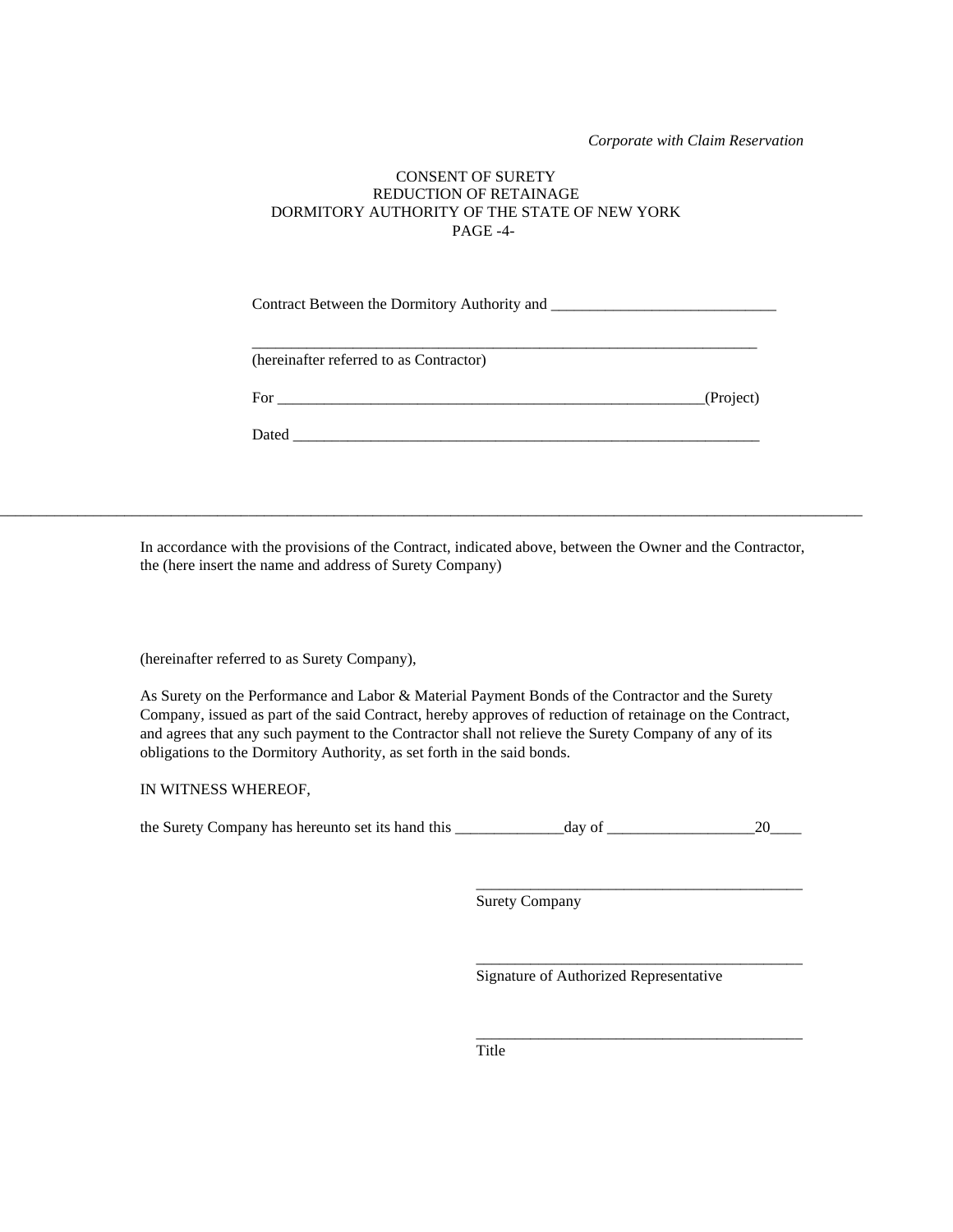*Corporate with Claim Reservation*

#### CONSENT OF SURETY REDUCTION OF RETAINAGE DORMITORY AUTHORITY OF THE STATE OF NEW YORK PAGE -4-

Contract Between the Dormitory Authority and \_\_\_\_\_\_\_\_\_\_\_\_\_\_\_\_\_\_\_\_\_\_\_\_\_\_\_\_\_

\_\_\_\_\_\_\_\_\_\_\_\_\_\_\_\_\_\_\_\_\_\_\_\_\_\_\_\_\_\_\_\_\_\_\_\_\_\_\_\_\_\_\_\_\_\_\_\_\_\_\_\_\_\_\_\_\_\_\_\_\_\_\_\_\_

(hereinafter referred to as Contractor)

Dated  $\Box$ 

In accordance with the provisions of the Contract, indicated above, between the Owner and the Contractor, the (here insert the name and address of Surety Company)

\_\_\_\_\_\_\_\_\_\_\_\_\_\_\_\_\_\_\_\_\_\_\_\_\_\_\_\_\_\_\_\_\_\_\_\_\_\_\_\_\_\_\_\_\_\_\_\_\_\_\_\_\_\_\_\_\_\_\_\_\_\_\_\_\_\_\_\_\_\_\_\_\_\_\_\_\_\_\_\_\_\_\_\_\_\_\_\_\_\_\_\_\_\_\_\_\_\_\_\_\_\_\_\_\_\_\_\_\_\_\_

(hereinafter referred to as Surety Company),

As Surety on the Performance and Labor & Material Payment Bonds of the Contractor and the Surety Company, issued as part of the said Contract, hereby approves of reduction of retainage on the Contract, and agrees that any such payment to the Contractor shall not relieve the Surety Company of any of its obligations to the Dormitory Authority, as set forth in the said bonds.

IN WITNESS WHEREOF,

the Surety Company has hereunto set its hand this \_\_\_\_\_\_\_\_\_\_\_\_\_\_day of \_\_\_\_\_\_\_\_\_\_\_\_\_\_\_\_\_\_\_20\_\_\_\_

Surety Company

Signature of Authorized Representative

\_\_\_\_\_\_\_\_\_\_\_\_\_\_\_\_\_\_\_\_\_\_\_\_\_\_\_\_\_\_\_\_\_\_\_\_\_\_\_\_\_\_

\_\_\_\_\_\_\_\_\_\_\_\_\_\_\_\_\_\_\_\_\_\_\_\_\_\_\_\_\_\_\_\_\_\_\_\_\_\_\_\_\_\_

\_\_\_\_\_\_\_\_\_\_\_\_\_\_\_\_\_\_\_\_\_\_\_\_\_\_\_\_\_\_\_\_\_\_\_\_\_\_\_\_\_\_

Title